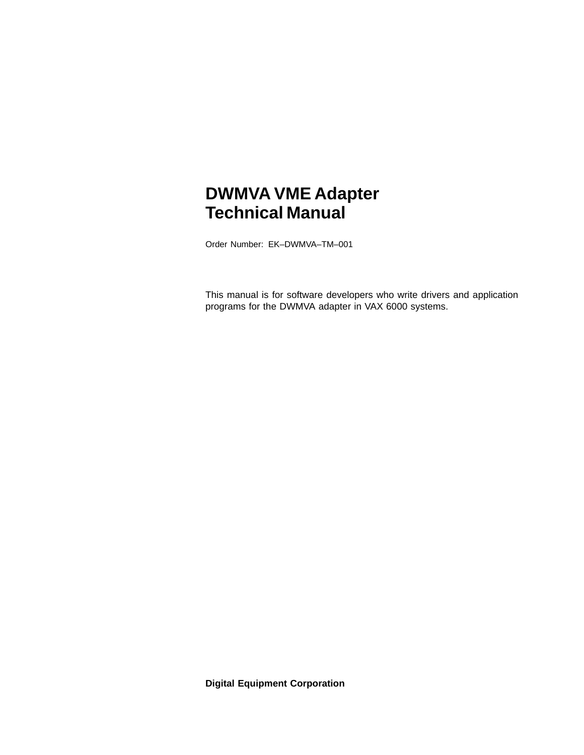# **DWMVA VME Adapter Technical Manual**

Order Number: EK–DWMVA–TM–001

This manual is for software developers who write drivers and application programs for the DWMVA adapter in VAX 6000 systems.

**Digital Equipment Corporation**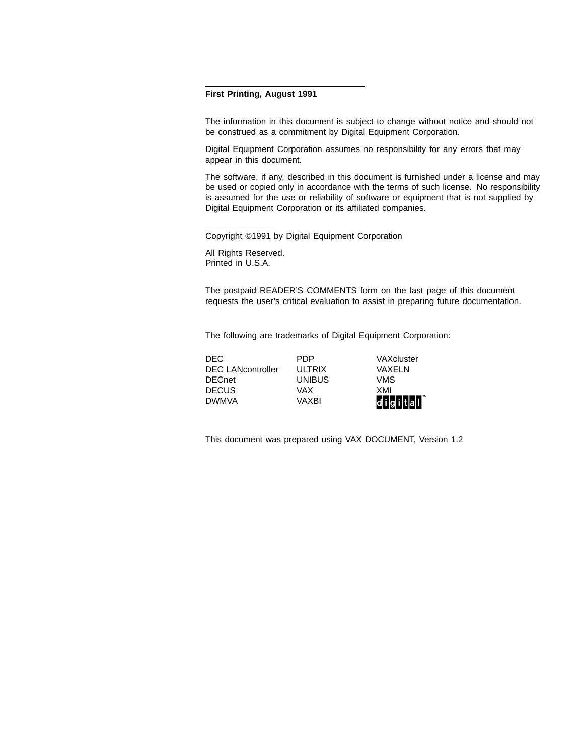#### **First Printing, August 1991**

The information in this document is subject to change without notice and should not be construed as a commitment by Digital Equipment Corporation.

Digital Equipment Corporation assumes no responsibility for any errors that may appear in this document.

The software, if any, described in this document is furnished under a license and may be used or copied only in accordance with the terms of such license. No responsibility is assumed for the use or reliability of software or equipment that is not supplied by Digital Equipment Corporation or its affiliated companies.

Copyright ©1991 by Digital Equipment Corporation

All Rights Reserved. Printed in U.S.A.

The postpaid READER'S COMMENTS form on the last page of this document requests the user's critical evaluation to assist in preparing future documentation.

The following are trademarks of Digital Equipment Corporation:

DEC PDP VAXcluster DEC LANcontroller ULTRIX VAXELN DECnet UNIBUS VMS DECUS VAX XMI DWMVA VAXBI digital

This document was prepared using VAX DOCUMENT, Version 1.2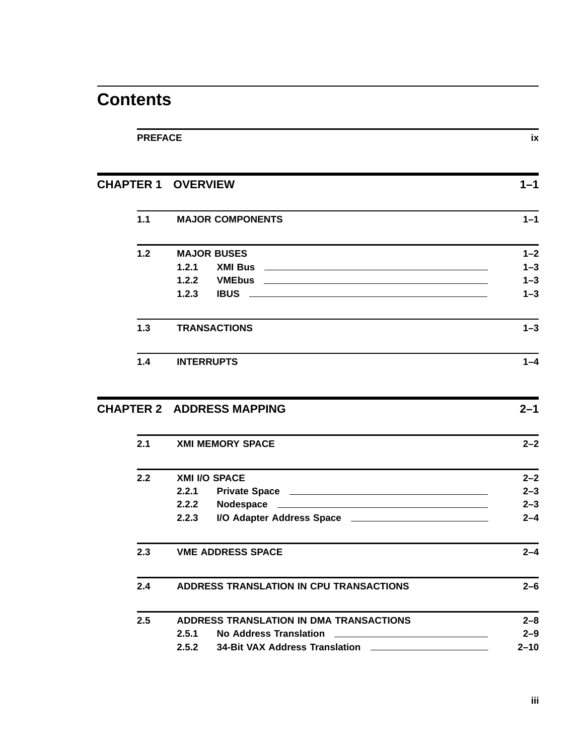# **Contents**

| <b>PREFACE</b> | ix                                                                            |         |
|----------------|-------------------------------------------------------------------------------|---------|
|                | <b>CHAPTER 1 OVERVIEW</b>                                                     | $1 - 1$ |
| 1.1            | <b>MAJOR COMPONENTS</b>                                                       | $1 - 1$ |
| 1.2            | <b>MAJOR BUSES</b>                                                            | $1 - 2$ |
|                | 1.2.1                                                                         | $1 - 3$ |
|                | 1.2.2                                                                         | $1 - 3$ |
|                | 1.2.3                                                                         | $1 - 3$ |
| 1.3            | <b>TRANSACTIONS</b>                                                           | $1 - 3$ |
| 1.4            | <b>INTERRUPTS</b>                                                             | $1 - 4$ |
|                | <b>CHAPTER 2 ADDRESS MAPPING</b>                                              | $2 - 1$ |
| 2.1            | <b>XMI MEMORY SPACE</b>                                                       | $2 - 2$ |
| 2.2            | <b>XMI I/O SPACE</b>                                                          | $2 - 2$ |
|                | 2.2.1                                                                         | $2 - 3$ |
|                | 2.2.2                                                                         | $2 - 3$ |
|                | 2.2.3<br>I/O Adapter Address Space <b>Manual Accord Adapter Address Space</b> | $2 - 4$ |
| 2.3            | <b>VME ADDRESS SPACE</b>                                                      | $2 - 4$ |
| 2.4            | ADDRESS TRANSLATION IN CPU TRANSACTIONS                                       | $2 - 6$ |
|                | ADDRESS TRANSLATION IN DMA TRANSACTIONS                                       | $2 - 8$ |
| 2.5            |                                                                               |         |
|                | 2.5.1                                                                         | $2 - 9$ |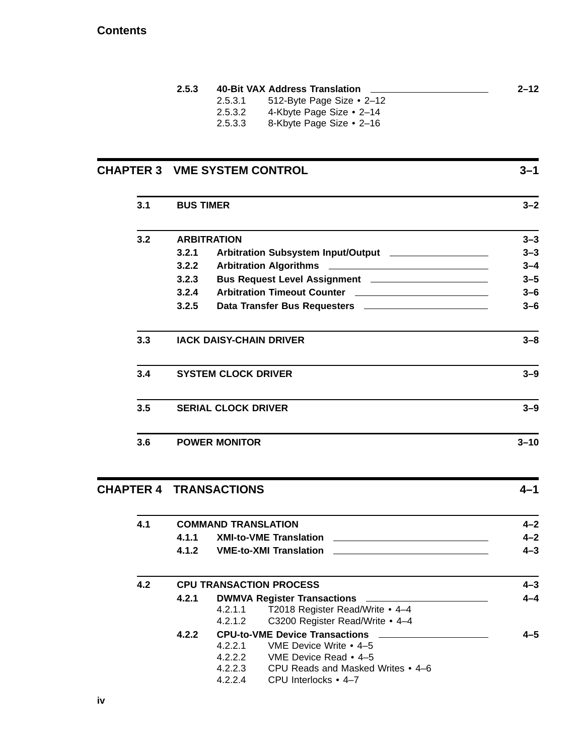#### **Contents**

|         |                           | $2 - 12$                       |
|---------|---------------------------|--------------------------------|
| 2.5.3.1 | 512-Byte Page Size • 2–12 |                                |
| 2.5.3.2 | 4-Kbyte Page Size • 2-14  |                                |
| 2.5.3.3 | 8-Kbyte Page Size • 2–16  |                                |
|         |                           | 40-Bit VAX Address Translation |

# **CHAPTER 3 VME SYSTEM CONTROL 3–1 3.1 BUS TIMER 3–2 3.2 ARBITRATION 3–3 3.2.1 Arbitration Subsystem Input/Output 3–3 3.2.2 Arbitration Algorithms 3–4 3.2.3 Bus Request Level Assignment 3–5 3.2.4 Arbitration Timeout Counter 3–6 3.2.5 Data Transfer Bus Requesters 3–6 3.3 IACK DAISY-CHAIN DRIVER 3–8 3.4 SYSTEM CLOCK DRIVER 3–9 3.5 SERIAL CLOCK DRIVER 3–9 3.6 POWER MONITOR 3–10**

## **CHAPTER 4 TRANSACTIONS 4–1 4.1 COMMAND TRANSLATION 4–2 4.1.1 XMI-to-VME Translation 4–2 4.1.2 VME-to-XMI Translation 4–3 4.2 CPU TRANSACTION PROCESS 4–3 4.2.1 DWMVA Register Transactions 4–4** 4.2.1.1 T2018 Register Read/Write • 4–4 4.2.1.2 C3200 Register Read/Write • 4–4 **4.2.2 CPU-to-VME Device Transactions 4–5** 4.2.2.1 VME Device Write • 4–5 4.2.2.2 VME Device Read • 4–5

- 4.2.2.3 CPU Reads and Masked Writes 4–6
- 4.2.2.4 CPU Interlocks 4–7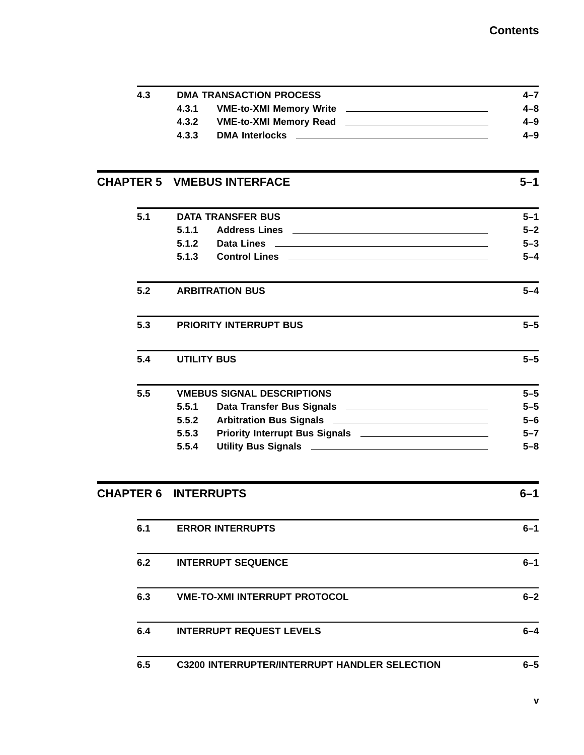| 4.3 | <b>DMA TRANSACTION PROCESS</b>                                                                                          | $4 - 7$ |
|-----|-------------------------------------------------------------------------------------------------------------------------|---------|
|     | 4.3.1                                                                                                                   | $4 - 8$ |
|     | 4.3.2                                                                                                                   | $4 - 9$ |
|     | 4.3.3                                                                                                                   | $4 - 9$ |
|     |                                                                                                                         |         |
|     | <b>CHAPTER 5 VMEBUS INTERFACE</b>                                                                                       | $5 - 1$ |
| 5.1 | <b>DATA TRANSFER BUS</b>                                                                                                | $5 - 1$ |
|     | 5.1.1                                                                                                                   | $5 - 2$ |
|     | 5.1.2<br>Data Lines and the contract of the contract of the contract of the contract of the contract of the contract of | $5 - 3$ |
|     | 5.1.3                                                                                                                   | $5 - 4$ |
| 5.2 | <b>ARBITRATION BUS</b>                                                                                                  |         |
| 5.3 | <b>PRIORITY INTERRUPT BUS</b>                                                                                           | $5 - 5$ |
| 5.4 | <b>UTILITY BUS</b>                                                                                                      | $5 - 5$ |
| 5.5 | <b>VMEBUS SIGNAL DESCRIPTIONS</b>                                                                                       | $5 - 5$ |
|     | 5.5.1                                                                                                                   | $5 - 5$ |
|     | 5.5.2                                                                                                                   | $5 - 6$ |
|     | 5.5.3                                                                                                                   | $5 - 7$ |
|     | 5.5.4                                                                                                                   | $5 - 8$ |
|     | <b>CHAPTER 6 INTERRUPTS</b>                                                                                             | $6 - 1$ |
| 6.1 | <b>ERROR INTERRUPTS</b>                                                                                                 | $6 - 1$ |
|     |                                                                                                                         |         |

| 6.2 | <b>INTERRUPT SEQUENCE</b> | $6 - 1$ |
|-----|---------------------------|---------|
|     |                           |         |

| 6.3 | <b>VME-TO-XMI INTERRUPT PROTOCOL</b> | $6 - 2$ |
|-----|--------------------------------------|---------|
| 6.4 | <b>INTERRUPT REQUEST LEVELS</b>      | 6–4     |

**6.5 C3200 INTERRUPTER/INTERRUPT HANDLER SELECTION 6–5**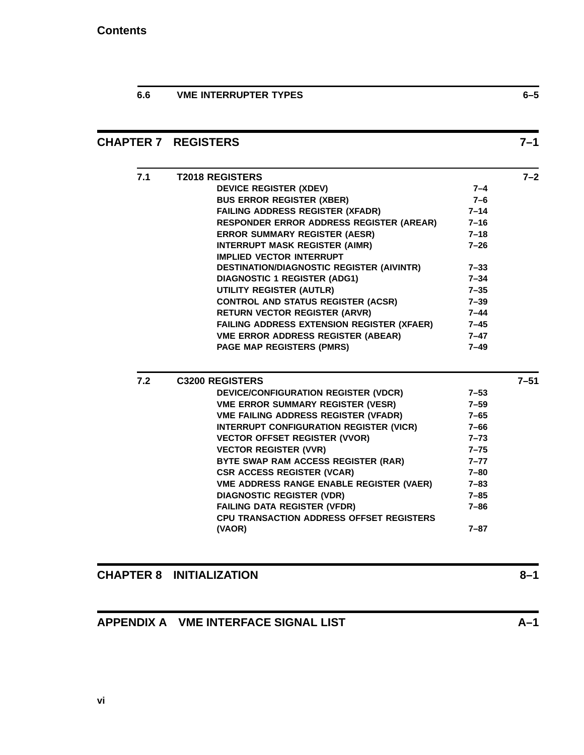**6.6 VME INTERRUPTER TYPES 6–5**

### **CHAPTER 7 REGISTERS 7–1**

| 7.1 | <b>T2018 REGISTERS</b>                            |          | $7 - 2$  |
|-----|---------------------------------------------------|----------|----------|
|     | <b>DEVICE REGISTER (XDEV)</b>                     | $7 - 4$  |          |
|     | <b>BUS ERROR REGISTER (XBER)</b>                  | 7-6      |          |
|     | <b>FAILING ADDRESS REGISTER (XFADR)</b>           | $7 - 14$ |          |
|     | <b>RESPONDER ERROR ADDRESS REGISTER (AREAR)</b>   | $7 - 16$ |          |
|     | <b>ERROR SUMMARY REGISTER (AESR)</b>              | $7 - 18$ |          |
|     | <b>INTERRUPT MASK REGISTER (AIMR)</b>             | $7 - 26$ |          |
|     | <b>IMPLIED VECTOR INTERRUPT</b>                   |          |          |
|     | <b>DESTINATION/DIAGNOSTIC REGISTER (AIVINTR)</b>  | $7 - 33$ |          |
|     | <b>DIAGNOSTIC 1 REGISTER (ADG1)</b>               | $7 - 34$ |          |
|     | UTILITY REGISTER (AUTLR)                          | $7 - 35$ |          |
|     | <b>CONTROL AND STATUS REGISTER (ACSR)</b>         | $7 - 39$ |          |
|     | <b>RETURN VECTOR REGISTER (ARVR)</b>              | $7 - 44$ |          |
|     | <b>FAILING ADDRESS EXTENSION REGISTER (XFAER)</b> | 7–45     |          |
|     | <b>VME ERROR ADDRESS REGISTER (ABEAR)</b>         | $7 - 47$ |          |
|     |                                                   |          |          |
|     | <b>PAGE MAP REGISTERS (PMRS)</b>                  | $7 - 49$ |          |
|     |                                                   |          |          |
| 7.2 | <b>C3200 REGISTERS</b>                            |          | $7 - 51$ |
|     | DEVICE/CONFIGURATION REGISTER (VDCR)              | $7 - 53$ |          |
|     | <b>VME ERROR SUMMARY REGISTER (VESR)</b>          | $7 - 59$ |          |
|     | <b>VME FAILING ADDRESS REGISTER (VFADR)</b>       | $7 - 65$ |          |
|     | INTERRUPT CONFIGURATION REGISTER (VICR)           | $7 - 66$ |          |
|     | <b>VECTOR OFFSET REGISTER (VVOR)</b>              | $7 - 73$ |          |
|     | <b>VECTOR REGISTER (VVR)</b>                      | $7 - 75$ |          |
|     | BYTE SWAP RAM ACCESS REGISTER (RAR)               | $7 - 77$ |          |
|     | <b>CSR ACCESS REGISTER (VCAR)</b>                 | 7-80     |          |
|     | <b>VME ADDRESS RANGE ENABLE REGISTER (VAER)</b>   | $7 - 83$ |          |
|     | <b>DIAGNOSTIC REGISTER (VDR)</b>                  | $7 - 85$ |          |
|     | <b>FAILING DATA REGISTER (VFDR)</b>               | $7 - 86$ |          |
|     | <b>CPU TRANSACTION ADDRESS OFFSET REGISTERS</b>   |          |          |

### **CHAPTER 8 INITIALIZATION 8–1**

### **APPENDIX A VME INTERFACE SIGNAL LIST A–1**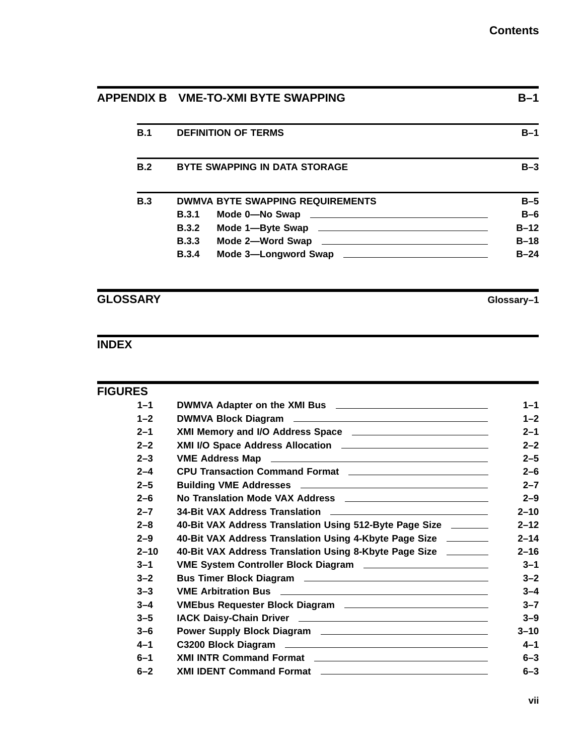|  |     | APPENDIX B VME-TO-XMI BYTE SWAPPING |                                         | $B-1$  |
|--|-----|-------------------------------------|-----------------------------------------|--------|
|  | B.1 |                                     | <b>DEFINITION OF TERMS</b>              | $B-1$  |
|  | B.2 |                                     | <b>BYTE SWAPPING IN DATA STORAGE</b>    | $B-3$  |
|  | B.3 |                                     | <b>DWMVA BYTE SWAPPING REQUIREMENTS</b> | $B-5$  |
|  |     | <b>B.3.1</b>                        |                                         | $B-6$  |
|  |     | B.3.2                               |                                         | $B-12$ |
|  |     | <b>B.3.3</b>                        |                                         | $B-18$ |
|  |     | <b>B.3.4</b>                        | Mode 3-Longword Swap                    | $B-24$ |

**GLOSSARY Glossary–1**

# **INDEX**

| <b>FIGURES</b> |                                                                |  |
|----------------|----------------------------------------------------------------|--|
| $1 - 1$        |                                                                |  |
| $1 - 2$        |                                                                |  |
| $2 - 1$        |                                                                |  |
| $2 - 2$        |                                                                |  |
| $2 - 3$        |                                                                |  |
| $2 - 4$        | CPU Transaction Command Format                                 |  |
| $2 - 5$        |                                                                |  |
| $2 - 6$        |                                                                |  |
| $2 - 7$        |                                                                |  |
| $2 - 8$        | 40-Bit VAX Address Translation Using 512-Byte Page Size ______ |  |
| $2 - 9$        | 40-Bit VAX Address Translation Using 4-Kbyte Page Size _______ |  |
| $2 - 10$       | 40-Bit VAX Address Translation Using 8-Kbyte Page Size _______ |  |
| $3 - 1$        |                                                                |  |
| $3 - 2$        |                                                                |  |
| $3 - 3$        |                                                                |  |
| $3 - 4$        |                                                                |  |
| $3 - 5$        |                                                                |  |
| $3 - 6$        |                                                                |  |
| $4 - 1$        |                                                                |  |
| $6 - 1$        |                                                                |  |
| $6 - 2$        | XMI IDENT Command Format                                       |  |
|                |                                                                |  |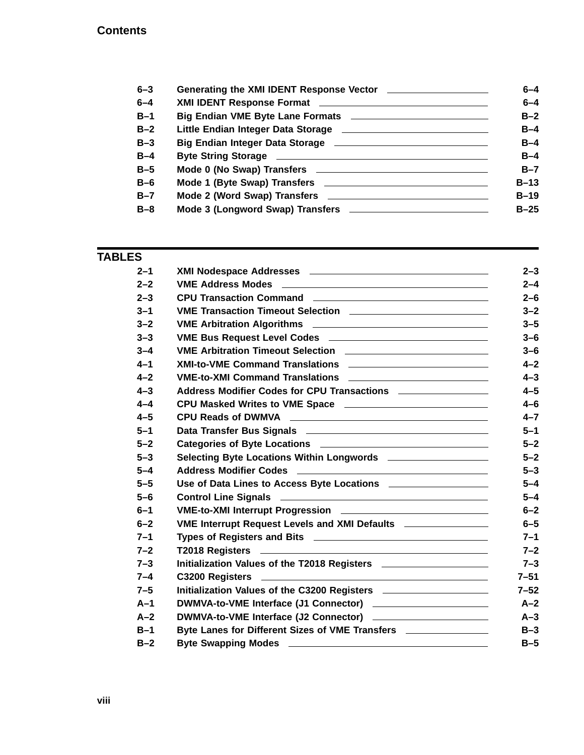| $6 - 4$ |
|---------|
| $6 - 4$ |
| $B-2$   |
| $B-4$   |
| $B-4$   |
| $B-4$   |
| $B-7$   |
| $B-13$  |
| $B-19$  |
| $B-25$  |
|         |
|         |

### **TABLES**

| $2 - 1$ |                                                                                               |
|---------|-----------------------------------------------------------------------------------------------|
| $2 - 2$ |                                                                                               |
| $2 - 3$ | CPU Transaction Command <b>contract of the CPU</b> Transaction Command                        |
| $3 - 1$ | VME Transaction Timeout Selection ______________________________                              |
| $3 - 2$ |                                                                                               |
| $3 - 3$ | VME Bus Request Level Codes __________________________________                                |
| $3 - 4$ |                                                                                               |
| $4 - 1$ |                                                                                               |
| $4 - 2$ |                                                                                               |
| $4 - 3$ | Address Modifier Codes for CPU Transactions _________________                                 |
| $4 - 4$ |                                                                                               |
| $4 - 5$ |                                                                                               |
| $5 - 1$ |                                                                                               |
| $5 - 2$ |                                                                                               |
| $5 - 3$ | Selecting Byte Locations Within Longwords ____________________                                |
| $5 - 4$ |                                                                                               |
| $5 - 5$ | Use of Data Lines to Access Byte Locations ____________________                               |
| $5 - 6$ |                                                                                               |
| $6 - 1$ |                                                                                               |
| $6 - 2$ | VME Interrupt Request Levels and XMI Defaults _________________                               |
| $7 - 1$ |                                                                                               |
| $7 - 2$ |                                                                                               |
| $7 - 3$ | Initialization Values of the T2018 Registers <b>contained a matter of the T2018</b> Registers |
| $7 - 4$ |                                                                                               |
| $7 - 5$ | Initialization Values of the C3200 Registers ______________________                           |
| $A-1$   | DWMVA-to-VME Interface (J1 Connector) __________________________                              |
| $A-2$   | DWMVA-to-VME Interface (J2 Connector)                                                         |
| $B-1$   | Byte Lanes for Different Sizes of VME Transfers ________________                              |
| $B-2$   |                                                                                               |
|         |                                                                                               |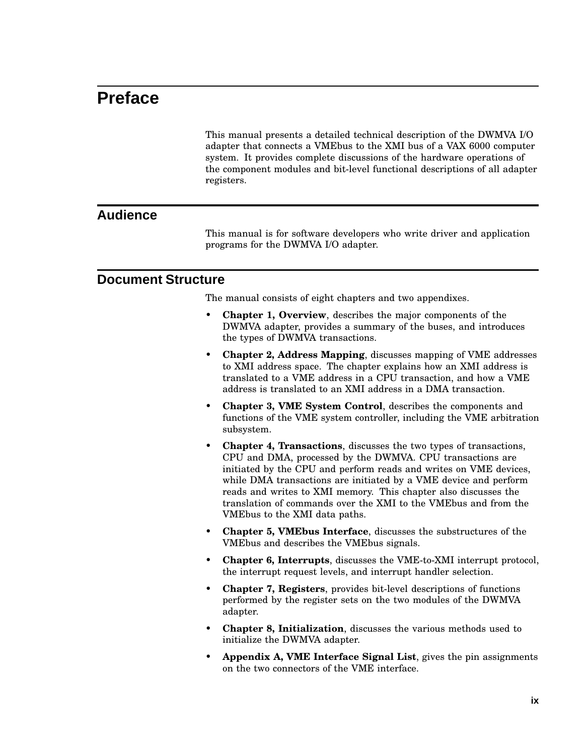# **Preface**

This manual presents a detailed technical description of the DWMVA I/O adapter that connects a VMEbus to the XMI bus of a VAX 6000 computer system. It provides complete discussions of the hardware operations of the component modules and bit-level functional descriptions of all adapter registers.

#### **Audience**

This manual is for software developers who write driver and application programs for the DWMVA I/O adapter.

#### **Document Structure**

The manual consists of eight chapters and two appendixes.

- **Chapter 1, Overview**, describes the major components of the DWMVA adapter, provides a summary of the buses, and introduces the types of DWMVA transactions.
- **Chapter 2, Address Mapping**, discusses mapping of VME addresses to XMI address space. The chapter explains how an XMI address is translated to a VME address in a CPU transaction, and how a VME address is translated to an XMI address in a DMA transaction.
- **Chapter 3, VME System Control**, describes the components and functions of the VME system controller, including the VME arbitration subsystem.
- **Chapter 4, Transactions**, discusses the two types of transactions, CPU and DMA, processed by the DWMVA. CPU transactions are initiated by the CPU and perform reads and writes on VME devices, while DMA transactions are initiated by a VME device and perform reads and writes to XMI memory. This chapter also discusses the translation of commands over the XMI to the VMEbus and from the VMEbus to the XMI data paths.
- **Chapter 5, VMEbus Interface**, discusses the substructures of the VMEbus and describes the VMEbus signals.
- **Chapter 6, Interrupts**, discusses the VME-to-XMI interrupt protocol, the interrupt request levels, and interrupt handler selection.
- **Chapter 7, Registers**, provides bit-level descriptions of functions performed by the register sets on the two modules of the DWMVA adapter.
- **Chapter 8, Initialization**, discusses the various methods used to initialize the DWMVA adapter.
- **Appendix A, VME Interface Signal List**, gives the pin assignments on the two connectors of the VME interface.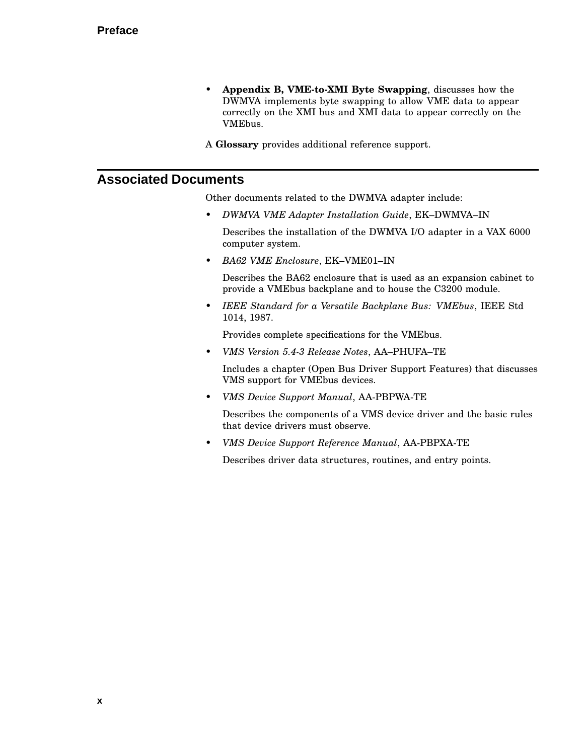- **Appendix B, VME-to-XMI Byte Swapping**, discusses how the DWMVA implements byte swapping to allow VME data to appear correctly on the XMI bus and XMI data to appear correctly on the VMEbus.
- A **Glossary** provides additional reference support.

### **Associated Documents**

Other documents related to the DWMVA adapter include:

• *DWMVA VME Adapter Installation Guide*, EK–DWMVA–IN

Describes the installation of the DWMVA I/O adapter in a VAX 6000 computer system.

• *BA62 VME Enclosure*, EK–VME01–IN

Describes the BA62 enclosure that is used as an expansion cabinet to provide a VMEbus backplane and to house the C3200 module.

• *IEEE Standard for a Versatile Backplane Bus: VMEbus*, IEEE Std 1014, 1987.

Provides complete specifications for the VMEbus.

• *VMS Version 5.4-3 Release Notes*, AA–PHUFA–TE

Includes a chapter (Open Bus Driver Support Features) that discusses VMS support for VMEbus devices.

• *VMS Device Support Manual*, AA-PBPWA-TE

Describes the components of a VMS device driver and the basic rules that device drivers must observe.

• *VMS Device Support Reference Manual*, AA-PBPXA-TE

Describes driver data structures, routines, and entry points.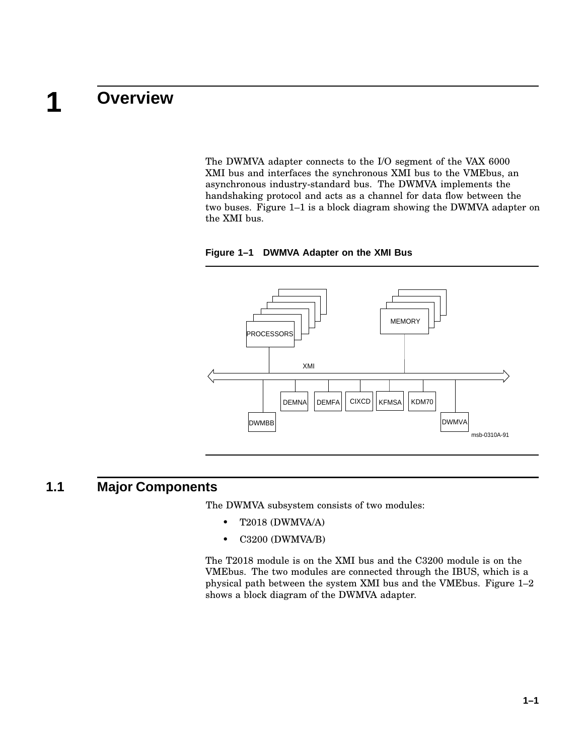### **1 Overview**

The DWMVA adapter connects to the I/O segment of the VAX 6000 XMI bus and interfaces the synchronous XMI bus to the VMEbus, an asynchronous industry-standard bus. The DWMVA implements the handshaking protocol and acts as a channel for data flow between the two buses. Figure 1–1 is a block diagram showing the DWMVA adapter on the XMI bus.





### **1.1 Major Components**

The DWMVA subsystem consists of two modules:

- T2018 (DWMVA/A)
- C3200 (DWMVA/B)

The T2018 module is on the XMI bus and the C3200 module is on the VMEbus. The two modules are connected through the IBUS, which is a physical path between the system XMI bus and the VMEbus. Figure 1–2 shows a block diagram of the DWMVA adapter.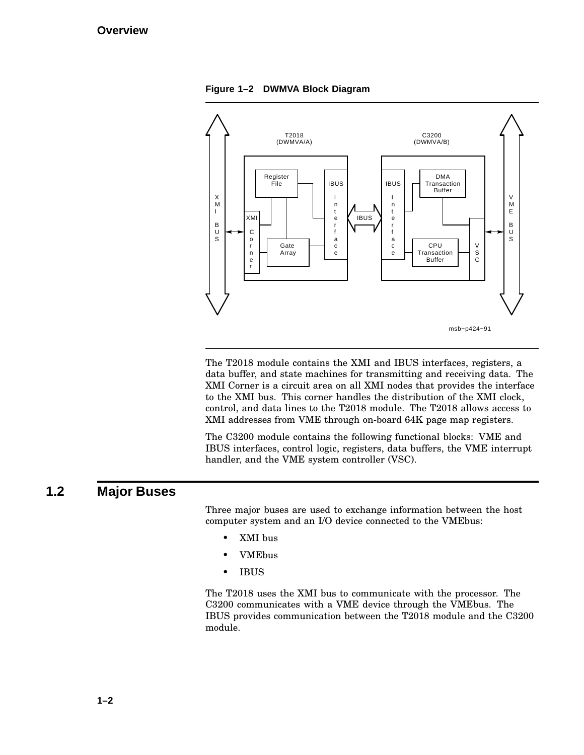**Figure 1–2 DWMVA Block Diagram**



The T2018 module contains the XMI and IBUS interfaces, registers, a data buffer, and state machines for transmitting and receiving data. The XMI Corner is a circuit area on all XMI nodes that provides the interface to the XMI bus. This corner handles the distribution of the XMI clock, control, and data lines to the T2018 module. The T2018 allows access to XMI addresses from VME through on-board 64K page map registers.

The C3200 module contains the following functional blocks: VME and IBUS interfaces, control logic, registers, data buffers, the VME interrupt handler, and the VME system controller (VSC).

### **1.2 Major Buses**

Three major buses are used to exchange information between the host computer system and an I/O device connected to the VMEbus:

- XMI bus
- VMEbus
- IBUS

The T2018 uses the XMI bus to communicate with the processor. The C3200 communicates with a VME device through the VMEbus. The IBUS provides communication between the T2018 module and the C3200 module.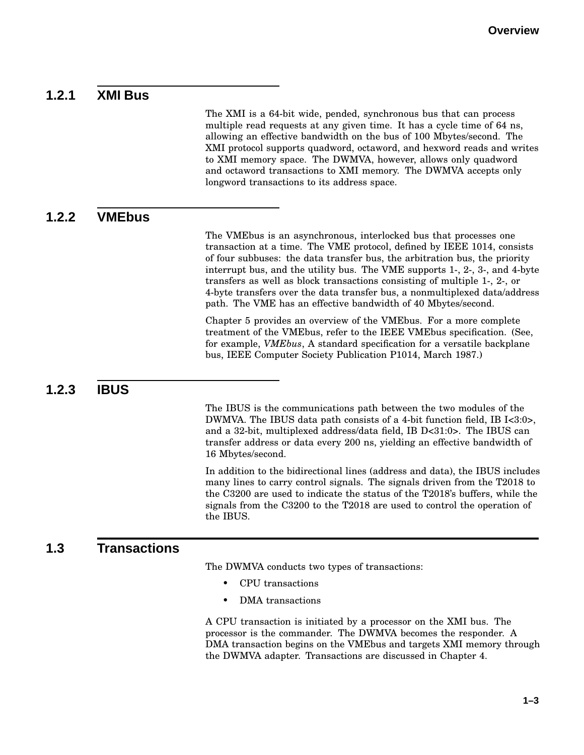### **1.2.1 XMI Bus**

The XMI is a 64-bit wide, pended, synchronous bus that can process multiple read requests at any given time. It has a cycle time of 64 ns, allowing an effective bandwidth on the bus of 100 Mbytes/second. The XMI protocol supports quadword, octaword, and hexword reads and writes to XMI memory space. The DWMVA, however, allows only quadword and octaword transactions to XMI memory. The DWMVA accepts only longword transactions to its address space.

### **1.2.2 VMEbus**

The VMEbus is an asynchronous, interlocked bus that processes one transaction at a time. The VME protocol, defined by IEEE 1014, consists of four subbuses: the data transfer bus, the arbitration bus, the priority interrupt bus, and the utility bus. The VME supports 1-, 2-, 3-, and 4-byte transfers as well as block transactions consisting of multiple 1-, 2-, or 4-byte transfers over the data transfer bus, a nonmultiplexed data/address path. The VME has an effective bandwidth of 40 Mbytes/second.

Chapter 5 provides an overview of the VMEbus. For a more complete treatment of the VMEbus, refer to the IEEE VMEbus specification. (See, for example, *VMEbus*, A standard specification for a versatile backplane bus, IEEE Computer Society Publication P1014, March 1987.)

### **1.2.3 IBUS**

The IBUS is the communications path between the two modules of the DWMVA. The IBUS data path consists of a 4-bit function field, IB I<3:0>, and a 32-bit, multiplexed address/data field, IB D<31:0>. The IBUS can transfer address or data every 200 ns, yielding an effective bandwidth of 16 Mbytes/second.

In addition to the bidirectional lines (address and data), the IBUS includes many lines to carry control signals. The signals driven from the T2018 to the C3200 are used to indicate the status of the T2018's buffers, while the signals from the C3200 to the T2018 are used to control the operation of the IBUS.

### **1.3 Transactions**

The DWMVA conducts two types of transactions:

- CPU transactions
- DMA transactions

A CPU transaction is initiated by a processor on the XMI bus. The processor is the commander. The DWMVA becomes the responder. A DMA transaction begins on the VMEbus and targets XMI memory through the DWMVA adapter. Transactions are discussed in Chapter 4.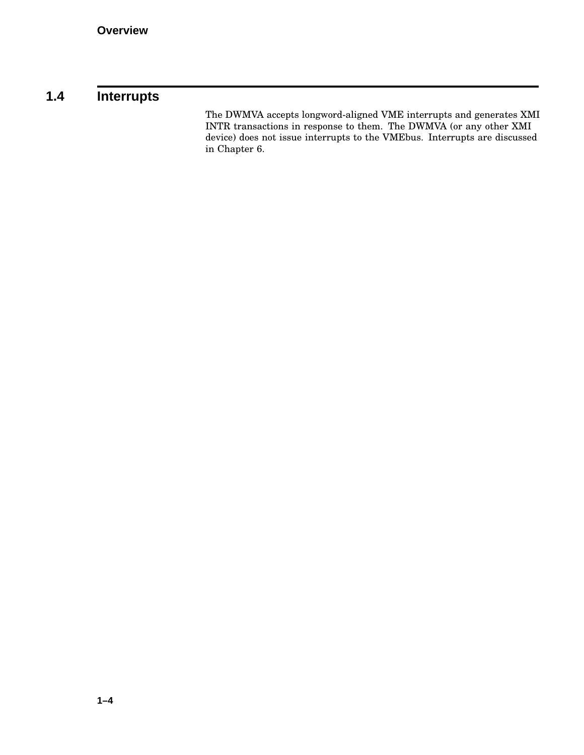# **1.4 Interrupts**

The DWMVA accepts longword-aligned VME interrupts and generates XMI INTR transactions in response to them. The DWMVA (or any other XMI device) does not issue interrupts to the VMEbus. Interrupts are discussed in Chapter 6.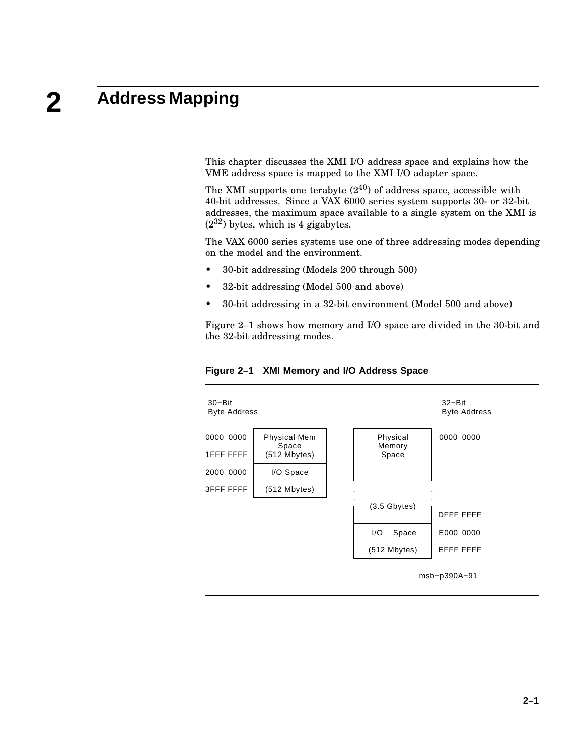### **2 Address Mapping**

This chapter discusses the XMI I/O address space and explains how the VME address space is mapped to the XMI I/O adapter space.

The XMI supports one terabyte  $(2^{40})$  of address space, accessible with 40-bit addresses. Since a VAX 6000 series system supports 30- or 32-bit addresses, the maximum space available to a single system on the XMI is  $(2^{32})$  bytes, which is 4 gigabytes.

The VAX 6000 series systems use one of three addressing modes depending on the model and the environment.

- 30-bit addressing (Models 200 through 500)
- 32-bit addressing (Model 500 and above)
- 30-bit addressing in a 32-bit environment (Model 500 and above)

Figure 2–1 shows how memory and I/O space are divided in the 30-bit and the 32-bit addressing modes.



**Figure 2–1 XMI Memory and I/O Address Space**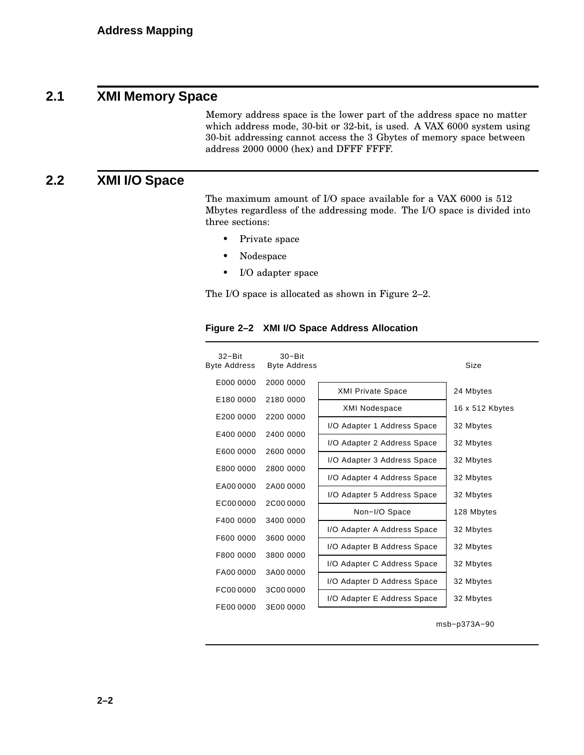### **2.1 XMI Memory Space**

Memory address space is the lower part of the address space no matter which address mode, 30-bit or 32-bit, is used. A VAX 6000 system using 30-bit addressing cannot access the 3 Gbytes of memory space between address 2000 0000 (hex) and DFFF FFFF.

### **2.2 XMI I/O Space**

The maximum amount of I/O space available for a VAX 6000 is 512 Mbytes regardless of the addressing mode. The I/O space is divided into three sections:

- Private space
- Nodespace
- I/O adapter space

The I/O space is allocated as shown in Figure 2–2.

| $32 - Bit$<br>Byte Address | $30 - Bit$<br><b>Byte Address</b> |                             | Size            |
|----------------------------|-----------------------------------|-----------------------------|-----------------|
| E000 0000                  | 2000 0000                         | <b>XMI Private Space</b>    | 24 Mbytes       |
| E180 0000                  | 2180 0000                         | <b>XMI Nodespace</b>        | 16 x 512 Kbytes |
| E200 0000                  | 2200 0000                         |                             |                 |
| E400 0000                  | 2400 0000                         | I/O Adapter 1 Address Space | 32 Mbytes       |
|                            |                                   | I/O Adapter 2 Address Space | 32 Mbytes       |
| E600 0000                  | 2600 0000                         | I/O Adapter 3 Address Space | 32 Mbytes       |
| E800 0000                  | 2800 0000                         | I/O Adapter 4 Address Space | 32 Mbytes       |
| EA000000                   | 2A000000                          | I/O Adapter 5 Address Space | 32 Mbytes       |
| EC000000                   | 2C000000                          |                             |                 |
| F400 0000                  | 3400 0000                         | Non-I/O Space               | 128 Mbytes      |
|                            |                                   | I/O Adapter A Address Space | 32 Mbytes       |
| F600 0000                  | 3600 0000                         | I/O Adapter B Address Space | 32 Mbytes       |
| F800 0000                  | 3800 0000                         | I/O Adapter C Address Space | 32 Mbytes       |
| FA00 0000                  | 3A000000                          |                             |                 |
| FC000000                   | 3C000000                          | I/O Adapter D Address Space | 32 Mbytes       |
|                            |                                   | I/O Adapter E Address Space | 32 Mbytes       |
| FE00 0000                  | 3E000000                          |                             |                 |

#### **Figure 2–2 XMI I/O Space Address Allocation**

msb−p373A−90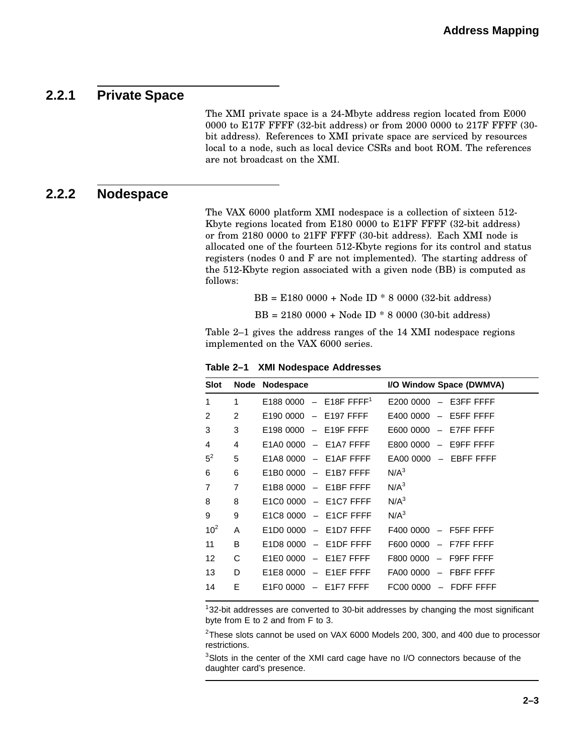### **2.2.1 Private Space**

The XMI private space is a 24-Mbyte address region located from E000 0000 to E17F FFFF (32-bit address) or from 2000 0000 to 217F FFFF (30 bit address). References to XMI private space are serviced by resources local to a node, such as local device CSRs and boot ROM. The references are not broadcast on the XMI.

#### **2.2.2 Nodespace**

The VAX 6000 platform XMI nodespace is a collection of sixteen 512- Kbyte regions located from E180 0000 to E1FF FFFF (32-bit address) or from 2180 0000 to 21FF FFFF (30-bit address). Each XMI node is allocated one of the fourteen 512-Kbyte regions for its control and status registers (nodes 0 and F are not implemented). The starting address of the 512-Kbyte region associated with a given node (BB) is computed as follows:

BB = E180 0000 + Node ID \* 8 0000 (32-bit address)

BB = 2180 0000 + Node ID \* 8 0000 (30-bit address)

Table 2–1 gives the address ranges of the 14 XMI nodespace regions implemented on the VAX 6000 series.

| Slot     | Node           | <b>Nodespace</b>                                          | I/O Window Space (DWMVA)                                  |
|----------|----------------|-----------------------------------------------------------|-----------------------------------------------------------|
| 1        | 1              | E188 0000 - E18F FFFF <sup>1</sup>                        | $E2000000 - E3FFFFF$                                      |
| 2        | 2              | E190 0000<br>E197 FFFF<br>$\hspace{0.1mm}-\hspace{0.1mm}$ | E400 0000<br>E5FF FFFF<br>$\overline{\phantom{m}}$        |
| 3        | 3              | $E1980000 - E19F$ FFFF                                    | $E600000 - E7FFFFF$                                       |
| 4        | 4              | E <sub>1</sub> A <sub>0</sub> 0000<br>- E1A7 FFFF         | $-$ E9FF FFFF<br>E800 0000                                |
| $5^2$    | 5              | $E1AB0000 - E1AF FFFF$                                    | $EAOO$ 0000 $-$ EBFF FFFF                                 |
| 6        | 6              | $-$ E1B7 FFFF<br>E <sub>1</sub> B <sub>0</sub> 0000       | N/A <sup>3</sup>                                          |
| 7        | $\overline{7}$ | $E1B80000 - E1BFFFF$                                      | N/A <sup>3</sup>                                          |
| 8        | 8              | $E1CO 0000 - E1C7 FFFF$                                   | N/A <sup>3</sup>                                          |
| 9        | 9              | $E1C80000 - E1CF FFFF$                                    | N/A <sup>3</sup>                                          |
| $10^{2}$ | A              | $E1D00000 - E1D7 FFFF$                                    | $F400000 - F5FF FFFF$                                     |
| 11       | B              | $E1D80000 - E1DF FFFF$                                    | $-$ F7FF FFFF<br>F600 0000                                |
| 12       | C              | $-$ E1E7 FFFF<br>E1E0 0000                                | - F9FF FFFF<br>F800 0000                                  |
| 13       | D              | E1E8 0000<br>E1EF FFFF<br>$\overline{\phantom{m}}$        | FA00 0000<br><b>FBFF FFFF</b><br>$\overline{\phantom{m}}$ |
| 14       | Е              | E <sub>1</sub> F <sub>0</sub> 0000<br>E1F7 FFFF           | FC00 0000<br>FDFF FFFF<br>$\qquad \qquad -$               |
|          |                |                                                           |                                                           |

**Table 2–1 XMI Nodespace Addresses**

 $132$ -bit addresses are converted to 30-bit addresses by changing the most significant byte from E to 2 and from F to 3.

<sup>2</sup>These slots cannot be used on VAX 6000 Models 200, 300, and 400 due to processor restrictions.

<sup>3</sup>Slots in the center of the XMI card cage have no I/O connectors because of the daughter card's presence.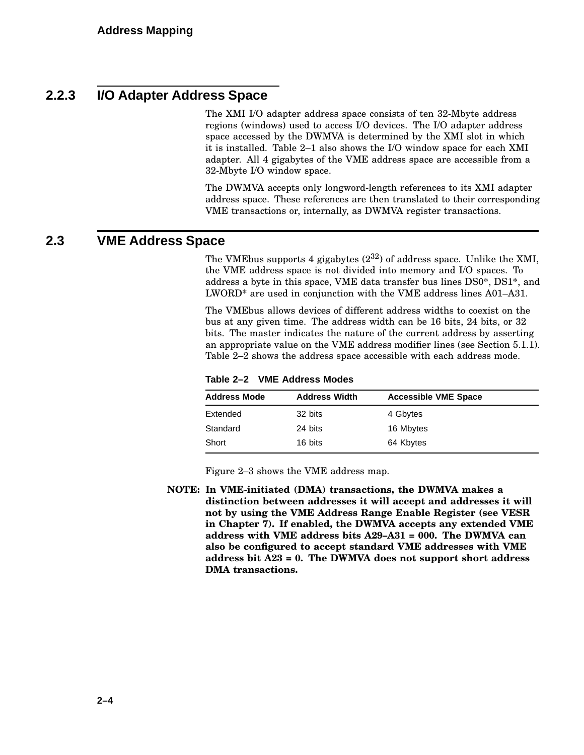### **2.2.3 I/O Adapter Address Space**

The XMI I/O adapter address space consists of ten 32-Mbyte address regions (windows) used to access I/O devices. The I/O adapter address space accessed by the DWMVA is determined by the XMI slot in which it is installed. Table 2–1 also shows the I/O window space for each XMI adapter. All 4 gigabytes of the VME address space are accessible from a 32-Mbyte I/O window space.

The DWMVA accepts only longword-length references to its XMI adapter address space. These references are then translated to their corresponding VME transactions or, internally, as DWMVA register transactions.

### **2.3 VME Address Space**

The VMEbus supports 4 gigabytes  $(2^{32})$  of address space. Unlike the XMI, the VME address space is not divided into memory and I/O spaces. To address a byte in this space, VME data transfer bus lines DS0\*, DS1\*, and LWORD\* are used in conjunction with the VME address lines A01–A31.

The VMEbus allows devices of different address widths to coexist on the bus at any given time. The address width can be 16 bits, 24 bits, or 32 bits. The master indicates the nature of the current address by asserting an appropriate value on the VME address modifier lines (see Section 5.1.1). Table 2–2 shows the address space accessible with each address mode.

**Table 2–2 VME Address Modes**

| <b>Address Mode</b> | <b>Address Width</b> | <b>Accessible VME Space</b> |  |
|---------------------|----------------------|-----------------------------|--|
| Extended            | 32 bits              | 4 Gbytes                    |  |
| Standard            | 24 bits              | 16 Mbytes                   |  |
| Short               | 16 bits              | 64 Kbytes                   |  |

Figure 2–3 shows the VME address map.

**NOTE: In VME-initiated (DMA) transactions, the DWMVA makes a distinction between addresses it will accept and addresses it will not by using the VME Address Range Enable Register (see VESR in Chapter 7). If enabled, the DWMVA accepts any extended VME address with VME address bits A29–A31 = 000. The DWMVA can also be configured to accept standard VME addresses with VME address bit A23 = 0. The DWMVA does not support short address DMA transactions.**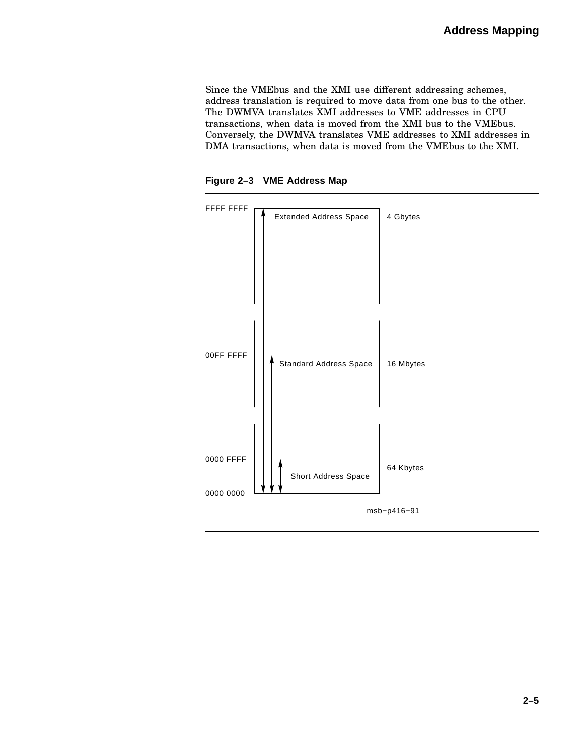Since the VMEbus and the XMI use different addressing schemes, address translation is required to move data from one bus to the other. The DWMVA translates XMI addresses to VME addresses in CPU transactions, when data is moved from the XMI bus to the VMEbus. Conversely, the DWMVA translates VME addresses to XMI addresses in DMA transactions, when data is moved from the VMEbus to the XMI.

**Figure 2–3 VME Address Map**

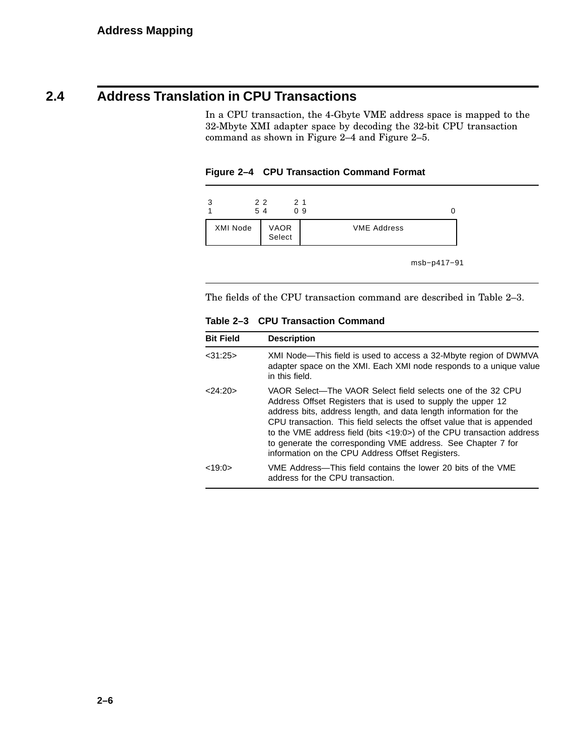## **2.4 Address Translation in CPU Transactions**

In a CPU transaction, the 4-Gbyte VME address space is mapped to the 32-Mbyte XMI adapter space by decoding the 32-bit CPU transaction command as shown in Figure 2–4 and Figure 2–5.



| 2                          | 22<br>54 | 21<br>09           |
|----------------------------|----------|--------------------|
| VAOR<br>Select<br>XMI Node |          | <b>VME Address</b> |

msb−p417−91

The fields of the CPU transaction command are described in Table 2–3.

| <b>Bit Field</b> | <b>Description</b>                                                                                                                                                                                                                                                                                                                                                                                                                                                     |  |
|------------------|------------------------------------------------------------------------------------------------------------------------------------------------------------------------------------------------------------------------------------------------------------------------------------------------------------------------------------------------------------------------------------------------------------------------------------------------------------------------|--|
| $<$ 31:25 $>$    | XMI Node—This field is used to access a 32-Mbyte region of DWMVA<br>adapter space on the XMI. Each XMI node responds to a unique value<br>in this field.                                                                                                                                                                                                                                                                                                               |  |
| < 24:20          | VAOR Select—The VAOR Select field selects one of the 32 CPU<br>Address Offset Registers that is used to supply the upper 12<br>address bits, address length, and data length information for the<br>CPU transaction. This field selects the offset value that is appended<br>to the VME address field (bits <19:0>) of the CPU transaction address<br>to generate the corresponding VME address. See Chapter 7 for<br>information on the CPU Address Offset Registers. |  |
| <19:0>           | VME Address—This field contains the lower 20 bits of the VME<br>address for the CPU transaction.                                                                                                                                                                                                                                                                                                                                                                       |  |

**Table 2–3 CPU Transaction Command**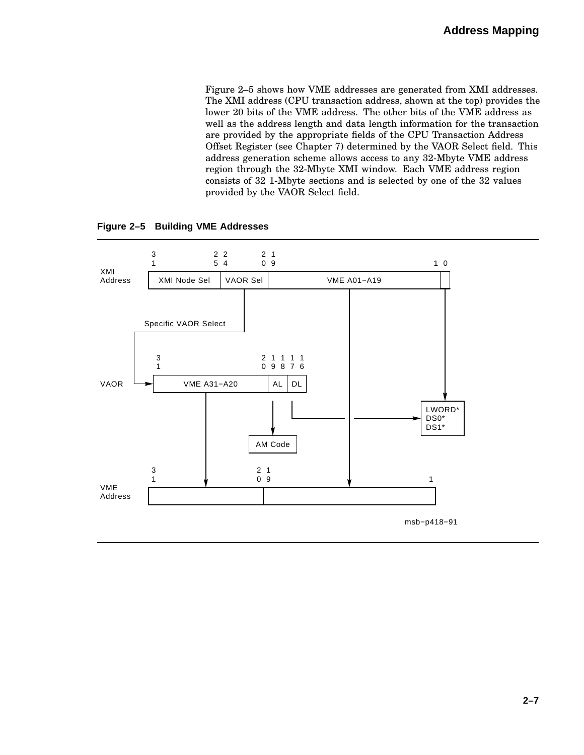Figure 2–5 shows how VME addresses are generated from XMI addresses. The XMI address (CPU transaction address, shown at the top) provides the lower 20 bits of the VME address. The other bits of the VME address as well as the address length and data length information for the transaction are provided by the appropriate fields of the CPU Transaction Address Offset Register (see Chapter 7) determined by the VAOR Select field. This address generation scheme allows access to any 32-Mbyte VME address region through the 32-Mbyte XMI window. Each VME address region consists of 32 1-Mbyte sections and is selected by one of the 32 values provided by the VAOR Select field.

**Figure 2–5 Building VME Addresses**

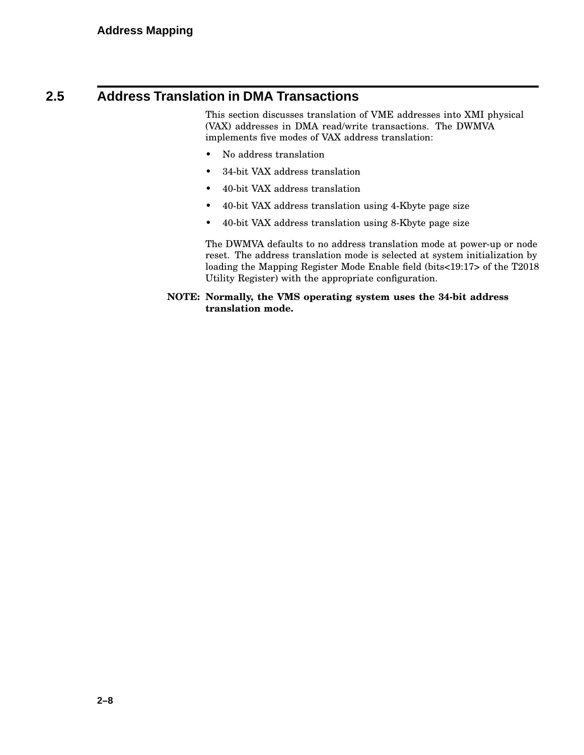### **2.5 Address Translation in DMA Transactions**

This section discusses translation of VME addresses into XMI physical (VAX) addresses in DMA read/write transactions. The DWMVA implements five modes of VAX address translation:

- No address translation
- 34-bit VAX address translation
- 40-bit VAX address translation
- 40-bit VAX address translation using 4-Kbyte page size
- 40-bit VAX address translation using 8-Kbyte page size

The DWMVA defaults to no address translation mode at power-up or node reset. The address translation mode is selected at system initialization by loading the Mapping Register Mode Enable field (bits<19:17> of the T2018 Utility Register) with the appropriate configuration.

#### **NOTE: Normally, the VMS operating system uses the 34-bit address translation mode.**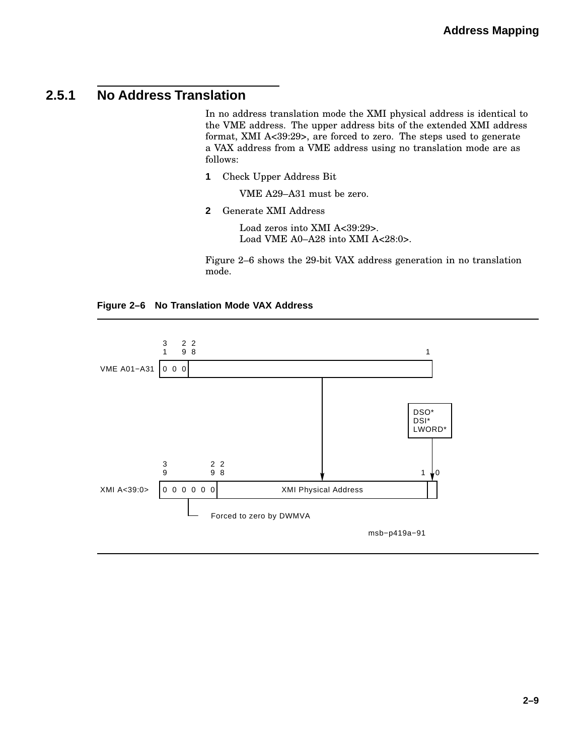### **2.5.1 No Address Translation**

In no address translation mode the XMI physical address is identical to the VME address. The upper address bits of the extended XMI address format, XMI A<39:29>, are forced to zero. The steps used to generate a VAX address from a VME address using no translation mode are as follows:

**1** Check Upper Address Bit

VME A29–A31 must be zero.

**2** Generate XMI Address

Load zeros into XMI A<39:29>. Load VME A0-A28 into XMI A<28:0>.

Figure 2–6 shows the 29-bit VAX address generation in no translation mode.



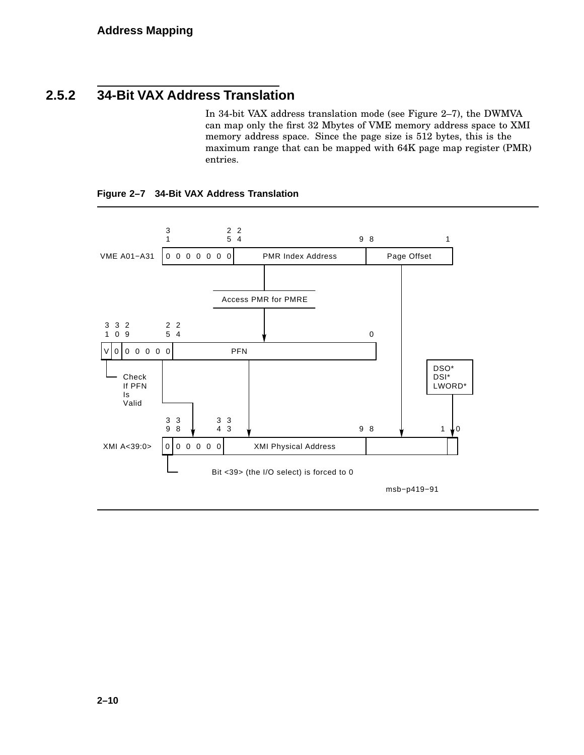### **2.5.2 34-Bit VAX Address Translation**

In 34-bit VAX address translation mode (see Figure 2–7), the DWMVA can map only the first 32 Mbytes of VME memory address space to XMI memory address space. Since the page size is 512 bytes, this is the maximum range that can be mapped with 64K page map register (PMR) entries.

**Figure 2–7 34-Bit VAX Address Translation**

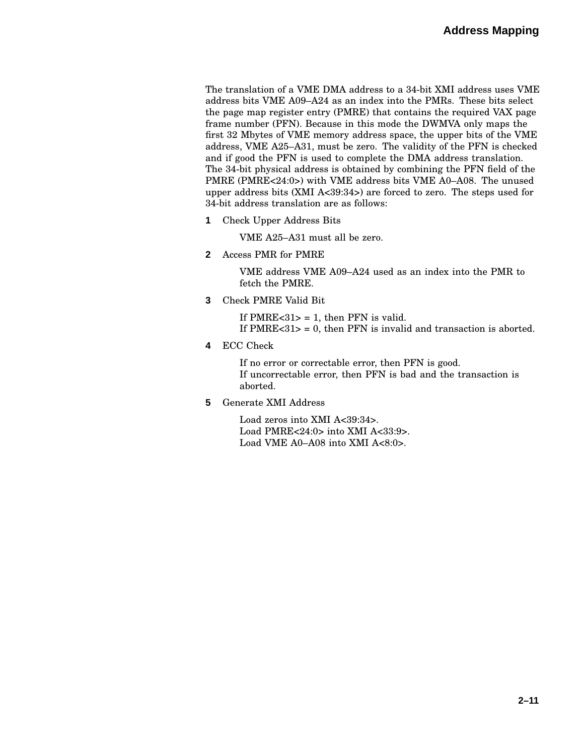The translation of a VME DMA address to a 34-bit XMI address uses VME address bits VME A09–A24 as an index into the PMRs. These bits select the page map register entry (PMRE) that contains the required VAX page frame number (PFN). Because in this mode the DWMVA only maps the first 32 Mbytes of VME memory address space, the upper bits of the VME address, VME A25–A31, must be zero. The validity of the PFN is checked and if good the PFN is used to complete the DMA address translation. The 34-bit physical address is obtained by combining the PFN field of the PMRE (PMRE<24:0>) with VME address bits VME A0–A08. The unused upper address bits (XMI A<39:34>) are forced to zero. The steps used for 34-bit address translation are as follows:

**1** Check Upper Address Bits

VME A25–A31 must all be zero.

**2** Access PMR for PMRE

VME address VME A09–A24 used as an index into the PMR to fetch the PMRE.

**3** Check PMRE Valid Bit

If PMRE $<31$  = 1, then PFN is valid.

- If PMRE $<31$  = 0, then PFN is invalid and transaction is aborted.
- **4** ECC Check

If no error or correctable error, then PFN is good. If uncorrectable error, then PFN is bad and the transaction is aborted.

**5** Generate XMI Address

Load zeros into XMI A<39:34>. Load PMRE<24:0> into XMI A<33:9>. Load VME A0–A08 into XMI A<8:0>.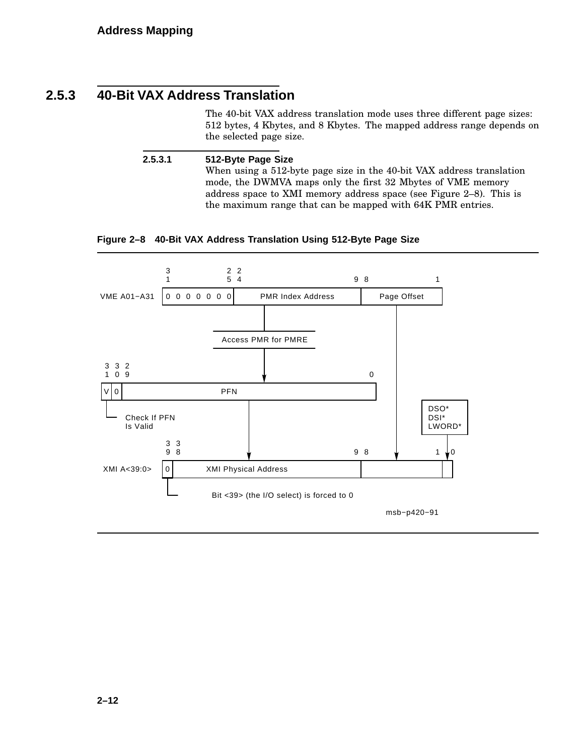### **2.5.3 40-Bit VAX Address Translation**

The 40-bit VAX address translation mode uses three different page sizes: 512 bytes, 4 Kbytes, and 8 Kbytes. The mapped address range depends on the selected page size.

**2.5.3.1 512-Byte Page Size** When using a 512-byte page size in the 40-bit VAX address translation mode, the DWMVA maps only the first 32 Mbytes of VME memory address space to XMI memory address space (see Figure 2–8). This is the maximum range that can be mapped with 64K PMR entries.

#### **Figure 2–8 40-Bit VAX Address Translation Using 512-Byte Page Size**

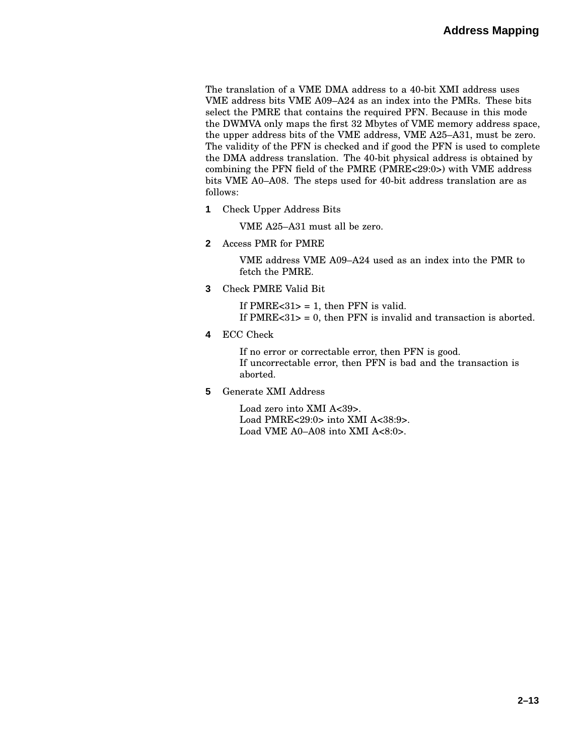The translation of a VME DMA address to a 40-bit XMI address uses VME address bits VME A09–A24 as an index into the PMRs. These bits select the PMRE that contains the required PFN. Because in this mode the DWMVA only maps the first 32 Mbytes of VME memory address space, the upper address bits of the VME address, VME A25–A31, must be zero. The validity of the PFN is checked and if good the PFN is used to complete the DMA address translation. The 40-bit physical address is obtained by combining the PFN field of the PMRE (PMRE<29:0>) with VME address bits VME A0–A08. The steps used for 40-bit address translation are as follows:

**1** Check Upper Address Bits

VME A25–A31 must all be zero.

**2** Access PMR for PMRE

VME address VME A09–A24 used as an index into the PMR to fetch the PMRE.

**3** Check PMRE Valid Bit

If PMRE $<31$  = 1, then PFN is valid. If  $PMRE < 31$  = 0, then  $PFN$  is invalid and transaction is aborted.

**4** ECC Check

If no error or correctable error, then PFN is good. If uncorrectable error, then PFN is bad and the transaction is aborted.

**5** Generate XMI Address

Load zero into XMI A<39>. Load PMRE<29:0> into XMI A<38:9>. Load VME A0-A08 into XMI A<8:0>.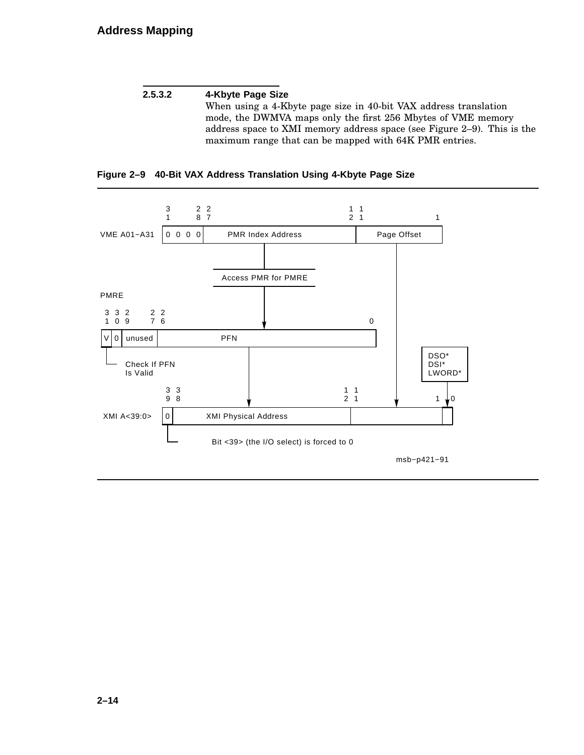#### **2.5.3.2 4-Kbyte Page Size** When using a 4-Kbyte page size in 40-bit VAX address translation mode, the DWMVA maps only the first 256 Mbytes of VME memory address space to XMI memory address space (see Figure 2–9). This is the maximum range that can be mapped with 64K PMR entries.



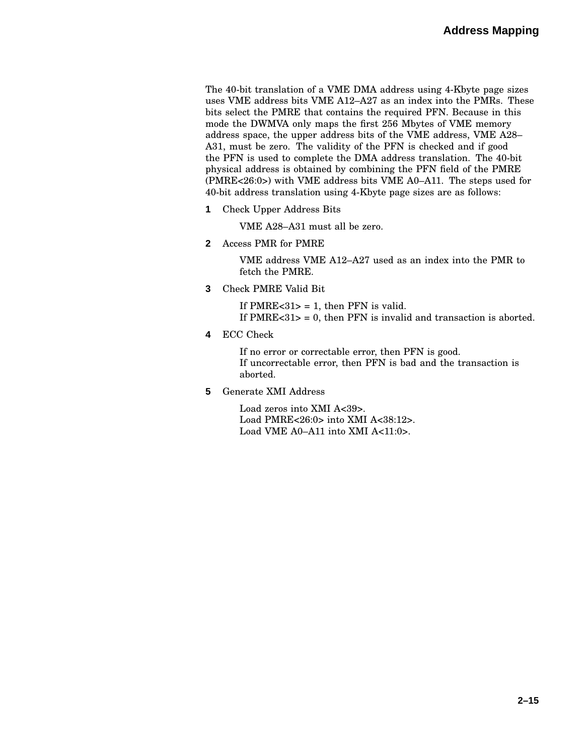The 40-bit translation of a VME DMA address using 4-Kbyte page sizes uses VME address bits VME A12–A27 as an index into the PMRs. These bits select the PMRE that contains the required PFN. Because in this mode the DWMVA only maps the first 256 Mbytes of VME memory address space, the upper address bits of the VME address, VME A28– A31, must be zero. The validity of the PFN is checked and if good the PFN is used to complete the DMA address translation. The 40-bit physical address is obtained by combining the PFN field of the PMRE (PMRE<26:0>) with VME address bits VME A0–A11. The steps used for 40-bit address translation using 4-Kbyte page sizes are as follows:

**1** Check Upper Address Bits

VME A28–A31 must all be zero.

**2** Access PMR for PMRE

VME address VME A12–A27 used as an index into the PMR to fetch the PMRE.

**3** Check PMRE Valid Bit

If PMRE $<31$  = 1, then PFN is valid. If  $PMRE < 31$  = 0, then  $PFN$  is invalid and transaction is aborted.

**4** ECC Check

If no error or correctable error, then PFN is good. If uncorrectable error, then PFN is bad and the transaction is aborted.

**5** Generate XMI Address

Load zeros into XMI A<39>. Load PMRE<26:0> into XMI A<38:12>. Load VME A0–A11 into XMI A<11:0>.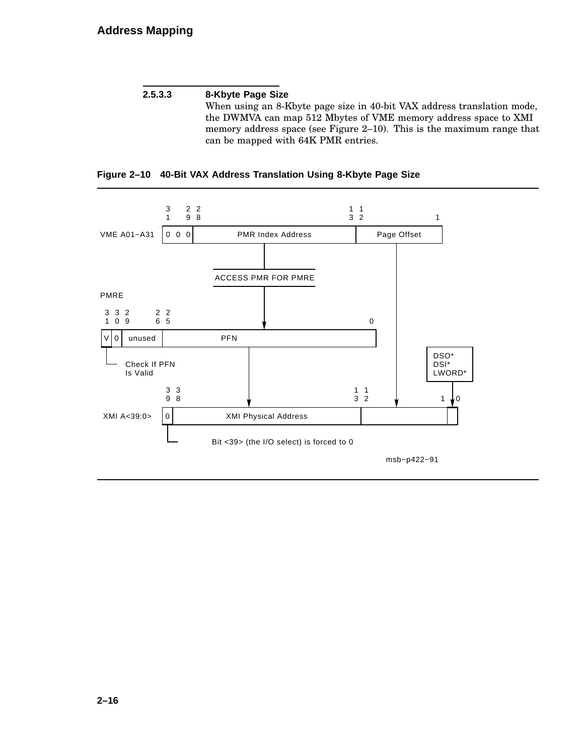#### **2.5.3.3 8-Kbyte Page Size**

When using an 8-Kbyte page size in 40-bit VAX address translation mode, the DWMVA can map 512 Mbytes of VME memory address space to XMI memory address space (see Figure 2–10). This is the maximum range that can be mapped with 64K PMR entries.



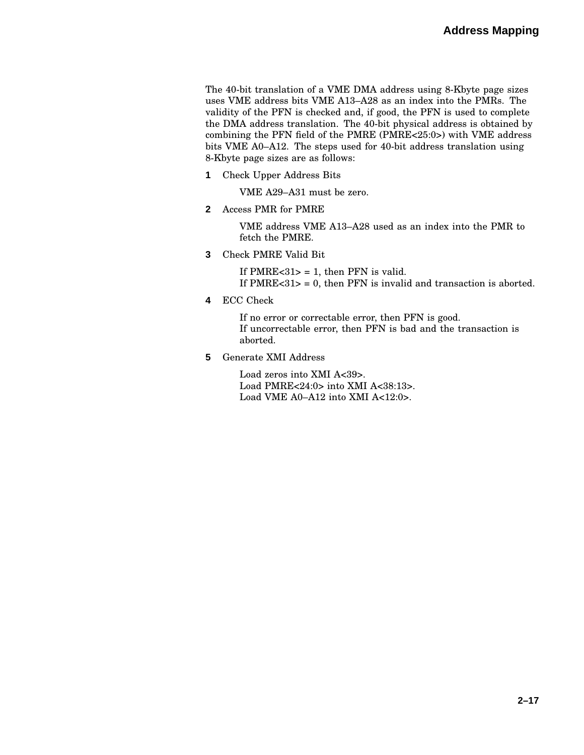The 40-bit translation of a VME DMA address using 8-Kbyte page sizes uses VME address bits VME A13–A28 as an index into the PMRs. The validity of the PFN is checked and, if good, the PFN is used to complete the DMA address translation. The 40-bit physical address is obtained by combining the PFN field of the PMRE (PMRE<25:0>) with VME address bits VME A0–A12. The steps used for 40-bit address translation using 8-Kbyte page sizes are as follows:

**1** Check Upper Address Bits

VME A29–A31 must be zero.

**2** Access PMR for PMRE

VME address VME A13–A28 used as an index into the PMR to fetch the PMRE.

**3** Check PMRE Valid Bit

If PMRE $<31$  = 1, then PFN is valid. If PMRE $<31$  = 0, then PFN is invalid and transaction is aborted.

**4** ECC Check

If no error or correctable error, then PFN is good. If uncorrectable error, then PFN is bad and the transaction is aborted.

**5** Generate XMI Address

Load zeros into XMI A<39>. Load PMRE<24:0> into XMI A<38:13>. Load VME A0-A12 into XMI A<12:0>.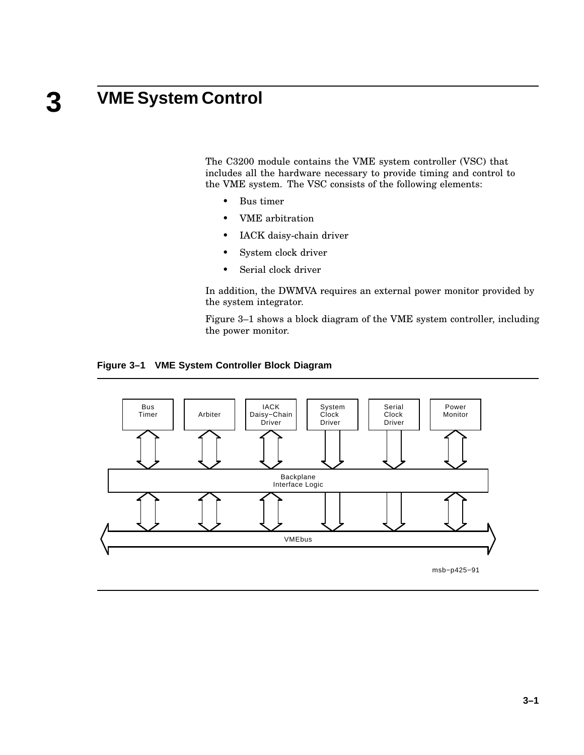### **3 VME System Control**

The C3200 module contains the VME system controller (VSC) that includes all the hardware necessary to provide timing and control to the VME system. The VSC consists of the following elements:

- Bus timer
- VME arbitration
- IACK daisy-chain driver
- System clock driver
- Serial clock driver

In addition, the DWMVA requires an external power monitor provided by the system integrator.

Figure 3–1 shows a block diagram of the VME system controller, including the power monitor.

#### **Figure 3–1 VME System Controller Block Diagram**



**3–1**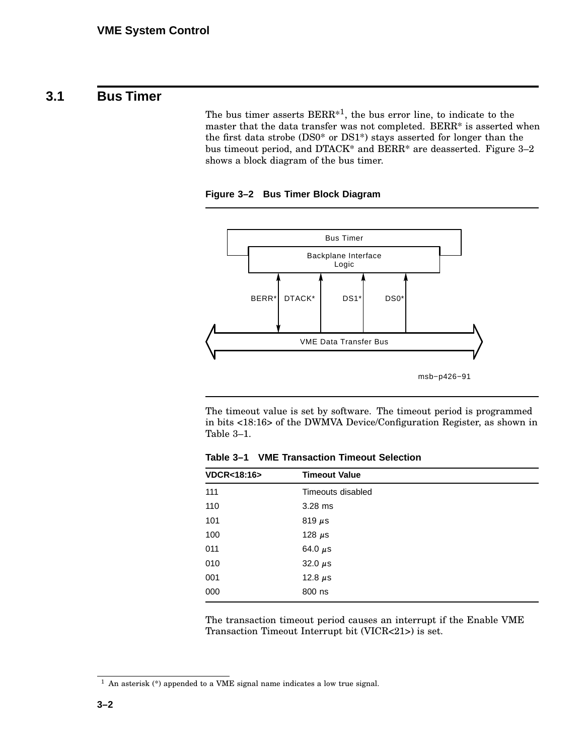### **3.1 Bus Timer**

The bus timer asserts BERR<sup>\*1</sup>, the bus error line, to indicate to the master that the data transfer was not completed. BERR\* is asserted when the first data strobe (DS0\* or DS1\*) stays asserted for longer than the bus timeout period, and DTACK\* and BERR\* are deasserted. Figure 3–2 shows a block diagram of the bus timer.

**Figure 3–2 Bus Timer Block Diagram**



The timeout value is set by software. The timeout period is programmed in bits <18:16> of the DWMVA Device/Configuration Register, as shown in Table 3–1.

**Table 3–1 VME Transaction Timeout Selection**

| <b>VDCR&lt;18:16&gt;</b> | <b>Timeout Value</b> |  |
|--------------------------|----------------------|--|
| 111                      | Timeouts disabled    |  |
| 110                      | 3.28 ms              |  |
| 101                      | 819 $\mu$ s          |  |
| 100                      | 128 $\mu$ s          |  |
| 011                      | 64.0 $\mu$ s         |  |
| 010                      | 32.0 $\mu$ s         |  |
| 001                      | 12.8 $\mu$ s         |  |
| 000                      | 800 ns               |  |

The transaction timeout period causes an interrupt if the Enable VME Transaction Timeout Interrupt bit (VICR<21>) is set.

<sup>1</sup> An asterisk (\*) appended to a VME signal name indicates a low true signal.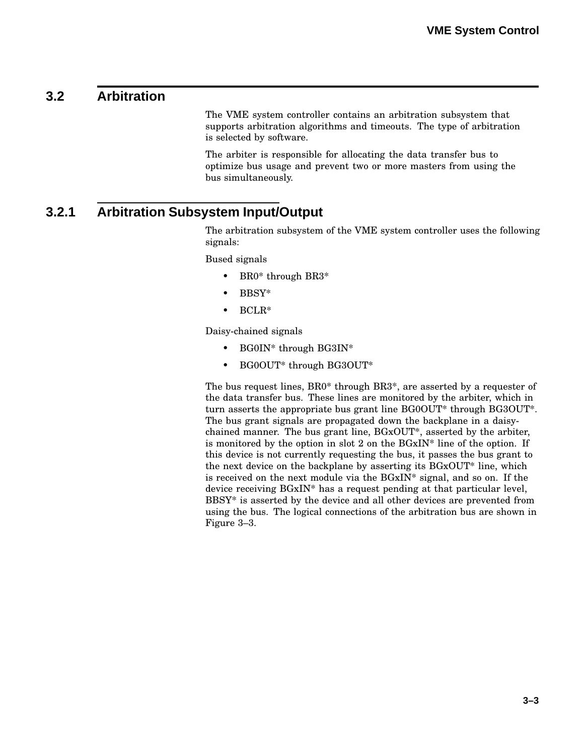### **3.2 Arbitration**

The VME system controller contains an arbitration subsystem that supports arbitration algorithms and timeouts. The type of arbitration is selected by software.

The arbiter is responsible for allocating the data transfer bus to optimize bus usage and prevent two or more masters from using the bus simultaneously.

### **3.2.1 Arbitration Subsystem Input/Output**

The arbitration subsystem of the VME system controller uses the following signals:

Bused signals

- BR0<sup>\*</sup> through BR3<sup>\*</sup>
- BBSY\*
- BCLR\*

Daisy-chained signals

- BG0IN\* through BG3IN\*
- BG0OUT\* through BG3OUT\*

The bus request lines, BR0\* through BR3\*, are asserted by a requester of the data transfer bus. These lines are monitored by the arbiter, which in turn asserts the appropriate bus grant line BG0OUT\* through BG3OUT\*. The bus grant signals are propagated down the backplane in a daisychained manner. The bus grant line, BGxOUT\*, asserted by the arbiter, is monitored by the option in slot 2 on the  $BGxIN^*$  line of the option. If this device is not currently requesting the bus, it passes the bus grant to the next device on the backplane by asserting its BGxOUT\* line, which is received on the next module via the BGxIN\* signal, and so on. If the device receiving BGxIN\* has a request pending at that particular level, BBSY\* is asserted by the device and all other devices are prevented from using the bus. The logical connections of the arbitration bus are shown in Figure 3–3.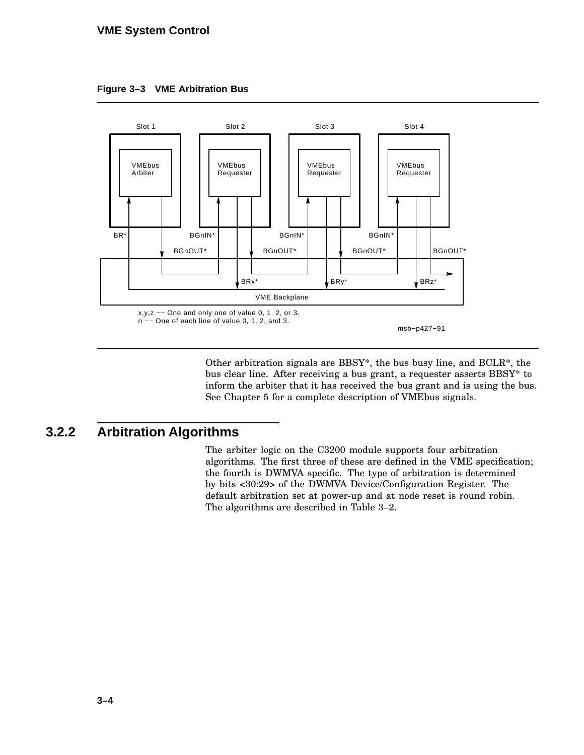#### **VME System Control**





Other arbitration signals are BBSY\*, the bus busy line, and BCLR\*, the bus clear line. After receiving a bus grant, a requester asserts BBSY\* to inform the arbiter that it has received the bus grant and is using the bus. See Chapter 5 for a complete description of VMEbus signals.

### **3.2.2 Arbitration Algorithms**

The arbiter logic on the C3200 module supports four arbitration algorithms. The first three of these are defined in the VME specification; the fourth is DWMVA specific. The type of arbitration is determined by bits <30:29> of the DWMVA Device/Configuration Register. The default arbitration set at power-up and at node reset is round robin. The algorithms are described in Table 3–2.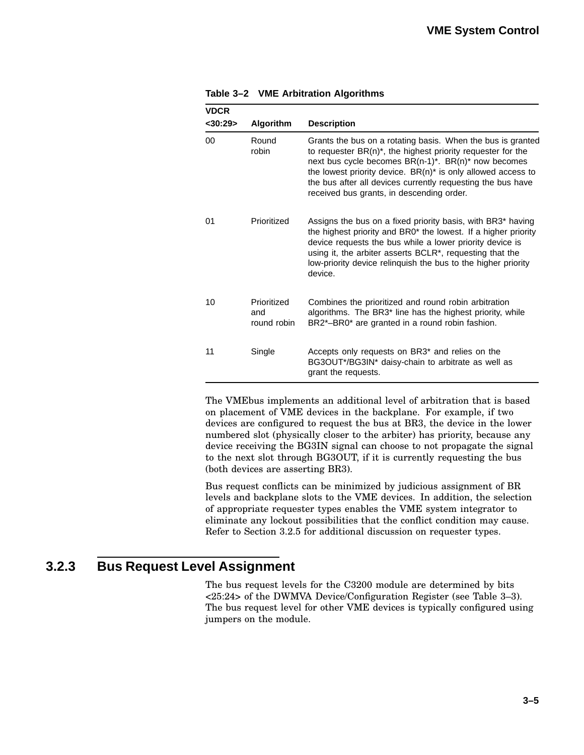| <b>VDCR</b><br>$<$ 30:29> | <b>Algorithm</b>                  | <b>Description</b>                                                                                                                                                                                                                                                                                                                                                          |
|---------------------------|-----------------------------------|-----------------------------------------------------------------------------------------------------------------------------------------------------------------------------------------------------------------------------------------------------------------------------------------------------------------------------------------------------------------------------|
| 00                        | Round<br>robin                    | Grants the bus on a rotating basis. When the bus is granted<br>to requester $BR(n)^*$ , the highest priority requester for the<br>next bus cycle becomes $BR(n-1)^*$ . $BR(n)^*$ now becomes<br>the lowest priority device. $BR(n)^*$ is only allowed access to<br>the bus after all devices currently requesting the bus have<br>received bus grants, in descending order. |
| 01                        | Prioritized                       | Assigns the bus on a fixed priority basis, with BR3* having<br>the highest priority and BR0 <sup>*</sup> the lowest. If a higher priority<br>device requests the bus while a lower priority device is<br>using it, the arbiter asserts BCLR <sup>*</sup> , requesting that the<br>low-priority device relinquish the bus to the higher priority<br>device.                  |
| 10                        | Prioritized<br>and<br>round robin | Combines the prioritized and round robin arbitration<br>algorithms. The BR3 <sup>*</sup> line has the highest priority, while<br>BR2*-BR0* are granted in a round robin fashion.                                                                                                                                                                                            |
| 11                        | Single                            | Accepts only requests on BR3* and relies on the<br>BG3OUT*/BG3IN* daisy-chain to arbitrate as well as<br>grant the requests.                                                                                                                                                                                                                                                |

**Table 3–2 VME Arbitration Algorithms**

The VMEbus implements an additional level of arbitration that is based on placement of VME devices in the backplane. For example, if two devices are configured to request the bus at BR3, the device in the lower numbered slot (physically closer to the arbiter) has priority, because any device receiving the BG3IN signal can choose to not propagate the signal to the next slot through BG3OUT, if it is currently requesting the bus (both devices are asserting BR3).

Bus request conflicts can be minimized by judicious assignment of BR levels and backplane slots to the VME devices. In addition, the selection of appropriate requester types enables the VME system integrator to eliminate any lockout possibilities that the conflict condition may cause. Refer to Section 3.2.5 for additional discussion on requester types.

### **3.2.3 Bus Request Level Assignment**

The bus request levels for the C3200 module are determined by bits <25:24> of the DWMVA Device/Configuration Register (see Table 3–3). The bus request level for other VME devices is typically configured using jumpers on the module.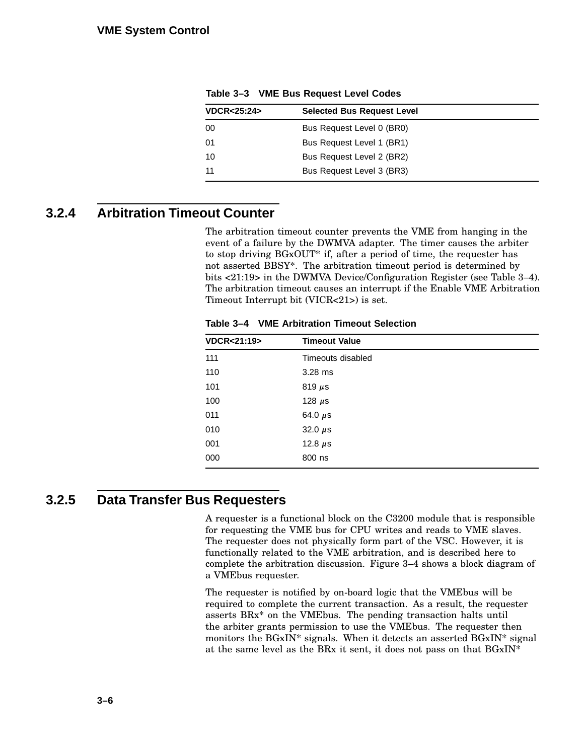| <b>VDCR&lt;25:24&gt;</b> | <b>Selected Bus Request Level</b> |  |
|--------------------------|-----------------------------------|--|
| 00                       | Bus Request Level 0 (BR0)         |  |
| 01                       | Bus Request Level 1 (BR1)         |  |
| 10                       | Bus Request Level 2 (BR2)         |  |
| 11                       | Bus Request Level 3 (BR3)         |  |
|                          |                                   |  |

**Table 3–3 VME Bus Request Level Codes**

# **3.2.4 Arbitration Timeout Counter**

The arbitration timeout counter prevents the VME from hanging in the event of a failure by the DWMVA adapter. The timer causes the arbiter to stop driving BGxOUT\* if, after a period of time, the requester has not asserted BBSY\*. The arbitration timeout period is determined by bits <21:19> in the DWMVA Device/Configuration Register (see Table 3–4). The arbitration timeout causes an interrupt if the Enable VME Arbitration Timeout Interrupt bit (VICR<21>) is set.

**Table 3–4 VME Arbitration Timeout Selection**

| <b>VDCR&lt;21:19&gt;</b> | <b>Timeout Value</b> |  |
|--------------------------|----------------------|--|
| 111                      | Timeouts disabled    |  |
| 110                      | $3.28$ ms            |  |
| 101                      | 819 $\mu$ s          |  |
| 100                      | 128 $\mu$ s          |  |
| 011                      | 64.0 $\mu$ s         |  |
| 010                      | 32.0 $\mu$ s         |  |
| 001                      | 12.8 $\mu$ s         |  |
| 000                      | 800 ns               |  |
|                          |                      |  |

# **3.2.5 Data Transfer Bus Requesters**

A requester is a functional block on the C3200 module that is responsible for requesting the VME bus for CPU writes and reads to VME slaves. The requester does not physically form part of the VSC. However, it is functionally related to the VME arbitration, and is described here to complete the arbitration discussion. Figure 3–4 shows a block diagram of a VMEbus requester.

The requester is notified by on-board logic that the VMEbus will be required to complete the current transaction. As a result, the requester asserts BRx\* on the VMEbus. The pending transaction halts until the arbiter grants permission to use the VMEbus. The requester then monitors the BGxIN\* signals. When it detects an asserted BGxIN\* signal at the same level as the BRx it sent, it does not pass on that BGxIN\*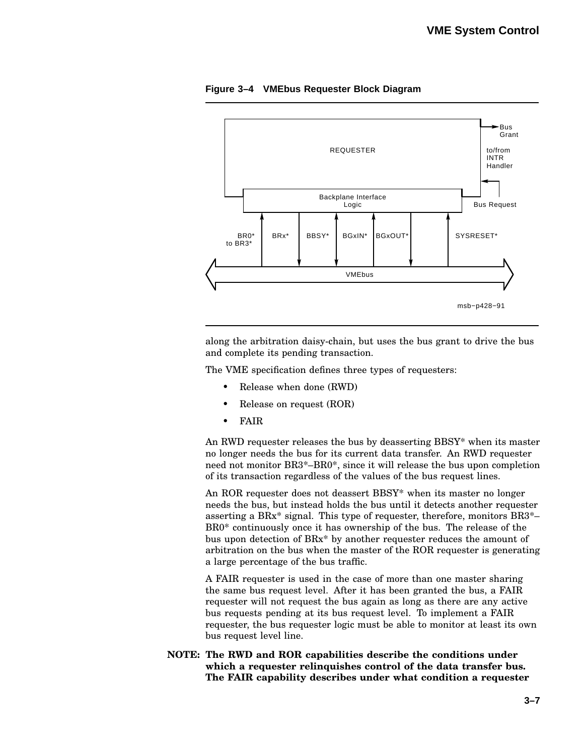

**Figure 3–4 VMEbus Requester Block Diagram**

along the arbitration daisy-chain, but uses the bus grant to drive the bus and complete its pending transaction.

The VME specification defines three types of requesters:

- Release when done (RWD)
- Release on request (ROR)
- FAIR

An RWD requester releases the bus by deasserting BBSY\* when its master no longer needs the bus for its current data transfer. An RWD requester need not monitor BR3\*–BR0\*, since it will release the bus upon completion of its transaction regardless of the values of the bus request lines.

An ROR requester does not deassert BBSY\* when its master no longer needs the bus, but instead holds the bus until it detects another requester asserting a BRx\* signal. This type of requester, therefore, monitors BR3\*– BR0\* continuously once it has ownership of the bus. The release of the bus upon detection of BRx\* by another requester reduces the amount of arbitration on the bus when the master of the ROR requester is generating a large percentage of the bus traffic.

A FAIR requester is used in the case of more than one master sharing the same bus request level. After it has been granted the bus, a FAIR requester will not request the bus again as long as there are any active bus requests pending at its bus request level. To implement a FAIR requester, the bus requester logic must be able to monitor at least its own bus request level line.

**NOTE: The RWD and ROR capabilities describe the conditions under which a requester relinquishes control of the data transfer bus. The FAIR capability describes under what condition a requester**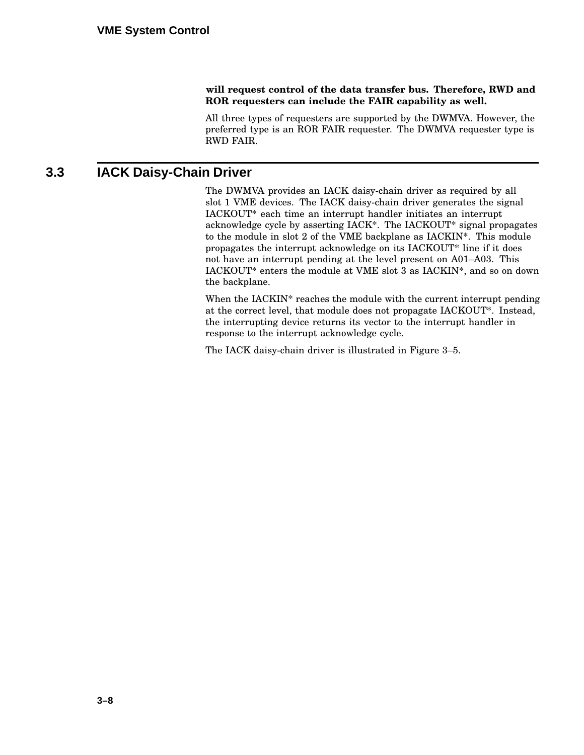#### **will request control of the data transfer bus. Therefore, RWD and ROR requesters can include the FAIR capability as well.**

All three types of requesters are supported by the DWMVA. However, the preferred type is an ROR FAIR requester. The DWMVA requester type is RWD FAIR.

# **3.3 IACK Daisy-Chain Driver**

The DWMVA provides an IACK daisy-chain driver as required by all slot 1 VME devices. The IACK daisy-chain driver generates the signal IACKOUT\* each time an interrupt handler initiates an interrupt acknowledge cycle by asserting IACK\*. The IACKOUT\* signal propagates to the module in slot 2 of the VME backplane as IACKIN\*. This module propagates the interrupt acknowledge on its IACKOUT\* line if it does not have an interrupt pending at the level present on A01–A03. This IACKOUT\* enters the module at VME slot 3 as IACKIN\*, and so on down the backplane.

When the IACKIN\* reaches the module with the current interrupt pending at the correct level, that module does not propagate IACKOUT\*. Instead, the interrupting device returns its vector to the interrupt handler in response to the interrupt acknowledge cycle.

The IACK daisy-chain driver is illustrated in Figure 3–5.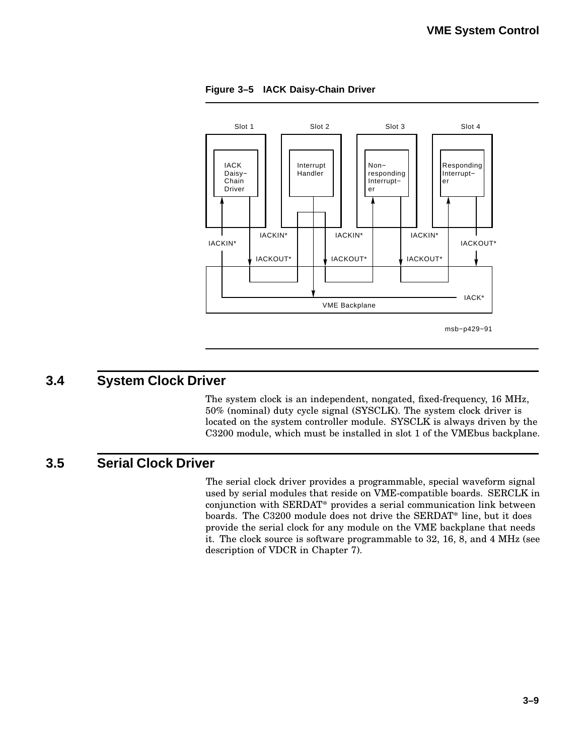

**Figure 3–5 IACK Daisy-Chain Driver**

### **3.4 System Clock Driver**

The system clock is an independent, nongated, fixed-frequency, 16 MHz, 50% (nominal) duty cycle signal (SYSCLK). The system clock driver is located on the system controller module. SYSCLK is always driven by the C3200 module, which must be installed in slot 1 of the VMEbus backplane.

# **3.5 Serial Clock Driver**

The serial clock driver provides a programmable, special waveform signal used by serial modules that reside on VME-compatible boards. SERCLK in conjunction with SERDAT\* provides a serial communication link between boards. The C3200 module does not drive the SERDAT\* line, but it does provide the serial clock for any module on the VME backplane that needs it. The clock source is software programmable to 32, 16, 8, and 4 MHz (see description of VDCR in Chapter 7).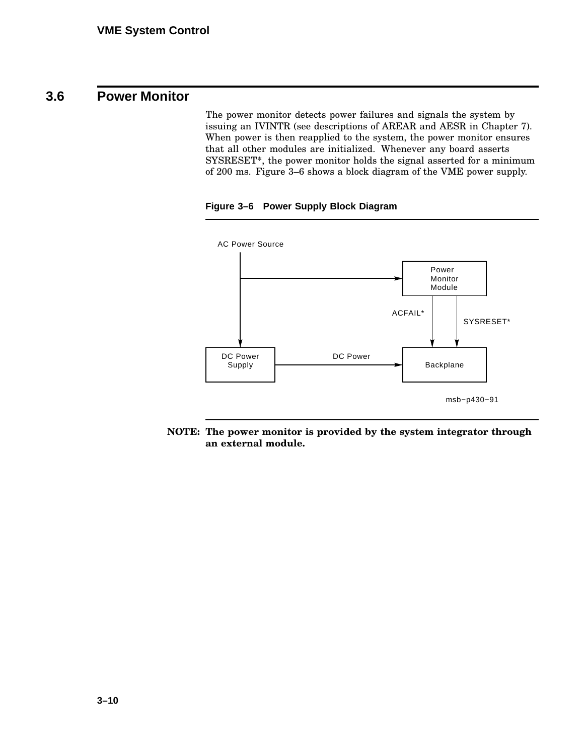# **3.6 Power Monitor**

The power monitor detects power failures and signals the system by issuing an IVINTR (see descriptions of AREAR and AESR in Chapter 7). When power is then reapplied to the system, the power monitor ensures that all other modules are initialized. Whenever any board asserts SYSRESET\*, the power monitor holds the signal asserted for a minimum of 200 ms. Figure 3–6 shows a block diagram of the VME power supply.





**NOTE: The power monitor is provided by the system integrator through an external module.**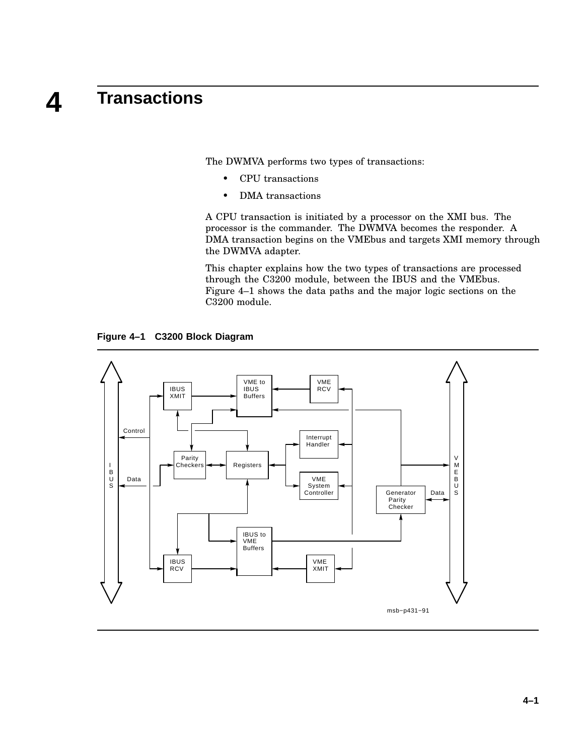# **4 Transactions**

The DWMVA performs two types of transactions:

- CPU transactions
- DMA transactions

A CPU transaction is initiated by a processor on the XMI bus. The processor is the commander. The DWMVA becomes the responder. A DMA transaction begins on the VMEbus and targets XMI memory through the DWMVA adapter.

This chapter explains how the two types of transactions are processed through the C3200 module, between the IBUS and the VMEbus. Figure 4–1 shows the data paths and the major logic sections on the C3200 module.

**Figure 4–1 C3200 Block Diagram**

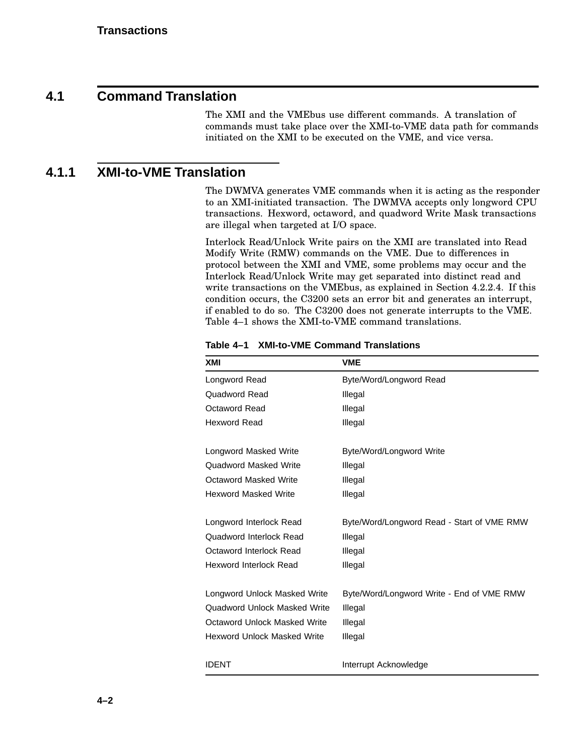### **4.1 Command Translation**

The XMI and the VMEbus use different commands. A translation of commands must take place over the XMI-to-VME data path for commands initiated on the XMI to be executed on the VME, and vice versa.

# **4.1.1 XMI-to-VME Translation**

The DWMVA generates VME commands when it is acting as the responder to an XMI-initiated transaction. The DWMVA accepts only longword CPU transactions. Hexword, octaword, and quadword Write Mask transactions are illegal when targeted at I/O space.

Interlock Read/Unlock Write pairs on the XMI are translated into Read Modify Write (RMW) commands on the VME. Due to differences in protocol between the XMI and VME, some problems may occur and the Interlock Read/Unlock Write may get separated into distinct read and write transactions on the VMEbus, as explained in Section 4.2.2.4. If this condition occurs, the C3200 sets an error bit and generates an interrupt, if enabled to do so. The C3200 does not generate interrupts to the VME. Table 4–1 shows the XMI-to-VME command translations.

| XMI                                 | <b>VME</b>                                 |
|-------------------------------------|--------------------------------------------|
| Longword Read                       | Byte/Word/Longword Read                    |
| Quadword Read                       | Illegal                                    |
| <b>Octaword Read</b>                | Illegal                                    |
| <b>Hexword Read</b>                 | Illegal                                    |
| Longword Masked Write               | Byte/Word/Longword Write                   |
| Quadword Masked Write               | Illegal                                    |
| Octaword Masked Write               | Illegal                                    |
| <b>Hexword Masked Write</b>         | Illegal                                    |
| Longword Interlock Read             | Byte/Word/Longword Read - Start of VME RMW |
| Quadword Interlock Read             | Illegal                                    |
| Octaword Interlock Read             | Illegal                                    |
| <b>Hexword Interlock Read</b>       | Illegal                                    |
| Longword Unlock Masked Write        | Byte/Word/Longword Write - End of VME RMW  |
| Quadword Unlock Masked Write        | Illegal                                    |
| <b>Octaword Unlock Masked Write</b> | Illegal                                    |
| Hexword Unlock Masked Write         | Illegal                                    |
| <b>IDENT</b>                        | Interrupt Acknowledge                      |

**Table 4–1 XMI-to-VME Command Translations**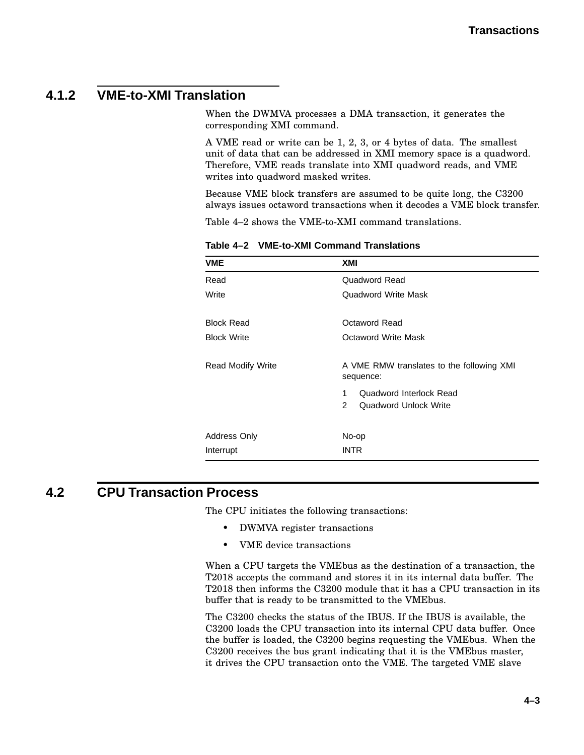# **4.1.2 VME-to-XMI Translation**

When the DWMVA processes a DMA transaction, it generates the corresponding XMI command.

A VME read or write can be 1, 2, 3, or 4 bytes of data. The smallest unit of data that can be addressed in XMI memory space is a quadword. Therefore, VME reads translate into XMI quadword reads, and VME writes into quadword masked writes.

Because VME block transfers are assumed to be quite long, the C3200 always issues octaword transactions when it decodes a VME block transfer.

Table 4–2 shows the VME-to-XMI command translations.

| <b>VME</b>               | XMI                                                    |  |
|--------------------------|--------------------------------------------------------|--|
| Read                     | Quadword Read                                          |  |
| Write                    | Quadword Write Mask                                    |  |
| <b>Block Read</b>        | Octaword Read                                          |  |
| <b>Block Write</b>       | Octaword Write Mask                                    |  |
| <b>Read Modify Write</b> | A VME RMW translates to the following XMI<br>sequence: |  |
|                          | Quadword Interlock Read<br>$\mathbf 1$                 |  |
|                          | $\mathcal{P}$<br>Quadword Unlock Write                 |  |
| Address Only             | No-op                                                  |  |
| Interrupt                | <b>INTR</b>                                            |  |

**Table 4–2 VME-to-XMI Command Translations**

### **4.2 CPU Transaction Process**

The CPU initiates the following transactions:

- DWMVA register transactions
- VME device transactions

When a CPU targets the VMEbus as the destination of a transaction, the T2018 accepts the command and stores it in its internal data buffer. The T2018 then informs the C3200 module that it has a CPU transaction in its buffer that is ready to be transmitted to the VMEbus.

The C3200 checks the status of the IBUS. If the IBUS is available, the C3200 loads the CPU transaction into its internal CPU data buffer. Once the buffer is loaded, the C3200 begins requesting the VMEbus. When the C3200 receives the bus grant indicating that it is the VMEbus master, it drives the CPU transaction onto the VME. The targeted VME slave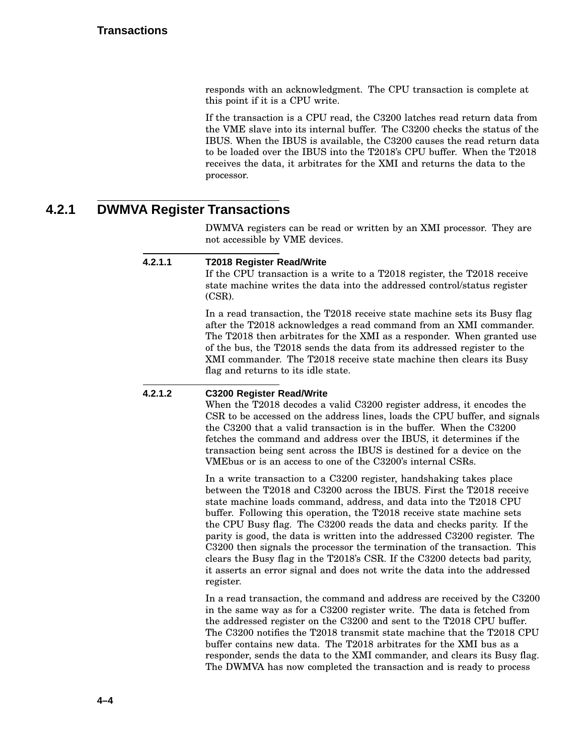responds with an acknowledgment. The CPU transaction is complete at this point if it is a CPU write.

If the transaction is a CPU read, the C3200 latches read return data from the VME slave into its internal buffer. The C3200 checks the status of the IBUS. When the IBUS is available, the C3200 causes the read return data to be loaded over the IBUS into the T2018's CPU buffer. When the T2018 receives the data, it arbitrates for the XMI and returns the data to the processor.

### **4.2.1 DWMVA Register Transactions**

DWMVA registers can be read or written by an XMI processor. They are not accessible by VME devices.

#### **4.2.1.1 T2018 Register Read/Write**

If the CPU transaction is a write to a T2018 register, the T2018 receive state machine writes the data into the addressed control/status register (CSR).

In a read transaction, the T2018 receive state machine sets its Busy flag after the T2018 acknowledges a read command from an XMI commander. The T2018 then arbitrates for the XMI as a responder. When granted use of the bus, the T2018 sends the data from its addressed register to the XMI commander. The T2018 receive state machine then clears its Busy flag and returns to its idle state.

#### **4.2.1.2 C3200 Register Read/Write**

When the T2018 decodes a valid C3200 register address, it encodes the CSR to be accessed on the address lines, loads the CPU buffer, and signals the C3200 that a valid transaction is in the buffer. When the C3200 fetches the command and address over the IBUS, it determines if the transaction being sent across the IBUS is destined for a device on the VMEbus or is an access to one of the C3200's internal CSRs.

In a write transaction to a C3200 register, handshaking takes place between the T2018 and C3200 across the IBUS. First the T2018 receive state machine loads command, address, and data into the T2018 CPU buffer. Following this operation, the T2018 receive state machine sets the CPU Busy flag. The C3200 reads the data and checks parity. If the parity is good, the data is written into the addressed C3200 register. The C3200 then signals the processor the termination of the transaction. This clears the Busy flag in the T2018's CSR. If the C3200 detects bad parity, it asserts an error signal and does not write the data into the addressed register.

In a read transaction, the command and address are received by the C3200 in the same way as for a C3200 register write. The data is fetched from the addressed register on the C3200 and sent to the T2018 CPU buffer. The C3200 notifies the T2018 transmit state machine that the T2018 CPU buffer contains new data. The T2018 arbitrates for the XMI bus as a responder, sends the data to the XMI commander, and clears its Busy flag. The DWMVA has now completed the transaction and is ready to process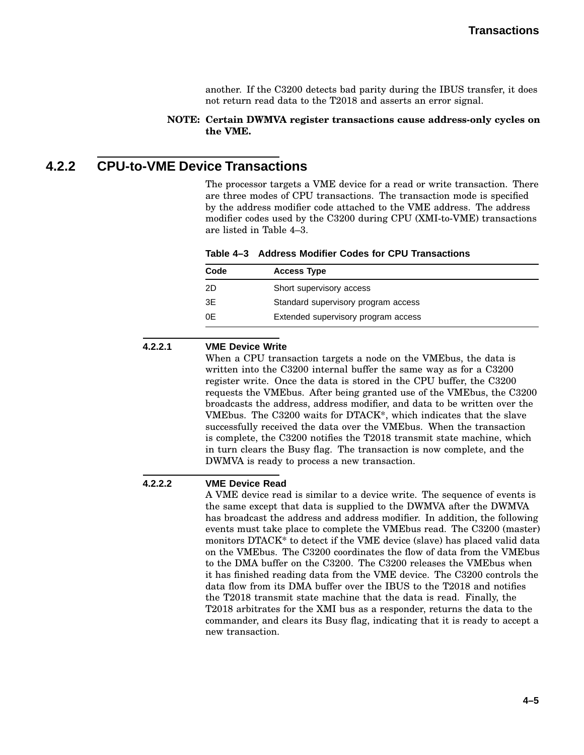another. If the C3200 detects bad parity during the IBUS transfer, it does not return read data to the T2018 and asserts an error signal.

#### **NOTE: Certain DWMVA register transactions cause address-only cycles on the VME.**

## **4.2.2 CPU-to-VME Device Transactions**

The processor targets a VME device for a read or write transaction. There are three modes of CPU transactions. The transaction mode is specified by the address modifier code attached to the VME address. The address modifier codes used by the C3200 during CPU (XMI-to-VME) transactions are listed in Table 4–3.

| Table 4–3 Address Modifier Codes for CPU Transactions |  |
|-------------------------------------------------------|--|
|-------------------------------------------------------|--|

| Code | <b>Access Type</b>                  |
|------|-------------------------------------|
| -2D  | Short supervisory access            |
| 3E   | Standard supervisory program access |
| 0E   | Extended supervisory program access |

#### **4.2.2.1 VME Device Write**

When a CPU transaction targets a node on the VMEbus, the data is written into the C3200 internal buffer the same way as for a C3200 register write. Once the data is stored in the CPU buffer, the C3200 requests the VMEbus. After being granted use of the VMEbus, the C3200 broadcasts the address, address modifier, and data to be written over the VMEbus. The C3200 waits for DTACK\*, which indicates that the slave successfully received the data over the VMEbus. When the transaction is complete, the C3200 notifies the T2018 transmit state machine, which in turn clears the Busy flag. The transaction is now complete, and the DWMVA is ready to process a new transaction.

#### **4.2.2.2 VME Device Read**

A VME device read is similar to a device write. The sequence of events is the same except that data is supplied to the DWMVA after the DWMVA has broadcast the address and address modifier. In addition, the following events must take place to complete the VMEbus read. The C3200 (master) monitors DTACK\* to detect if the VME device (slave) has placed valid data on the VMEbus. The C3200 coordinates the flow of data from the VMEbus to the DMA buffer on the C3200. The C3200 releases the VMEbus when it has finished reading data from the VME device. The C3200 controls the data flow from its DMA buffer over the IBUS to the T2018 and notifies the T2018 transmit state machine that the data is read. Finally, the T2018 arbitrates for the XMI bus as a responder, returns the data to the commander, and clears its Busy flag, indicating that it is ready to accept a new transaction.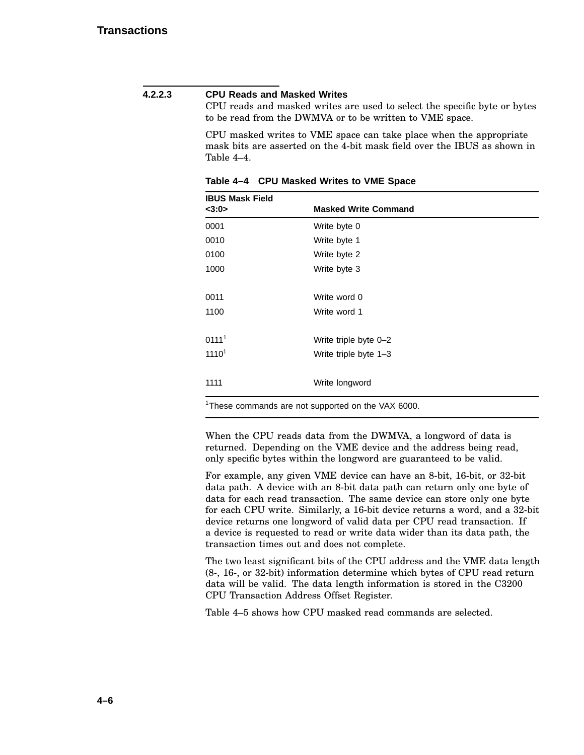#### **4.2.2.3 CPU Reads and Masked Writes**

CPU reads and masked writes are used to select the specific byte or bytes to be read from the DWMVA or to be written to VME space.

CPU masked writes to VME space can take place when the appropriate mask bits are asserted on the 4-bit mask field over the IBUS as shown in Table 4–4.

| <b>IBUS Mask Field</b> |                                                                |  |  |
|------------------------|----------------------------------------------------------------|--|--|
| <3:0>                  | <b>Masked Write Command</b>                                    |  |  |
| 0001                   | Write byte 0                                                   |  |  |
| 0010                   | Write byte 1                                                   |  |  |
| 0100                   | Write byte 2                                                   |  |  |
| 1000                   | Write byte 3                                                   |  |  |
| 0011                   | Write word 0                                                   |  |  |
| 1100                   | Write word 1                                                   |  |  |
| 0111 <sup>1</sup>      | Write triple byte 0-2                                          |  |  |
| 1110 <sup>1</sup>      | Write triple byte 1-3                                          |  |  |
| 1111                   | Write longword                                                 |  |  |
|                        | <sup>1</sup> These commands are not supported on the VAX 6000. |  |  |

**Table 4–4 CPU Masked Writes to VME Space**

When the CPU reads data from the DWMVA, a longword of data is returned. Depending on the VME device and the address being read, only specific bytes within the longword are guaranteed to be valid.

For example, any given VME device can have an 8-bit, 16-bit, or 32-bit data path. A device with an 8-bit data path can return only one byte of data for each read transaction. The same device can store only one byte for each CPU write. Similarly, a 16-bit device returns a word, and a 32-bit device returns one longword of valid data per CPU read transaction. If a device is requested to read or write data wider than its data path, the transaction times out and does not complete.

The two least significant bits of the CPU address and the VME data length (8-, 16-, or 32-bit) information determine which bytes of CPU read return data will be valid. The data length information is stored in the C3200 CPU Transaction Address Offset Register.

Table 4–5 shows how CPU masked read commands are selected.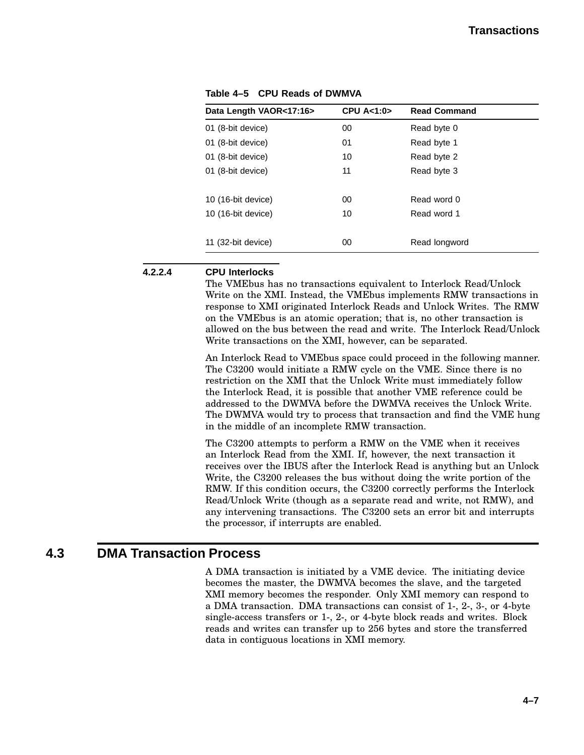| Data Length VAOR<17:16> | <b>CPU A&lt;1:0&gt;</b> | <b>Read Command</b> |  |
|-------------------------|-------------------------|---------------------|--|
| 01 (8-bit device)       | 00                      | Read byte 0         |  |
| 01 (8-bit device)       | 01                      | Read byte 1         |  |
| 01 (8-bit device)       | 10                      | Read byte 2         |  |
| 01 (8-bit device)       | 11                      | Read byte 3         |  |
|                         |                         |                     |  |
| 10 (16-bit device)      | 00                      | Read word 0         |  |
| 10 (16-bit device)      | 10                      | Read word 1         |  |
|                         |                         |                     |  |
| 11 (32-bit device)      | 00                      | Read longword       |  |

**Table 4–5 CPU Reads of DWMVA**

#### **4.2.2.4 CPU Interlocks**

The VMEbus has no transactions equivalent to Interlock Read/Unlock Write on the XMI. Instead, the VMEbus implements RMW transactions in response to XMI originated Interlock Reads and Unlock Writes. The RMW on the VMEbus is an atomic operation; that is, no other transaction is allowed on the bus between the read and write. The Interlock Read/Unlock Write transactions on the XMI, however, can be separated.

An Interlock Read to VMEbus space could proceed in the following manner. The C3200 would initiate a RMW cycle on the VME. Since there is no restriction on the XMI that the Unlock Write must immediately follow the Interlock Read, it is possible that another VME reference could be addressed to the DWMVA before the DWMVA receives the Unlock Write. The DWMVA would try to process that transaction and find the VME hung in the middle of an incomplete RMW transaction.

The C3200 attempts to perform a RMW on the VME when it receives an Interlock Read from the XMI. If, however, the next transaction it receives over the IBUS after the Interlock Read is anything but an Unlock Write, the C3200 releases the bus without doing the write portion of the RMW. If this condition occurs, the C3200 correctly performs the Interlock Read/Unlock Write (though as a separate read and write, not RMW), and any intervening transactions. The C3200 sets an error bit and interrupts the processor, if interrupts are enabled.

### **4.3 DMA Transaction Process**

A DMA transaction is initiated by a VME device. The initiating device becomes the master, the DWMVA becomes the slave, and the targeted XMI memory becomes the responder. Only XMI memory can respond to a DMA transaction. DMA transactions can consist of 1-, 2-, 3-, or 4-byte single-access transfers or 1-, 2-, or 4-byte block reads and writes. Block reads and writes can transfer up to 256 bytes and store the transferred data in contiguous locations in XMI memory.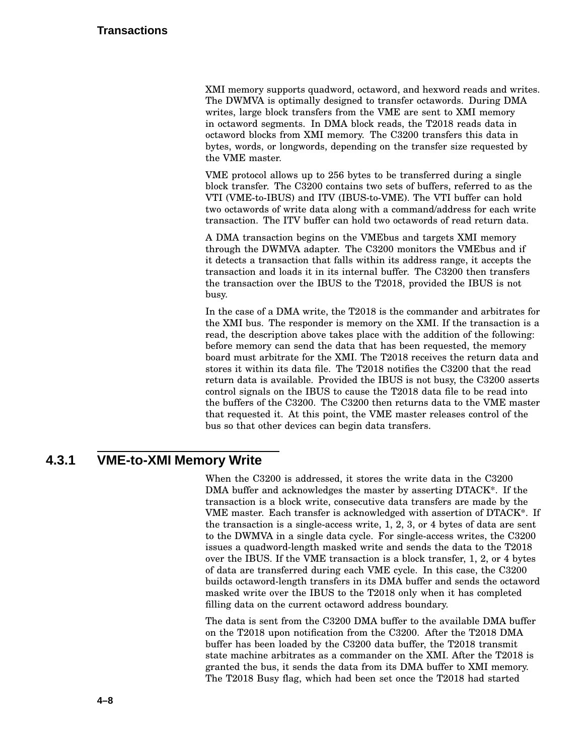XMI memory supports quadword, octaword, and hexword reads and writes. The DWMVA is optimally designed to transfer octawords. During DMA writes, large block transfers from the VME are sent to XMI memory in octaword segments. In DMA block reads, the T2018 reads data in octaword blocks from XMI memory. The C3200 transfers this data in bytes, words, or longwords, depending on the transfer size requested by the VME master.

VME protocol allows up to 256 bytes to be transferred during a single block transfer. The C3200 contains two sets of buffers, referred to as the VTI (VME-to-IBUS) and ITV (IBUS-to-VME). The VTI buffer can hold two octawords of write data along with a command/address for each write transaction. The ITV buffer can hold two octawords of read return data.

A DMA transaction begins on the VMEbus and targets XMI memory through the DWMVA adapter. The C3200 monitors the VMEbus and if it detects a transaction that falls within its address range, it accepts the transaction and loads it in its internal buffer. The C3200 then transfers the transaction over the IBUS to the T2018, provided the IBUS is not busy.

In the case of a DMA write, the T2018 is the commander and arbitrates for the XMI bus. The responder is memory on the XMI. If the transaction is a read, the description above takes place with the addition of the following: before memory can send the data that has been requested, the memory board must arbitrate for the XMI. The T2018 receives the return data and stores it within its data file. The T2018 notifies the C3200 that the read return data is available. Provided the IBUS is not busy, the C3200 asserts control signals on the IBUS to cause the T2018 data file to be read into the buffers of the C3200. The C3200 then returns data to the VME master that requested it. At this point, the VME master releases control of the bus so that other devices can begin data transfers.

# **4.3.1 VME-to-XMI Memory Write**

When the C3200 is addressed, it stores the write data in the C3200 DMA buffer and acknowledges the master by asserting DTACK\*. If the transaction is a block write, consecutive data transfers are made by the VME master. Each transfer is acknowledged with assertion of DTACK\*. If the transaction is a single-access write, 1, 2, 3, or 4 bytes of data are sent to the DWMVA in a single data cycle. For single-access writes, the C3200 issues a quadword-length masked write and sends the data to the T2018 over the IBUS. If the VME transaction is a block transfer, 1, 2, or 4 bytes of data are transferred during each VME cycle. In this case, the C3200 builds octaword-length transfers in its DMA buffer and sends the octaword masked write over the IBUS to the T2018 only when it has completed filling data on the current octaword address boundary.

The data is sent from the C3200 DMA buffer to the available DMA buffer on the T2018 upon notification from the C3200. After the T2018 DMA buffer has been loaded by the C3200 data buffer, the T2018 transmit state machine arbitrates as a commander on the XMI. After the T2018 is granted the bus, it sends the data from its DMA buffer to XMI memory. The T2018 Busy flag, which had been set once the T2018 had started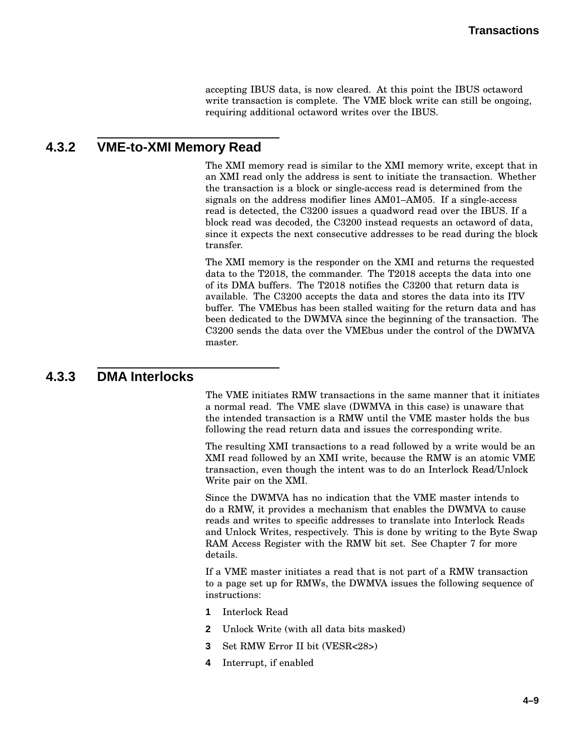accepting IBUS data, is now cleared. At this point the IBUS octaword write transaction is complete. The VME block write can still be ongoing, requiring additional octaword writes over the IBUS.

### **4.3.2 VME-to-XMI Memory Read**

The XMI memory read is similar to the XMI memory write, except that in an XMI read only the address is sent to initiate the transaction. Whether the transaction is a block or single-access read is determined from the signals on the address modifier lines AM01–AM05. If a single-access read is detected, the C3200 issues a quadword read over the IBUS. If a block read was decoded, the C3200 instead requests an octaword of data, since it expects the next consecutive addresses to be read during the block transfer.

The XMI memory is the responder on the XMI and returns the requested data to the T2018, the commander. The T2018 accepts the data into one of its DMA buffers. The T2018 notifies the C3200 that return data is available. The C3200 accepts the data and stores the data into its ITV buffer. The VMEbus has been stalled waiting for the return data and has been dedicated to the DWMVA since the beginning of the transaction. The C3200 sends the data over the VMEbus under the control of the DWMVA master.

### **4.3.3 DMA Interlocks**

The VME initiates RMW transactions in the same manner that it initiates a normal read. The VME slave (DWMVA in this case) is unaware that the intended transaction is a RMW until the VME master holds the bus following the read return data and issues the corresponding write.

The resulting XMI transactions to a read followed by a write would be an XMI read followed by an XMI write, because the RMW is an atomic VME transaction, even though the intent was to do an Interlock Read/Unlock Write pair on the XMI.

Since the DWMVA has no indication that the VME master intends to do a RMW, it provides a mechanism that enables the DWMVA to cause reads and writes to specific addresses to translate into Interlock Reads and Unlock Writes, respectively. This is done by writing to the Byte Swap RAM Access Register with the RMW bit set. See Chapter 7 for more details.

If a VME master initiates a read that is not part of a RMW transaction to a page set up for RMWs, the DWMVA issues the following sequence of instructions:

- **1** Interlock Read
- **2** Unlock Write (with all data bits masked)
- **3** Set RMW Error II bit (VESR<28>)
- **4** Interrupt, if enabled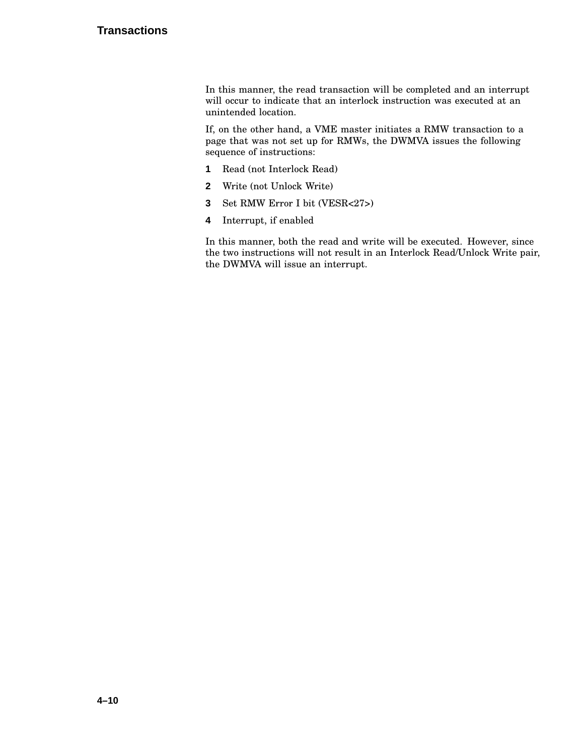### **Transactions**

In this manner, the read transaction will be completed and an interrupt will occur to indicate that an interlock instruction was executed at an unintended location.

If, on the other hand, a VME master initiates a RMW transaction to a page that was not set up for RMWs, the DWMVA issues the following sequence of instructions:

- **1** Read (not Interlock Read)
- **2** Write (not Unlock Write)
- **3** Set RMW Error I bit (VESR<27>)
- **4** Interrupt, if enabled

In this manner, both the read and write will be executed. However, since the two instructions will not result in an Interlock Read/Unlock Write pair, the DWMVA will issue an interrupt.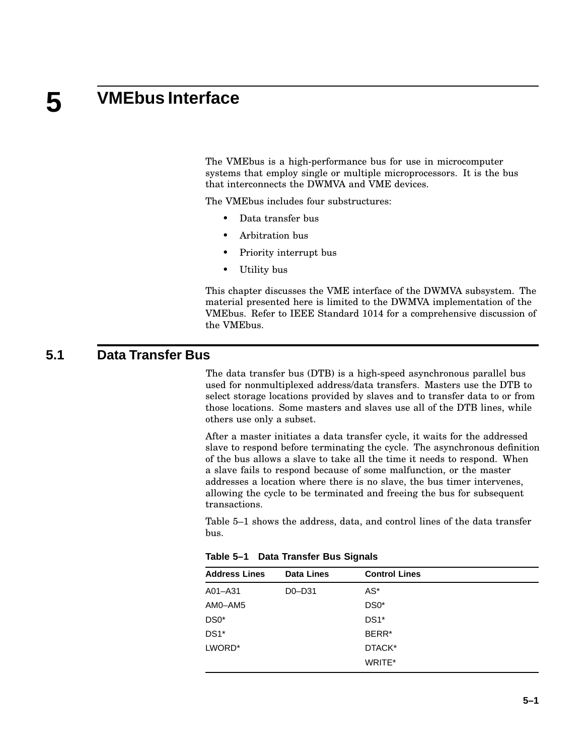#### **5 VMEbus Interface**

The VMEbus is a high-performance bus for use in microcomputer systems that employ single or multiple microprocessors. It is the bus that interconnects the DWMVA and VME devices.

The VMEbus includes four substructures:

- Data transfer bus
- Arbitration bus
- Priority interrupt bus
- Utility bus

This chapter discusses the VME interface of the DWMVA subsystem. The material presented here is limited to the DWMVA implementation of the VMEbus. Refer to IEEE Standard 1014 for a comprehensive discussion of the VMEbus.

### **5.1 Data Transfer Bus**

The data transfer bus (DTB) is a high-speed asynchronous parallel bus used for nonmultiplexed address/data transfers. Masters use the DTB to select storage locations provided by slaves and to transfer data to or from those locations. Some masters and slaves use all of the DTB lines, while others use only a subset.

After a master initiates a data transfer cycle, it waits for the addressed slave to respond before terminating the cycle. The asynchronous definition of the bus allows a slave to take all the time it needs to respond. When a slave fails to respond because of some malfunction, or the master addresses a location where there is no slave, the bus timer intervenes, allowing the cycle to be terminated and freeing the bus for subsequent transactions.

Table 5–1 shows the address, data, and control lines of the data transfer bus.

| <b>Address Lines</b> | <b>Data Lines</b> | <b>Control Lines</b> |  |
|----------------------|-------------------|----------------------|--|
| A01-A31              | D0-D31            | AS*                  |  |
| AM0-AM5              |                   | $DS0*$               |  |
| DS0*                 |                   | $DS1*$               |  |
| $DS1*$               |                   | BERR <sup>*</sup>    |  |
| LWORD*               |                   | DTACK*               |  |
|                      |                   | WRITE*               |  |
|                      |                   |                      |  |

**Table 5–1 Data Transfer Bus Signals**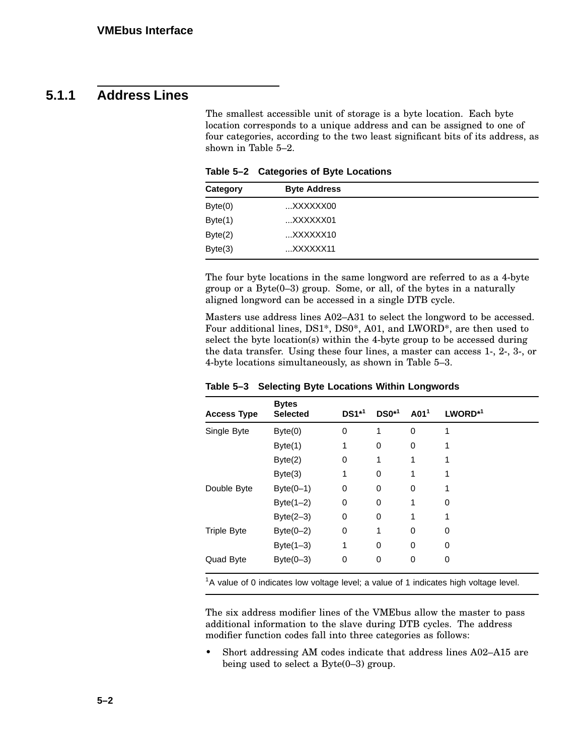# **5.1.1 Address Lines**

The smallest accessible unit of storage is a byte location. Each byte location corresponds to a unique address and can be assigned to one of four categories, according to the two least significant bits of its address, as shown in Table 5–2.

| Category | <b>Byte Address</b> |  |
|----------|---------------------|--|
| Byte(0)  | XXXXXX00            |  |
| Byte(1)  | $$ XXXXXX01         |  |
| Byte(2)  | $$ XXXXXX10         |  |
| Byte(3)  | $$ XXXXXX11         |  |

**Table 5–2 Categories of Byte Locations**

The four byte locations in the same longword are referred to as a 4-byte group or a Byte(0–3) group. Some, or all, of the bytes in a naturally aligned longword can be accessed in a single DTB cycle.

Masters use address lines A02–A31 to select the longword to be accessed. Four additional lines, DS1\*, DS0\*, A01, and LWORD\*, are then used to select the byte location(s) within the 4-byte group to be accessed during the data transfer. Using these four lines, a master can access 1-, 2-, 3-, or 4-byte locations simultaneously, as shown in Table 5–3.

| <b>Access Type</b> | <b>Bytes</b><br><b>Selected</b> | $DS1^{*1}$ | $DS0^{*1}$ | A01 <sup>1</sup> | $LWORD^*$ <sup>1</sup> |
|--------------------|---------------------------------|------------|------------|------------------|------------------------|
| Single Byte        | Byte(0)                         | $\Omega$   | 1          | 0                | 1                      |
|                    | Byte(1)                         | 1          | 0          | 0                |                        |
|                    | Byte(2)                         | 0          | 1          | 1                | 1                      |
|                    | Byte(3)                         | 1          | 0          | 1                |                        |
| Double Byte        | $Byte(0-1)$                     | 0          | 0          | 0                | 1                      |
|                    | Byte $(1-2)$                    | 0          | 0          |                  | 0                      |
|                    | Byte $(2-3)$                    | $\Omega$   | 0          |                  | 1                      |
| <b>Triple Byte</b> | $Byte(0-2)$                     | 0          | 1          | $\Omega$         | 0                      |
|                    | Byte $(1-3)$                    | 1          | 0          | $\Omega$         | 0                      |
| Quad Byte          | Byte $(0-3)$                    | 0          | 0          | $\Omega$         | 0                      |

**Table 5–3 Selecting Byte Locations Within Longwords**

 $1A$  value of 0 indicates low voltage level; a value of 1 indicates high voltage level.

The six address modifier lines of the VMEbus allow the master to pass additional information to the slave during DTB cycles. The address modifier function codes fall into three categories as follows:

• Short addressing AM codes indicate that address lines A02–A15 are being used to select a  $Byte(0-3)$  group.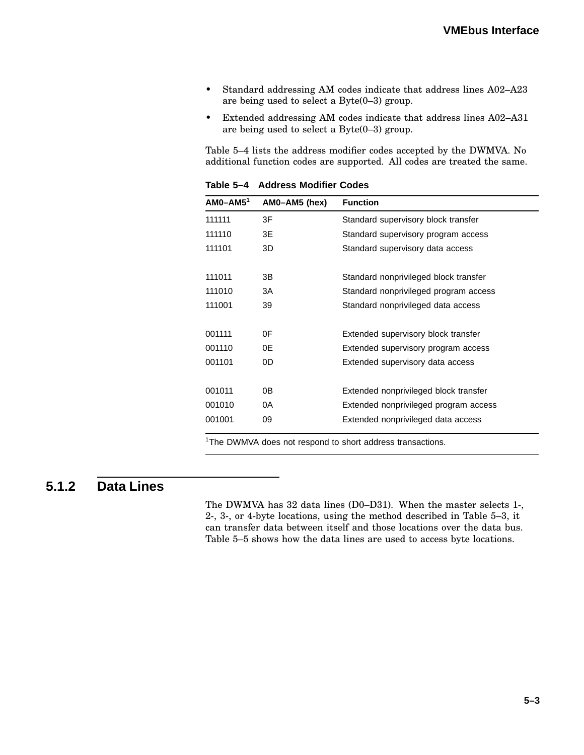- Standard addressing AM codes indicate that address lines A02–A23 are being used to select a Byte(0–3) group.
- Extended addressing AM codes indicate that address lines A02–A31 are being used to select a Byte(0–3) group.

Table 5–4 lists the address modifier codes accepted by the DWMVA. No additional function codes are supported. All codes are treated the same.

| 3F<br>111111<br>Standard supervisory block transfer<br>3E<br>111110<br>Standard supervisory program access<br>3D<br>111101<br>Standard supervisory data access<br>111011<br>3B<br>Standard nonprivileged block transfer<br>3A<br>111010<br>Standard nonprivileged program access<br>111001<br>39<br>Standard nonprivileged data access<br>0F<br>Extended supervisory block transfer<br>0Ε<br>Extended supervisory program access<br>0D<br>Extended supervisory data access<br>0В<br>Extended nonprivileged block transfer<br>0A<br>Extended nonprivileged program access | $AM0 - AM5$ <sup>1</sup> | AM0-AM5 (hex) | <b>Function</b>                    |
|--------------------------------------------------------------------------------------------------------------------------------------------------------------------------------------------------------------------------------------------------------------------------------------------------------------------------------------------------------------------------------------------------------------------------------------------------------------------------------------------------------------------------------------------------------------------------|--------------------------|---------------|------------------------------------|
|                                                                                                                                                                                                                                                                                                                                                                                                                                                                                                                                                                          |                          |               |                                    |
|                                                                                                                                                                                                                                                                                                                                                                                                                                                                                                                                                                          |                          |               |                                    |
|                                                                                                                                                                                                                                                                                                                                                                                                                                                                                                                                                                          |                          |               |                                    |
| 001111<br>001110<br>001101<br>001011<br>001010                                                                                                                                                                                                                                                                                                                                                                                                                                                                                                                           |                          |               |                                    |
|                                                                                                                                                                                                                                                                                                                                                                                                                                                                                                                                                                          |                          |               |                                    |
|                                                                                                                                                                                                                                                                                                                                                                                                                                                                                                                                                                          |                          |               |                                    |
|                                                                                                                                                                                                                                                                                                                                                                                                                                                                                                                                                                          |                          |               |                                    |
|                                                                                                                                                                                                                                                                                                                                                                                                                                                                                                                                                                          |                          |               |                                    |
|                                                                                                                                                                                                                                                                                                                                                                                                                                                                                                                                                                          |                          |               |                                    |
|                                                                                                                                                                                                                                                                                                                                                                                                                                                                                                                                                                          |                          |               |                                    |
|                                                                                                                                                                                                                                                                                                                                                                                                                                                                                                                                                                          |                          |               |                                    |
|                                                                                                                                                                                                                                                                                                                                                                                                                                                                                                                                                                          | 001001                   | 09            | Extended nonprivileged data access |

**Table 5–4 Address Modifier Codes**

<sup>1</sup>The DWMVA does not respond to short address transactions.

### **5.1.2 Data Lines**

The DWMVA has 32 data lines (D0–D31). When the master selects 1-, 2-, 3-, or 4-byte locations, using the method described in Table 5–3, it can transfer data between itself and those locations over the data bus. Table 5–5 shows how the data lines are used to access byte locations.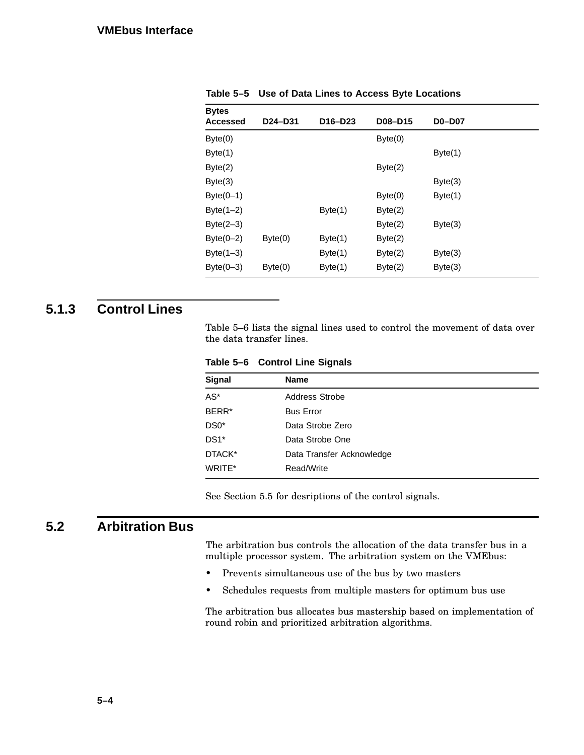| <b>Bytes</b>    |         |                                  |         |               |  |
|-----------------|---------|----------------------------------|---------|---------------|--|
| <b>Accessed</b> | D24-D31 | D <sub>16</sub> -D <sub>23</sub> | D08-D15 | <b>D0-D07</b> |  |
| Byte(0)         |         |                                  | Byte(0) |               |  |
| Byte(1)         |         |                                  |         | Byte(1)       |  |
| Byte(2)         |         |                                  | Byte(2) |               |  |
| Byte(3)         |         |                                  |         | Byte(3)       |  |
| $Byte(0-1)$     |         |                                  | Byte(0) | Byte(1)       |  |
| Byte $(1-2)$    |         | Byte(1)                          | Byte(2) |               |  |
| $Byte(2-3)$     |         |                                  | Byte(2) | Byte(3)       |  |
| $Byte(0-2)$     | Byte(0) | Byte(1)                          | Byte(2) |               |  |
| Byte $(1-3)$    |         | Byte(1)                          | Byte(2) | Byte(3)       |  |
| $Byte(0-3)$     | Byte(0) | Byte(1)                          | Byte(2) | Byte(3)       |  |
|                 |         |                                  |         |               |  |

**Table 5–5 Use of Data Lines to Access Byte Locations**

# **5.1.3 Control Lines**

Table 5–6 lists the signal lines used to control the movement of data over the data transfer lines.

**Table 5–6 Control Line Signals**

| <b>Signal</b>     | Name                      |
|-------------------|---------------------------|
| $AS^*$            | Address Strobe            |
| BERR <sup>*</sup> | <b>Bus Error</b>          |
| $DS0*$            | Data Strobe Zero          |
| $DS1*$            | Data Strobe One           |
| DTACK*            | Data Transfer Acknowledge |
| WRITE*            | Read/Write                |

See Section 5.5 for desriptions of the control signals.

# **5.2 Arbitration Bus**

The arbitration bus controls the allocation of the data transfer bus in a multiple processor system. The arbitration system on the VMEbus:

- Prevents simultaneous use of the bus by two masters
- Schedules requests from multiple masters for optimum bus use

The arbitration bus allocates bus mastership based on implementation of round robin and prioritized arbitration algorithms.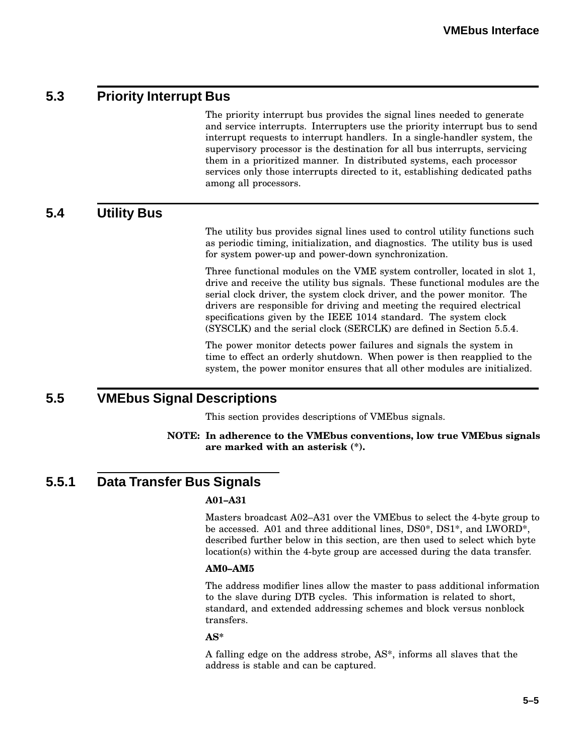# **5.3 Priority Interrupt Bus**

The priority interrupt bus provides the signal lines needed to generate and service interrupts. Interrupters use the priority interrupt bus to send interrupt requests to interrupt handlers. In a single-handler system, the supervisory processor is the destination for all bus interrupts, servicing them in a prioritized manner. In distributed systems, each processor services only those interrupts directed to it, establishing dedicated paths among all processors.

**5.4 Utility Bus**

The utility bus provides signal lines used to control utility functions such as periodic timing, initialization, and diagnostics. The utility bus is used for system power-up and power-down synchronization.

Three functional modules on the VME system controller, located in slot 1, drive and receive the utility bus signals. These functional modules are the serial clock driver, the system clock driver, and the power monitor. The drivers are responsible for driving and meeting the required electrical specifications given by the IEEE 1014 standard. The system clock (SYSCLK) and the serial clock (SERCLK) are defined in Section 5.5.4.

The power monitor detects power failures and signals the system in time to effect an orderly shutdown. When power is then reapplied to the system, the power monitor ensures that all other modules are initialized.

### **5.5 VMEbus Signal Descriptions**

This section provides descriptions of VMEbus signals.

**NOTE: In adherence to the VMEbus conventions, low true VMEbus signals are marked with an asterisk (\*).**

# **5.5.1 Data Transfer Bus Signals**

#### **A01–A31**

Masters broadcast A02–A31 over the VMEbus to select the 4-byte group to be accessed. A01 and three additional lines, DS0\*, DS1\*, and LWORD\*, described further below in this section, are then used to select which byte location(s) within the 4-byte group are accessed during the data transfer.

#### **AM0–AM5**

The address modifier lines allow the master to pass additional information to the slave during DTB cycles. This information is related to short, standard, and extended addressing schemes and block versus nonblock transfers.

#### **AS\***

A falling edge on the address strobe, AS\*, informs all slaves that the address is stable and can be captured.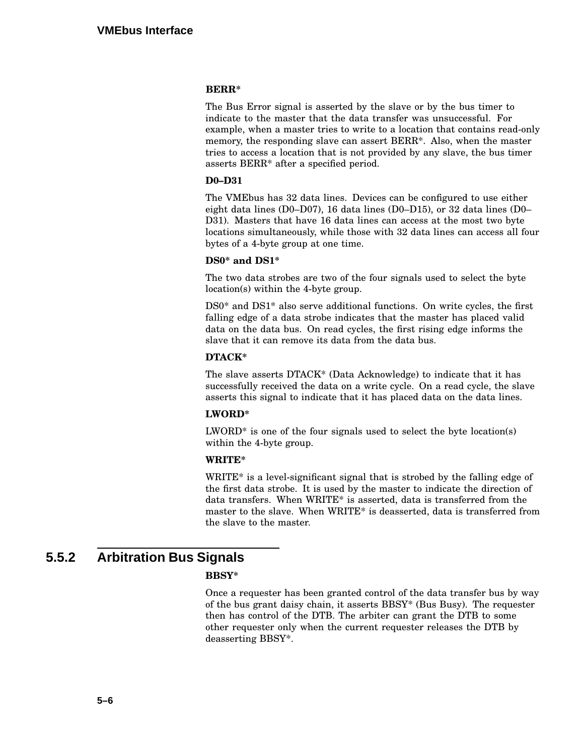#### **BERR\***

The Bus Error signal is asserted by the slave or by the bus timer to indicate to the master that the data transfer was unsuccessful. For example, when a master tries to write to a location that contains read-only memory, the responding slave can assert BERR\*. Also, when the master tries to access a location that is not provided by any slave, the bus timer asserts BERR\* after a specified period.

#### **D0–D31**

The VMEbus has 32 data lines. Devices can be configured to use either eight data lines (D0–D07), 16 data lines (D0–D15), or 32 data lines (D0– D31). Masters that have 16 data lines can access at the most two byte locations simultaneously, while those with 32 data lines can access all four bytes of a 4-byte group at one time.

#### **DS0\* and DS1\***

The two data strobes are two of the four signals used to select the byte location(s) within the 4-byte group.

DS0\* and DS1\* also serve additional functions. On write cycles, the first falling edge of a data strobe indicates that the master has placed valid data on the data bus. On read cycles, the first rising edge informs the slave that it can remove its data from the data bus.

#### **DTACK\***

The slave asserts DTACK\* (Data Acknowledge) to indicate that it has successfully received the data on a write cycle. On a read cycle, the slave asserts this signal to indicate that it has placed data on the data lines.

#### **LWORD\***

 $LWORD^*$  is one of the four signals used to select the byte location(s) within the 4-byte group.

#### **WRITE\***

WRITE\* is a level-significant signal that is strobed by the falling edge of the first data strobe. It is used by the master to indicate the direction of data transfers. When WRITE\* is asserted, data is transferred from the master to the slave. When WRITE\* is deasserted, data is transferred from the slave to the master.

# **5.5.2 Arbitration Bus Signals**

#### **BBSY\***

Once a requester has been granted control of the data transfer bus by way of the bus grant daisy chain, it asserts BBSY\* (Bus Busy). The requester then has control of the DTB. The arbiter can grant the DTB to some other requester only when the current requester releases the DTB by deasserting BBSY\*.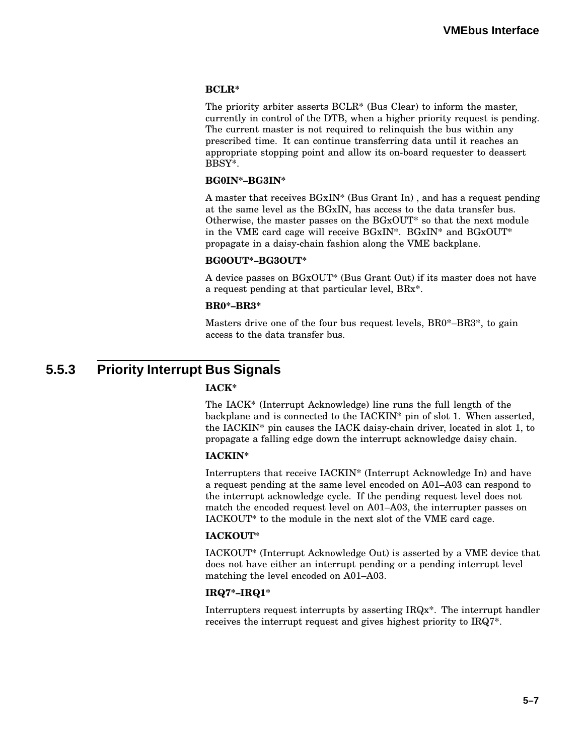#### **BCLR\***

The priority arbiter asserts BCLR\* (Bus Clear) to inform the master, currently in control of the DTB, when a higher priority request is pending. The current master is not required to relinquish the bus within any prescribed time. It can continue transferring data until it reaches an appropriate stopping point and allow its on-board requester to deassert BBSY\*.

#### **BG0IN\*–BG3IN\***

A master that receives BGxIN\* (Bus Grant In) , and has a request pending at the same level as the BGxIN, has access to the data transfer bus. Otherwise, the master passes on the BGxOUT\* so that the next module in the VME card cage will receive BGxIN\*. BGxIN\* and BGxOUT\* propagate in a daisy-chain fashion along the VME backplane.

#### **BG0OUT\*–BG3OUT\***

A device passes on BGxOUT\* (Bus Grant Out) if its master does not have a request pending at that particular level, BRx\*.

#### **BR0\*–BR3\***

Masters drive one of the four bus request levels, BR0\*–BR3\*, to gain access to the data transfer bus.

# **5.5.3 Priority Interrupt Bus Signals**

#### **IACK\***

The IACK\* (Interrupt Acknowledge) line runs the full length of the backplane and is connected to the IACKIN\* pin of slot 1. When asserted, the IACKIN\* pin causes the IACK daisy-chain driver, located in slot 1, to propagate a falling edge down the interrupt acknowledge daisy chain.

#### **IACKIN\***

Interrupters that receive IACKIN\* (Interrupt Acknowledge In) and have a request pending at the same level encoded on A01–A03 can respond to the interrupt acknowledge cycle. If the pending request level does not match the encoded request level on A01–A03, the interrupter passes on IACKOUT\* to the module in the next slot of the VME card cage.

#### **IACKOUT\***

IACKOUT\* (Interrupt Acknowledge Out) is asserted by a VME device that does not have either an interrupt pending or a pending interrupt level matching the level encoded on A01–A03.

#### **IRQ7\*–IRQ1\***

Interrupters request interrupts by asserting IRQx\*. The interrupt handler receives the interrupt request and gives highest priority to IRQ7\*.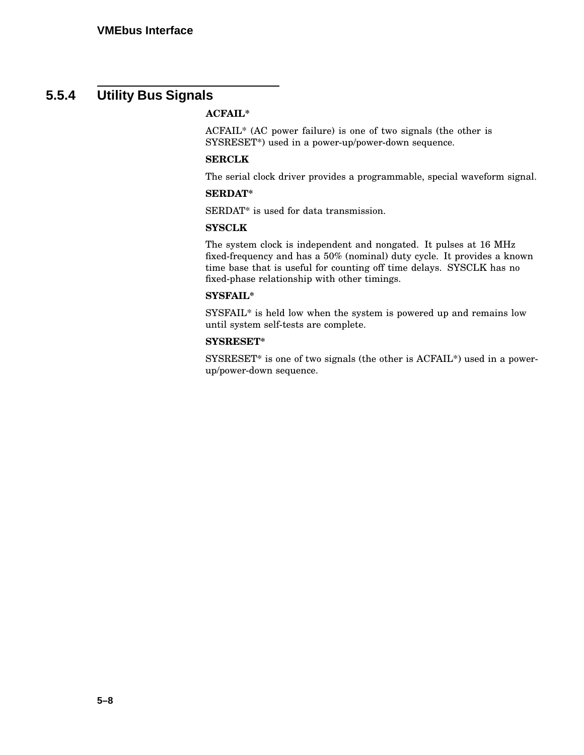# **5.5.4 Utility Bus Signals**

#### **ACFAIL\***

ACFAIL\* (AC power failure) is one of two signals (the other is SYSRESET\*) used in a power-up/power-down sequence.

#### **SERCLK**

The serial clock driver provides a programmable, special waveform signal.

#### **SERDAT\***

SERDAT\* is used for data transmission.

#### **SYSCLK**

The system clock is independent and nongated. It pulses at 16 MHz fixed-frequency and has a 50% (nominal) duty cycle. It provides a known time base that is useful for counting off time delays. SYSCLK has no fixed-phase relationship with other timings.

#### **SYSFAIL\***

SYSFAIL\* is held low when the system is powered up and remains low until system self-tests are complete.

#### **SYSRESET\***

SYSRESET\* is one of two signals (the other is ACFAIL\*) used in a powerup/power-down sequence.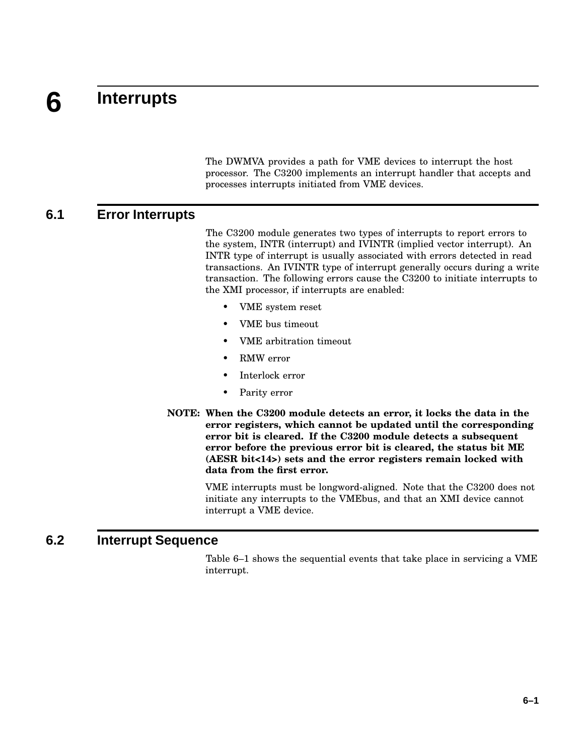#### **6 Interrupts**

The DWMVA provides a path for VME devices to interrupt the host processor. The C3200 implements an interrupt handler that accepts and processes interrupts initiated from VME devices.

### **6.1 Error Interrupts**

The C3200 module generates two types of interrupts to report errors to the system, INTR (interrupt) and IVINTR (implied vector interrupt). An INTR type of interrupt is usually associated with errors detected in read transactions. An IVINTR type of interrupt generally occurs during a write transaction. The following errors cause the C3200 to initiate interrupts to the XMI processor, if interrupts are enabled:

- VME system reset
- VME bus timeout
- VME arbitration timeout
- RMW error
- Interlock error
- Parity error
- **NOTE: When the C3200 module detects an error, it locks the data in the error registers, which cannot be updated until the corresponding error bit is cleared. If the C3200 module detects a subsequent error before the previous error bit is cleared, the status bit ME (AESR bit<14>) sets and the error registers remain locked with data from the first error.**

VME interrupts must be longword-aligned. Note that the C3200 does not initiate any interrupts to the VMEbus, and that an XMI device cannot interrupt a VME device.

### **6.2 Interrupt Sequence**

Table 6–1 shows the sequential events that take place in servicing a VME interrupt.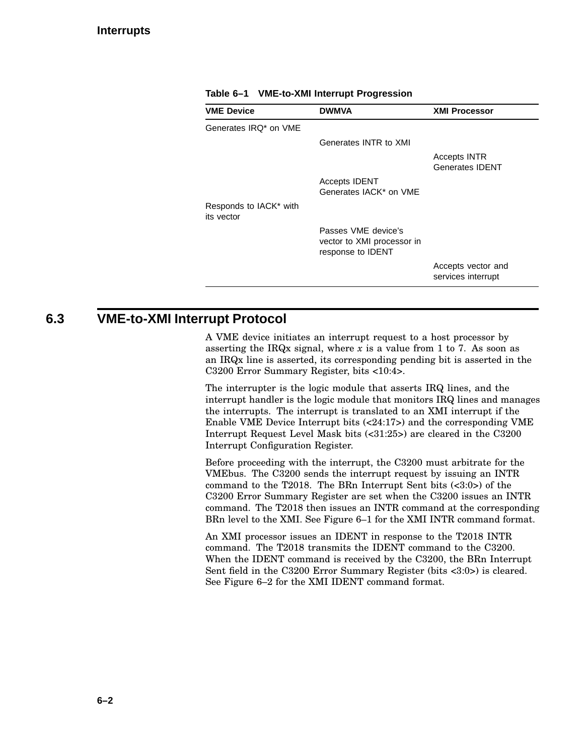| <b>VME Device</b>                    | <b>DWMVA</b>                                                                  | <b>XMI Processor</b>                          |
|--------------------------------------|-------------------------------------------------------------------------------|-----------------------------------------------|
| Generates IRQ* on VME                |                                                                               |                                               |
|                                      | Generates INTR to XMI                                                         |                                               |
|                                      |                                                                               | <b>Accepts INTR</b><br><b>Generates IDENT</b> |
|                                      | <b>Accepts IDENT</b><br>Generates IACK* on VME                                |                                               |
| Responds to IACK* with<br>its vector |                                                                               |                                               |
|                                      | Passes VME device's<br>vector to XMI processor in<br>response to <b>IDENT</b> |                                               |
|                                      |                                                                               | Accepts vector and<br>services interrupt      |

**Table 6–1 VME-to-XMI Interrupt Progression**

### **6.3 VME-to-XMI Interrupt Protocol**

A VME device initiates an interrupt request to a host processor by asserting the IRQx signal, where  $x$  is a value from 1 to 7. As soon as an IRQx line is asserted, its corresponding pending bit is asserted in the C3200 Error Summary Register, bits <10:4>.

The interrupter is the logic module that asserts IRQ lines, and the interrupt handler is the logic module that monitors IRQ lines and manages the interrupts. The interrupt is translated to an XMI interrupt if the Enable VME Device Interrupt bits (<24:17>) and the corresponding VME Interrupt Request Level Mask bits (<31:25>) are cleared in the C3200 Interrupt Configuration Register.

Before proceeding with the interrupt, the C3200 must arbitrate for the VMEbus. The C3200 sends the interrupt request by issuing an INTR command to the T2018. The BRn Interrupt Sent bits (<3:0>) of the C3200 Error Summary Register are set when the C3200 issues an INTR command. The T2018 then issues an INTR command at the corresponding BRn level to the XMI. See Figure 6–1 for the XMI INTR command format.

An XMI processor issues an IDENT in response to the T2018 INTR command. The T2018 transmits the IDENT command to the C3200. When the IDENT command is received by the C3200, the BRn Interrupt Sent field in the C3200 Error Summary Register (bits <3:0>) is cleared. See Figure 6–2 for the XMI IDENT command format.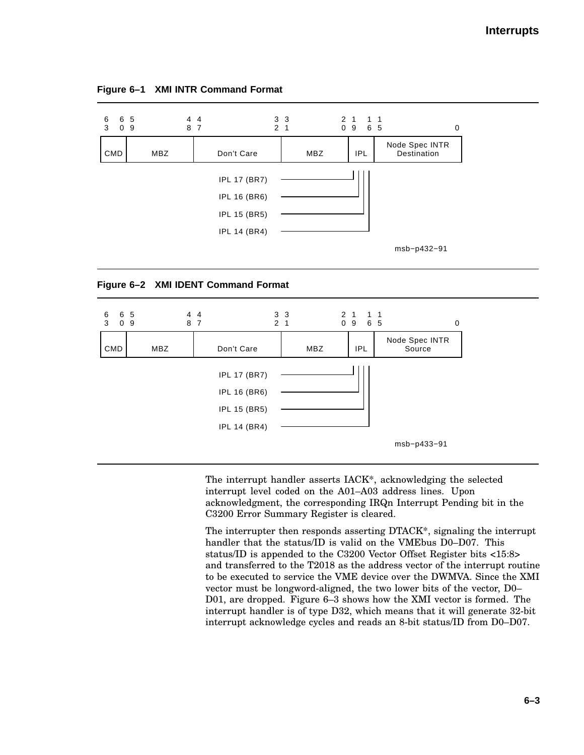

| Figure 6-1 XMI INTR Command Format |  |  |  |
|------------------------------------|--|--|--|
|------------------------------------|--|--|--|





The interrupt handler asserts IACK\*, acknowledging the selected interrupt level coded on the A01–A03 address lines. Upon acknowledgment, the corresponding IRQn Interrupt Pending bit in the C3200 Error Summary Register is cleared.

The interrupter then responds asserting DTACK\*, signaling the interrupt handler that the status/ID is valid on the VMEbus D0–D07. This status/ID is appended to the C3200 Vector Offset Register bits <15:8> and transferred to the T2018 as the address vector of the interrupt routine to be executed to service the VME device over the DWMVA. Since the XMI vector must be longword-aligned, the two lower bits of the vector, D0– D01, are dropped. Figure 6–3 shows how the XMI vector is formed. The interrupt handler is of type D32, which means that it will generate 32-bit interrupt acknowledge cycles and reads an 8-bit status/ID from D0–D07.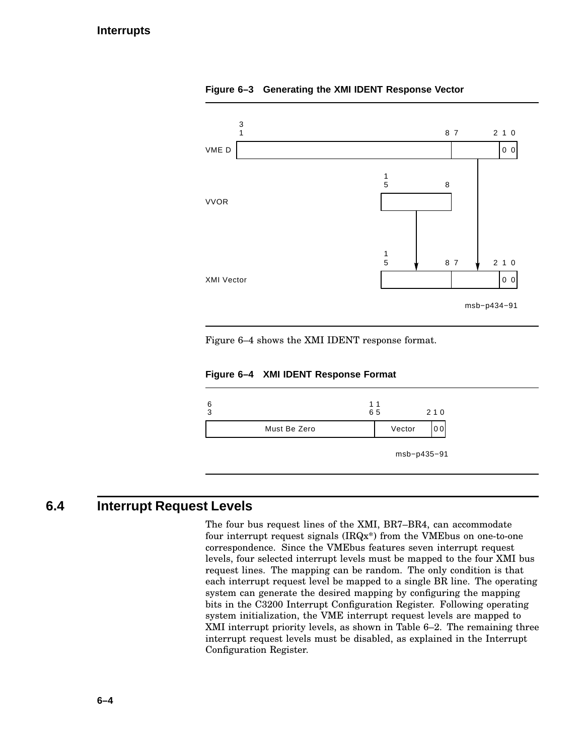

**Figure 6–3 Generating the XMI IDENT Response Vector**

Figure 6–4 shows the XMI IDENT response format.

**Figure 6–4 XMI IDENT Response Format**



## **6.4 Interrupt Request Levels**

The four bus request lines of the XMI, BR7–BR4, can accommodate four interrupt request signals (IRQx\*) from the VMEbus on one-to-one correspondence. Since the VMEbus features seven interrupt request levels, four selected interrupt levels must be mapped to the four XMI bus request lines. The mapping can be random. The only condition is that each interrupt request level be mapped to a single BR line. The operating system can generate the desired mapping by configuring the mapping bits in the C3200 Interrupt Configuration Register. Following operating system initialization, the VME interrupt request levels are mapped to XMI interrupt priority levels, as shown in Table 6–2. The remaining three interrupt request levels must be disabled, as explained in the Interrupt Configuration Register.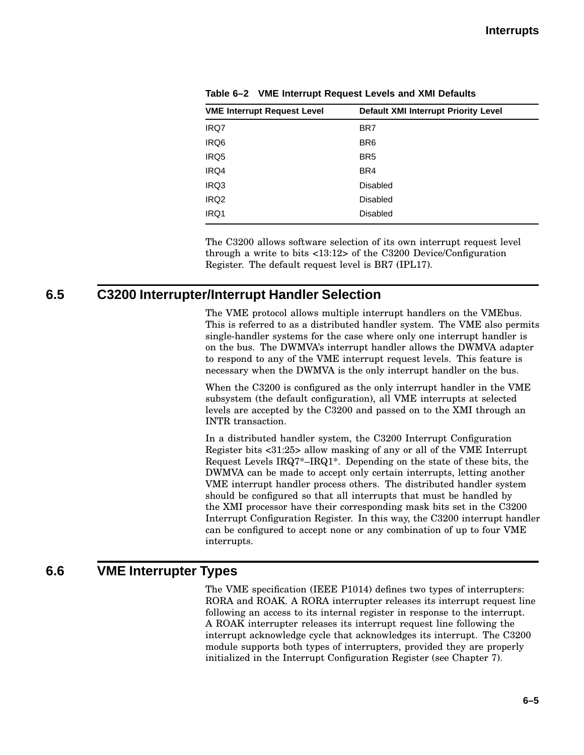| <b>VME Interrupt Request Level</b> | Default XMI Interrupt Priority Level |
|------------------------------------|--------------------------------------|
| IRQ7                               | BR7                                  |
| IRQ6                               | BR <sub>6</sub>                      |
| IRQ5                               | BR <sub>5</sub>                      |
| IRQ4                               | BR4                                  |
| IRQ3                               | <b>Disabled</b>                      |
| IRQ <sub>2</sub>                   | <b>Disabled</b>                      |
| IRQ1                               | <b>Disabled</b>                      |

**Table 6–2 VME Interrupt Request Levels and XMI Defaults**

The C3200 allows software selection of its own interrupt request level through a write to bits <13:12> of the C3200 Device/Configuration Register. The default request level is BR7 (IPL17).

### **6.5 C3200 Interrupter/Interrupt Handler Selection**

The VME protocol allows multiple interrupt handlers on the VMEbus. This is referred to as a distributed handler system. The VME also permits single-handler systems for the case where only one interrupt handler is on the bus. The DWMVA's interrupt handler allows the DWMVA adapter to respond to any of the VME interrupt request levels. This feature is necessary when the DWMVA is the only interrupt handler on the bus.

When the C3200 is configured as the only interrupt handler in the VME subsystem (the default configuration), all VME interrupts at selected levels are accepted by the C3200 and passed on to the XMI through an INTR transaction.

In a distributed handler system, the C3200 Interrupt Configuration Register bits <31:25> allow masking of any or all of the VME Interrupt Request Levels IRQ7\*–IRQ1\*. Depending on the state of these bits, the DWMVA can be made to accept only certain interrupts, letting another VME interrupt handler process others. The distributed handler system should be configured so that all interrupts that must be handled by the XMI processor have their corresponding mask bits set in the C3200 Interrupt Configuration Register. In this way, the C3200 interrupt handler can be configured to accept none or any combination of up to four VME interrupts.

# **6.6 VME Interrupter Types**

The VME specification (IEEE P1014) defines two types of interrupters: RORA and ROAK. A RORA interrupter releases its interrupt request line following an access to its internal register in response to the interrupt. A ROAK interrupter releases its interrupt request line following the interrupt acknowledge cycle that acknowledges its interrupt. The C3200 module supports both types of interrupters, provided they are properly initialized in the Interrupt Configuration Register (see Chapter 7).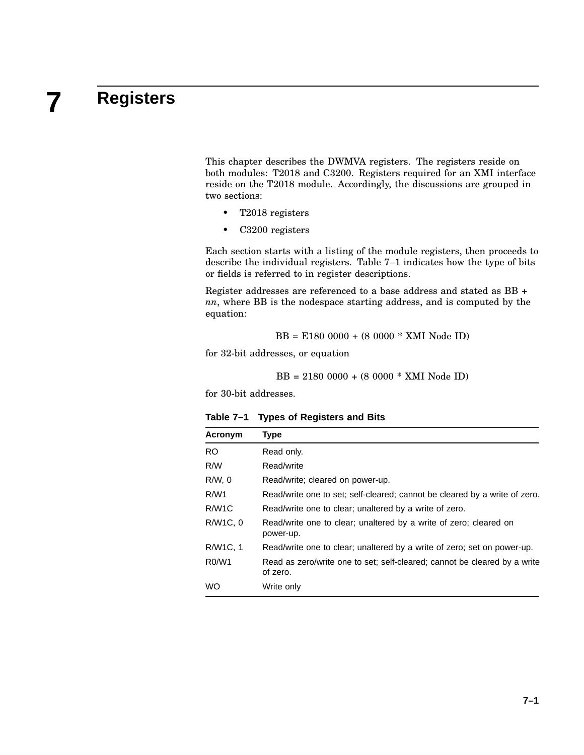# **7 Registers**

This chapter describes the DWMVA registers. The registers reside on both modules: T2018 and C3200. Registers required for an XMI interface reside on the T2018 module. Accordingly, the discussions are grouped in two sections:

- T2018 registers
- C3200 registers

Each section starts with a listing of the module registers, then proceeds to describe the individual registers. Table 7–1 indicates how the type of bits or fields is referred to in register descriptions.

Register addresses are referenced to a base address and stated as BB + *nn*, where BB is the nodespace starting address, and is computed by the equation:

$$
BB = E180\ 0000 + (8\ 0000 * XML\ Node\ ID)
$$

for 32-bit addresses, or equation

$$
BB = 2180\ 0000 + (8\ 0000 * XML\ Node\ ID)
$$

for 30-bit addresses.

| Acronym            | Type                                                                                  |
|--------------------|---------------------------------------------------------------------------------------|
| <b>RO</b>          | Read only.                                                                            |
| R/W                | Read/write                                                                            |
| $R/W$ , $0$        | Read/write; cleared on power-up.                                                      |
| R/W1               | Read/write one to set; self-cleared; cannot be cleared by a write of zero.            |
| R/W <sub>1</sub> C | Read/write one to clear; unaltered by a write of zero.                                |
| R/W1C, 0           | Read/write one to clear; unaltered by a write of zero; cleared on<br>power-up.        |
| R/W1C, 1           | Read/write one to clear; unaltered by a write of zero; set on power-up.               |
| R0/W1              | Read as zero/write one to set; self-cleared; cannot be cleared by a write<br>of zero. |
| <b>WO</b>          | Write only                                                                            |

**Table 7–1 Types of Registers and Bits**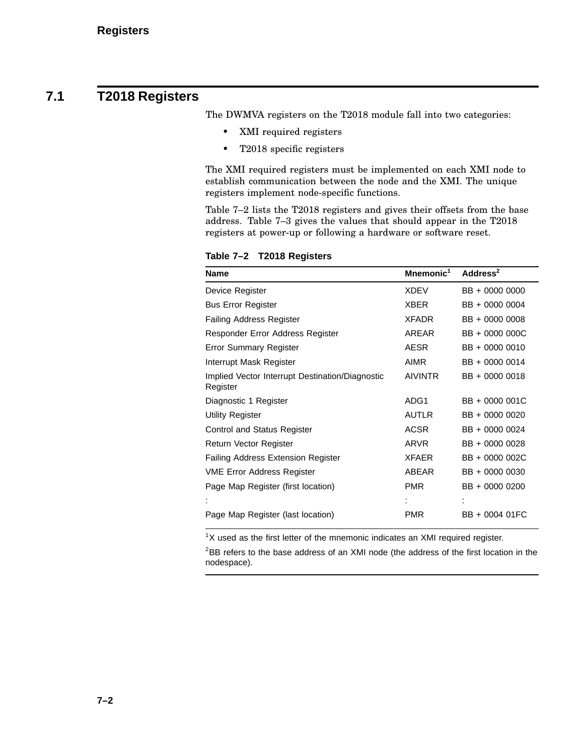# **7.1 T2018 Registers**

The DWMVA registers on the T2018 module fall into two categories:

- XMI required registers
- T2018 specific registers

The XMI required registers must be implemented on each XMI node to establish communication between the node and the XMI. The unique registers implement node-specific functions.

Table 7–2 lists the T2018 registers and gives their offsets from the base address. Table 7–3 gives the values that should appear in the T2018 registers at power-up or following a hardware or software reset.

| <b>Name</b>                                                 | Mnemonic <sup>1</sup> | Address <sup>2</sup> |
|-------------------------------------------------------------|-----------------------|----------------------|
| Device Register                                             | <b>XDEV</b>           | BB + 0000 0000       |
| <b>Bus Error Register</b>                                   | <b>XBER</b>           | BB + 0000 0004       |
| <b>Failing Address Register</b>                             | <b>XFADR</b>          | BB + 0000 0008       |
| Responder Error Address Register                            | AREAR                 | BB + 0000 000C       |
| <b>Error Summary Register</b>                               | AESR                  | BB + 0000 0010       |
| Interrupt Mask Register                                     | <b>AIMR</b>           | BB + 0000 0014       |
| Implied Vector Interrupt Destination/Diagnostic<br>Register | <b>AIVINTR</b>        | BB + 0000 0018       |
| Diagnostic 1 Register                                       | ADG1                  | BB + 0000 001C       |
| <b>Utility Register</b>                                     | <b>AUTLR</b>          | BB + 0000 0020       |
| Control and Status Register                                 | <b>ACSR</b>           | BB + 0000 0024       |
| Return Vector Register                                      | ARVR                  | BB + 0000 0028       |
| <b>Failing Address Extension Register</b>                   | <b>XFAER</b>          | BB + 0000 002C       |
| <b>VME Error Address Register</b>                           | ABEAR                 | BB + 0000 0030       |
| Page Map Register (first location)                          | <b>PMR</b>            | BB + 0000 0200       |
|                                                             |                       |                      |
| Page Map Register (last location)                           | PMR                   | BB + 0004 01FC       |

**Table 7–2 T2018 Registers**

 $1X$  used as the first letter of the mnemonic indicates an XMI required register.

<sup>2</sup>BB refers to the base address of an XMI node (the address of the first location in the nodespace).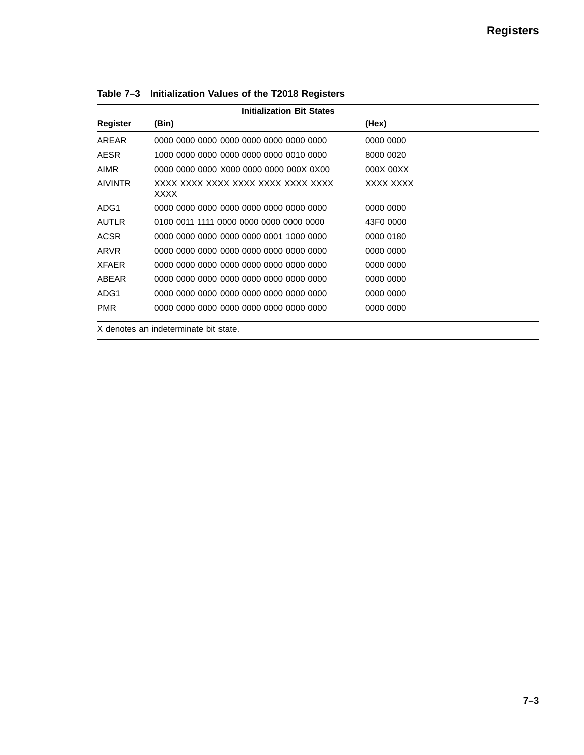| <b>Initialization Bit States</b> |                                                   |           |  |
|----------------------------------|---------------------------------------------------|-----------|--|
| Register                         | (Bin)                                             | (Hex)     |  |
| AREAR                            | 0000 0000 0000 0000 0000 0000 0000 0000           | 0000 0000 |  |
| <b>AESR</b>                      | 1000 0000 0000 0000 0000 0000 0010 0000           | 8000 0020 |  |
| AIMR                             | 0000 0000 0000 X000 0000 0000 000X 0X00           | 000X 00XX |  |
| <b>AIVINTR</b>                   | XXXX XXXX XXXX XXXX XXXX XXXX XXXX<br><b>XXXX</b> | XXXX XXXX |  |
| ADG1                             | .0000 0000 0000 0000 0000 0000 0000 0000          | 0000 0000 |  |
| <b>AUTLR</b>                     | 0100 0011 1111 0000 0000 0000 0000 0000           | 43F0 0000 |  |
| <b>ACSR</b>                      | 0000 0000 0000 0000 0000 0001 1000 0000           | 0000 0180 |  |
| ARVR                             | 0000 0000 0000 0000 0000 0000 0000 0000           | 0000 0000 |  |
| <b>XFAER</b>                     | 0000 0000 0000 0000 0000 0000 0000 0000           | 0000 0000 |  |
| ABEAR                            | 0000 0000 0000 0000 0000 0000 0000 0000           | 0000 0000 |  |
| ADG1                             | 0000 0000 0000 0000 0000 0000 0000 0000           | 0000 0000 |  |
| <b>PMR</b>                       | 0000 0000 0000 0000 0000 0000 0000 0000           | 0000 0000 |  |

**Table 7–3 Initialization Values of the T2018 Registers**

X denotes an indeterminate bit state.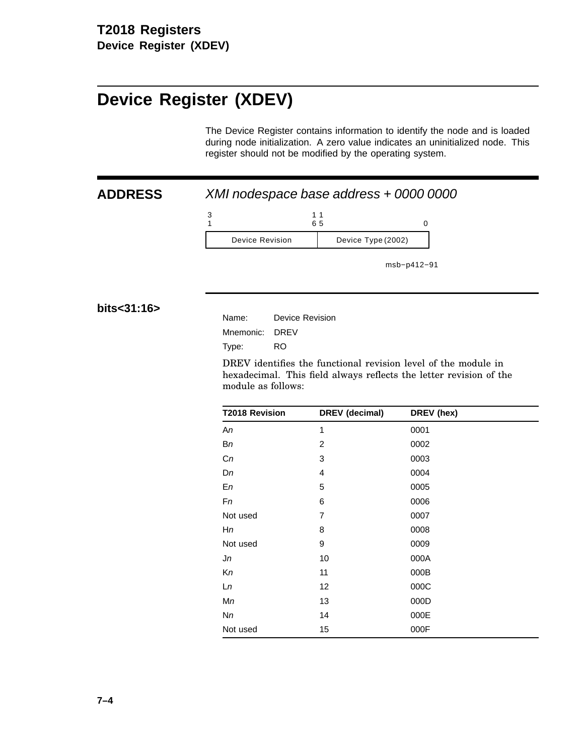# **Device Register (XDEV)**

The Device Register contains information to identify the node and is loaded during node initialization. A zero value indicates an uninitialized node. This register should not be modified by the operating system.

**ADDRESS** XMI nodespace base address + 0000 0000

3 1 1 6 1 5 0 Device Revision | Device Type (2002)

msb−p412−91

**bits<31:16>**

| Device Revision |
|-----------------|
| Mnemonic: DREV  |
| RO              |
|                 |

DREV identifies the functional revision level of the module in hexadecimal. This field always reflects the letter revision of the module as follows:

| <b>T2018 Revision</b> | DREV (decimal) | DREV (hex) |
|-----------------------|----------------|------------|
| An                    | 1              | 0001       |
| Вn                    | $\overline{2}$ | 0002       |
| Cn                    | 3              | 0003       |
| Dn                    | 4              | 0004       |
| En                    | 5              | 0005       |
| Fn                    | 6              | 0006       |
| Not used              | 7              | 0007       |
| Hn                    | 8              | 0008       |
| Not used              | 9              | 0009       |
| Jn                    | 10             | 000A       |
| Кn                    | 11             | 000B       |
| Ln                    | 12             | 000C       |
| Мn                    | 13             | 000D       |
| Nn                    | 14             | 000E       |
| Not used              | 15             | 000F       |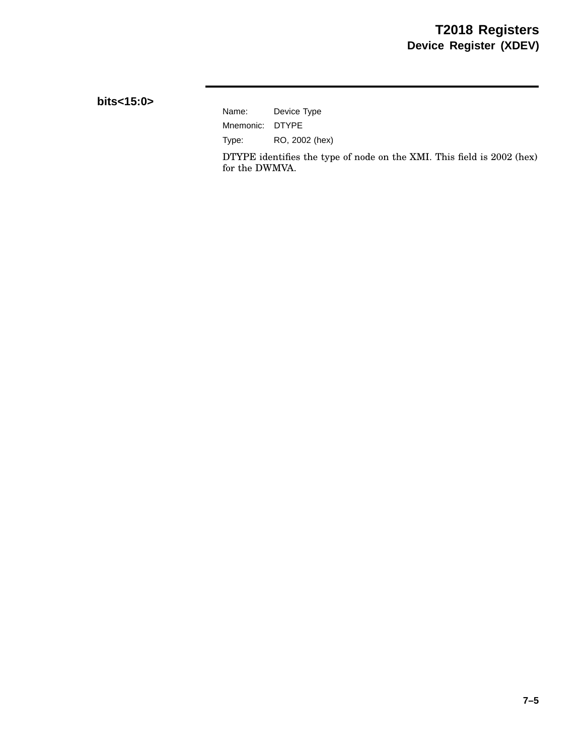**bits<15:0>**

Name: Device Type Mnemonic: DTYPE Type: RO, 2002 (hex)

DTYPE identifies the type of node on the XMI. This field is 2002 (hex) for the DWMVA.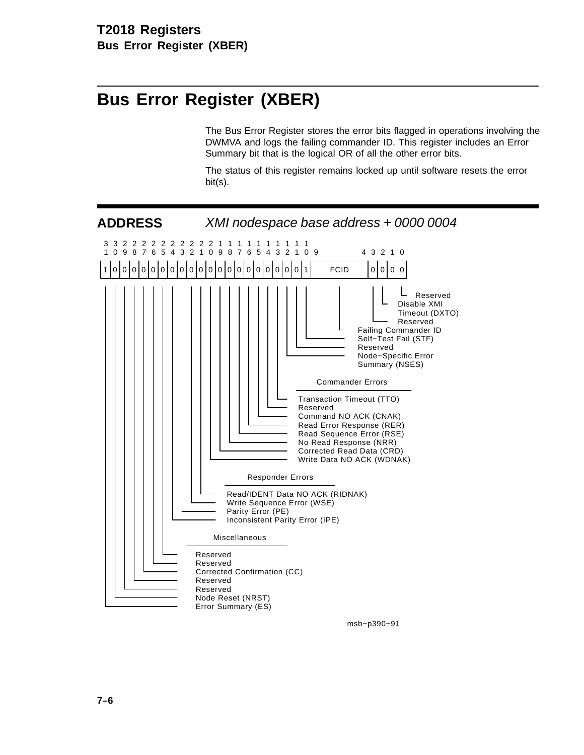# **Bus Error Register (XBER)**

The Bus Error Register stores the error bits flagged in operations involving the DWMVA and logs the failing commander ID. This register includes an Error Summary bit that is the logical OR of all the other error bits.

The status of this register remains locked up until software resets the error bit(s).



msb−p390−91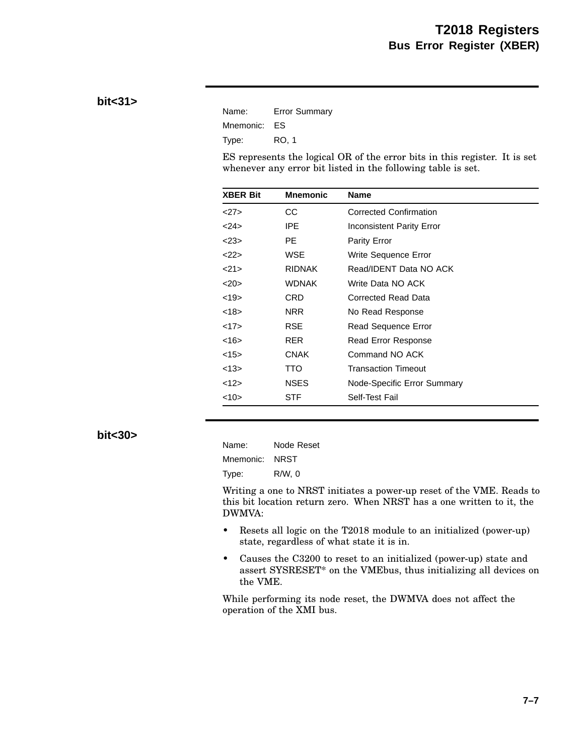### **bit<31>**

| Name:        | <b>Error Summary</b> |
|--------------|----------------------|
| Mnemonic: ES |                      |
| Type:        | RO. 1                |

ES represents the logical OR of the error bits in this register. It is set whenever any error bit listed in the following table is set.

| <b>XBER Bit</b> | <b>Mnemonic</b> | <b>Name</b>                   |
|-----------------|-----------------|-------------------------------|
| <27>            | CС              | <b>Corrected Confirmation</b> |
| $<$ 24>         | <b>IPE</b>      | Inconsistent Parity Error     |
| $<$ 23>         | PE.             | Parity Error                  |
| $22$ >          | <b>WSE</b>      | Write Sequence Error          |
| <21>            | <b>RIDNAK</b>   | Read/IDENT Data NO ACK        |
| 20              | WDNAK           | Write Data NO ACK             |
| <19             | CRD             | Corrected Read Data           |
| <18>            | NRR             | No Read Response              |
| <17>            | RSE             | Read Sequence Error           |
| <16>            | <b>RER</b>      | Read Error Response           |
| <15             | <b>CNAK</b>     | Command NO ACK                |
| <13>            | <b>TTO</b>      | Transaction Timeout           |
| <12>            | <b>NSES</b>     | Node-Specific Error Summary   |
| $<10$ >         | STF             | Self-Test Fail                |

#### **bit<30>**

| Name:     | Node Reset  |
|-----------|-------------|
| Mnemonic: | <b>NRST</b> |
| Type:     | $R/W$ , 0   |

Writing a one to NRST initiates a power-up reset of the VME. Reads to this bit location return zero. When NRST has a one written to it, the DWMVA:

- Resets all logic on the T2018 module to an initialized (power-up) state, regardless of what state it is in.
- Causes the C3200 to reset to an initialized (power-up) state and assert SYSRESET\* on the VMEbus, thus initializing all devices on the VME.

While performing its node reset, the DWMVA does not affect the operation of the XMI bus.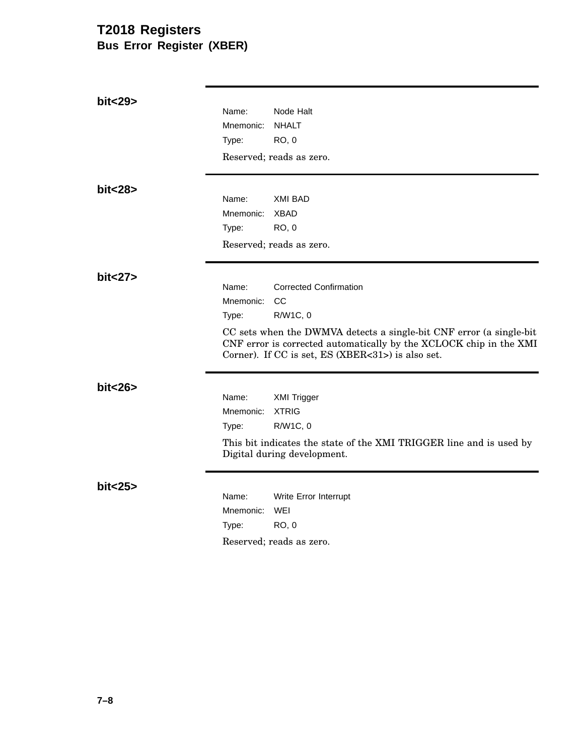# **T2018 Registers Bus Error Register (XBER)**

| bit<29>  | Name:<br>Mnemonic:<br>Type: | Node Halt<br><b>NHALT</b><br><b>RO, 0</b><br>Reserved; reads as zero.                                                                                                                                                                             |
|----------|-----------------------------|---------------------------------------------------------------------------------------------------------------------------------------------------------------------------------------------------------------------------------------------------|
| bit < 28 | Name:<br>Mnemonic:<br>Type: | <b>XMI BAD</b><br><b>XBAD</b><br><b>RO, 0</b><br>Reserved; reads as zero.                                                                                                                                                                         |
| bit < 27 | Name:<br>Mnemonic:<br>Type: | <b>Corrected Confirmation</b><br>CC<br>R/W1C, 0<br>CC sets when the DWMVA detects a single-bit CNF error (a single-bit<br>CNF error is corrected automatically by the XCLOCK chip in the XMI<br>Corner). If CC is set, ES (XBER<31>) is also set. |
| bit < 26 | Name:<br>Mnemonic:<br>Type: | <b>XMI Trigger</b><br><b>XTRIG</b><br>R/W1C, 0<br>This bit indicates the state of the XMI TRIGGER line and is used by<br>Digital during development.                                                                                              |
| bit < 25 | Name:<br>Mnemonic:<br>Type: | Write Error Interrupt<br>WEI<br><b>RO, 0</b><br>Reserved; reads as zero.                                                                                                                                                                          |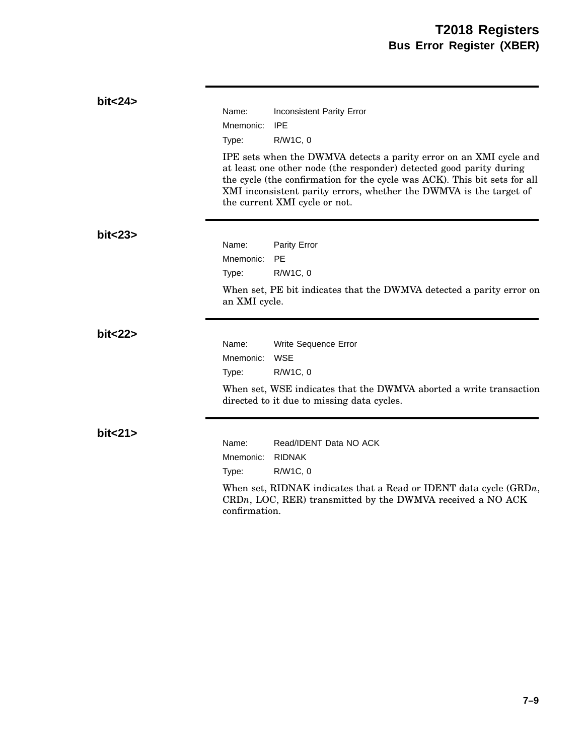| bit < 24 | Name:<br>Mnemonic:<br>Type:                  | <b>Inconsistent Parity Error</b><br><b>IPE</b><br>R/W1C, 0<br>IPE sets when the DWMVA detects a parity error on an XMI cycle and<br>at least one other node (the responder) detected good parity during<br>the cycle (the confirmation for the cycle was ACK). This bit sets for all |
|----------|----------------------------------------------|--------------------------------------------------------------------------------------------------------------------------------------------------------------------------------------------------------------------------------------------------------------------------------------|
|          |                                              | XMI inconsistent parity errors, whether the DWMVA is the target of<br>the current XMI cycle or not.                                                                                                                                                                                  |
| bit < 23 | Name:<br>Mnemonic:<br>Type:<br>an XMI cycle. | Parity Error<br>PE<br>R/W1C, 0<br>When set, PE bit indicates that the DWMVA detected a parity error on                                                                                                                                                                               |
| bit < 22 | Name:<br>Mnemonic:<br>Type:                  | Write Sequence Error<br>WSE<br>R/W1C, 0<br>When set, WSE indicates that the DWMVA aborted a write transaction<br>directed to it due to missing data cycles.                                                                                                                          |
| bit < 21 | Name:<br>Mnemonic:<br>Type:<br>confirmation. | Read/IDENT Data NO ACK<br><b>RIDNAK</b><br>R/W1C, 0<br>When set, RIDNAK indicates that a Read or IDENT data cycle $(\text{GRD}n,$<br>$CRDn$ , LOC, RER) transmitted by the DWMVA received a NO ACK                                                                                   |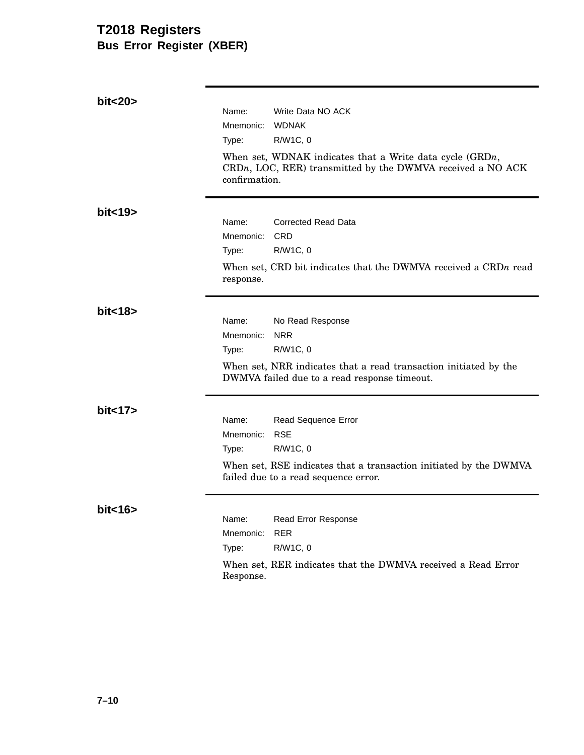## **T2018 Registers Bus Error Register (XBER)**

| bit<20>  |                    |                                                                                                                             |
|----------|--------------------|-----------------------------------------------------------------------------------------------------------------------------|
|          | Name:              | Write Data NO ACK<br><b>WDNAK</b>                                                                                           |
|          | Mnemonic:<br>Type: | R/W1C, 0                                                                                                                    |
|          |                    |                                                                                                                             |
|          | confirmation.      | When set, WDNAK indicates that a Write data cycle $(GRDn,$<br>$CRDn$ , LOC, RER) transmitted by the DWMVA received a NO ACK |
| bit < 19 |                    |                                                                                                                             |
|          | Name:              | <b>Corrected Read Data</b>                                                                                                  |
|          | Mnemonic:          | <b>CRD</b>                                                                                                                  |
|          | Type:              | R/W1C, 0                                                                                                                    |
|          | response.          | When set, CRD bit indicates that the DWMVA received a CRDn read                                                             |
| bit < 18 |                    |                                                                                                                             |
|          | Name:              | No Read Response                                                                                                            |
|          | Mnemonic:          | <b>NRR</b>                                                                                                                  |
|          | Type:              | R/W1C, 0                                                                                                                    |
|          |                    | When set, NRR indicates that a read transaction initiated by the<br>DWMVA failed due to a read response timeout.            |
| bit < 17 |                    |                                                                                                                             |
|          | Name:              | Read Sequence Error                                                                                                         |
|          | Mnemonic:          | <b>RSE</b>                                                                                                                  |
|          | Type:              | R/W1C, 0                                                                                                                    |
|          |                    | When set, RSE indicates that a transaction initiated by the DWMVA<br>failed due to a read sequence error.                   |
| bit < 16 |                    |                                                                                                                             |
|          | Name:              | Read Error Response                                                                                                         |
|          | Mnemonic:          | <b>RER</b>                                                                                                                  |
|          | Type:              | R/W1C, 0                                                                                                                    |
|          | Response.          | When set, RER indicates that the DWMVA received a Read Error                                                                |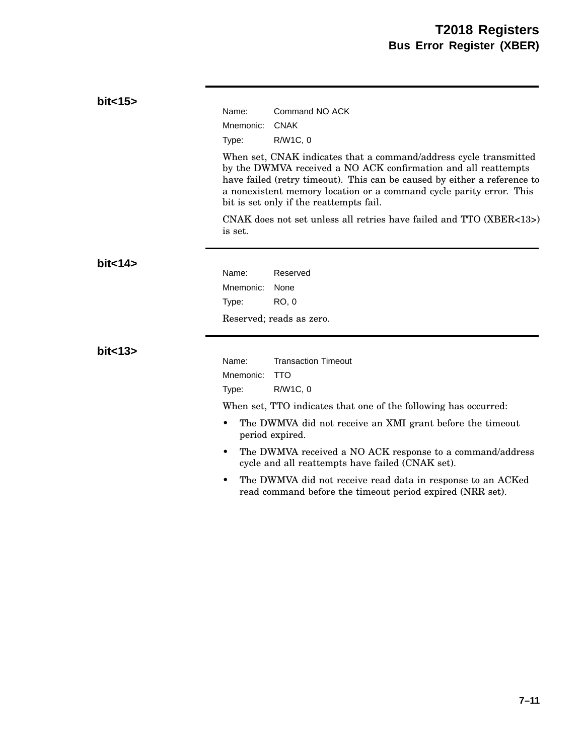| bit < 15 | Name:<br>Command NO ACK<br><b>CNAK</b><br>Mnemonic:<br>R/W1C, 0<br>Type:<br>When set, CNAK indicates that a command/address cycle transmitted<br>by the DWMVA received a NO ACK confirmation and all reattempts<br>have failed (retry timeout). This can be caused by either a reference to<br>a nonexistent memory location or a command cycle parity error. This<br>bit is set only if the reattempts fail.<br>CNAK does not set unless all retries have failed and TTO (XBER<13>)<br>is set. |
|----------|-------------------------------------------------------------------------------------------------------------------------------------------------------------------------------------------------------------------------------------------------------------------------------------------------------------------------------------------------------------------------------------------------------------------------------------------------------------------------------------------------|
| bit < 14 | Name:<br>Reserved<br>Mnemonic:<br>None<br>RO, 0<br>Type:<br>Reserved; reads as zero.                                                                                                                                                                                                                                                                                                                                                                                                            |
| bit < 13 | <b>Transaction Timeout</b><br>Name:<br>Mnemonic:<br><b>TTO</b><br>R/W1C, 0<br>Type:<br>When set, TTO indicates that one of the following has occurred:<br>The DWMVA did not receive an XMI grant before the timeout<br>period expired.<br>The DWMVA received a NO ACK response to a command/address<br>٠<br>cycle and all reattempts have failed (CNAK set).<br>The DWMVA did not receive read data in response to an ACKed<br>read command before the timeout period expired (NRR set).        |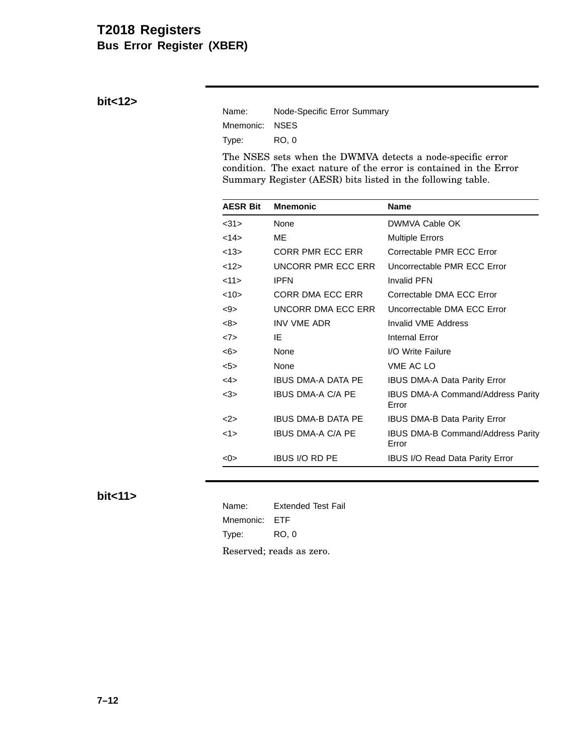## **T2018 Registers Bus Error Register (XBER)**

**bit<12>**

| Name:          | Node-Specific Error Summary |
|----------------|-----------------------------|
| Mnemonic: NSES |                             |
| Type:          | RO. 0                       |

The NSES sets when the DWMVA detects a node-specific error condition. The exact nature of the error is contained in the Error Summary Register (AESR) bits listed in the following table.

| <b>AESR Bit</b> | <b>Mnemonic</b>           | <b>Name</b>                                       |
|-----------------|---------------------------|---------------------------------------------------|
| <31>            | <b>None</b>               | DWMVA Cable OK                                    |
| $14$            | МE                        | <b>Multiple Errors</b>                            |
| <13>            | CORR PMR ECC ERR          | Correctable PMR ECC Error                         |
| <12>            | UNCORR PMR ECC ERR        | Uncorrectable PMR ECC Error                       |
| <11>            | <b>IPFN</b>               | <b>Invalid PFN</b>                                |
| <10>            | CORR DMA ECC ERR          | Correctable DMA ECC Error                         |
| <9>             | UNCORR DMA ECC ERR        | Uncorrectable DMA ECC Error                       |
| <8>             | <b>INV VME ADR</b>        | Invalid VME Address                               |
| <7>             | IE                        | Internal Error                                    |
| <6>             | None                      | I/O Write Failure                                 |
| 5               | None                      | <b>VME AC LO</b>                                  |
| $<$ 4>          | <b>IBUS DMA-A DATA PE</b> | IBUS DMA-A Data Parity Error                      |
| $<$ 3>          | <b>IBUS DMA-A C/A PE</b>  | IBUS DMA-A Command/Address Parity<br>Error        |
| $<$ 2>          | IBUS DMA-B DATA PE        | <b>IBUS DMA-B Data Parity Error</b>               |
| 1>              | <b>IBUS DMA-A C/A PE</b>  | <b>IBUS DMA-B Command/Address Parity</b><br>Error |
| <0>             | <b>IBUS I/O RD PE</b>     | <b>IBUS I/O Read Data Parity Error</b>            |

**bit<11>**

Name: Extended Test Fail Mnemonic: ETF Type: RO, 0 Reserved; reads as zero.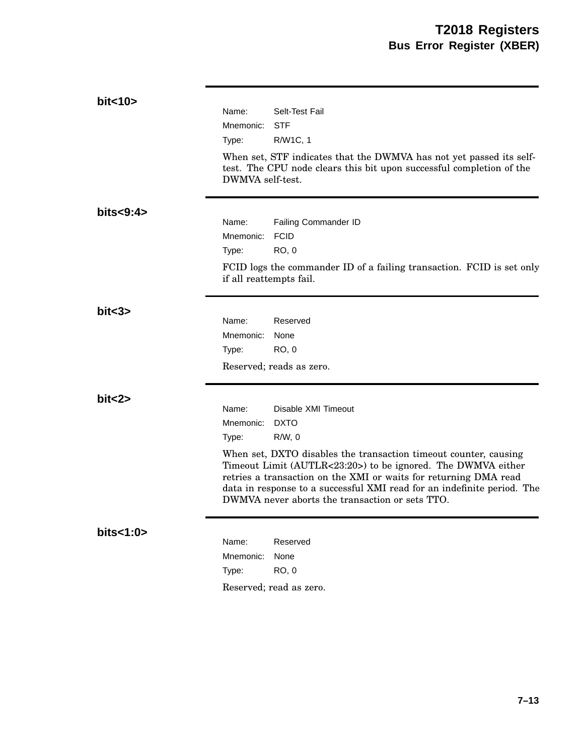| bit < 10    |                         |                                                                                                                                                                                                                                                                                                                                    |
|-------------|-------------------------|------------------------------------------------------------------------------------------------------------------------------------------------------------------------------------------------------------------------------------------------------------------------------------------------------------------------------------|
|             | Name:                   | Selt-Test Fail                                                                                                                                                                                                                                                                                                                     |
|             | Mnemonic:               | <b>STF</b>                                                                                                                                                                                                                                                                                                                         |
|             | Type:                   | R/W1C, 1                                                                                                                                                                                                                                                                                                                           |
|             | DWMVA self-test.        | When set, STF indicates that the DWMVA has not yet passed its self-<br>test. The CPU node clears this bit upon successful completion of the                                                                                                                                                                                        |
| bits < 9:4> |                         |                                                                                                                                                                                                                                                                                                                                    |
|             | Name:                   | Failing Commander ID                                                                                                                                                                                                                                                                                                               |
|             | Mnemonic:               | <b>FCID</b>                                                                                                                                                                                                                                                                                                                        |
|             | Type:                   | <b>RO, 0</b>                                                                                                                                                                                                                                                                                                                       |
|             | if all reattempts fail. | FCID logs the commander ID of a failing transaction. FCID is set only                                                                                                                                                                                                                                                              |
| bits3>      |                         |                                                                                                                                                                                                                                                                                                                                    |
|             | Name:                   | Reserved                                                                                                                                                                                                                                                                                                                           |
|             | Mnemonic:               | None                                                                                                                                                                                                                                                                                                                               |
|             | Type:                   | <b>RO, 0</b>                                                                                                                                                                                                                                                                                                                       |
|             |                         | Reserved; reads as zero.                                                                                                                                                                                                                                                                                                           |
| bit < 2>    |                         |                                                                                                                                                                                                                                                                                                                                    |
|             | Name:                   | Disable XMI Timeout                                                                                                                                                                                                                                                                                                                |
|             | Mnemonic:               | <b>DXTO</b>                                                                                                                                                                                                                                                                                                                        |
|             | Type:                   | $R/W$ , 0                                                                                                                                                                                                                                                                                                                          |
|             |                         | When set, DXTO disables the transaction timeout counter, causing<br>Timeout Limit (AUTLR<23:20>) to be ignored. The DWMVA either<br>retries a transaction on the XMI or waits for returning DMA read<br>data in response to a successful XMI read for an indefinite period. The<br>DWMVA never aborts the transaction or sets TTO. |
| bits<1:0>   | Name:                   | Reserved                                                                                                                                                                                                                                                                                                                           |
|             | Mnemonic:               | None                                                                                                                                                                                                                                                                                                                               |
|             | Type:                   | <b>RO, 0</b>                                                                                                                                                                                                                                                                                                                       |
|             |                         | Reserved; read as zero.                                                                                                                                                                                                                                                                                                            |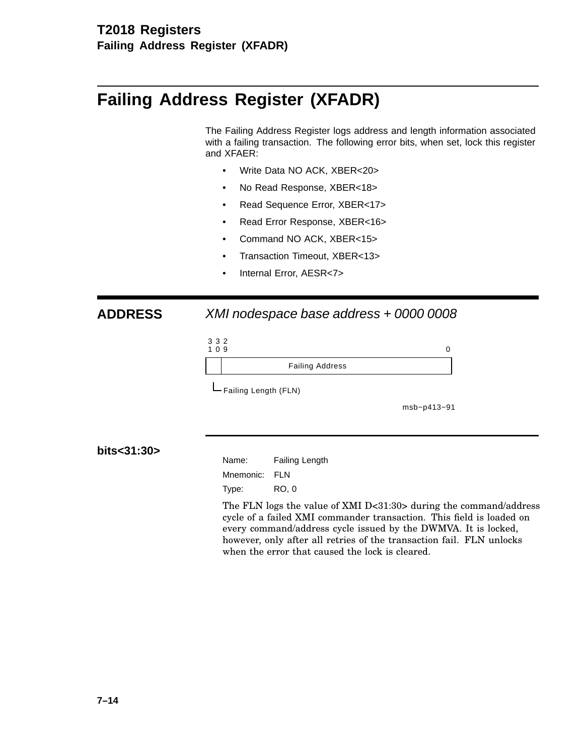# **Failing Address Register (XFADR)**

The Failing Address Register logs address and length information associated with a failing transaction. The following error bits, when set, lock this register and XFAER:

- Write Data NO ACK, XBER<20>
- No Read Response, XBER<18>
- Read Sequence Error, XBER<17>
- Read Error Response, XBER<16>
- Command NO ACK, XBER<15>
- Transaction Timeout, XBER<13>
- Internal Error, AESR<7>

## **ADDRESS** XMI nodespace base address + 0000 0008

| ×<br>۰. | ×<br>v |  |
|---------|--------|--|
|         |        |  |

#### 1 0 9 0 Failing Address

Failing Length (FLN)

msb−p413−91

### **bits<31:30>**

Name: Failing Length Mnemonic: FLN Type: RO, 0

The FLN logs the value of XMI D<31:30> during the command/address cycle of a failed XMI commander transaction. This field is loaded on every command/address cycle issued by the DWMVA. It is locked, however, only after all retries of the transaction fail. FLN unlocks when the error that caused the lock is cleared.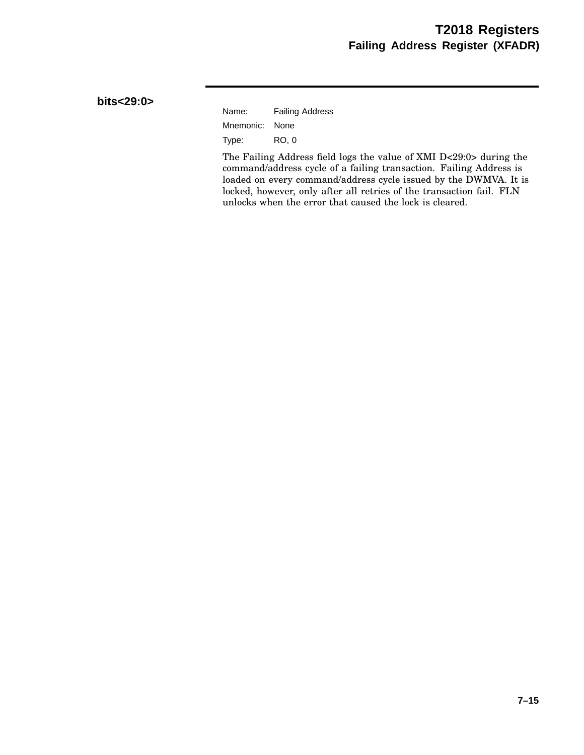### **bits<29:0>**

| Name:          | <b>Failing Address</b> |
|----------------|------------------------|
| Mnemonic: None |                        |
| Type:          | RO. 0                  |

The Failing Address field logs the value of XMI D<29:0> during the command/address cycle of a failing transaction. Failing Address is loaded on every command/address cycle issued by the DWMVA. It is locked, however, only after all retries of the transaction fail. FLN unlocks when the error that caused the lock is cleared.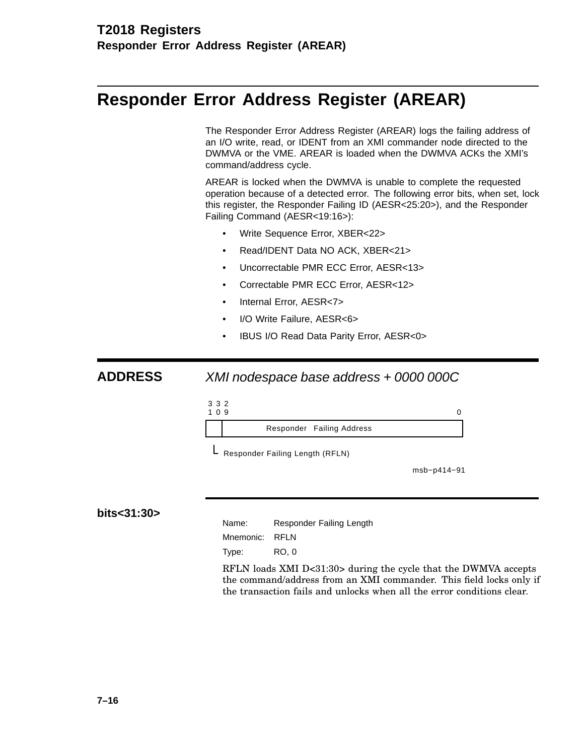## **Responder Error Address Register (AREAR)**

The Responder Error Address Register (AREAR) logs the failing address of an I/O write, read, or IDENT from an XMI commander node directed to the DWMVA or the VME. AREAR is loaded when the DWMVA ACKs the XMI's command/address cycle.

AREAR is locked when the DWMVA is unable to complete the requested operation because of a detected error. The following error bits, when set, lock this register, the Responder Failing ID (AESR<25:20>), and the Responder Failing Command (AESR<19:16>):

- Write Sequence Error, XBER<22>
- Read/IDENT Data NO ACK, XBER<21>
- Uncorrectable PMR ECC Error, AESR<13>
- Correctable PMR ECC Error, AESR<12>
- Internal Error, AESR<7>
- I/O Write Failure, AESR<6>
- IBUS I/O Read Data Parity Error, AESR<0>

### **ADDRESS** XMI nodespace base address + 0000 000C





L Responder Failing Length (RFLN)

msb−p414−91

**bits<31:30>**

Name: Responder Failing Length

Mnemonic: RFLN

Type: RO, 0

RFLN loads XMI D<31:30> during the cycle that the DWMVA accepts the command/address from an XMI commander. This field locks only if the transaction fails and unlocks when all the error conditions clear.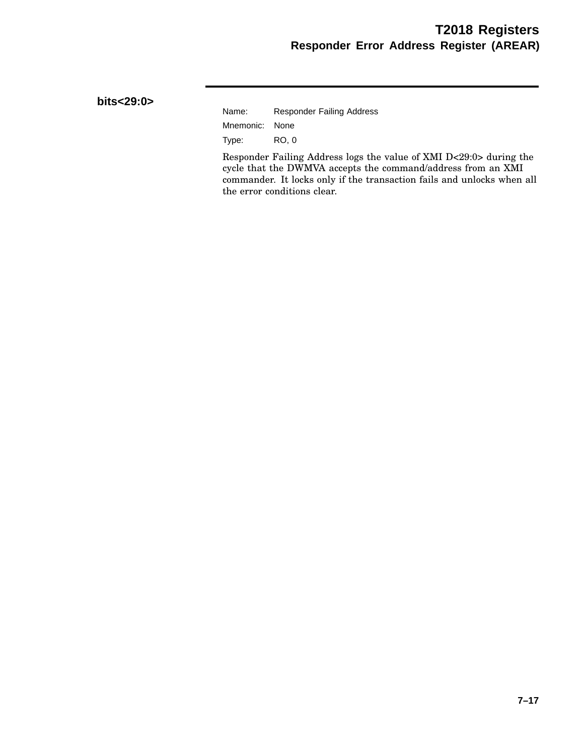### **bits<29:0>**

| Name:          | <b>Responder Failing Address</b> |
|----------------|----------------------------------|
| Mnemonic: None |                                  |
| Type:          | RO. 0                            |

Responder Failing Address logs the value of XMI D<29:0> during the cycle that the DWMVA accepts the command/address from an XMI commander. It locks only if the transaction fails and unlocks when all the error conditions clear.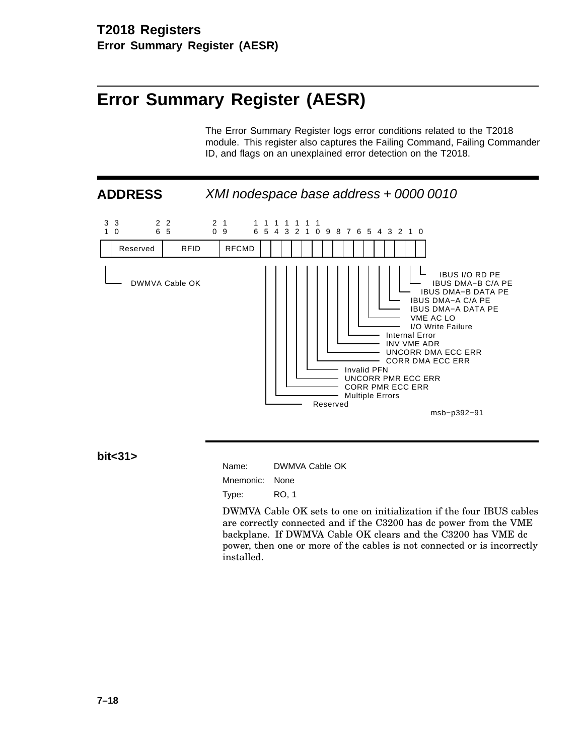# **Error Summary Register (AESR)**

The Error Summary Register logs error conditions related to the T2018 module. This register also captures the Failing Command, Failing Commander ID, and flags on an unexplained error detection on the T2018.

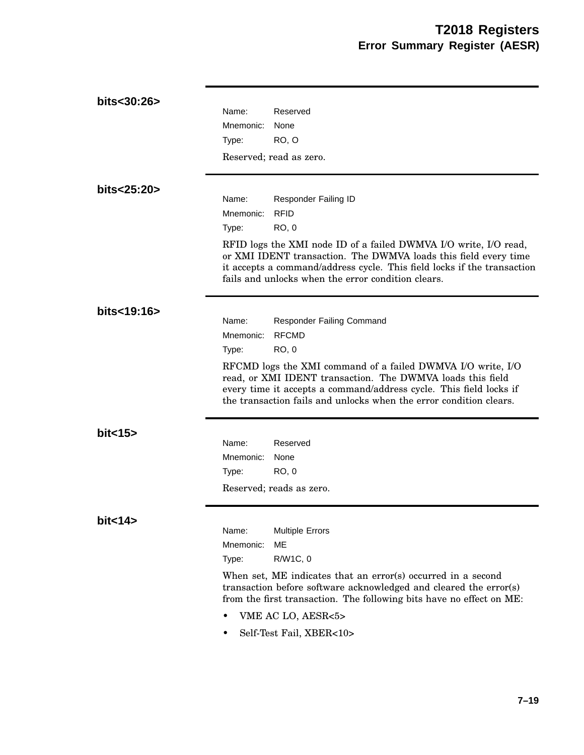| bits<30:26> | Name:<br>Reserved                                                                                                                                                                                                                                                     |
|-------------|-----------------------------------------------------------------------------------------------------------------------------------------------------------------------------------------------------------------------------------------------------------------------|
|             | Mnemonic:<br>None                                                                                                                                                                                                                                                     |
|             | RO, O<br>Type:                                                                                                                                                                                                                                                        |
|             | Reserved; read as zero.                                                                                                                                                                                                                                               |
| bits<25:20> |                                                                                                                                                                                                                                                                       |
|             | Name:<br>Responder Failing ID<br><b>RFID</b><br>Mnemonic:                                                                                                                                                                                                             |
|             | RO, 0<br>Type:                                                                                                                                                                                                                                                        |
|             | RFID logs the XMI node ID of a failed DWMVA I/O write, I/O read,<br>or XMI IDENT transaction. The DWMVA loads this field every time<br>it accepts a command/address cycle. This field locks if the transaction<br>fails and unlocks when the error condition clears.  |
| bits<19:16> |                                                                                                                                                                                                                                                                       |
|             | Name:<br><b>Responder Failing Command</b>                                                                                                                                                                                                                             |
|             | <b>RFCMD</b><br>Mnemonic:<br><b>RO, 0</b><br>Type:                                                                                                                                                                                                                    |
|             | RFCMD logs the XMI command of a failed DWMVA I/O write, I/O<br>read, or XMI IDENT transaction. The DWMVA loads this field<br>every time it accepts a command/address cycle. This field locks if<br>the transaction fails and unlocks when the error condition clears. |
| bit < 15    |                                                                                                                                                                                                                                                                       |
|             | Name:<br>Reserved                                                                                                                                                                                                                                                     |
|             | Mnemonic:<br>None                                                                                                                                                                                                                                                     |
|             | <b>RO, 0</b><br>Type:                                                                                                                                                                                                                                                 |
|             | Reserved; reads as zero.                                                                                                                                                                                                                                              |
| bit < 14    |                                                                                                                                                                                                                                                                       |
|             | Name:<br><b>Multiple Errors</b>                                                                                                                                                                                                                                       |
|             | <b>ME</b><br>Mnemonic:<br>R/W1C, 0<br>Type:                                                                                                                                                                                                                           |
|             |                                                                                                                                                                                                                                                                       |
|             | When set, ME indicates that an error(s) occurred in a second<br>transaction before software acknowledged and cleared the error(s)<br>from the first transaction. The following bits have no effect on ME:                                                             |
|             | VME AC LO, AESR<5>                                                                                                                                                                                                                                                    |

• Self-Test Fail,  $XBER<10>$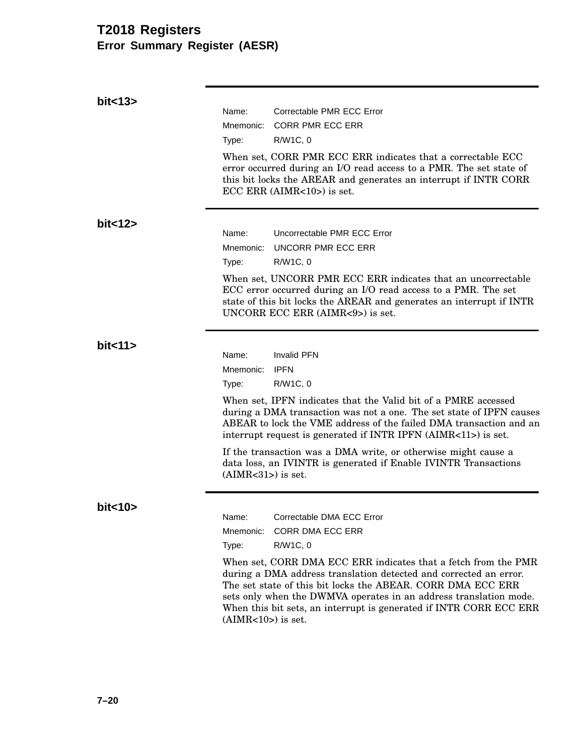## **T2018 Registers Error Summary Register (AESR)**

| bit < 13          |                      |                                                                                                                                                                                                                                                                                                                                               |
|-------------------|----------------------|-----------------------------------------------------------------------------------------------------------------------------------------------------------------------------------------------------------------------------------------------------------------------------------------------------------------------------------------------|
|                   | Name:                | Correctable PMR ECC Error                                                                                                                                                                                                                                                                                                                     |
|                   | Mnemonic:            | <b>CORR PMR ECC ERR</b>                                                                                                                                                                                                                                                                                                                       |
|                   | Type:                | R/W1C, 0                                                                                                                                                                                                                                                                                                                                      |
|                   |                      | When set, CORR PMR ECC ERR indicates that a correctable ECC<br>error occurred during an I/O read access to a PMR. The set state of<br>this bit locks the AREAR and generates an interrupt if INTR CORR<br>$ECC$ ERR (AIMR $<$ 10 $>$ ) is set.                                                                                                |
| bit < 12          |                      |                                                                                                                                                                                                                                                                                                                                               |
|                   | Name:                | Uncorrectable PMR ECC Error                                                                                                                                                                                                                                                                                                                   |
|                   | Mnemonic:            | UNCORR PMR ECC ERR                                                                                                                                                                                                                                                                                                                            |
|                   | Type:                | R/W1C, 0                                                                                                                                                                                                                                                                                                                                      |
|                   |                      | When set, UNCORR PMR ECC ERR indicates that an uncorrectable<br>ECC error occurred during an I/O read access to a PMR. The set<br>state of this bit locks the AREAR and generates an interrupt if INTR<br>UNCORR ECC ERR (AIMR<9>) is set.                                                                                                    |
| bit <sub>11</sub> |                      |                                                                                                                                                                                                                                                                                                                                               |
|                   | Name:                | <b>Invalid PFN</b>                                                                                                                                                                                                                                                                                                                            |
|                   | Mnemonic:            | <b>IPFN</b>                                                                                                                                                                                                                                                                                                                                   |
|                   | Type:                | R/W1C, 0                                                                                                                                                                                                                                                                                                                                      |
|                   |                      | When set, IPFN indicates that the Valid bit of a PMRE accessed<br>during a DMA transaction was not a one. The set state of IPFN causes<br>ABEAR to lock the VME address of the failed DMA transaction and an<br>interrupt request is generated if INTR IPFN (AIMR<11>) is set.                                                                |
|                   | $(AIMR<31>)$ is set. | If the transaction was a DMA write, or otherwise might cause a<br>data loss, an IVINTR is generated if Enable IVINTR Transactions                                                                                                                                                                                                             |
| bit < 10          |                      |                                                                                                                                                                                                                                                                                                                                               |
|                   | Name:                | Correctable DMA ECC Error                                                                                                                                                                                                                                                                                                                     |
|                   | Mnemonic:            | <b>CORR DMA ECC ERR</b>                                                                                                                                                                                                                                                                                                                       |
|                   | Type:                | R/W1C, 0                                                                                                                                                                                                                                                                                                                                      |
|                   | $(AIMR<10>)$ is set. | When set, CORR DMA ECC ERR indicates that a fetch from the PMR<br>during a DMA address translation detected and corrected an error.<br>The set state of this bit locks the ABEAR. CORR DMA ECC ERR<br>sets only when the DWMVA operates in an address translation mode.<br>When this bit sets, an interrupt is generated if INTR CORR ECC ERR |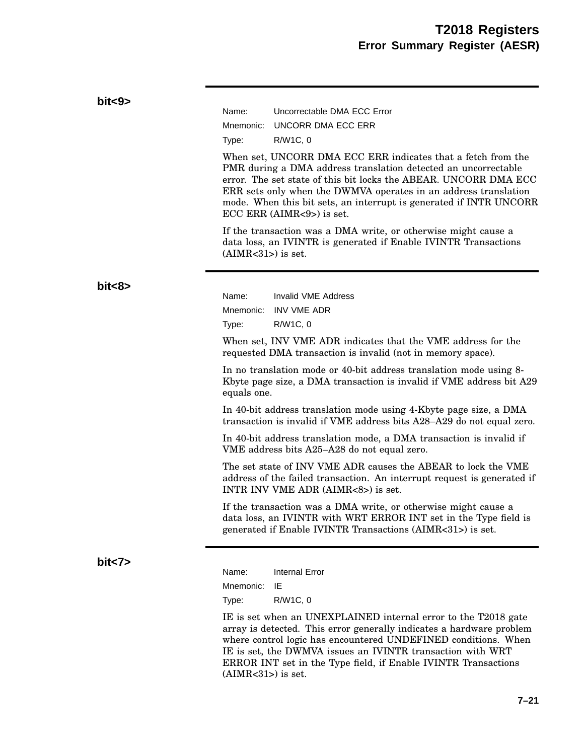| bits3> |                                                                                                                                                                                                                                                                                                                                                                                              |                                                                                                                                                                                                  |  |  |
|--------|----------------------------------------------------------------------------------------------------------------------------------------------------------------------------------------------------------------------------------------------------------------------------------------------------------------------------------------------------------------------------------------------|--------------------------------------------------------------------------------------------------------------------------------------------------------------------------------------------------|--|--|
|        | Name:                                                                                                                                                                                                                                                                                                                                                                                        | Uncorrectable DMA ECC Error                                                                                                                                                                      |  |  |
|        | Mnemonic:                                                                                                                                                                                                                                                                                                                                                                                    | UNCORR DMA ECC ERR                                                                                                                                                                               |  |  |
|        | Type:                                                                                                                                                                                                                                                                                                                                                                                        | R/W1C, 0                                                                                                                                                                                         |  |  |
|        | When set, UNCORR DMA ECC ERR indicates that a fetch from the<br>PMR during a DMA address translation detected an uncorrectable<br>error. The set state of this bit locks the ABEAR. UNCORR DMA ECC<br>ERR sets only when the DWMVA operates in an address translation<br>mode. When this bit sets, an interrupt is generated if INTR UNCORR<br>$ECC$ ERR (AIMR $\langle 9 \rangle$ ) is set. |                                                                                                                                                                                                  |  |  |
|        | If the transaction was a DMA write, or otherwise might cause a<br>data loss, an IVINTR is generated if Enable IVINTR Transactions<br>$(AIMR<31)$ is set.                                                                                                                                                                                                                                     |                                                                                                                                                                                                  |  |  |
| bits > |                                                                                                                                                                                                                                                                                                                                                                                              |                                                                                                                                                                                                  |  |  |
|        | Name:                                                                                                                                                                                                                                                                                                                                                                                        | <b>Invalid VME Address</b>                                                                                                                                                                       |  |  |
|        | Mnemonic:                                                                                                                                                                                                                                                                                                                                                                                    | <b>INV VME ADR</b>                                                                                                                                                                               |  |  |
|        | Type:                                                                                                                                                                                                                                                                                                                                                                                        | R/W1C, 0                                                                                                                                                                                         |  |  |
|        |                                                                                                                                                                                                                                                                                                                                                                                              | When set, INV VME ADR indicates that the VME address for the<br>requested DMA transaction is invalid (not in memory space).                                                                      |  |  |
|        | equals one.                                                                                                                                                                                                                                                                                                                                                                                  | In no translation mode or 40-bit address translation mode using 8-<br>Kbyte page size, a DMA transaction is invalid if VME address bit A29                                                       |  |  |
|        |                                                                                                                                                                                                                                                                                                                                                                                              | In 40-bit address translation mode using 4-Kbyte page size, a DMA<br>transaction is invalid if VME address bits A28-A29 do not equal zero.                                                       |  |  |
|        |                                                                                                                                                                                                                                                                                                                                                                                              | In 40-bit address translation mode, a DMA transaction is invalid if<br>VME address bits A25-A28 do not equal zero.                                                                               |  |  |
|        |                                                                                                                                                                                                                                                                                                                                                                                              | The set state of INV VME ADR causes the ABEAR to lock the VME<br>address of the failed transaction. An interrupt request is generated if<br>INTR INV VME ADR (AIMR<8>) is set.                   |  |  |
|        |                                                                                                                                                                                                                                                                                                                                                                                              | If the transaction was a DMA write, or otherwise might cause a<br>data loss, an IVINTR with WRT ERROR INT set in the Type field is<br>generated if Enable IVINTR Transactions (AIMR<31>) is set. |  |  |
| bits   | Name:                                                                                                                                                                                                                                                                                                                                                                                        | <b>Internal Error</b>                                                                                                                                                                            |  |  |
|        | Mnemonic:                                                                                                                                                                                                                                                                                                                                                                                    | IE                                                                                                                                                                                               |  |  |

Type: R/W1C, 0

IE is set when an UNEXPLAINED internal error to the T2018 gate array is detected. This error generally indicates a hardware problem where control logic has encountered UNDEFINED conditions. When IE is set, the DWMVA issues an IVINTR transaction with WRT ERROR INT set in the Type field, if Enable IVINTR Transactions  $(AIMR<31>)$  is set.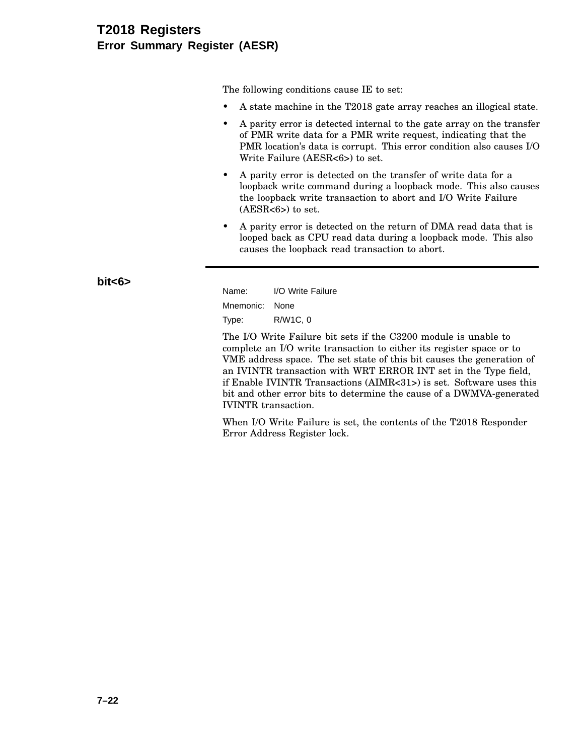### **T2018 Registers Error Summary Register (AESR)**

The following conditions cause IE to set:

- A state machine in the T2018 gate array reaches an illogical state.
- A parity error is detected internal to the gate array on the transfer of PMR write data for a PMR write request, indicating that the PMR location's data is corrupt. This error condition also causes I/O Write Failure (AESR<6>) to set.
- A parity error is detected on the transfer of write data for a loopback write command during a loopback mode. This also causes the loopback write transaction to abort and I/O Write Failure  $(AESR<6)$  to set.
- A parity error is detected on the return of DMA read data that is looped back as CPU read data during a loopback mode. This also causes the loopback read transaction to abort.

**bit<6>**

Name: I/O Write Failure Mnemonic: None Type: R/W1C, 0

The I/O Write Failure bit sets if the C3200 module is unable to complete an I/O write transaction to either its register space or to VME address space. The set state of this bit causes the generation of an IVINTR transaction with WRT ERROR INT set in the Type field, if Enable IVINTR Transactions (AIMR<31>) is set. Software uses this bit and other error bits to determine the cause of a DWMVA-generated IVINTR transaction.

When I/O Write Failure is set, the contents of the T2018 Responder Error Address Register lock.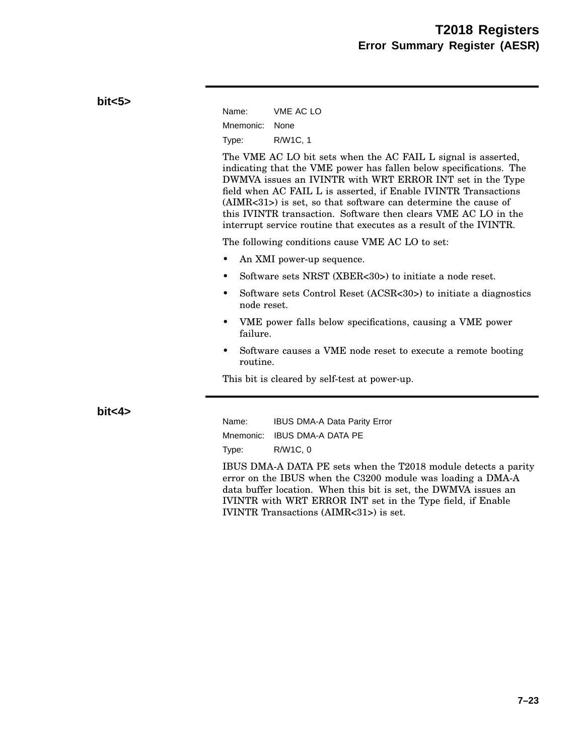| bits5   |                          |                                                                                                                                                                                                                                                                                                                                                                                                                                                                                |
|---------|--------------------------|--------------------------------------------------------------------------------------------------------------------------------------------------------------------------------------------------------------------------------------------------------------------------------------------------------------------------------------------------------------------------------------------------------------------------------------------------------------------------------|
|         | Name:                    | VME AC LO                                                                                                                                                                                                                                                                                                                                                                                                                                                                      |
|         | Mnemonic:                | None                                                                                                                                                                                                                                                                                                                                                                                                                                                                           |
|         | Type:                    | R/W1C, 1                                                                                                                                                                                                                                                                                                                                                                                                                                                                       |
|         |                          | The VME AC LO bit sets when the AC FAIL L signal is asserted,<br>indicating that the VME power has fallen below specifications. The<br>DWMVA issues an IVINTR with WRT ERROR INT set in the Type<br>field when AC FAIL L is asserted, if Enable IVINTR Transactions<br>$(AIMR<31)$ is set, so that software can determine the cause of<br>this IVINTR transaction. Software then clears VME AC LO in the<br>interrupt service routine that executes as a result of the IVINTR. |
|         |                          | The following conditions cause VME AC LO to set:                                                                                                                                                                                                                                                                                                                                                                                                                               |
|         | ٠                        | An XMI power-up sequence.                                                                                                                                                                                                                                                                                                                                                                                                                                                      |
|         | ٠                        | Software sets NRST (XBER<30>) to initiate a node reset.                                                                                                                                                                                                                                                                                                                                                                                                                        |
|         | $\bullet$<br>node reset. | Software sets Control Reset (ACSR<30>) to initiate a diagnostics                                                                                                                                                                                                                                                                                                                                                                                                               |
|         | ٠<br>failure.            | VME power falls below specifications, causing a VME power                                                                                                                                                                                                                                                                                                                                                                                                                      |
|         | $\bullet$<br>routine.    | Software causes a VME node reset to execute a remote booting                                                                                                                                                                                                                                                                                                                                                                                                                   |
|         |                          | This bit is cleared by self-test at power-up.                                                                                                                                                                                                                                                                                                                                                                                                                                  |
| bit < 4 | Name:                    | <b>IBUS DMA-A Data Parity Error</b>                                                                                                                                                                                                                                                                                                                                                                                                                                            |
|         |                          | Mnemonic: IBUS DMA-A DATA PE                                                                                                                                                                                                                                                                                                                                                                                                                                                   |
|         | Type:                    | R/W1C, 0                                                                                                                                                                                                                                                                                                                                                                                                                                                                       |
|         |                          |                                                                                                                                                                                                                                                                                                                                                                                                                                                                                |

IBUS DMA-A DATA PE sets when the T2018 module detects a parity error on the IBUS when the C3200 module was loading a DMA-A data buffer location. When this bit is set, the DWMVA issues an IVINTR with WRT ERROR INT set in the Type field, if Enable IVINTR Transactions (AIMR<31>) is set.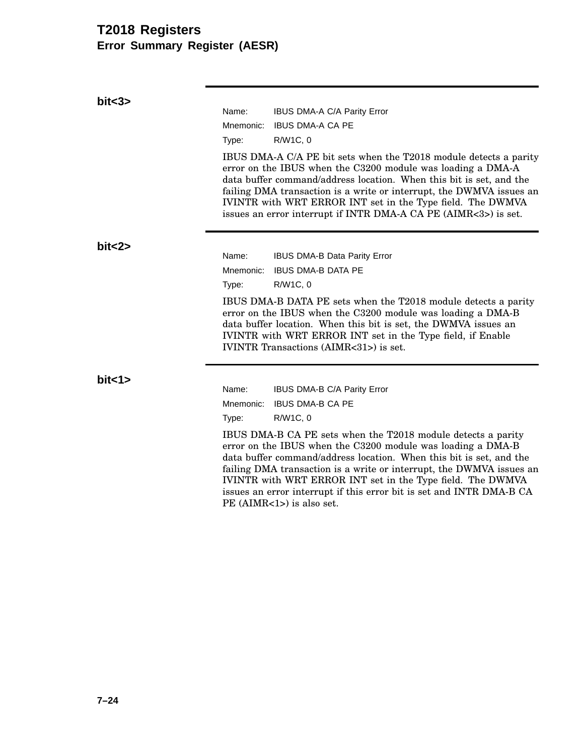### **T2018 Registers Error Summary Register (AESR)**

**bit<3>** Name: IBUS DMA-A C/A Parity Error Mnemonic: IBUS DMA-A CA PE Type: R/W1C, 0 IBUS DMA-A C/A PE bit sets when the T2018 module detects a parity error on the IBUS when the C3200 module was loading a DMA-A data buffer command/address location. When this bit is set, and the failing DMA transaction is a write or interrupt, the DWMVA issues an IVINTR with WRT ERROR INT set in the Type field. The DWMVA issues an error interrupt if INTR DMA-A CA PE (AIMR<3>) is set. **bit<2>** Name: IBUS DMA-B Data Parity Error Mnemonic: IBUS DMA-B DATA PE Type: R/W1C, 0 IBUS DMA-B DATA PE sets when the T2018 module detects a parity error on the IBUS when the C3200 module was loading a DMA-B data buffer location. When this bit is set, the DWMVA issues an IVINTR with WRT ERROR INT set in the Type field, if Enable IVINTR Transactions (AIMR<31>) is set. **bit<1>** Name: IBUS DMA-B C/A Parity Error Mnemonic: IBUS DMA-B CA PE Type: R/W1C, 0 IBUS DMA-B CA PE sets when the T2018 module detects a parity error on the IBUS when the C3200 module was loading a DMA-B data buffer command/address location. When this bit is set, and the failing DMA transaction is a write or interrupt, the DWMVA issues an IVINTR with WRT ERROR INT set in the Type field. The DWMVA issues an error interrupt if this error bit is set and INTR DMA-B CA PE (AIMR<1>) is also set.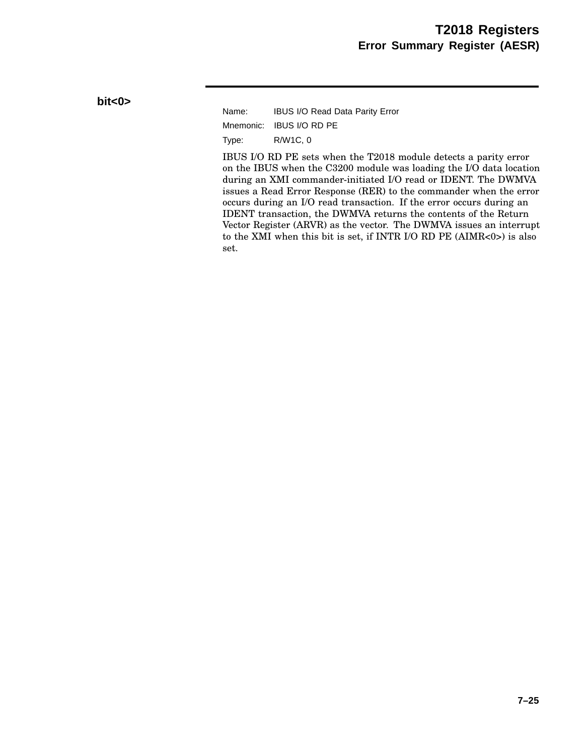#### **bit<0>**

Name: IBUS I/O Read Data Parity Error Mnemonic: IBUS I/O RD PE Type: R/W1C, 0

IBUS I/O RD PE sets when the T2018 module detects a parity error on the IBUS when the C3200 module was loading the I/O data location during an XMI commander-initiated I/O read or IDENT. The DWMVA issues a Read Error Response (RER) to the commander when the error occurs during an I/O read transaction. If the error occurs during an IDENT transaction, the DWMVA returns the contents of the Return Vector Register (ARVR) as the vector. The DWMVA issues an interrupt to the XMI when this bit is set, if INTR I/O RD PE (AIMR<0>) is also set.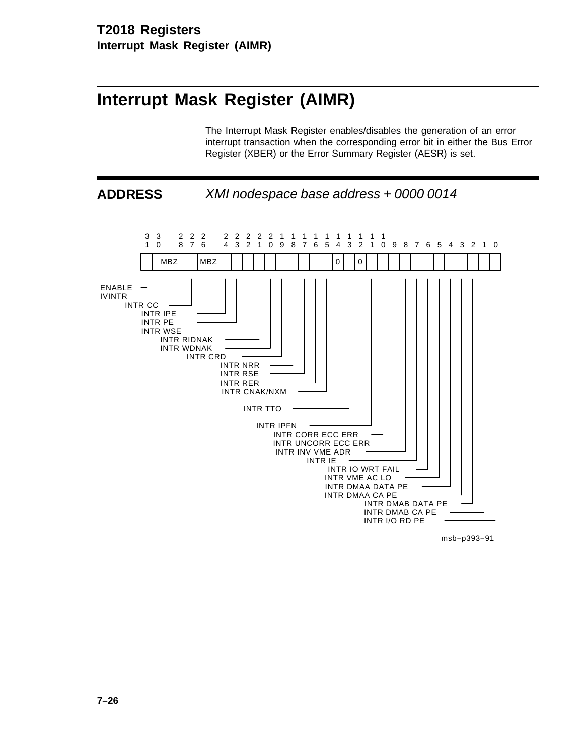# **Interrupt Mask Register (AIMR)**

The Interrupt Mask Register enables/disables the generation of an error interrupt transaction when the corresponding error bit in either the Bus Error Register (XBER) or the Error Summary Register (AESR) is set.



msb−p393−91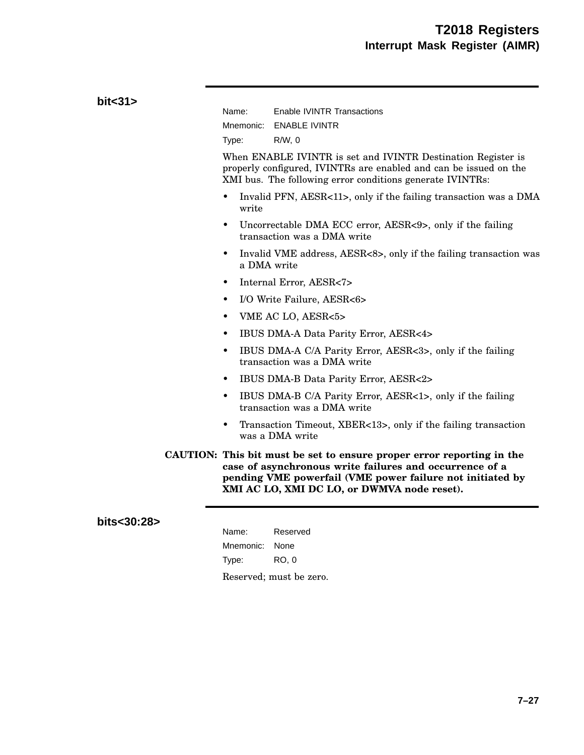| bit < 31    |                                                                                                                                                                                                                                              |
|-------------|----------------------------------------------------------------------------------------------------------------------------------------------------------------------------------------------------------------------------------------------|
|             | Name:<br>Enable IVINTR Transactions                                                                                                                                                                                                          |
|             | Mnemonic:<br><b>ENABLE IVINTR</b>                                                                                                                                                                                                            |
|             | $R/W$ , 0<br>Type:                                                                                                                                                                                                                           |
|             | When ENABLE IVINTR is set and IVINTR Destination Register is<br>properly configured, IVINTRs are enabled and can be issued on the<br>XMI bus. The following error conditions generate IVINTRs:                                               |
|             | Invalid PFN, AESR<11>, only if the failing transaction was a DMA<br>$\bullet$<br>write                                                                                                                                                       |
|             | Uncorrectable DMA ECC error, AESR<9>, only if the failing<br>$\bullet$<br>transaction was a DMA write                                                                                                                                        |
|             | Invalid VME address, AESR<8>, only if the failing transaction was<br>$\bullet$<br>a DMA write                                                                                                                                                |
|             | Internal Error, AESR<7><br>$\bullet$                                                                                                                                                                                                         |
|             | I/O Write Failure, AESR<6><br>$\bullet$                                                                                                                                                                                                      |
|             | VME AC LO, AESR<5><br>$\bullet$                                                                                                                                                                                                              |
|             | IBUS DMA-A Data Parity Error, AESR<4><br>٠                                                                                                                                                                                                   |
|             | IBUS DMA-A C/A Parity Error, AESR<3>, only if the failing<br>$\bullet$<br>transaction was a DMA write                                                                                                                                        |
|             | IBUS DMA-B Data Parity Error, AESR<2><br>$\bullet$                                                                                                                                                                                           |
|             | IBUS DMA-B C/A Parity Error, AESR<1>, only if the failing<br>$\bullet$<br>transaction was a DMA write                                                                                                                                        |
|             | Transaction Timeout, XBER<13>, only if the failing transaction<br>٠<br>was a DMA write                                                                                                                                                       |
|             | CAUTION: This bit must be set to ensure proper error reporting in the<br>case of asynchronous write failures and occurrence of a<br>pending VME powerfail (VME power failure not initiated by<br>XMI AC LO, XMI DC LO, or DWMVA node reset). |
| bits<30:28> |                                                                                                                                                                                                                                              |

| Name:          | Reserved                |
|----------------|-------------------------|
| Mnemonic: None |                         |
| Type:          | RO. 0                   |
|                | Reserved; must be zero. |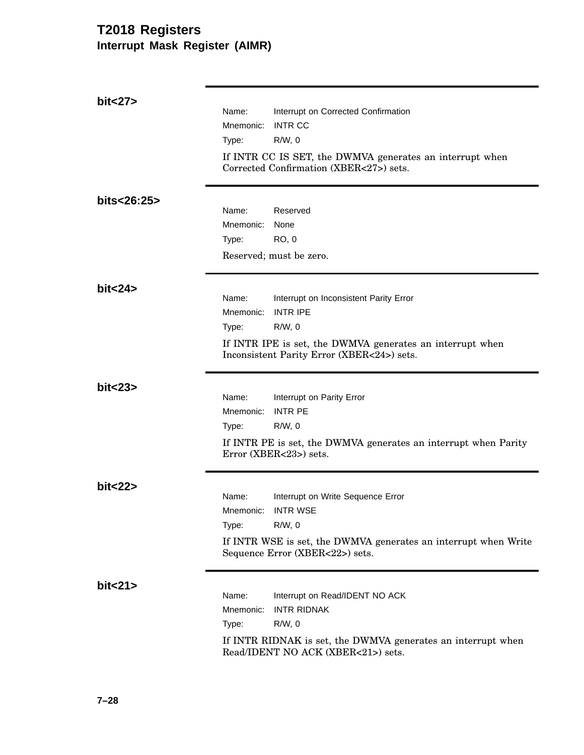| bit < 27    |           |                                                                                                         |
|-------------|-----------|---------------------------------------------------------------------------------------------------------|
|             | Name:     | Interrupt on Corrected Confirmation                                                                     |
|             | Mnemonic: | <b>INTR CC</b>                                                                                          |
|             | Type:     | $R/W$ , 0                                                                                               |
|             |           | If INTR CC IS SET, the DWMVA generates an interrupt when                                                |
|             |           | Corrected Confirmation (XBER<27>) sets.                                                                 |
| bits<26:25> |           |                                                                                                         |
|             | Name:     | Reserved                                                                                                |
|             | Mnemonic: | None                                                                                                    |
|             | Type:     | <b>RO, 0</b>                                                                                            |
|             |           | Reserved; must be zero.                                                                                 |
| bit < 24    |           |                                                                                                         |
|             | Name:     | Interrupt on Inconsistent Parity Error                                                                  |
|             | Mnemonic: | <b>INTR IPE</b>                                                                                         |
|             | Type:     | $R/W$ , 0                                                                                               |
|             |           | If INTR IPE is set, the DWMVA generates an interrupt when<br>Inconsistent Parity Error (XBER<24>) sets. |
| bit < 23    |           |                                                                                                         |
|             | Name:     | Interrupt on Parity Error                                                                               |
|             | Mnemonic: | <b>INTR PE</b>                                                                                          |
|             | Type:     | $R/W$ , 0                                                                                               |
|             |           | If INTR PE is set, the DWMVA generates an interrupt when Parity<br>Error (XBER<23>) sets.               |
| bit < 22    |           |                                                                                                         |
|             | Name:     | Interrupt on Write Sequence Error                                                                       |
|             | Mnemonic: | <b>INTR WSE</b>                                                                                         |
|             | Type:     | $R/W$ , 0                                                                                               |
|             |           | If INTR WSE is set, the DWMVA generates an interrupt when Write<br>Sequence Error (XBER<22>) sets.      |
| bit < 21    |           |                                                                                                         |
|             | Name:     | Interrupt on Read/IDENT NO ACK                                                                          |
|             | Mnemonic: | <b>INTR RIDNAK</b>                                                                                      |
|             | Type:     | $R/W$ , 0                                                                                               |
|             |           | If INTR RIDNAK is set, the DWMVA generates an interrupt when<br>Read/IDENT NO ACK (XBER<21>) sets.      |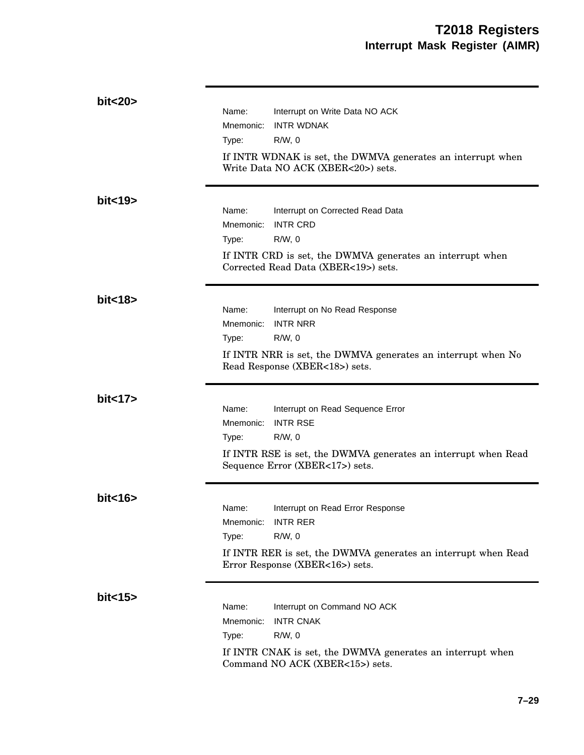| bit<20>  | Name:<br>Interrupt on Write Data NO ACK<br><b>INTR WDNAK</b><br>Mnemonic:<br>$R/W$ , 0<br>Type:<br>If INTR WDNAK is set, the DWMVA generates an interrupt when<br>Write Data NO ACK (XBER<20>) sets. |
|----------|------------------------------------------------------------------------------------------------------------------------------------------------------------------------------------------------------|
| bit < 19 | Name:<br>Interrupt on Corrected Read Data<br><b>INTR CRD</b><br>Mnemonic:<br>$R/W$ , 0<br>Type:<br>If INTR CRD is set, the DWMVA generates an interrupt when<br>Corrected Read Data (XBER<19>) sets. |
| bit<18>  | Name:<br>Interrupt on No Read Response<br><b>INTR NRR</b><br>Mnemonic:<br>$R/W$ , 0<br>Type:<br>If INTR NRR is set, the DWMVA generates an interrupt when No<br>Read Response (XBER<18>) sets.       |
| bit < 17 | Name:<br>Interrupt on Read Sequence Error<br><b>INTR RSE</b><br>Mnemonic:<br>$R/W$ , 0<br>Type:<br>If INTR RSE is set, the DWMVA generates an interrupt when Read<br>Sequence Error (XBER<17>) sets. |
| bit < 16 | Interrupt on Read Error Response<br>Name:<br><b>INTR RER</b><br>Mnemonic:<br>$R/W$ , 0<br>Type:<br>If INTR RER is set, the DWMVA generates an interrupt when Read<br>Error Response (XBER<16>) sets. |
| bit < 15 | Name:<br>Interrupt on Command NO ACK<br><b>INTR CNAK</b><br>Mnemonic:<br>$R/W$ , 0<br>Type:<br>If INTR CNAK is set, the DWMVA generates an interrupt when<br>Command NO ACK (XBER<15>) sets.         |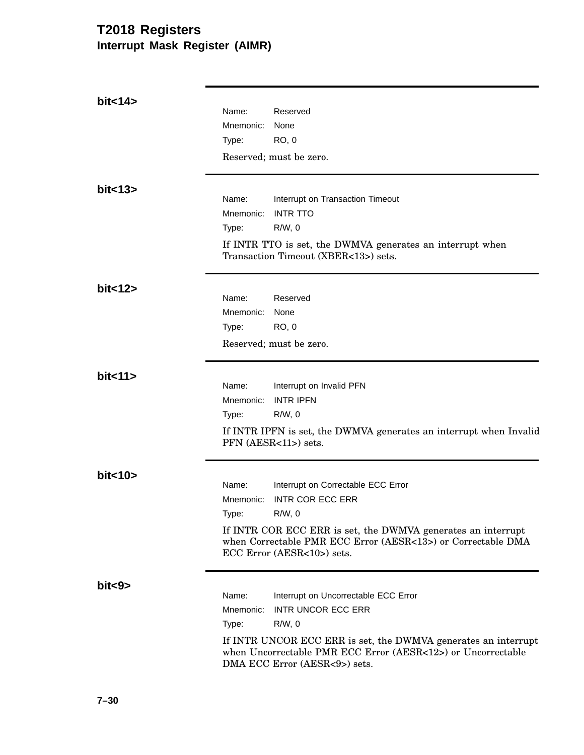| bit < 14 |           |                                                                                                                                                                 |
|----------|-----------|-----------------------------------------------------------------------------------------------------------------------------------------------------------------|
|          | Name:     | Reserved                                                                                                                                                        |
|          | Mnemonic: | None                                                                                                                                                            |
|          | Type:     | <b>RO, 0</b>                                                                                                                                                    |
|          |           | Reserved; must be zero.                                                                                                                                         |
| bit < 13 |           |                                                                                                                                                                 |
|          | Name:     | Interrupt on Transaction Timeout                                                                                                                                |
|          | Mnemonic: | <b>INTR TTO</b>                                                                                                                                                 |
|          | Type:     | $R/W$ , 0                                                                                                                                                       |
|          |           | If INTR TTO is set, the DWMVA generates an interrupt when<br>Transaction Timeout (XBER<13>) sets.                                                               |
| bit < 12 |           |                                                                                                                                                                 |
|          | Name:     | Reserved                                                                                                                                                        |
|          | Mnemonic: | None                                                                                                                                                            |
|          | Type:     | <b>RO, 0</b>                                                                                                                                                    |
|          |           | Reserved; must be zero.                                                                                                                                         |
| bit < 11 | Name:     |                                                                                                                                                                 |
|          | Mnemonic: | Interrupt on Invalid PFN<br><b>INTR IPFN</b>                                                                                                                    |
|          | Type:     | $R/W$ , 0                                                                                                                                                       |
|          |           |                                                                                                                                                                 |
|          |           | If INTR IPFN is set, the DWMVA generates an interrupt when Invalid<br>PFN (AESR<11>) sets.                                                                      |
| bit < 10 |           |                                                                                                                                                                 |
|          | Name:     | Interrupt on Correctable ECC Error                                                                                                                              |
|          | Mnemonic: | <b>INTR COR ECC ERR</b>                                                                                                                                         |
|          | Type:     | R/W, 0                                                                                                                                                          |
|          |           | If INTR COR ECC ERR is set, the DWMVA generates an interrupt<br>when Correctable PMR ECC Error (AESR<13>) or Correctable DMA<br>ECC Error (AESR<10>) sets.      |
| bit<9>   |           |                                                                                                                                                                 |
|          | Name:     | Interrupt on Uncorrectable ECC Error                                                                                                                            |
|          | Mnemonic: | <b>INTR UNCOR ECC ERR</b>                                                                                                                                       |
|          | Type:     | $R/W$ , 0                                                                                                                                                       |
|          |           | If INTR UNCOR ECC ERR is set, the DWMVA generates an interrupt<br>when Uncorrectable PMR ECC Error (AESR<12>) or Uncorrectable<br>DMA ECC Error (AESR<9>) sets. |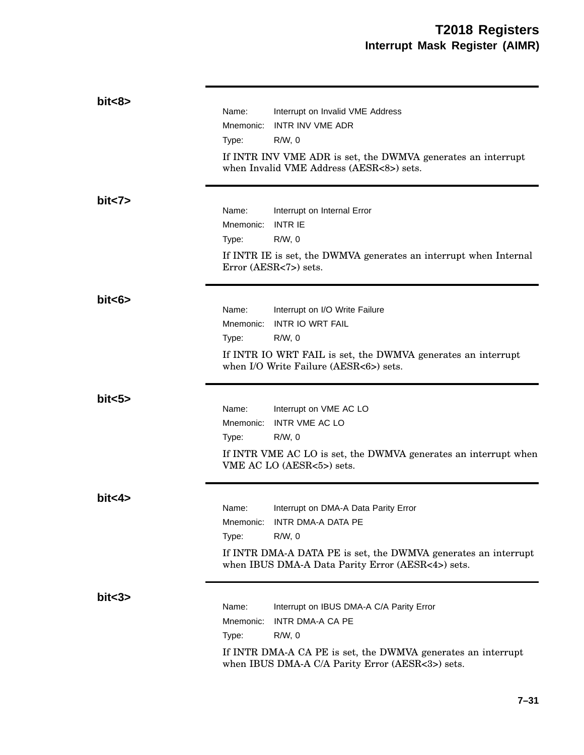| bits    | Name:<br>Mnemonic:<br>Type: | Interrupt on Invalid VME Address<br><b>INTR INV VME ADR</b><br>$R/W$ , 0<br>If INTR INV VME ADR is set, the DWMVA generates an interrupt<br>when Invalid VME Address (AESR<8>) sets.                       |
|---------|-----------------------------|------------------------------------------------------------------------------------------------------------------------------------------------------------------------------------------------------------|
| bit < 7 | Name:<br>Mnemonic:<br>Type: | Interrupt on Internal Error<br><b>INTR IE</b><br>$R/W$ , 0<br>If INTR IE is set, the DWMVA generates an interrupt when Internal<br>Error (AESR<7>) sets.                                                   |
| bits >  | Name:<br>Mnemonic:<br>Type: | Interrupt on I/O Write Failure<br><b>INTR IO WRT FAIL</b><br>$R/W$ , 0<br>If INTR IO WRT FAIL is set, the DWMVA generates an interrupt<br>when I/O Write Failure (AESR<6>) sets.                           |
| bit < 5 | Name:<br>Mnemonic:<br>Type: | Interrupt on VME AC LO<br><b>INTR VME AC LO</b><br>$R/W$ , 0<br>If INTR VME AC LO is set, the DWMVA generates an interrupt when<br>VME AC LO (AESR<5>) sets.                                               |
| bits4>  | Name:<br>Type:              | Interrupt on DMA-A Data Parity Error<br>Mnemonic: INTR DMA-A DATA PE<br>$R/W$ , $0$<br>If INTR DMA-A DATA PE is set, the DWMVA generates an interrupt<br>when IBUS DMA-A Data Parity Error (AESR<4>) sets. |
| bits3>  | Name:<br>Mnemonic:<br>Type: | Interrupt on IBUS DMA-A C/A Parity Error<br>INTR DMA-A CA PE<br>$R/W$ , 0<br>If INTR DMA-A CA PE is set, the DWMVA generates an interrupt<br>when IBUS DMA-A C/A Parity Error (AESR<3>) sets.              |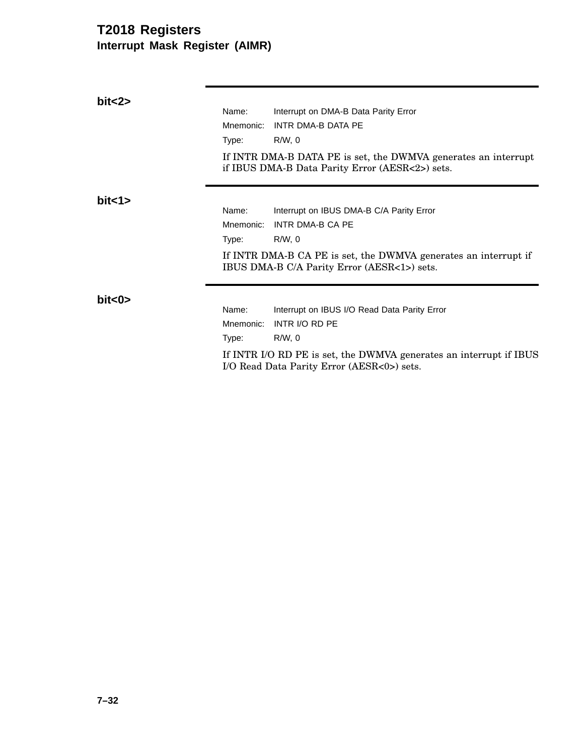| bits2     |           |                                                                                                                   |
|-----------|-----------|-------------------------------------------------------------------------------------------------------------------|
|           | Name:     | Interrupt on DMA-B Data Parity Error                                                                              |
|           | Mnemonic: | INTR DMA-B DATA PE                                                                                                |
|           | Type:     | $R/W$ , 0                                                                                                         |
|           |           | If INTR DMA-B DATA PE is set, the DWMVA generates an interrupt<br>if IBUS DMA-B Data Parity Error (AESR<2>) sets. |
| bit < 1>  |           |                                                                                                                   |
|           | Name:     | Interrupt on IBUS DMA-B C/A Parity Error                                                                          |
|           | Mnemonic: | INTR DMA-B CA PE                                                                                                  |
|           | Type:     | R/W, 0                                                                                                            |
|           |           | If INTR DMA-B CA PE is set, the DWMVA generates an interrupt if<br>IBUS DMA-B C/A Parity Error (AESR<1>) sets.    |
| bit < 0 > | Name:     |                                                                                                                   |
|           | Mnemonic: | Interrupt on IBUS I/O Read Data Parity Error<br>INTR I/O RD PE                                                    |
|           |           |                                                                                                                   |
|           | Type:     | $R/W$ , 0                                                                                                         |
|           |           | If INTR I/O RD PE is set, the DWMVA generates an interrupt if IBUS<br>I/O Read Data Parity Error (AESR<0>) sets.  |
|           |           |                                                                                                                   |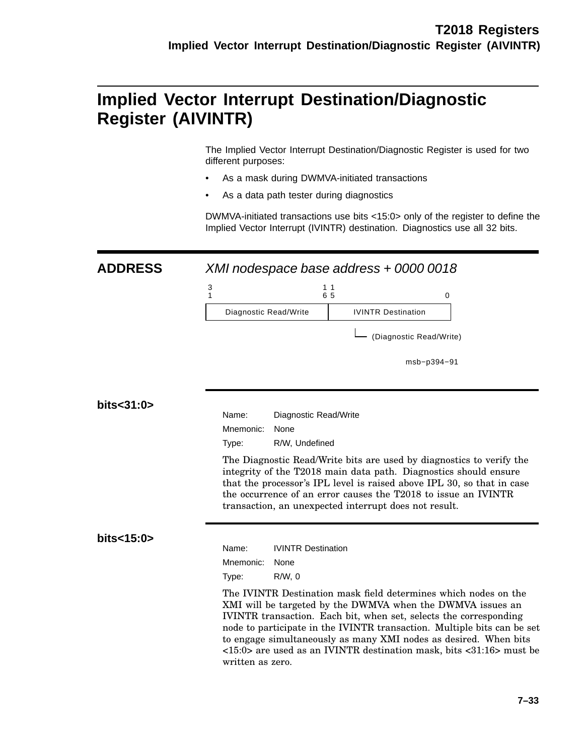## **Implied Vector Interrupt Destination/Diagnostic Register (AIVINTR)**

The Implied Vector Interrupt Destination/Diagnostic Register is used for two different purposes:

- As a mask during DWMVA-initiated transactions
- As a data path tester during diagnostics

DWMVA-initiated transactions use bits <15:0> only of the register to define the Implied Vector Interrupt (IVINTR) destination. Diagnostics use all 32 bits.

### **ADDRESS** XMI nodespace base address + 0000 0018

|                       | 6 5                       |  |
|-----------------------|---------------------------|--|
| Diagnostic Read/Write | <b>IVINTR Destination</b> |  |

(Diagnostic Read/Write)

msb−p394−91

#### **bits<31:0>**

| Name:          | Diagnostic Read/Write |
|----------------|-----------------------|
| Mnemonic: None |                       |
| Type:          | R/W, Undefined        |

The Diagnostic Read/Write bits are used by diagnostics to verify the integrity of the T2018 main data path. Diagnostics should ensure that the processor's IPL level is raised above IPL 30, so that in case the occurrence of an error causes the T2018 to issue an IVINTR transaction, an unexpected interrupt does not result.

#### **bits<15:0>**

| Name:          | <b>IVINTR Destination</b> |
|----------------|---------------------------|
| Mnemonic: None |                           |
| Type:          | R/W.0                     |

The IVINTR Destination mask field determines which nodes on the XMI will be targeted by the DWMVA when the DWMVA issues an IVINTR transaction. Each bit, when set, selects the corresponding node to participate in the IVINTR transaction. Multiple bits can be set to engage simultaneously as many XMI nodes as desired. When bits <15:0> are used as an IVINTR destination mask, bits <31:16> must be written as zero.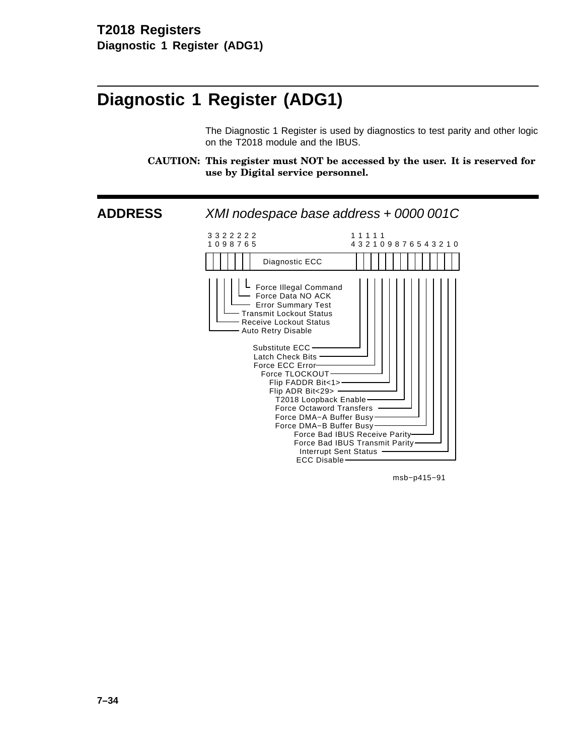# **Diagnostic 1 Register (ADG1)**

The Diagnostic 1 Register is used by diagnostics to test parity and other logic on the T2018 module and the IBUS.

**CAUTION: This register must NOT be accessed by the user. It is reserved for use by Digital service personnel.**



msb−p415−91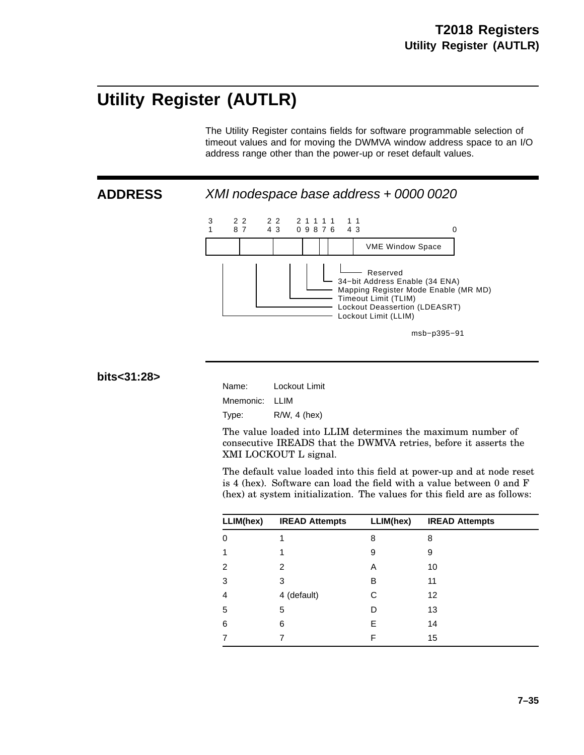# **Utility Register (AUTLR)**

The Utility Register contains fields for software programmable selection of timeout values and for moving the DWMVA window address space to an I/O address range other than the power-up or reset default values.



**ADDRESS** XMI nodespace base address + 0000 0020



**bits<31:28>**

Name: Lockout Limit Mnemonic: LLIM Type: R/W, 4 (hex)

The value loaded into LLIM determines the maximum number of consecutive IREADS that the DWMVA retries, before it asserts the XMI LOCKOUT L signal.

The default value loaded into this field at power-up and at node reset is 4 (hex). Software can load the field with a value between 0 and F (hex) at system initialization. The values for this field are as follows:

| LLIM(hex)     | <b>IREAD Attempts</b> | LLIM(hex) | <b>IREAD Attempts</b> |
|---------------|-----------------------|-----------|-----------------------|
| 0             | 1                     | 8         | 8                     |
|               | 1                     | 9         | 9                     |
| $\mathcal{P}$ | 2                     | Α         | 10                    |
| 3             | 3                     | B         | 11                    |
| 4             | 4 (default)           | С         | 12                    |
| 5             | 5                     | D         | 13                    |
| 6             | 6                     | E         | 14                    |
|               | 7                     | F         | 15                    |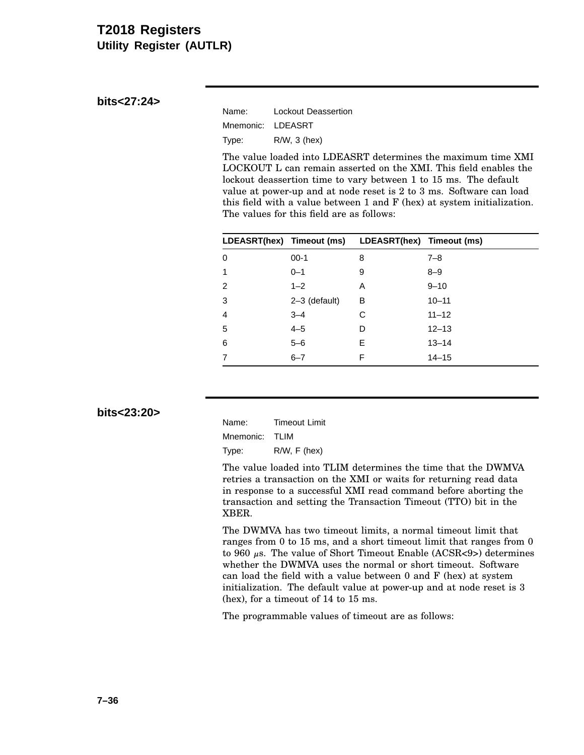### **T2018 Registers Utility Register (AUTLR)**

### **bits<27:24>**

| Name:     | Lockout Deassertion |
|-----------|---------------------|
| Mnemonic: | LDEASRT             |
| Type:     | $R/W$ , 3 (hex)     |

The value loaded into LDEASRT determines the maximum time XMI LOCKOUT L can remain asserted on the XMI. This field enables the lockout deassertion time to vary between 1 to 15 ms. The default value at power-up and at node reset is 2 to 3 ms. Software can load this field with a value between 1 and F (hex) at system initialization. The values for this field are as follows:

|                |                 | LDEASRT(hex) Timeout (ms) LDEASRT(hex) Timeout (ms) |           |
|----------------|-----------------|-----------------------------------------------------|-----------|
| $\Omega$       | $00-1$          | 8                                                   | $7 - 8$   |
| 1              | $0 - 1$         | 9                                                   | $8 - 9$   |
| 2              | $1 - 2$         | A                                                   | $9 - 10$  |
| 3              | $2-3$ (default) | B                                                   | $10 - 11$ |
| $\overline{4}$ | $3 - 4$         | С                                                   | $11 - 12$ |
| 5              | $4 - 5$         | D                                                   | $12 - 13$ |
| 6              | $5 - 6$         | E                                                   | $13 - 14$ |
|                | $6 - 7$         | F                                                   | $14 - 15$ |

**bits<23:20>**

| Name:          | <b>Timeout Limit</b> |
|----------------|----------------------|
| Mnemonic: TLIM |                      |
| Type:          | $R/W$ , $F$ (hex)    |

The value loaded into TLIM determines the time that the DWMVA retries a transaction on the XMI or waits for returning read data in response to a successful XMI read command before aborting the transaction and setting the Transaction Timeout (TTO) bit in the XBER.

The DWMVA has two timeout limits, a normal timeout limit that ranges from 0 to 15 ms, and a short timeout limit that ranges from 0 to 960  $\mu$ s. The value of Short Timeout Enable (ACSR<9>) determines whether the DWMVA uses the normal or short timeout. Software can load the field with a value between 0 and F (hex) at system initialization. The default value at power-up and at node reset is 3 (hex), for a timeout of 14 to 15 ms.

The programmable values of timeout are as follows: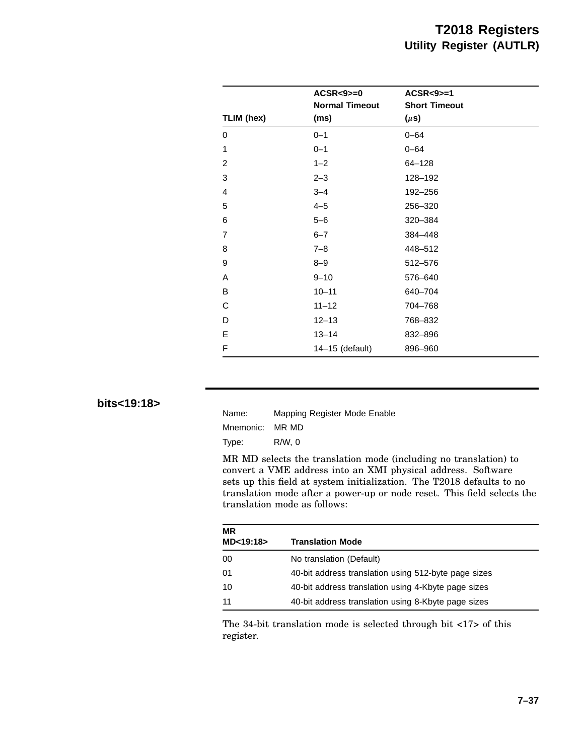|                | $ACSR < 9 > = 0$              | $ACSR < 9$ $>= 1$                 |  |
|----------------|-------------------------------|-----------------------------------|--|
| TLIM (hex)     | <b>Normal Timeout</b><br>(ms) | <b>Short Timeout</b><br>$(\mu s)$ |  |
| 0              | $0 - 1$                       | $0 - 64$                          |  |
| 1              | $0 - 1$                       | $0 - 64$                          |  |
| $\overline{2}$ | $1 - 2$                       | $64 - 128$                        |  |
| 3              | $2 - 3$                       | 128-192                           |  |
| 4              | $3 - 4$                       | 192-256                           |  |
| 5              | $4 - 5$                       | 256-320                           |  |
| 6              | $5 - 6$                       | 320-384                           |  |
| $\overline{7}$ | $6 - 7$                       | 384-448                           |  |
| 8              | $7 - 8$                       | 448-512                           |  |
| 9              | $8 - 9$                       | 512-576                           |  |
| A              | $9 - 10$                      | 576-640                           |  |
| B              | $10 - 11$                     | 640-704                           |  |
| C              | $11 - 12$                     | 704-768                           |  |
| D              | $12 - 13$                     | 768-832                           |  |
| E              | $13 - 14$                     | 832-896                           |  |
| F              | 14-15 (default)               | 896-960                           |  |

### **bits<19:18>**

| Name:     | Mapping Register Mode Enable |
|-----------|------------------------------|
| Mnemonic: | MR MD                        |
| Type:     | R/W.0                        |

MR MD selects the translation mode (including no translation) to convert a VME address into an XMI physical address. Software sets up this field at system initialization. The T2018 defaults to no translation mode after a power-up or node reset. This field selects the translation mode as follows:

| <b>MR</b><br>MD<19:18> | <b>Translation Mode</b>                              |
|------------------------|------------------------------------------------------|
| 00                     | No translation (Default)                             |
| 01                     | 40-bit address translation using 512-byte page sizes |
| 10                     | 40-bit address translation using 4-Kbyte page sizes  |
| 11                     | 40-bit address translation using 8-Kbyte page sizes  |

The 34-bit translation mode is selected through bit <17> of this register.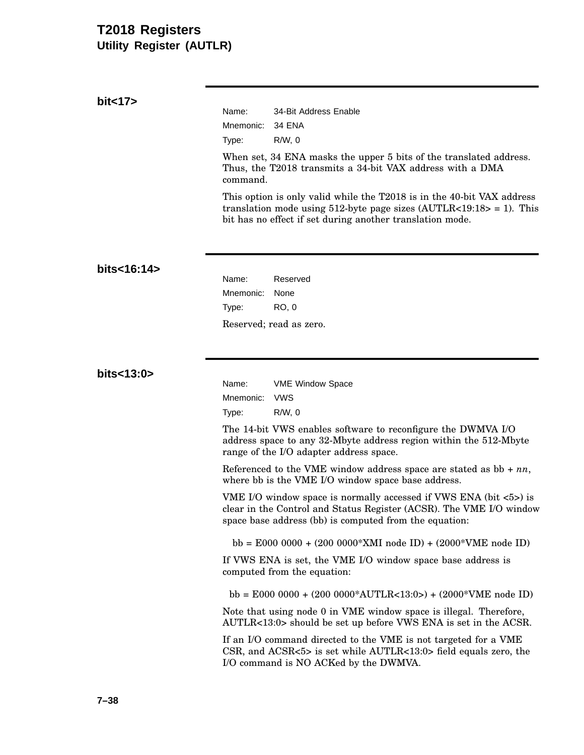## **T2018 Registers Utility Register (AUTLR)**

| bit < 17    |                                                                                                                                                                                                                     |  |  |  |  |
|-------------|---------------------------------------------------------------------------------------------------------------------------------------------------------------------------------------------------------------------|--|--|--|--|
|             | Name:<br>34-Bit Address Enable                                                                                                                                                                                      |  |  |  |  |
|             | Mnemonic:<br><b>34 ENA</b>                                                                                                                                                                                          |  |  |  |  |
|             | $R/W$ , 0<br>Type:                                                                                                                                                                                                  |  |  |  |  |
|             | When set, 34 ENA masks the upper 5 bits of the translated address.<br>Thus, the T2018 transmits a 34-bit VAX address with a DMA<br>command.                                                                         |  |  |  |  |
|             | This option is only valid while the T2018 is in the 40-bit VAX address<br>translation mode using 512-byte page sizes $(AUTLR<19:18>1)$ . This<br>bit has no effect if set during another translation mode.          |  |  |  |  |
| bits<16:14> |                                                                                                                                                                                                                     |  |  |  |  |
|             | Name:<br>Reserved                                                                                                                                                                                                   |  |  |  |  |
|             | Mnemonic:<br>None                                                                                                                                                                                                   |  |  |  |  |
|             | <b>RO, 0</b><br>Type:                                                                                                                                                                                               |  |  |  |  |
|             | Reserved; read as zero.                                                                                                                                                                                             |  |  |  |  |
| bits<13:0>  |                                                                                                                                                                                                                     |  |  |  |  |
|             | Name:<br>VME Window Space                                                                                                                                                                                           |  |  |  |  |
|             | Mnemonic:<br><b>VWS</b>                                                                                                                                                                                             |  |  |  |  |
|             | $R/W$ , 0<br>Type:                                                                                                                                                                                                  |  |  |  |  |
|             | The 14-bit VWS enables software to reconfigure the DWMVA I/O<br>address space to any 32-Mbyte address region within the 512-Mbyte<br>range of the I/O adapter address space.                                        |  |  |  |  |
|             | Referenced to the VME window address space are stated as $bb + nn$ ,<br>where bb is the VME I/O window space base address.                                                                                          |  |  |  |  |
|             | VME I/O window space is normally accessed if VWS ENA (bit $\langle 5 \rangle$ ) is<br>clear in the Control and Status Register (ACSR). The VME I/O window<br>space base address (bb) is computed from the equation: |  |  |  |  |
|             | bb = E000 0000 + $(200\ 0000*$ XMI node ID) + $(2000*$ VME node ID)                                                                                                                                                 |  |  |  |  |
|             | If VWS ENA is set, the VME I/O window space base address is<br>computed from the equation:                                                                                                                          |  |  |  |  |
|             | bb = E000 0000 + (200 0000*AUTLR<13:0>) + (2000*VME node ID)                                                                                                                                                        |  |  |  |  |
|             | Note that using node 0 in VME window space is illegal. Therefore,<br>AUTLR<13:0> should be set up before VWS ENA is set in the ACSR.                                                                                |  |  |  |  |
|             | If an I/O command directed to the VME is not targeted for a VME<br>CSR, and ACSR $<5>$ is set while AUTLR $<13:0>$ field equals zero, the<br>I/O command is NO ACKed by the DWMVA.                                  |  |  |  |  |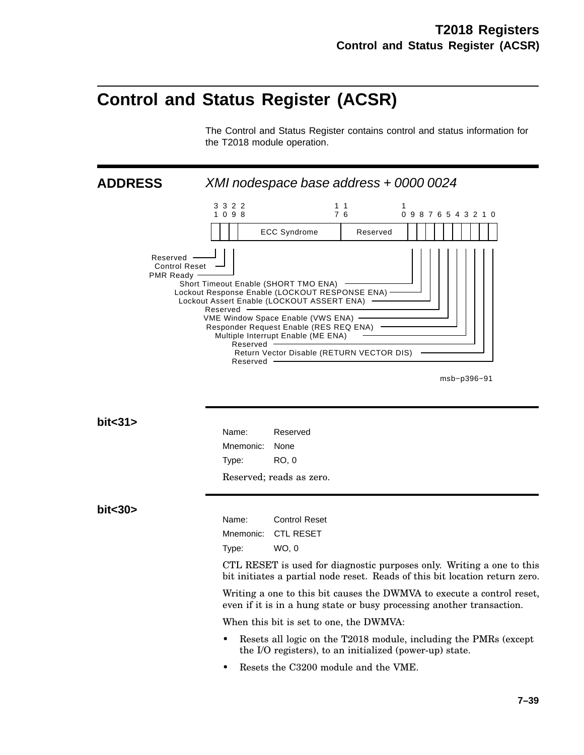## **Control and Status Register (ACSR)**

The Control and Status Register contains control and status information for the T2018 module operation.

**ADDRESS** XMI nodespace base address + 0000 0024



msb−p396−91

**bit<31>**

Name: Reserved Mnemonic: None Type: RO, 0 Reserved; reads as zero.

#### **bit<30>**

Name: Control Reset Mnemonic: CTL RESET Type: WO, 0

CTL RESET is used for diagnostic purposes only. Writing a one to this bit initiates a partial node reset. Reads of this bit location return zero.

Writing a one to this bit causes the DWMVA to execute a control reset, even if it is in a hung state or busy processing another transaction.

When this bit is set to one, the DWMVA:

- Resets all logic on the T2018 module, including the PMRs (except the I/O registers), to an initialized (power-up) state.
- Resets the C3200 module and the VME.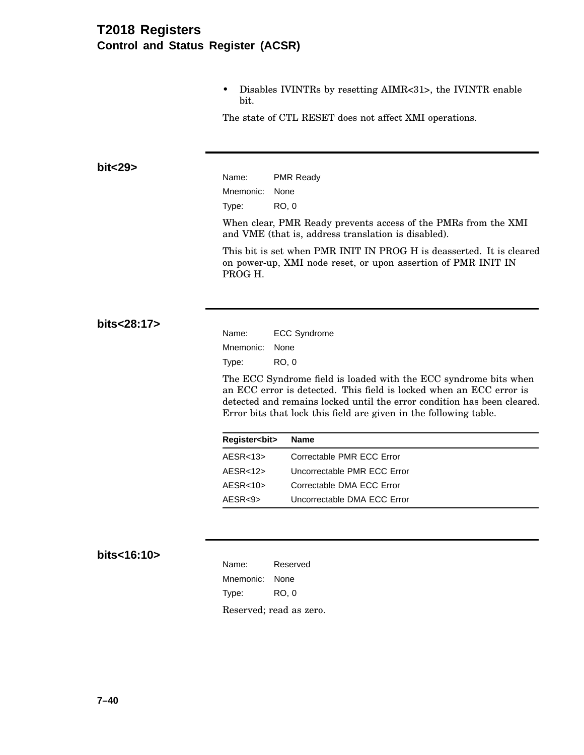## **T2018 Registers Control and Status Register (ACSR)**

• Disables IVINTRs by resetting AIMR<31>, the IVINTR enable bit.

The state of CTL RESET does not affect XMI operations.

**bit<29>**

Name: PMR Ready Mnemonic: None Type: RO, 0

When clear, PMR Ready prevents access of the PMRs from the XMI and VME (that is, address translation is disabled).

This bit is set when PMR INIT IN PROG H is deasserted. It is cleared on power-up, XMI node reset, or upon assertion of PMR INIT IN PROG H.

**bits<28:17>**

| Name:     | <b>ECC Syndrome</b> |
|-----------|---------------------|
| Mnemonic: | None                |
| Type:     | RO. 0               |

The ECC Syndrome field is loaded with the ECC syndrome bits when an ECC error is detected. This field is locked when an ECC error is detected and remains locked until the error condition has been cleared. Error bits that lock this field are given in the following table.

| <b>Register<br/>cbit&gt;</b> | Name                        |
|------------------------------|-----------------------------|
| AESR < 13                    | Correctable PMR ECC Error   |
| $AE$ SR<12>                  | Uncorrectable PMR ECC Error |
| $AE$ SR<10 $>$               | Correctable DMA ECC Error   |
| AESR < 9                     | Uncorrectable DMA ECC Error |

#### **bits<16:10>**

| Name:     | Reserved                |
|-----------|-------------------------|
| Mnemonic: | None                    |
| Type:     | RO. 0                   |
|           | Reserved; read as zero. |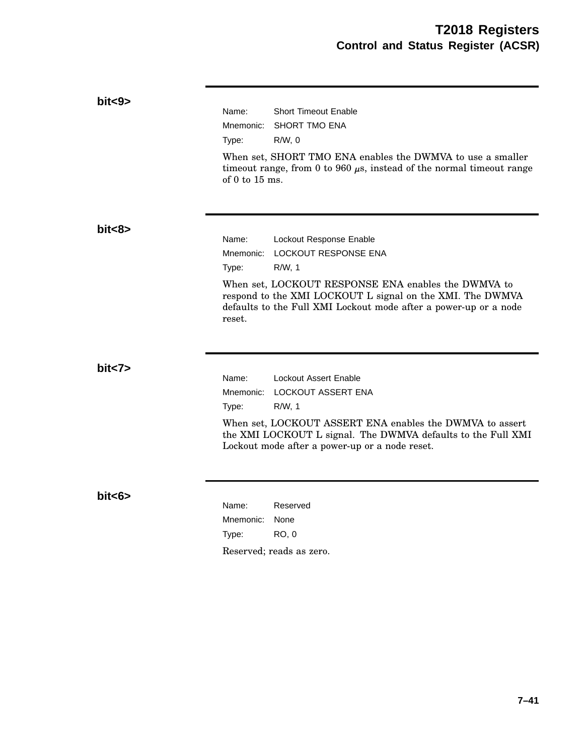### **bit<9>**

Name: Short Timeout Enable Mnemonic: SHORT TMO ENA Type: R/W, 0

When set, SHORT TMO ENA enables the DWMVA to use a smaller timeout range, from 0 to 960  $\mu$ s, instead of the normal timeout range of 0 to 15 ms.

#### **bit<8>**

Name: Lockout Response Enable Mnemonic: LOCKOUT RESPONSE ENA Type: R/W, 1 When set, LOCKOUT RESPONSE ENA enables the DWMVA to respond to the XMI LOCKOUT L signal on the XMI. The DWMVA defaults to the Full XMI Lockout mode after a power-up or a node reset.

**bit<7>**

Name: Lockout Assert Enable Mnemonic: LOCKOUT ASSERT ENA Type: R/W, 1

When set, LOCKOUT ASSERT ENA enables the DWMVA to assert the XMI LOCKOUT L signal. The DWMVA defaults to the Full XMI Lockout mode after a power-up or a node reset.

**bit<6>**

Name: Reserved Mnemonic: None Type: RO, 0 Reserved; reads as zero.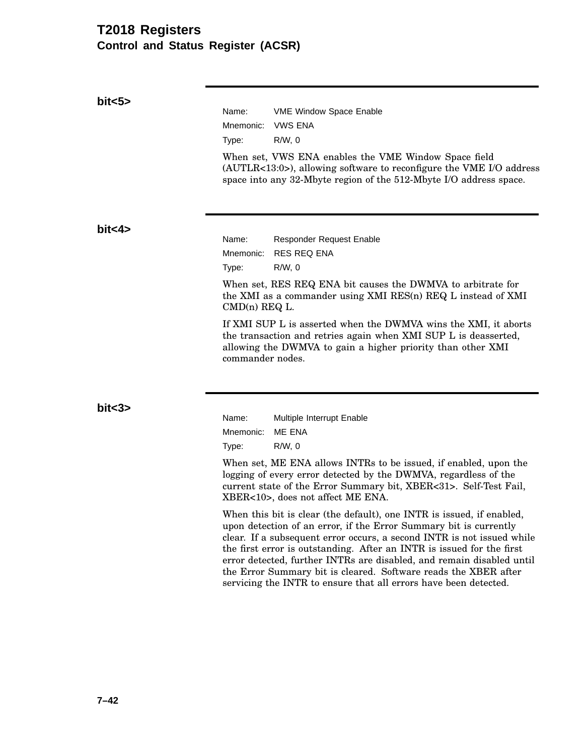### **T2018 Registers Control and Status Register (ACSR)**

**bit<5>**

Name: VME Window Space Enable Mnemonic: VWS ENA Type: R/W, 0 When set, VWS ENA enables the VME Window Space field (AUTLR<13:0>), allowing software to reconfigure the VME I/O address space into any 32-Mbyte region of the 512-Mbyte I/O address space.

**bit<4>**

Name: Responder Request Enable Mnemonic: RES REQ ENA Type: R/W, 0

When set, RES REQ ENA bit causes the DWMVA to arbitrate for the XMI as a commander using XMI RES(n) REQ L instead of XMI CMD(n) REQ L.

If XMI SUP L is asserted when the DWMVA wins the XMI, it aborts the transaction and retries again when XMI SUP L is deasserted, allowing the DWMVA to gain a higher priority than other XMI commander nodes.

**bit<3>**

Name: Multiple Interrupt Enable Mnemonic: ME ENA Type: R/W, 0

When set, ME ENA allows INTRs to be issued, if enabled, upon the logging of every error detected by the DWMVA, regardless of the current state of the Error Summary bit, XBER<31>. Self-Test Fail, XBER<10>, does not affect ME ENA.

When this bit is clear (the default), one INTR is issued, if enabled, upon detection of an error, if the Error Summary bit is currently clear. If a subsequent error occurs, a second INTR is not issued while the first error is outstanding. After an INTR is issued for the first error detected, further INTRs are disabled, and remain disabled until the Error Summary bit is cleared. Software reads the XBER after servicing the INTR to ensure that all errors have been detected.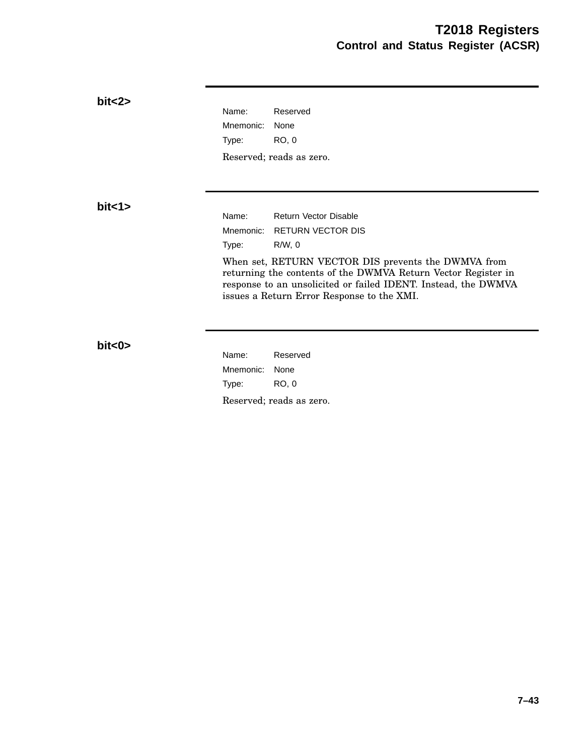| bits2    |           |                                                                                                                                                                                                                                      |
|----------|-----------|--------------------------------------------------------------------------------------------------------------------------------------------------------------------------------------------------------------------------------------|
|          | Name:     | Reserved                                                                                                                                                                                                                             |
|          | Mnemonic: | None                                                                                                                                                                                                                                 |
|          | Type:     | <b>RO, 0</b>                                                                                                                                                                                                                         |
|          |           | Reserved; reads as zero.                                                                                                                                                                                                             |
|          |           |                                                                                                                                                                                                                                      |
| bit < 1> |           |                                                                                                                                                                                                                                      |
|          | Name:     | <b>Return Vector Disable</b>                                                                                                                                                                                                         |
|          | Mnemonic: | <b>RETURN VECTOR DIS</b>                                                                                                                                                                                                             |
|          | Type:     | $R/W$ , 0                                                                                                                                                                                                                            |
|          |           | When set, RETURN VECTOR DIS prevents the DWMVA from<br>returning the contents of the DWMVA Return Vector Register in<br>response to an unsolicited or failed IDENT. Instead, the DWMVA<br>issues a Return Error Response to the XMI. |
|          |           |                                                                                                                                                                                                                                      |
| bits     |           |                                                                                                                                                                                                                                      |
|          | Name:     | Reserved                                                                                                                                                                                                                             |
|          | Mnemonic: | None                                                                                                                                                                                                                                 |
|          | Type:     | <b>RO, 0</b>                                                                                                                                                                                                                         |
|          |           | Reserved; reads as zero.                                                                                                                                                                                                             |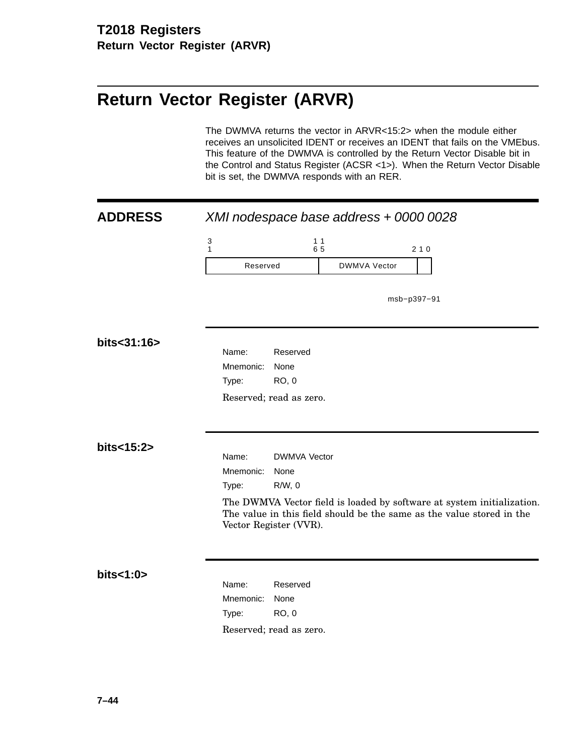# **Return Vector Register (ARVR)**

The DWMVA returns the vector in ARVR<15:2> when the module either receives an unsolicited IDENT or receives an IDENT that fails on the VMEbus. This feature of the DWMVA is controlled by the Return Vector Disable bit in the Control and Status Register (ACSR <1>). When the Return Vector Disable bit is set, the DWMVA responds with an RER.

| <b>ADDRESS</b> | XMI nodespace base address + 0000 0028                                                                                                                                    |                                  |                     |             |
|----------------|---------------------------------------------------------------------------------------------------------------------------------------------------------------------------|----------------------------------|---------------------|-------------|
|                | $\ensuremath{\mathsf{3}}$<br>$\mathbf{1}$                                                                                                                                 | 11<br>65                         |                     | 210         |
|                | Reserved                                                                                                                                                                  |                                  | <b>DWMVA Vector</b> |             |
|                |                                                                                                                                                                           |                                  |                     | msb-p397-91 |
| bits<31:16>    | Name:<br>Mnemonic:<br>Type:                                                                                                                                               | Reserved<br>None<br><b>RO, 0</b> |                     |             |
|                | Reserved; read as zero.                                                                                                                                                   |                                  |                     |             |
|                |                                                                                                                                                                           |                                  |                     |             |
| bits<15:2>     | Name:                                                                                                                                                                     | <b>DWMVA Vector</b>              |                     |             |
|                | Mnemonic:                                                                                                                                                                 | None                             |                     |             |
|                | Type:                                                                                                                                                                     | R/W, 0                           |                     |             |
|                | The DWMVA Vector field is loaded by software at system initialization.<br>The value in this field should be the same as the value stored in the<br>Vector Register (VVR). |                                  |                     |             |
|                |                                                                                                                                                                           |                                  |                     |             |
| bits<1:0>      | Name:                                                                                                                                                                     | Reserved                         |                     |             |
|                | Mnemonic:                                                                                                                                                                 | None                             |                     |             |
|                | Type:                                                                                                                                                                     | <b>RO, 0</b>                     |                     |             |
|                |                                                                                                                                                                           | Reserved; read as zero.          |                     |             |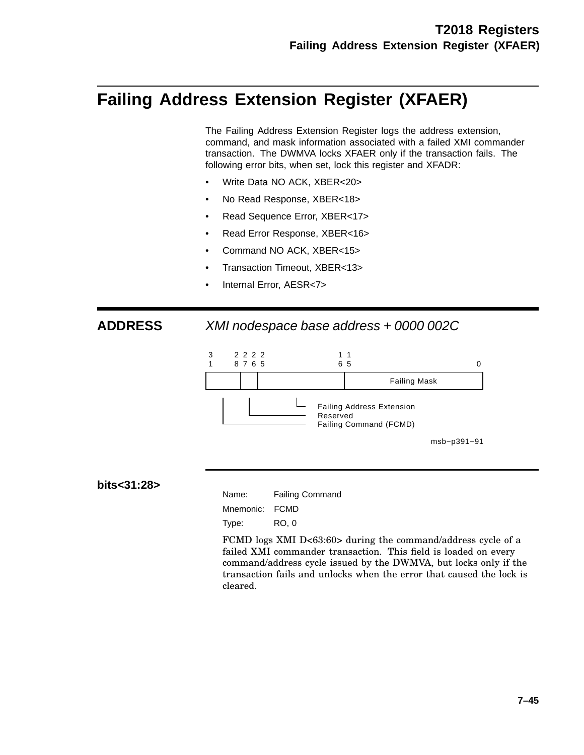# **Failing Address Extension Register (XFAER)**

The Failing Address Extension Register logs the address extension, command, and mask information associated with a failed XMI commander transaction. The DWMVA locks XFAER only if the transaction fails. The following error bits, when set, lock this register and XFADR:

- Write Data NO ACK, XBER<20>
- No Read Response, XBER<18>
- Read Sequence Error, XBER<17>
- Read Error Response, XBER<16>
- Command NO ACK, XBER<15>
- Transaction Timeout, XBER<13>
- Internal Error, AESR<7>

**ADDRESS** XMI nodespace base address + 0000 002C



**bits<31:28>**

Name: Failing Command Mnemonic: FCMD Type: RO, 0

FCMD logs XMI D<63:60> during the command/address cycle of a failed XMI commander transaction. This field is loaded on every command/address cycle issued by the DWMVA, but locks only if the transaction fails and unlocks when the error that caused the lock is cleared.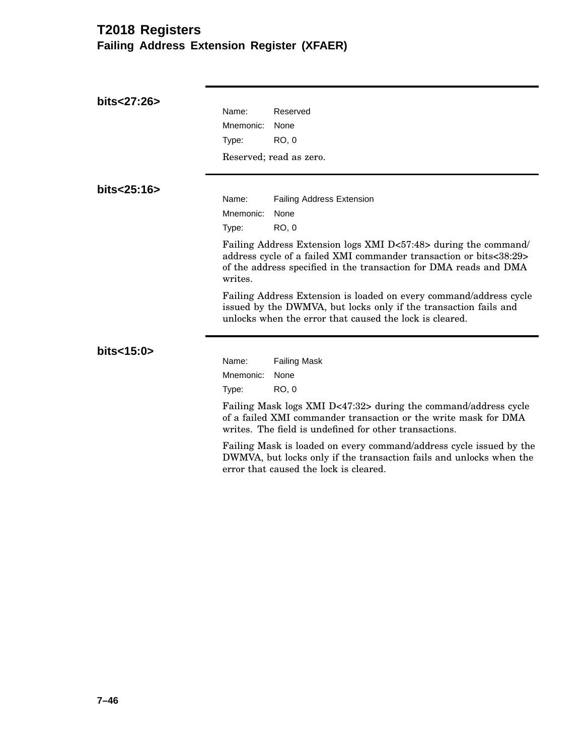# **T2018 Registers Failing Address Extension Register (XFAER)**

| bits<27:26> | Name:<br>Reserved                                                                                                                                                                                                     |
|-------------|-----------------------------------------------------------------------------------------------------------------------------------------------------------------------------------------------------------------------|
|             |                                                                                                                                                                                                                       |
|             | Mnemonic:<br>None                                                                                                                                                                                                     |
|             | <b>RO, 0</b><br>Type:                                                                                                                                                                                                 |
|             | Reserved; read as zero.                                                                                                                                                                                               |
|             |                                                                                                                                                                                                                       |
| bits<25:16> | Name:<br><b>Failing Address Extension</b>                                                                                                                                                                             |
|             |                                                                                                                                                                                                                       |
|             | Mnemonic:<br>None                                                                                                                                                                                                     |
|             | Type:<br>RO, 0                                                                                                                                                                                                        |
|             | Failing Address Extension logs XMI D<57:48> during the command/<br>address cycle of a failed XMI commander transaction or bits<38:29><br>of the address specified in the transaction for DMA reads and DMA<br>writes. |
|             | Failing Address Extension is loaded on every command/address cycle<br>issued by the DWMVA, but locks only if the transaction fails and<br>unlocks when the error that caused the lock is cleared.                     |
| bits<15:0>  |                                                                                                                                                                                                                       |
|             | Name:<br><b>Failing Mask</b>                                                                                                                                                                                          |
|             | Mnemonic:<br>None                                                                                                                                                                                                     |
|             | RO, 0<br>Type:                                                                                                                                                                                                        |
|             | Failing Mask logs XMI D<47:32> during the command/address cycle<br>of a failed XMI commander transaction or the write mask for DMA<br>writes. The field is undefined for other transactions.                          |
|             | Failing Mask is loaded on every command/address cycle issued by the<br>DWMVA, but locks only if the transaction fails and unlocks when the<br>error that caused the lock is cleared.                                  |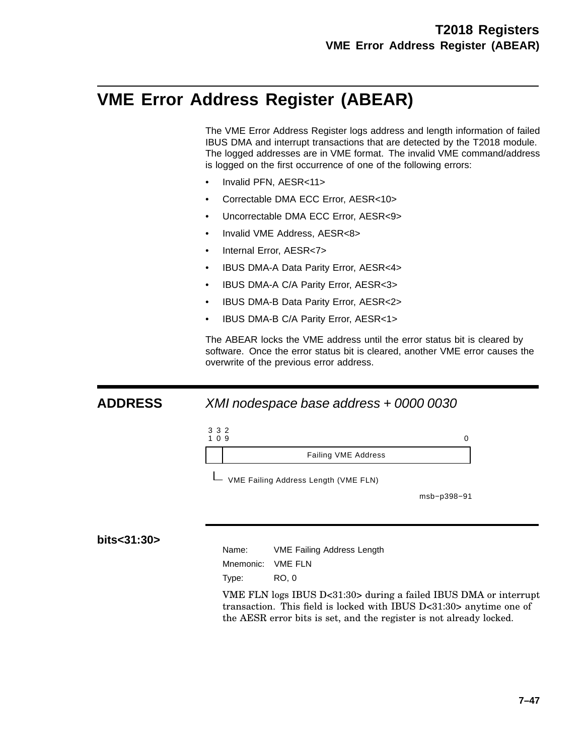# **VME Error Address Register (ABEAR)**

The VME Error Address Register logs address and length information of failed IBUS DMA and interrupt transactions that are detected by the T2018 module. The logged addresses are in VME format. The invalid VME command/address is logged on the first occurrence of one of the following errors:

- Invalid PFN, AESR<11>
- Correctable DMA ECC Error, AESR<10>
- Uncorrectable DMA ECC Error, AESR<9>
- Invalid VME Address, AESR<8>
- Internal Error, AESR<7>
- IBUS DMA-A Data Parity Error, AESR<4>
- IBUS DMA-A C/A Parity Error, AESR<3>
- IBUS DMA-B Data Parity Error, AESR<2>
- IBUS DMA-B C/A Parity Error, AESR<1>

The ABEAR locks the VME address until the error status bit is cleared by software. Once the error status bit is cleared, another VME error causes the overwrite of the previous error address.

#### **ADDRESS** XMI nodespace base address + 0000 0030



msb−p398−91

### **bits<31:30>**

Name: VME Failing Address Length

Mnemonic: VME FLN

Type: RO, 0

VME FLN logs IBUS D<31:30> during a failed IBUS DMA or interrupt transaction. This field is locked with IBUS D<31:30> anytime one of the AESR error bits is set, and the register is not already locked.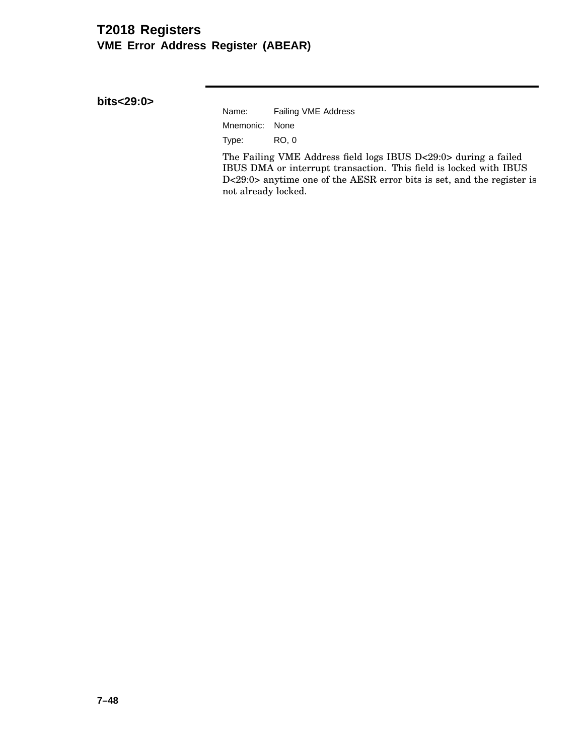# **T2018 Registers VME Error Address Register (ABEAR)**

**bits<29:0>**

| Name:          | Failing VME Address |
|----------------|---------------------|
| Mnemonic: None |                     |
| Type:          | RO. 0               |

The Failing VME Address field logs IBUS D<29:0> during a failed IBUS DMA or interrupt transaction. This field is locked with IBUS D<29:0> anytime one of the AESR error bits is set, and the register is not already locked.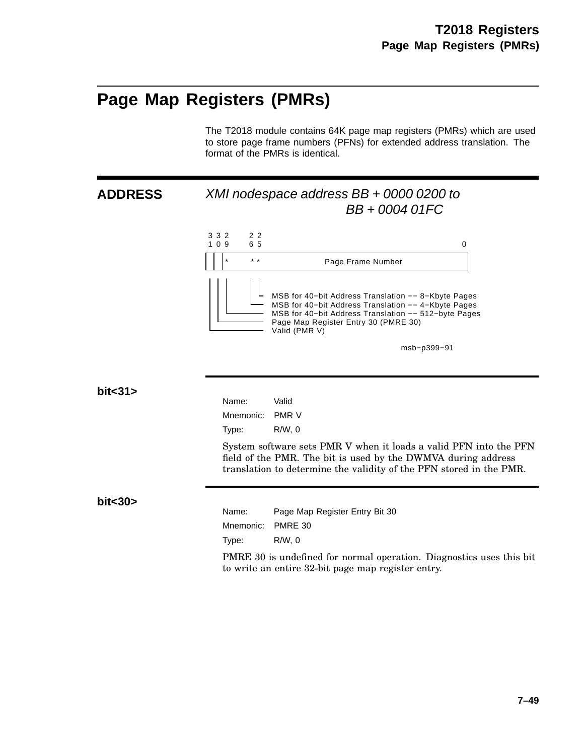# **Page Map Registers (PMRs)**

The T2018 module contains 64K page map registers (PMRs) which are used to store page frame numbers (PFNs) for extended address translation. The format of the PMRs is identical.

## **ADDRESS** XMI nodespace address BB + 0000 0200 to BB + 0004 01FC



msb−p399−91

#### **bit<31>**

**bit<30>**

| Name:     | Valid                                                                                                                                                                                                     |
|-----------|-----------------------------------------------------------------------------------------------------------------------------------------------------------------------------------------------------------|
| Mnemonic: | <b>PMR V</b>                                                                                                                                                                                              |
| Type:     | R/W.0                                                                                                                                                                                                     |
|           | System software sets PMR V when it loads a valid PFN into the PFN<br>field of the PMR. The bit is used by the DWMVA during address<br>translation to determine the validity of the PFN stored in the PMR. |
| Name:     | Page Map Register Entry Bit 30                                                                                                                                                                            |
|           |                                                                                                                                                                                                           |
| Mnemonic: | PMRE 30                                                                                                                                                                                                   |

PMRE 30 is undefined for normal operation. Diagnostics uses this bit to write an entire 32-bit page map register entry.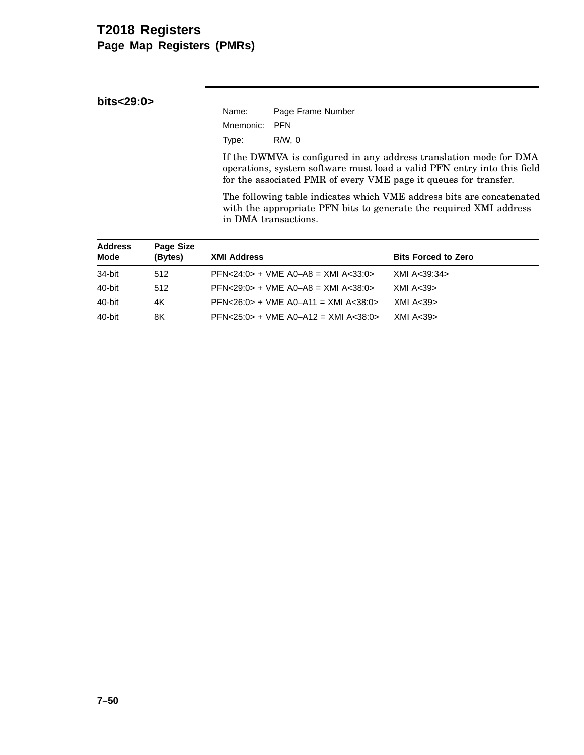## **T2018 Registers Page Map Registers (PMRs)**

**bits<29:0>**

| Name:         | Page Frame Number |
|---------------|-------------------|
| Mnemonic: PFN |                   |
| Type:         | R/W.0             |

If the DWMVA is configured in any address translation mode for DMA operations, system software must load a valid PFN entry into this field for the associated PMR of every VME page it queues for transfer.

The following table indicates which VME address bits are concatenated with the appropriate PFN bits to generate the required XMI address in DMA transactions.

| <b>Address</b><br><b>Mode</b> | Page Size<br>(Bytes) | <b>XMI Address</b>                              | <b>Bits Forced to Zero</b> |
|-------------------------------|----------------------|-------------------------------------------------|----------------------------|
| 34-bit                        | 512                  | $PFN < 24:0 > +$ VME A0-A8 = XMI A $<$ 33:0 $>$ | XMI A<39:34>               |
| 40-bit                        | 512                  | $PFN < 29:0 > + VME$ A0-A8 = XMI A $< 38:0 >$   | XML A < 39                 |
| 40-bit                        | 4K                   | $PFN < 26:0 > +$ VME A0-A11 = XMI A $<$ 38:0>   | XML A < 39                 |
| 40-bit                        | 8K                   | $PFN < 25:0 > +$ VME A0-A12 = XMI A $<$ 38:0>   | XML A < 39                 |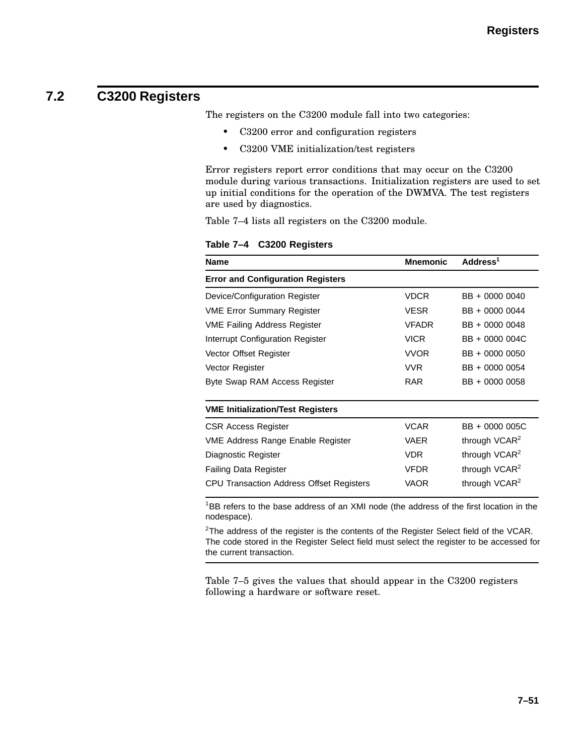# **7.2 C3200 Registers**

The registers on the C3200 module fall into two categories:

- C3200 error and configuration registers
- C3200 VME initialization/test registers

Error registers report error conditions that may occur on the C3200 module during various transactions. Initialization registers are used to set up initial conditions for the operation of the DWMVA. The test registers are used by diagnostics.

Table 7–4 lists all registers on the C3200 module.

**Table 7–4 C3200 Registers**

| <b>Name</b>                              | <b>Mnemonic</b> | Address <sup>1</sup>      |
|------------------------------------------|-----------------|---------------------------|
| <b>Error and Configuration Registers</b> |                 |                           |
| Device/Configuration Register            | <b>VDCR</b>     | BB + 0000 0040            |
| <b>VME Error Summary Register</b>        | <b>VESR</b>     | BB + 0000 0044            |
| <b>VME Failing Address Register</b>      | <b>VFADR</b>    | BB + 0000 0048            |
| Interrupt Configuration Register         | <b>VICR</b>     | BB + 0000 004C            |
| Vector Offset Register                   | <b>VVOR</b>     | BB + 0000 0050            |
| Vector Register                          | <b>VVR</b>      | BB + 0000 0054            |
| Byte Swap RAM Access Register            | <b>RAR</b>      | BB + 0000 0058            |
| <b>VME Initialization/Test Registers</b> |                 |                           |
| <b>CSR Access Register</b>               | <b>VCAR</b>     | BB + 0000 005C            |
| VME Address Range Enable Register        | <b>VAER</b>     | through VCAR <sup>2</sup> |
| Diagnostic Register                      | <b>VDR</b>      | through VCAR <sup>2</sup> |
| <b>Failing Data Register</b>             | <b>VFDR</b>     | through VCAR <sup>2</sup> |
| CPU Transaction Address Offset Registers | <b>VAOR</b>     | through VCAR <sup>2</sup> |

<sup>1</sup>BB refers to the base address of an XMI node (the address of the first location in the nodespace).

 $2$ The address of the register is the contents of the Register Select field of the VCAR. The code stored in the Register Select field must select the register to be accessed for the current transaction.

Table 7–5 gives the values that should appear in the C3200 registers following a hardware or software reset.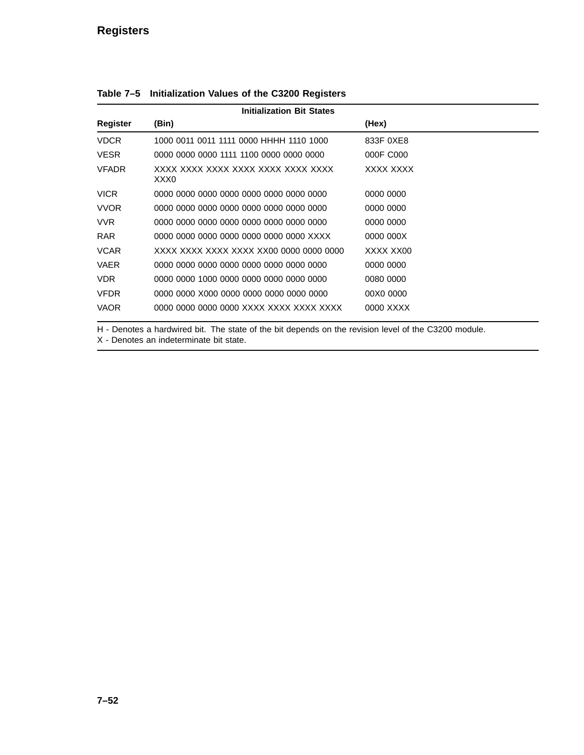### **Registers**

| <b>Initialization Bit States</b> |                                            |           |
|----------------------------------|--------------------------------------------|-----------|
| Register                         | (Bin)                                      | (Hex)     |
| <b>VDCR</b>                      | 1000 0011 0011 1111 0000 HHHH 1110 1000    | 833F 0XE8 |
| <b>VESR</b>                      | 0000 0000 0000 1111 1100 0000 0000 0000    | 000F C000 |
| <b>VFADR</b>                     | XXXX XXXX XXXX XXXX XXXX XXXX XXXX<br>XXX0 | XXXX XXXX |
| <b>VICR</b>                      | .0000 0000 0000 0000 0000 0000 0000 0000   | 0000 0000 |
| <b>VVOR</b>                      | .0000 0000 0000 0000 0000 0000 0000 0000   | 0000 0000 |
| VVR.                             | .0000 0000 0000 0000 0000 0000 0000 0000   | 0000 0000 |
| <b>RAR</b>                       | 0000 0000 0000 0000 0000 0000 0000 XXXX    | 0000 000X |
| <b>VCAR</b>                      |                                            | XXXX XX00 |
| <b>VAER</b>                      | .0000 0000 0000 0000 0000 0000 0000 0000   | 0000 0000 |
| VDR.                             | 0000 0000 1000 0000 0000 0000 0000 0000    | 0080 0000 |
| <b>VFDR</b>                      | 0000 0000 X000 0000 0000 0000 0000 0000    | 00X0 0000 |
| <b>VAOR</b>                      |                                            | 0000 XXXX |

**Table 7–5 Initialization Values of the C3200 Registers**

H - Denotes a hardwired bit. The state of the bit depends on the revision level of the C3200 module.

X - Denotes an indeterminate bit state.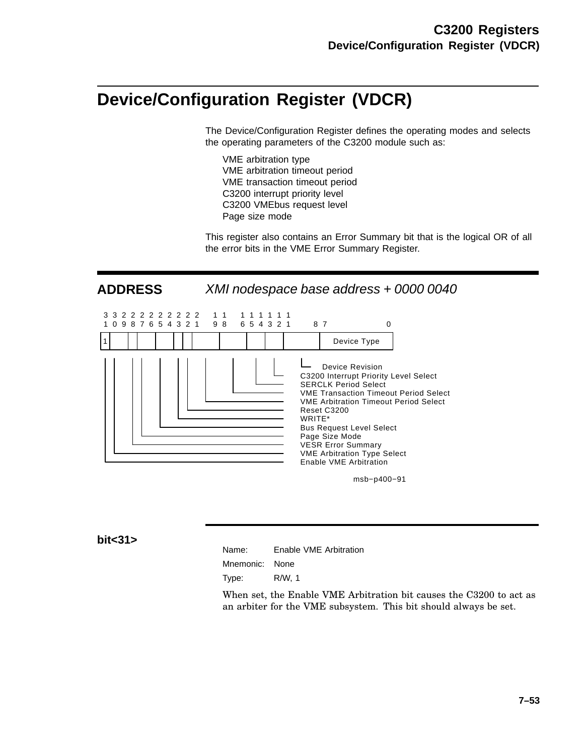# **Device/Configuration Register (VDCR)**

The Device/Configuration Register defines the operating modes and selects the operating parameters of the C3200 module such as:

VME arbitration type VME arbitration timeout period VME transaction timeout period C3200 interrupt priority level C3200 VMEbus request level Page size mode

This register also contains an Error Summary bit that is the logical OR of all the error bits in the VME Error Summary Register.

**ADDRESS** XMI nodespace base address + 0000 0040



msb−p400−91

#### **bit<31>**

| Name: |  | Enable VME Arbitration |
|-------|--|------------------------|
|       |  |                        |

Mnemonic: None

Type: R/W, 1

When set, the Enable VME Arbitration bit causes the C3200 to act as an arbiter for the VME subsystem. This bit should always be set.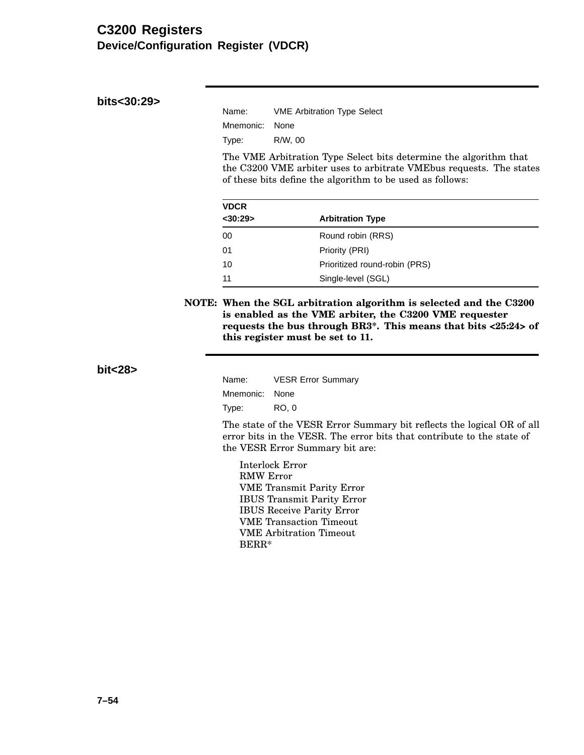### **C3200 Registers Device/Configuration Register (VDCR)**

**bits<30:29>**

| Name:          | <b>VME Arbitration Type Select</b> |
|----------------|------------------------------------|
| Mnemonic: None |                                    |
| Type:          | R/W. 00                            |

The VME Arbitration Type Select bits determine the algorithm that the C3200 VME arbiter uses to arbitrate VMEbus requests. The states of these bits define the algorithm to be used as follows:

| <b>VDCR</b>   |                               |  |
|---------------|-------------------------------|--|
| $<$ 30:29 $>$ | <b>Arbitration Type</b>       |  |
| 00            | Round robin (RRS)             |  |
| 01            | Priority (PRI)                |  |
| 10            | Prioritized round-robin (PRS) |  |
| 11            | Single-level (SGL)            |  |

**NOTE: When the SGL arbitration algorithm is selected and the C3200 is enabled as the VME arbiter, the C3200 VME requester requests the bus through BR3\*. This means that bits <25:24> of this register must be set to 11.**

**bit<28>**

| Name:          | <b>VESR Error Summary</b> |
|----------------|---------------------------|
| Mnemonic: None |                           |
| Type:          | RO, 0                     |

The state of the VESR Error Summary bit reflects the logical OR of all error bits in the VESR. The error bits that contribute to the state of the VESR Error Summary bit are:

Interlock Error RMW Error VME Transmit Parity Error IBUS Transmit Parity Error IBUS Receive Parity Error VME Transaction Timeout VME Arbitration Timeout BERR\*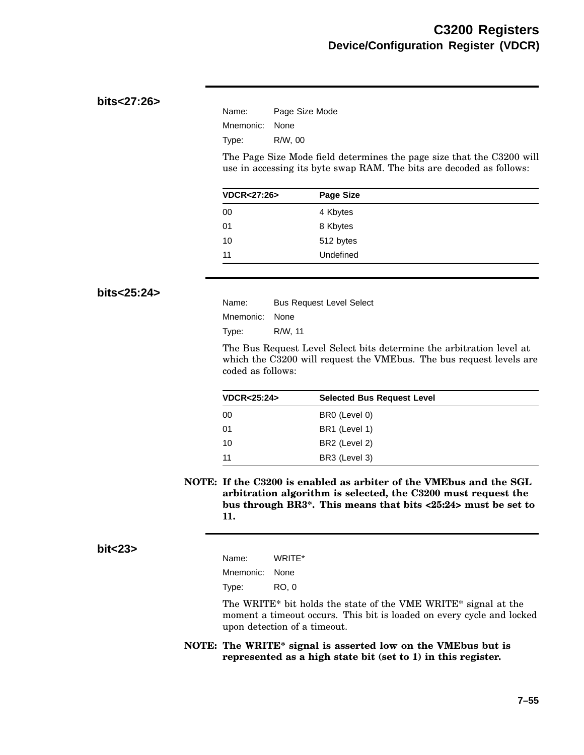### **bits<27:26>**

| Name:     | Page Size Mode |
|-----------|----------------|
| Mnemonic: | None           |
| Type:     | R/W. 00        |

The Page Size Mode field determines the page size that the C3200 will use in accessing its byte swap RAM. The bits are decoded as follows:

| <b>VDCR&lt;27:26&gt;</b> | <b>Page Size</b> |  |
|--------------------------|------------------|--|
| 00                       | 4 Kbytes         |  |
| 01                       | 8 Kbytes         |  |
| 10                       | 512 bytes        |  |
| 11                       | Undefined        |  |
|                          |                  |  |

#### **bits<25:24>**

| Name:          | <b>Bus Request Level Select</b> |
|----------------|---------------------------------|
| Mnemonic: None |                                 |
| Type:          | R/W. 11                         |

The Bus Request Level Select bits determine the arbitration level at which the C3200 will request the VMEbus. The bus request levels are coded as follows:

| <b>VDCR&lt;25:24&gt;</b> | <b>Selected Bus Request Level</b> |  |  |
|--------------------------|-----------------------------------|--|--|
| -00                      | BR0 (Level 0)                     |  |  |
| -01                      | BR1 (Level 1)                     |  |  |
| -10                      | BR2 (Level 2)                     |  |  |
| -11                      | BR3 (Level 3)                     |  |  |

**NOTE: If the C3200 is enabled as arbiter of the VMEbus and the SGL arbitration algorithm is selected, the C3200 must request the bus through BR3\*. This means that bits <25:24> must be set to 11.**

#### **bit<23>**

| Name:     | WRITE* |
|-----------|--------|
| Mnemonic: | None   |
| Type:     | RO. 0  |

The WRITE\* bit holds the state of the VME WRITE\* signal at the moment a timeout occurs. This bit is loaded on every cycle and locked upon detection of a timeout.

**NOTE: The WRITE\* signal is asserted low on the VMEbus but is represented as a high state bit (set to 1) in this register.**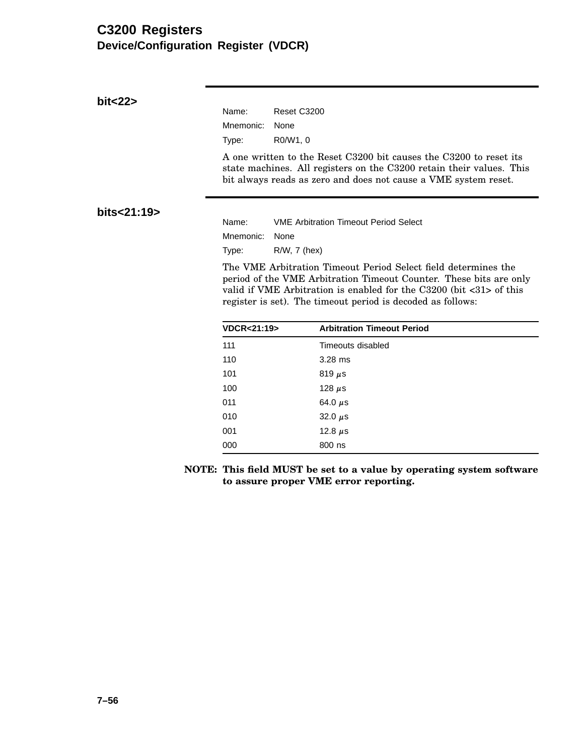# **C3200 Registers Device/Configuration Register (VDCR)**

| bit<22>     |                          |                                                                                                                                                                                                                            |  |  |  |
|-------------|--------------------------|----------------------------------------------------------------------------------------------------------------------------------------------------------------------------------------------------------------------------|--|--|--|
|             | Name:                    | Reset C3200                                                                                                                                                                                                                |  |  |  |
|             | Mnemonic:                | None                                                                                                                                                                                                                       |  |  |  |
|             | Type:                    | R0/W1, 0                                                                                                                                                                                                                   |  |  |  |
|             |                          | A one written to the Reset C3200 bit causes the C3200 to reset its<br>state machines. All registers on the C3200 retain their values. This<br>bit always reads as zero and does not cause a VME system reset.              |  |  |  |
| bits<21:19> | Name:                    | <b>VME Arbitration Timeout Period Select</b>                                                                                                                                                                               |  |  |  |
|             | Mnemonic:                | None                                                                                                                                                                                                                       |  |  |  |
|             | Type:                    | R/W, 7 (hex)                                                                                                                                                                                                               |  |  |  |
|             |                          | The VME Arbitration Timeout Period Select field determines the                                                                                                                                                             |  |  |  |
|             |                          | period of the VME Arbitration Timeout Counter. These bits are only<br>valid if VME Arbitration is enabled for the $C3200$ (bit $\langle 31 \rangle$ of this<br>register is set). The timeout period is decoded as follows: |  |  |  |
|             | <b>VDCR&lt;21:19&gt;</b> | <b>Arbitration Timeout Period</b>                                                                                                                                                                                          |  |  |  |
|             | 111                      | Timeouts disabled                                                                                                                                                                                                          |  |  |  |
|             | 110                      | $3.28$ ms                                                                                                                                                                                                                  |  |  |  |
|             | 101                      | 819 $\mu$ s                                                                                                                                                                                                                |  |  |  |
|             | 100                      | 128 $\mu$ s                                                                                                                                                                                                                |  |  |  |
|             | 011                      | 64.0 $\mu$ s                                                                                                                                                                                                               |  |  |  |
|             | 010                      | 32.0 $\mu$ s                                                                                                                                                                                                               |  |  |  |
|             | 001                      | 12.8 $\mu$ s                                                                                                                                                                                                               |  |  |  |

**NOTE: This field MUST be set to a value by operating system software to assure proper VME error reporting.**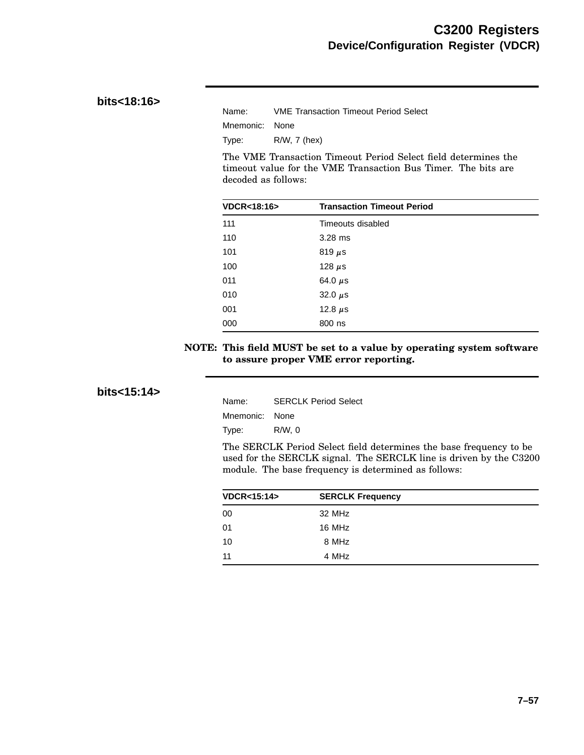### **bits<18:16>**

| Name:          | <b>VME Transaction Timeout Period Select</b> |
|----------------|----------------------------------------------|
| Mnemonic: None |                                              |
| Type:          | $R/W$ , 7 (hex)                              |

The VME Transaction Timeout Period Select field determines the timeout value for the VME Transaction Bus Timer. The bits are decoded as follows:

| <b>VDCR&lt;18:16&gt;</b> | <b>Transaction Timeout Period</b> |  |
|--------------------------|-----------------------------------|--|
| 111                      | Timeouts disabled                 |  |
| 110                      | $3.28$ ms                         |  |
| 101                      | 819 $\mu$ s                       |  |
| 100                      | 128 $\mu$ s                       |  |
| 011                      | 64.0 $\mu$ s                      |  |
| 010                      | 32.0 $\mu$ s                      |  |
| 001                      | 12.8 $\mu$ s                      |  |
| 000                      | 800 ns                            |  |

#### **NOTE: This field MUST be set to a value by operating system software to assure proper VME error reporting.**

### **bits<15:14>**

| Name:          | <b>SERCLK Period Select</b> |
|----------------|-----------------------------|
| Mnemonic: None |                             |
| Type:          | R/W.0                       |

The SERCLK Period Select field determines the base frequency to be used for the SERCLK signal. The SERCLK line is driven by the C3200 module. The base frequency is determined as follows:

| <b>VDCR&lt;15:14&gt;</b> | <b>SERCLK Frequency</b> |  |
|--------------------------|-------------------------|--|
| 00                       | 32 MHz                  |  |
| 01                       | 16 MHz                  |  |
| 10                       | 8 MHz                   |  |
| 11                       | 4 MHz                   |  |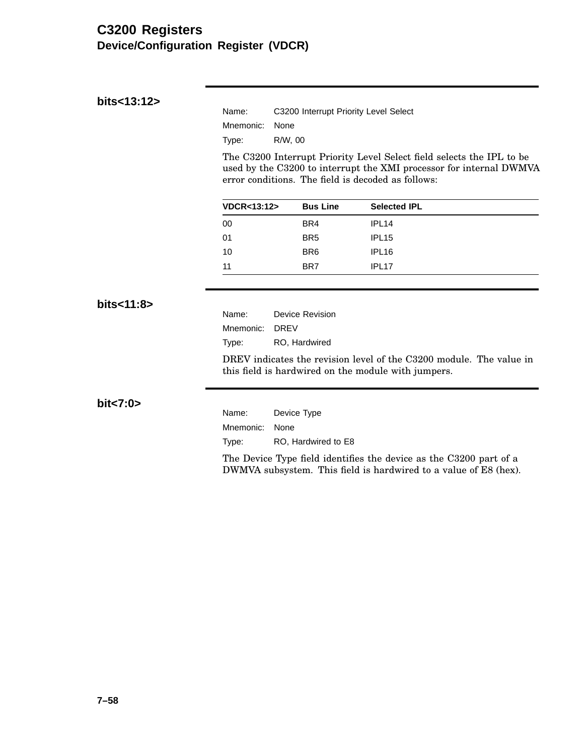### **C3200 Registers Device/Configuration Register (VDCR)**

| Name:          | C3200 Interrupt Priority Level Select |
|----------------|---------------------------------------|
| Mnemonic: None |                                       |
| Tvpe:          | R/W, 00                               |

The C3200 Interrupt Priority Level Select field selects the IPL to be used by the C3200 to interrupt the XMI processor for internal DWMVA error conditions. The field is decoded as follows:

| <b>VDCR&lt;13:12&gt;</b> | <b>Bus Line</b> | <b>Selected IPL</b> |  |
|--------------------------|-----------------|---------------------|--|
| 00                       | BR4             | IPL <sub>14</sub>   |  |
| 01                       | BR <sub>5</sub> | IPL <sub>15</sub>   |  |
| 10                       | BR <sub>6</sub> | IPL <sub>16</sub>   |  |
| 11                       | BR7             | IPL <sub>17</sub>   |  |

**bits<11:8>**

Name: Device Revision Mnemonic: DREV Type: RO, Hardwired

DREV indicates the revision level of the C3200 module. The value in this field is hardwired on the module with jumpers.

**bit<7:0>**

Name: Device Type Mnemonic: None Type: RO, Hardwired to E8

The Device Type field identifies the device as the C3200 part of a DWMVA subsystem. This field is hardwired to a value of E8 (hex).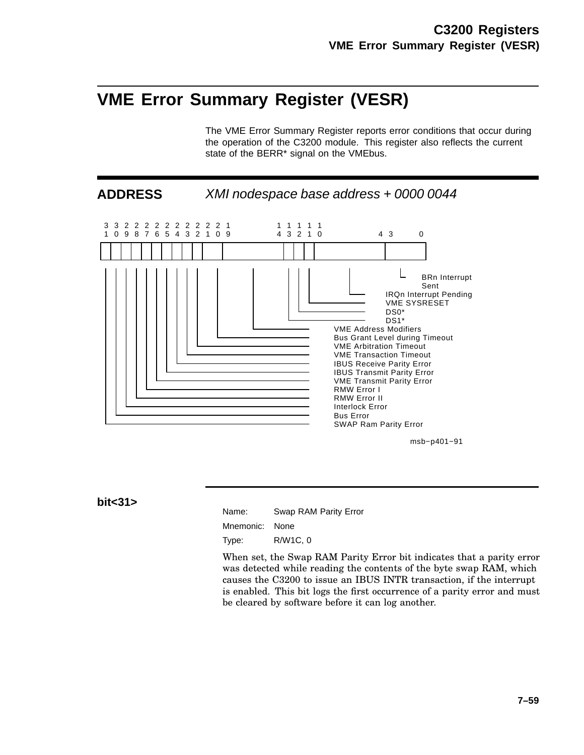# **VME Error Summary Register (VESR)**

The VME Error Summary Register reports error conditions that occur during the operation of the C3200 module. This register also reflects the current state of the BERR\* signal on the VMEbus.



**bit<31>**

Name: Swap RAM Parity Error

Mnemonic: None

Type: R/W1C, 0

When set, the Swap RAM Parity Error bit indicates that a parity error was detected while reading the contents of the byte swap RAM, which causes the C3200 to issue an IBUS INTR transaction, if the interrupt is enabled. This bit logs the first occurrence of a parity error and must be cleared by software before it can log another.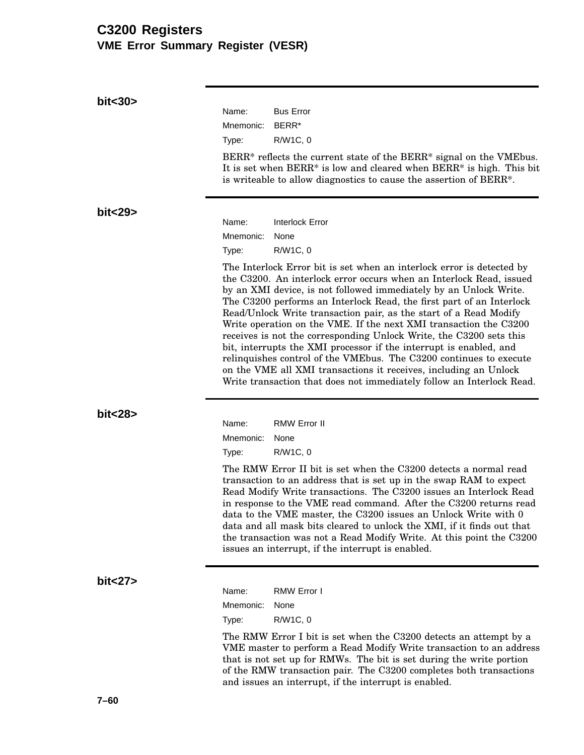### **C3200 Registers VME Error Summary Register (VESR)**

**bit<30>** Name: Bus Error Mnemonic: BERR\* Type: R/W1C, 0 BERR\* reflects the current state of the BERR\* signal on the VMEbus. It is set when BERR\* is low and cleared when BERR\* is high. This bit is writeable to allow diagnostics to cause the assertion of BERR\*. **bit<29>** Name: Interlock Error Mnemonic: None Type: R/W1C, 0 The Interlock Error bit is set when an interlock error is detected by the C3200. An interlock error occurs when an Interlock Read, issued by an XMI device, is not followed immediately by an Unlock Write. The C3200 performs an Interlock Read, the first part of an Interlock Read/Unlock Write transaction pair, as the start of a Read Modify Write operation on the VME. If the next XMI transaction the C3200 receives is not the corresponding Unlock Write, the C3200 sets this bit, interrupts the XMI processor if the interrupt is enabled, and relinquishes control of the VMEbus. The C3200 continues to execute on the VME all XMI transactions it receives, including an Unlock Write transaction that does not immediately follow an Interlock Read. **bit<28>** Name: RMW Error II Mnemonic: None Type: R/W1C, 0 The RMW Error II bit is set when the C3200 detects a normal read transaction to an address that is set up in the swap RAM to expect Read Modify Write transactions. The C3200 issues an Interlock Read in response to the VME read command. After the C3200 returns read data to the VME master, the C3200 issues an Unlock Write with 0 data and all mask bits cleared to unlock the XMI, if it finds out that the transaction was not a Read Modify Write. At this point the C3200 issues an interrupt, if the interrupt is enabled. **bit<27>** Name: RMW Error I Mnemonic: None Type: R/W1C, 0 The RMW Error I bit is set when the C3200 detects an attempt by a VME master to perform a Read Modify Write transaction to an address that is not set up for RMWs. The bit is set during the write portion of the RMW transaction pair. The C3200 completes both transactions and issues an interrupt, if the interrupt is enabled.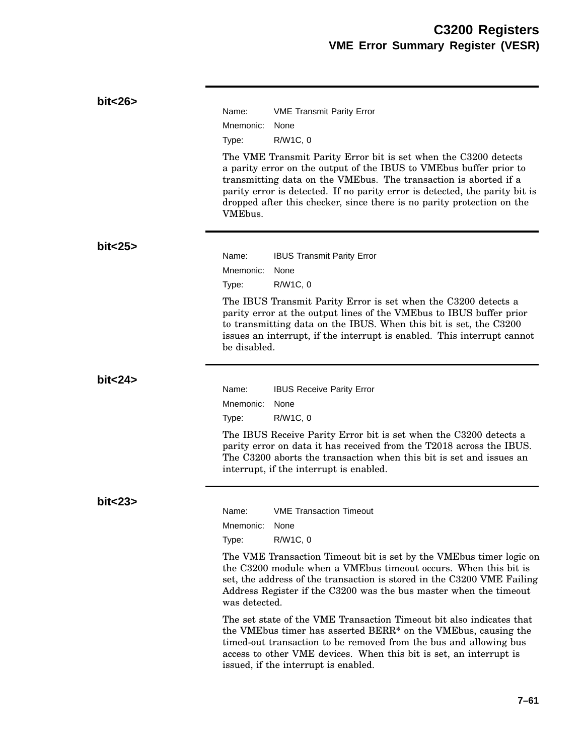| bit < 26 |                                                                                                                                                                                                                                                                                                                                                                                             |  |  |
|----------|---------------------------------------------------------------------------------------------------------------------------------------------------------------------------------------------------------------------------------------------------------------------------------------------------------------------------------------------------------------------------------------------|--|--|
|          | Name:<br><b>VME Transmit Parity Error</b>                                                                                                                                                                                                                                                                                                                                                   |  |  |
|          | Mnemonic:<br>None                                                                                                                                                                                                                                                                                                                                                                           |  |  |
|          | R/W1C, 0<br>Type:                                                                                                                                                                                                                                                                                                                                                                           |  |  |
|          | The VME Transmit Parity Error bit is set when the C3200 detects<br>a parity error on the output of the IBUS to VME bus buffer prior to<br>transmitting data on the VMEbus. The transaction is aborted if a<br>parity error is detected. If no parity error is detected, the parity bit is<br>dropped after this checker, since there is no parity protection on the<br>VME <sub>bus</sub> . |  |  |
| bit < 25 |                                                                                                                                                                                                                                                                                                                                                                                             |  |  |
|          | Name:<br><b>IBUS Transmit Parity Error</b>                                                                                                                                                                                                                                                                                                                                                  |  |  |
|          | Mnemonic:<br>None                                                                                                                                                                                                                                                                                                                                                                           |  |  |
|          | R/W1C, 0<br>Type:                                                                                                                                                                                                                                                                                                                                                                           |  |  |
|          | The IBUS Transmit Parity Error is set when the C3200 detects a<br>parity error at the output lines of the VMEbus to IBUS buffer prior<br>to transmitting data on the IBUS. When this bit is set, the C3200<br>issues an interrupt, if the interrupt is enabled. This interrupt cannot<br>be disabled.                                                                                       |  |  |
| bit < 24 |                                                                                                                                                                                                                                                                                                                                                                                             |  |  |
|          | Name:<br><b>IBUS Receive Parity Error</b>                                                                                                                                                                                                                                                                                                                                                   |  |  |
|          | Mnemonic:<br>None                                                                                                                                                                                                                                                                                                                                                                           |  |  |
|          | R/W1C, 0<br>Type:                                                                                                                                                                                                                                                                                                                                                                           |  |  |
|          | The IBUS Receive Parity Error bit is set when the C3200 detects a<br>parity error on data it has received from the T2018 across the IBUS.<br>The C3200 aborts the transaction when this bit is set and issues an<br>interrupt, if the interrupt is enabled.                                                                                                                                 |  |  |
| bit < 23 |                                                                                                                                                                                                                                                                                                                                                                                             |  |  |
|          | <b>VME Transaction Timeout</b><br>Name:                                                                                                                                                                                                                                                                                                                                                     |  |  |
|          | Mnemonic:<br>None                                                                                                                                                                                                                                                                                                                                                                           |  |  |
|          | R/W1C, 0<br>Type:                                                                                                                                                                                                                                                                                                                                                                           |  |  |
|          | The VME Transaction Timeout bit is set by the VME bus timer logic on<br>the C3200 module when a VME bus time out occurs. When this bit is<br>set, the address of the transaction is stored in the C3200 VME Failing<br>Address Register if the C3200 was the bus master when the timeout<br>was detected.                                                                                   |  |  |
|          | The set state of the VME Transaction Timeout bit also indicates that<br>the VMEbus timer has asserted BERR* on the VMEbus, causing the<br>timed-out transaction to be removed from the bus and allowing bus<br>access to other VME devices. When this bit is set, an interrupt is<br>issued, if the interrupt is enabled.                                                                   |  |  |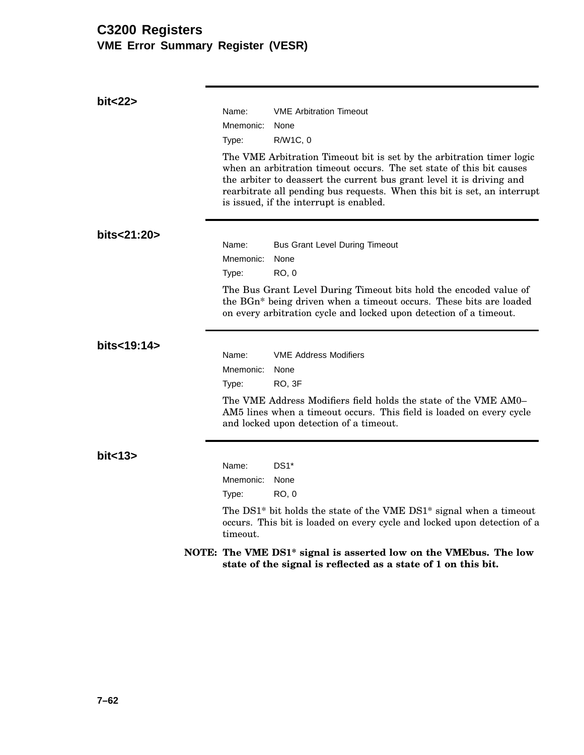# **C3200 Registers VME Error Summary Register (VESR)**

| bit<22>     |                                                                                                                                                                                                                                                                                                                                               |                                                                                                                                                                                    |  |  |
|-------------|-----------------------------------------------------------------------------------------------------------------------------------------------------------------------------------------------------------------------------------------------------------------------------------------------------------------------------------------------|------------------------------------------------------------------------------------------------------------------------------------------------------------------------------------|--|--|
|             | Name:                                                                                                                                                                                                                                                                                                                                         | <b>VME Arbitration Timeout</b><br>None                                                                                                                                             |  |  |
|             | Mnemonic:<br>Type:                                                                                                                                                                                                                                                                                                                            | R/W1C, 0                                                                                                                                                                           |  |  |
|             | The VME Arbitration Timeout bit is set by the arbitration timer logic<br>when an arbitration timeout occurs. The set state of this bit causes<br>the arbiter to deassert the current bus grant level it is driving and<br>rearbitrate all pending bus requests. When this bit is set, an interrupt<br>is issued, if the interrupt is enabled. |                                                                                                                                                                                    |  |  |
| bits<21:20> | Name:<br>Mnemonic:<br>Type:                                                                                                                                                                                                                                                                                                                   | <b>Bus Grant Level During Timeout</b><br>None<br>RO, 0                                                                                                                             |  |  |
|             | The Bus Grant Level During Timeout bits hold the encoded value of<br>the BGn* being driven when a timeout occurs. These bits are loaded<br>on every arbitration cycle and locked upon detection of a timeout.                                                                                                                                 |                                                                                                                                                                                    |  |  |
| bits<19:14> |                                                                                                                                                                                                                                                                                                                                               |                                                                                                                                                                                    |  |  |
|             | Name:                                                                                                                                                                                                                                                                                                                                         | <b>VME Address Modifiers</b>                                                                                                                                                       |  |  |
|             | Mnemonic:<br>Type:                                                                                                                                                                                                                                                                                                                            | None<br>RO, 3F                                                                                                                                                                     |  |  |
|             |                                                                                                                                                                                                                                                                                                                                               | The VME Address Modifiers field holds the state of the VME AM0–<br>AM5 lines when a timeout occurs. This field is loaded on every cycle<br>and locked upon detection of a timeout. |  |  |
| bit < 13    | Name:<br>Mnemonic:                                                                                                                                                                                                                                                                                                                            | $DS1*$<br>None                                                                                                                                                                     |  |  |
|             | Type:                                                                                                                                                                                                                                                                                                                                         | RO, 0                                                                                                                                                                              |  |  |
|             | timeout.                                                                                                                                                                                                                                                                                                                                      | The DS1* bit holds the state of the VME DS1* signal when a timeout<br>occurs. This bit is loaded on every cycle and locked upon detection of a                                     |  |  |
|             |                                                                                                                                                                                                                                                                                                                                               | NOTE: The VME DS1 <sup>*</sup> signal is asserted low on the VMEbus. The low<br>state of the signal is reflected as a state of 1 on this bit.                                      |  |  |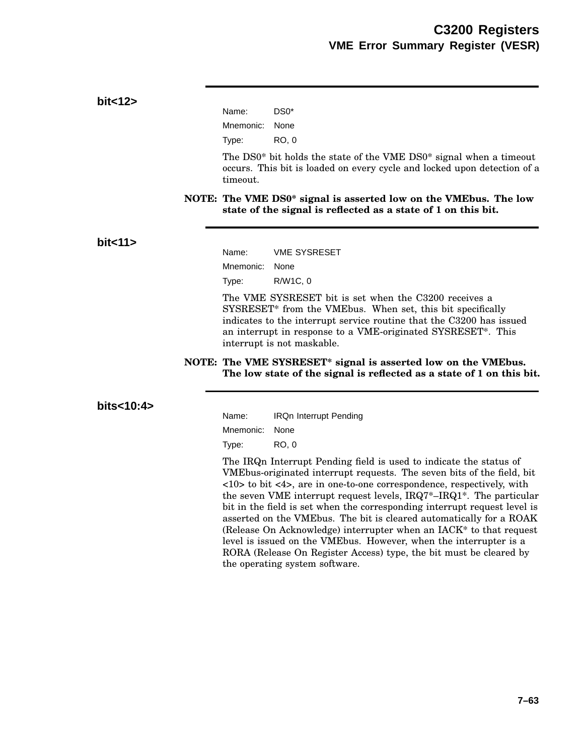### **bit<12>**

| Name:     | DS0*  |
|-----------|-------|
| Mnemonic: | None  |
| Type:     | RO. 0 |

The DS0\* bit holds the state of the VME DS0\* signal when a timeout occurs. This bit is loaded on every cycle and locked upon detection of a timeout.

**NOTE: The VME DS0\* signal is asserted low on the VMEbus. The low state of the signal is reflected as a state of 1 on this bit.**

#### **bit<11>**

Name: VME SYSRESET Mnemonic: None Type: R/W1C, 0

The VME SYSRESET bit is set when the C3200 receives a SYSRESET\* from the VMEbus. When set, this bit specifically indicates to the interrupt service routine that the C3200 has issued an interrupt in response to a VME-originated SYSRESET\*. This interrupt is not maskable.

#### **NOTE: The VME SYSRESET\* signal is asserted low on the VMEbus. The low state of the signal is reflected as a state of 1 on this bit.**

#### **bits<10:4>**

| Name:          | <b>IRQn Interrupt Pending</b> |
|----------------|-------------------------------|
| Mnemonic: None |                               |
| Type:          | RO. 0                         |

The IRQn Interrupt Pending field is used to indicate the status of VMEbus-originated interrupt requests. The seven bits of the field, bit <10> to bit <4>, are in one-to-one correspondence, respectively, with the seven VME interrupt request levels, IRQ7\*–IRQ1\*. The particular bit in the field is set when the corresponding interrupt request level is asserted on the VMEbus. The bit is cleared automatically for a ROAK (Release On Acknowledge) interrupter when an IACK\* to that request level is issued on the VMEbus. However, when the interrupter is a RORA (Release On Register Access) type, the bit must be cleared by the operating system software.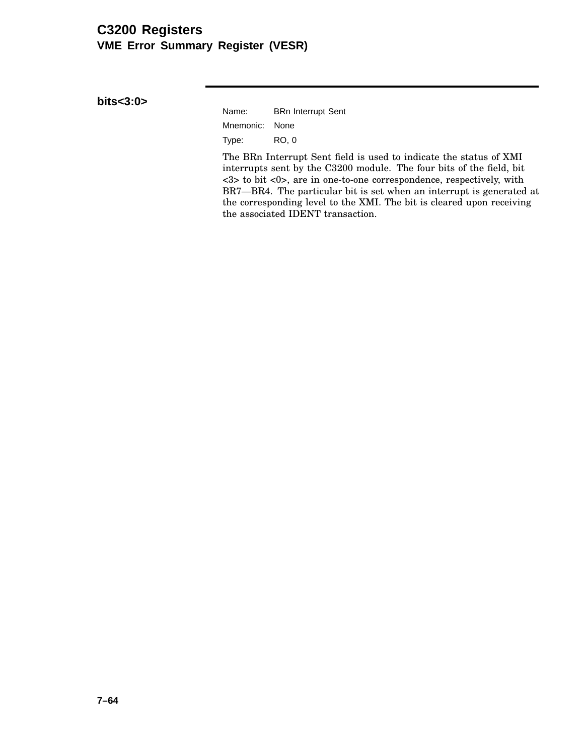## **C3200 Registers VME Error Summary Register (VESR)**

**bits<3:0>**

| Name:          | <b>BRn Interrupt Sent</b> |
|----------------|---------------------------|
| Mnemonic: None |                           |
| Type:          | RO. 0                     |

The BRn Interrupt Sent field is used to indicate the status of XMI interrupts sent by the C3200 module. The four bits of the field, bit <3> to bit <0>, are in one-to-one correspondence, respectively, with BR7—BR4. The particular bit is set when an interrupt is generated at the corresponding level to the XMI. The bit is cleared upon receiving the associated IDENT transaction.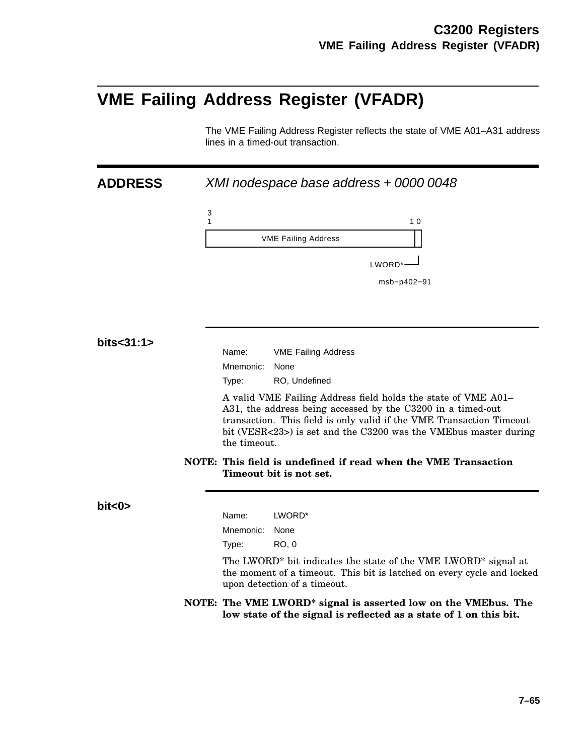# **VME Failing Address Register (VFADR)**

The VME Failing Address Register reflects the state of VME A01–A31 address lines in a timed-out transaction.

| <b>ADDRESS</b> | XMI nodespace base address + 0000 0048                                                                                                                                                                                                                                                   |
|----------------|------------------------------------------------------------------------------------------------------------------------------------------------------------------------------------------------------------------------------------------------------------------------------------------|
|                | 3<br>$\mathbf{1}$<br>10                                                                                                                                                                                                                                                                  |
|                | <b>VME Failing Address</b>                                                                                                                                                                                                                                                               |
|                | LWORD*-                                                                                                                                                                                                                                                                                  |
|                | msb-p402-91                                                                                                                                                                                                                                                                              |
|                |                                                                                                                                                                                                                                                                                          |
|                |                                                                                                                                                                                                                                                                                          |
|                |                                                                                                                                                                                                                                                                                          |
| bits<31:1>     | Name:<br><b>VME Failing Address</b>                                                                                                                                                                                                                                                      |
|                | Mnemonic:<br>None                                                                                                                                                                                                                                                                        |
|                | RO, Undefined<br>Type:                                                                                                                                                                                                                                                                   |
|                | A valid VME Failing Address field holds the state of VME A01-<br>A31, the address being accessed by the C3200 in a timed-out<br>transaction. This field is only valid if the VME Transaction Timeout<br>bit (VESR<23>) is set and the C3200 was the VMEbus master during<br>the timeout. |
|                | NOTE: This field is undefined if read when the VME Transaction<br>Timeout bit is not set.                                                                                                                                                                                                |
| bit < 0        |                                                                                                                                                                                                                                                                                          |
|                | LWORD*<br>Name:                                                                                                                                                                                                                                                                          |
|                | Mnemonic:<br>None                                                                                                                                                                                                                                                                        |
|                | <b>RO, 0</b><br>Type:                                                                                                                                                                                                                                                                    |
|                | The LWORD <sup>*</sup> bit indicates the state of the VME LWORD <sup>*</sup> signal at<br>the moment of a timeout. This bit is latched on every cycle and locked<br>upon detection of a timeout.                                                                                         |
|                | NOTE: The VME LWORD <sup>*</sup> signal is asserted low on the VMEbus. The<br>low state of the signal is reflected as a state of 1 on this bit.                                                                                                                                          |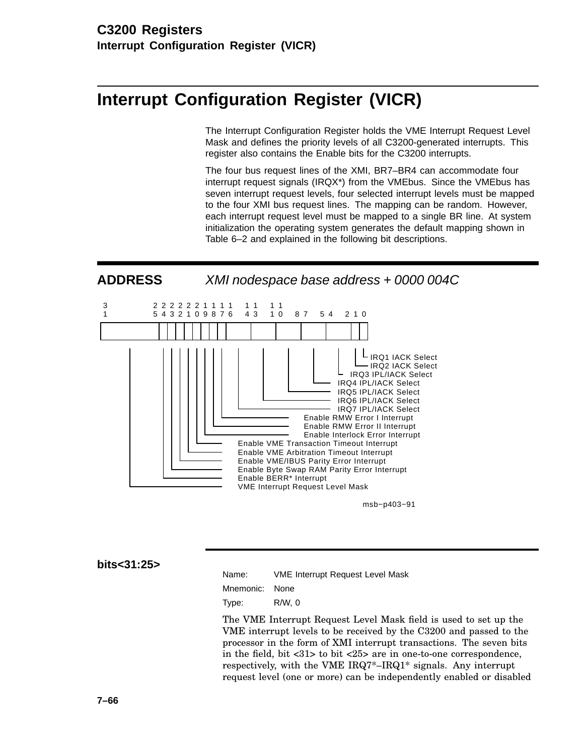# **Interrupt Configuration Register (VICR)**

The Interrupt Configuration Register holds the VME Interrupt Request Level Mask and defines the priority levels of all C3200-generated interrupts. This register also contains the Enable bits for the C3200 interrupts.

The four bus request lines of the XMI, BR7–BR4 can accommodate four interrupt request signals (IRQX\*) from the VMEbus. Since the VMEbus has seven interrupt request levels, four selected interrupt levels must be mapped to the four XMI bus request lines. The mapping can be random. However, each interrupt request level must be mapped to a single BR line. At system initialization the operating system generates the default mapping shown in Table 6–2 and explained in the following bit descriptions.

**ADDRESS** XMI nodespace base address + 0000 004C



msb−p403−91

#### **bits<31:25>**

| Name:          | <b>VME Interrupt Request Level Mask</b> |
|----------------|-----------------------------------------|
| Mnemonic: None |                                         |

Type: R/W, 0

The VME Interrupt Request Level Mask field is used to set up the VME interrupt levels to be received by the C3200 and passed to the processor in the form of XMI interrupt transactions. The seven bits in the field, bit <31> to bit <25> are in one-to-one correspondence, respectively, with the VME IRQ7\*–IRQ1\* signals. Any interrupt request level (one or more) can be independently enabled or disabled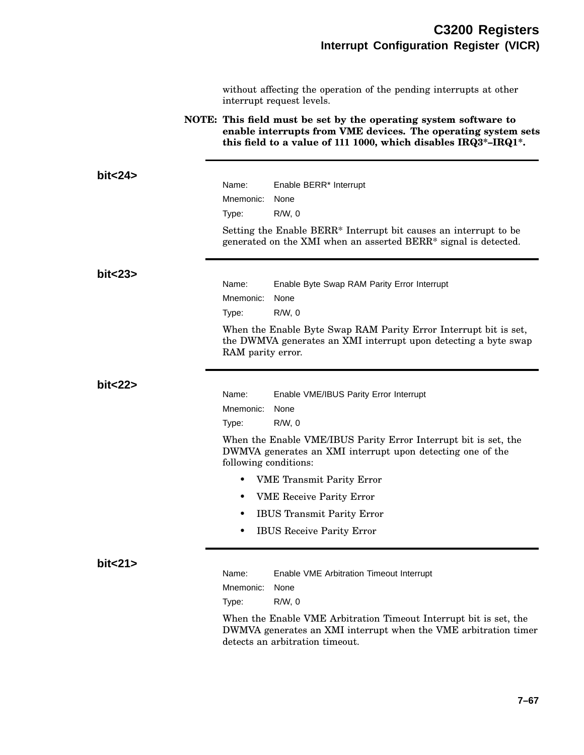without affecting the operation of the pending interrupts at other interrupt request levels.

**NOTE: This field must be set by the operating system software to enable interrupts from VME devices. The operating system sets this field to a value of 111 1000, which disables IRQ3\*–IRQ1\*.**

| bit < 24 |                                                                                                                                                                         |  |  |  |
|----------|-------------------------------------------------------------------------------------------------------------------------------------------------------------------------|--|--|--|
|          | Name:<br>Enable BERR* Interrupt                                                                                                                                         |  |  |  |
|          | Mnemonic:<br>None                                                                                                                                                       |  |  |  |
|          | $R/W$ , $0$<br>Type:                                                                                                                                                    |  |  |  |
|          | Setting the Enable BERR* Interrupt bit causes an interrupt to be                                                                                                        |  |  |  |
|          | generated on the XMI when an asserted BERR* signal is detected.                                                                                                         |  |  |  |
| bit < 23 |                                                                                                                                                                         |  |  |  |
|          | Name:<br>Enable Byte Swap RAM Parity Error Interrupt                                                                                                                    |  |  |  |
|          | Mnemonic:<br>None                                                                                                                                                       |  |  |  |
|          | $R/W$ , 0<br>Type:                                                                                                                                                      |  |  |  |
|          | When the Enable Byte Swap RAM Parity Error Interrupt bit is set,<br>the DWMVA generates an XMI interrupt upon detecting a byte swap<br>RAM parity error.                |  |  |  |
| bit < 22 |                                                                                                                                                                         |  |  |  |
|          | Name:<br>Enable VME/IBUS Parity Error Interrupt                                                                                                                         |  |  |  |
|          | Mnemonic:<br>None                                                                                                                                                       |  |  |  |
|          | $R/W$ , $0$<br>Type:                                                                                                                                                    |  |  |  |
|          | When the Enable VME/IBUS Parity Error Interrupt bit is set, the<br>DWMVA generates an XMI interrupt upon detecting one of the<br>following conditions:                  |  |  |  |
|          | <b>VME</b> Transmit Parity Error<br>$\bullet$                                                                                                                           |  |  |  |
|          | <b>VME</b> Receive Parity Error<br>$\bullet$                                                                                                                            |  |  |  |
|          | <b>IBUS Transmit Parity Error</b><br>$\bullet$                                                                                                                          |  |  |  |
|          | <b>IBUS</b> Receive Parity Error<br>$\bullet$                                                                                                                           |  |  |  |
| bit < 21 |                                                                                                                                                                         |  |  |  |
|          | Name:<br>Enable VME Arbitration Timeout Interrupt                                                                                                                       |  |  |  |
|          | Mnemonic:<br>None                                                                                                                                                       |  |  |  |
|          | $R/W$ , 0<br>Type:                                                                                                                                                      |  |  |  |
|          | When the Enable VME Arbitration Timeout Interrupt bit is set, the<br>DWMVA generates an XMI interrupt when the VME arbitration timer<br>detects an arbitration timeout. |  |  |  |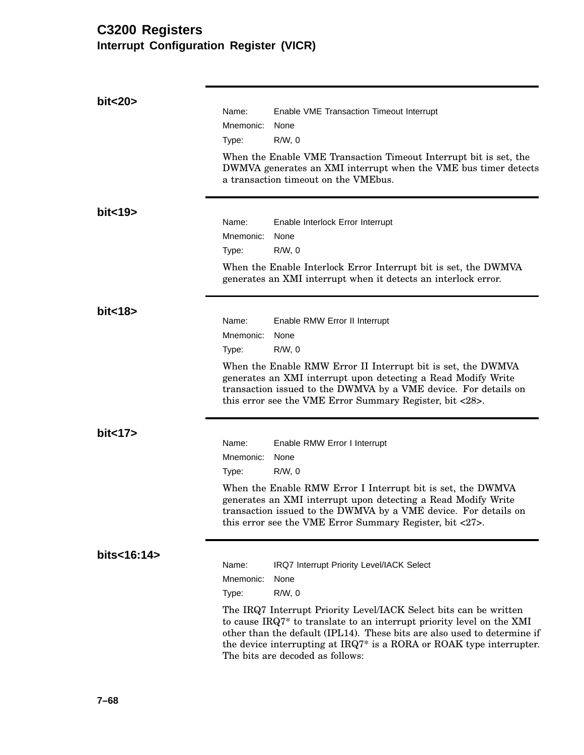# **C3200 Registers Interrupt Configuration Register (VICR)**

| bit<20>     |                                                                                                                                                                                                                                                                                                                                    |
|-------------|------------------------------------------------------------------------------------------------------------------------------------------------------------------------------------------------------------------------------------------------------------------------------------------------------------------------------------|
|             | Name:<br>Enable VME Transaction Timeout Interrupt                                                                                                                                                                                                                                                                                  |
|             | Mnemonic:<br>None                                                                                                                                                                                                                                                                                                                  |
|             | $R/W$ , 0<br>Type:                                                                                                                                                                                                                                                                                                                 |
|             | When the Enable VME Transaction Timeout Interrupt bit is set, the<br>DWMVA generates an XMI interrupt when the VME bus timer detects<br>a transaction timeout on the VME bus.                                                                                                                                                      |
| bit < 19    |                                                                                                                                                                                                                                                                                                                                    |
|             | Name:<br>Enable Interlock Error Interrupt                                                                                                                                                                                                                                                                                          |
|             | Mnemonic:<br>None                                                                                                                                                                                                                                                                                                                  |
|             | Type:<br>$R/W$ , 0                                                                                                                                                                                                                                                                                                                 |
|             | When the Enable Interlock Error Interrupt bit is set, the DWMVA<br>generates an XMI interrupt when it detects an interlock error.                                                                                                                                                                                                  |
| bit < 18    |                                                                                                                                                                                                                                                                                                                                    |
|             | Name:<br>Enable RMW Error II Interrupt<br>Mnemonic:<br>None                                                                                                                                                                                                                                                                        |
|             | $R/W$ , 0<br>Type:                                                                                                                                                                                                                                                                                                                 |
|             |                                                                                                                                                                                                                                                                                                                                    |
|             | When the Enable RMW Error II Interrupt bit is set, the DWMVA<br>generates an XMI interrupt upon detecting a Read Modify Write<br>transaction issued to the DWMVA by a VME device. For details on<br>this error see the VME Error Summary Register, bit <28>.                                                                       |
| bit < 17    |                                                                                                                                                                                                                                                                                                                                    |
|             | Name:<br>Enable RMW Error I Interrupt                                                                                                                                                                                                                                                                                              |
|             | Mnemonic:<br>None                                                                                                                                                                                                                                                                                                                  |
|             | $R/W$ , 0<br>Type:                                                                                                                                                                                                                                                                                                                 |
|             | When the Enable RMW Error I Interrupt bit is set, the DWMVA<br>generates an XMI interrupt upon detecting a Read Modify Write<br>transaction issued to the DWMVA by a VME device. For details on<br>this error see the VME Error Summary Register, bit <27>.                                                                        |
| bits<16:14> |                                                                                                                                                                                                                                                                                                                                    |
|             | Name:<br>IRQ7 Interrupt Priority Level/IACK Select<br>None                                                                                                                                                                                                                                                                         |
|             | Mnemonic:<br>$R/W$ , 0                                                                                                                                                                                                                                                                                                             |
|             | Type:                                                                                                                                                                                                                                                                                                                              |
|             | The IRQ7 Interrupt Priority Level/IACK Select bits can be written<br>to cause IRQ7* to translate to an interrupt priority level on the XMI<br>other than the default (IPL14). These bits are also used to determine if<br>the device interrupting at IRQ7* is a RORA or ROAK type interrupter.<br>The bits are decoded as follows: |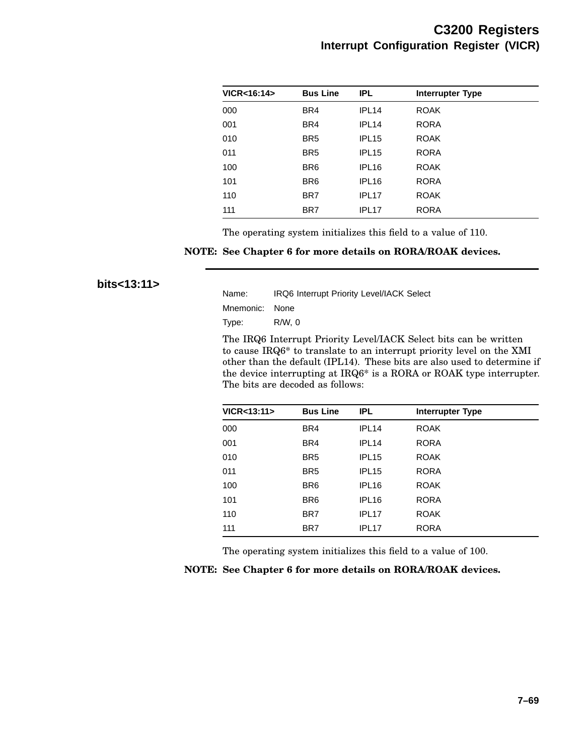| VICR<16:14> | <b>Bus Line</b> | IPL.              | <b>Interrupter Type</b> |  |
|-------------|-----------------|-------------------|-------------------------|--|
| 000         | BR4             | IPL <sub>14</sub> | <b>ROAK</b>             |  |
| 001         | BR4             | IPL <sub>14</sub> | <b>RORA</b>             |  |
| 010         | BR <sub>5</sub> | IPL <sub>15</sub> | <b>ROAK</b>             |  |
| 011         | BR <sub>5</sub> | IPL <sub>15</sub> | <b>RORA</b>             |  |
| 100         | BR <sub>6</sub> | IPL <sub>16</sub> | <b>ROAK</b>             |  |
| 101         | BR <sub>6</sub> | IPL <sub>16</sub> | <b>RORA</b>             |  |
| 110         | BR7             | IPL <sub>17</sub> | <b>ROAK</b>             |  |
| 111         | BR7             | IPL <sub>17</sub> | <b>RORA</b>             |  |

The operating system initializes this field to a value of 110.

#### **NOTE: See Chapter 6 for more details on RORA/ROAK devices.**

**bits<13:11>**

| Name:          | <b>IRQ6 Interrupt Priority Level/IACK Select</b> |
|----------------|--------------------------------------------------|
| Mnemonic: None |                                                  |
| Type:          | R/W. 0                                           |

The IRQ6 Interrupt Priority Level/IACK Select bits can be written to cause IRQ6\* to translate to an interrupt priority level on the XMI other than the default (IPL14). These bits are also used to determine if the device interrupting at IRQ6\* is a RORA or ROAK type interrupter. The bits are decoded as follows:

| VICR<13:11> | <b>Bus Line</b> | IPL.              | <b>Interrupter Type</b> |
|-------------|-----------------|-------------------|-------------------------|
| 000         | BR4             | IPL <sub>14</sub> | <b>ROAK</b>             |
| 001         | BR4             | IPL <sub>14</sub> | <b>RORA</b>             |
| 010         | BR <sub>5</sub> | IPL <sub>15</sub> | <b>ROAK</b>             |
| 011         | BR <sub>5</sub> | IPL <sub>15</sub> | <b>RORA</b>             |
| 100         | BR <sub>6</sub> | IPL <sub>16</sub> | <b>ROAK</b>             |
| 101         | BR <sub>6</sub> | IPL <sub>16</sub> | <b>RORA</b>             |
| 110         | BR7             | IPL <sub>17</sub> | <b>ROAK</b>             |
| 111         | BR7             | IPL <sub>17</sub> | <b>RORA</b>             |

The operating system initializes this field to a value of 100.

|  |  |  |  | NOTE: See Chapter 6 for more details on RORA/ROAK devices. |  |
|--|--|--|--|------------------------------------------------------------|--|
|--|--|--|--|------------------------------------------------------------|--|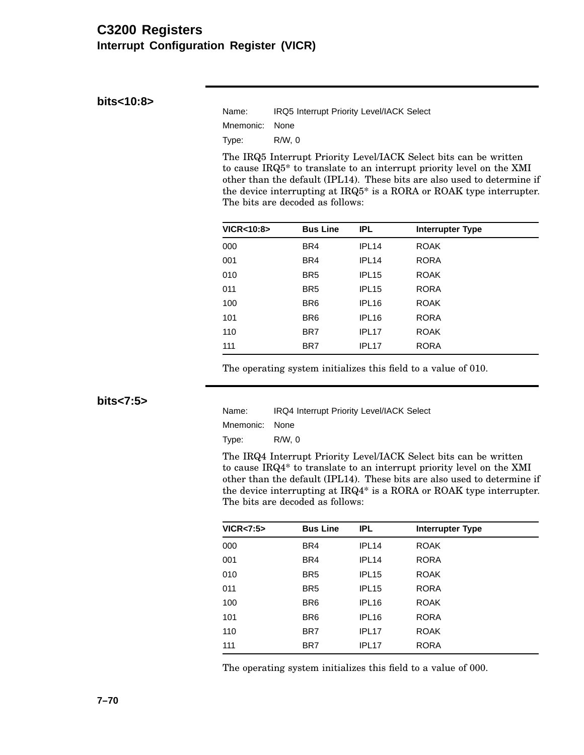### **C3200 Registers Interrupt Configuration Register (VICR)**

**bits<10:8>**

| Name:          | IRQ5 Interrupt Priority Level/IACK Select |
|----------------|-------------------------------------------|
| Mnemonic: None |                                           |
| Type:          | R/W.0                                     |

The IRQ5 Interrupt Priority Level/IACK Select bits can be written to cause IRQ5\* to translate to an interrupt priority level on the XMI other than the default (IPL14). These bits are also used to determine if the device interrupting at IRQ5\* is a RORA or ROAK type interrupter. The bits are decoded as follows:

| <b>VICR&lt;10:8&gt;</b> | <b>Bus Line</b> | IPL.              | <b>Interrupter Type</b> |  |
|-------------------------|-----------------|-------------------|-------------------------|--|
| 000                     | BR4             | IPL <sub>14</sub> | <b>ROAK</b>             |  |
| 001                     | BR4             | IPL <sub>14</sub> | <b>RORA</b>             |  |
| 010                     | BR <sub>5</sub> | IPL <sub>15</sub> | <b>ROAK</b>             |  |
| 011                     | BR <sub>5</sub> | IPL <sub>15</sub> | <b>RORA</b>             |  |
| 100                     | BR <sub>6</sub> | IPL <sub>16</sub> | <b>ROAK</b>             |  |
| 101                     | BR <sub>6</sub> | IPL <sub>16</sub> | <b>RORA</b>             |  |
| 110                     | BR7             | IPL <sub>17</sub> | <b>ROAK</b>             |  |
| 111                     | BR7             | IPL <sub>17</sub> | <b>RORA</b>             |  |

The operating system initializes this field to a value of 010.

**bits<7:5>**

| Name:          | <b>IRQ4 Interrupt Priority Level/IACK Select</b> |
|----------------|--------------------------------------------------|
| Mnemonic: None |                                                  |
| Type:          | R/W. 0                                           |

The IRQ4 Interrupt Priority Level/IACK Select bits can be written to cause IRQ4\* to translate to an interrupt priority level on the XMI other than the default (IPL14). These bits are also used to determine if the device interrupting at IRQ4\* is a RORA or ROAK type interrupter. The bits are decoded as follows:

| VICR < 7:5 | <b>Bus Line</b> | <b>IPL</b>        | <b>Interrupter Type</b> |
|------------|-----------------|-------------------|-------------------------|
| 000        | BR4             | IPL <sub>14</sub> | <b>ROAK</b>             |
| 001        | BR4             | IPL <sub>14</sub> | <b>RORA</b>             |
| 010        | BR <sub>5</sub> | IPL <sub>15</sub> | <b>ROAK</b>             |
| 011        | BR <sub>5</sub> | IPL <sub>15</sub> | <b>RORA</b>             |
| 100        | BR <sub>6</sub> | IPL <sub>16</sub> | <b>ROAK</b>             |
| 101        | BR <sub>6</sub> | IPL <sub>16</sub> | <b>RORA</b>             |
| 110        | BR7             | IPL <sub>17</sub> | <b>ROAK</b>             |
| 111        | BR7             | IPL <sub>17</sub> | <b>RORA</b>             |

The operating system initializes this field to a value of 000.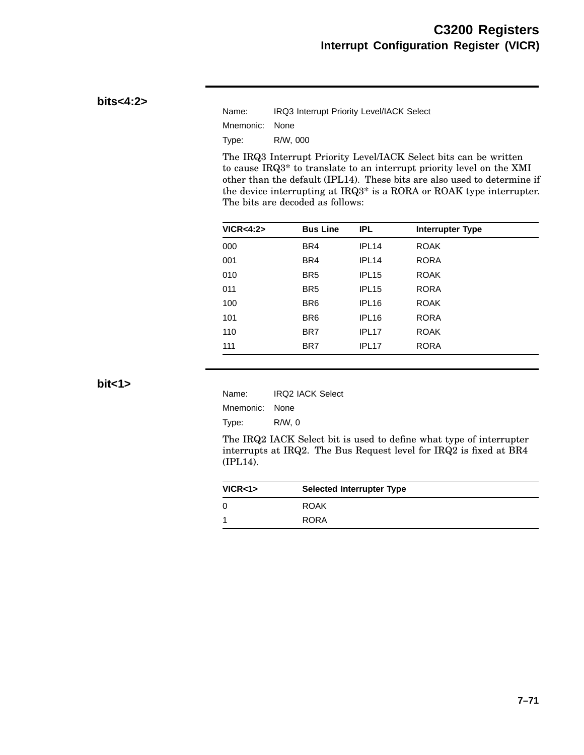### **bits<4:2>**

| Name:          | IRQ3 Interrupt Priority Level/IACK Select |
|----------------|-------------------------------------------|
| Mnemonic: None |                                           |
| Type:          | R/W. 000                                  |

The IRQ3 Interrupt Priority Level/IACK Select bits can be written to cause IRQ3\* to translate to an interrupt priority level on the XMI other than the default (IPL14). These bits are also used to determine if the device interrupting at IRQ3\* is a RORA or ROAK type interrupter. The bits are decoded as follows:

| <b>Bus Line</b> | IPL.              | <b>Interrupter Type</b> |  |
|-----------------|-------------------|-------------------------|--|
| BR4             | IPL <sub>14</sub> | <b>ROAK</b>             |  |
| BR4             | IPL <sub>14</sub> | <b>RORA</b>             |  |
| BR <sub>5</sub> | IPL <sub>15</sub> | <b>ROAK</b>             |  |
| BR <sub>5</sub> | IPL <sub>15</sub> | <b>RORA</b>             |  |
| BR <sub>6</sub> | IPL <sub>16</sub> | <b>ROAK</b>             |  |
| BR <sub>6</sub> | IPL <sub>16</sub> | <b>RORA</b>             |  |
| BR7             | IPL <sub>17</sub> | <b>ROAK</b>             |  |
| BR7             | IPL <sub>17</sub> | <b>RORA</b>             |  |
|                 |                   |                         |  |

**bit<1>**

| Name:          | <b>IRQ2 IACK Select</b> |
|----------------|-------------------------|
| Mnemonic: None |                         |
| Type:          | $R/W$ , 0               |

The IRQ2 IACK Select bit is used to define what type of interrupter interrupts at IRQ2. The Bus Request level for IRQ2 is fixed at BR4 (IPL14).

| VICR <sub>1</sub> | <b>Selected Interrupter Type</b> |
|-------------------|----------------------------------|
| 0                 | <b>ROAK</b>                      |
|                   | <b>RORA</b>                      |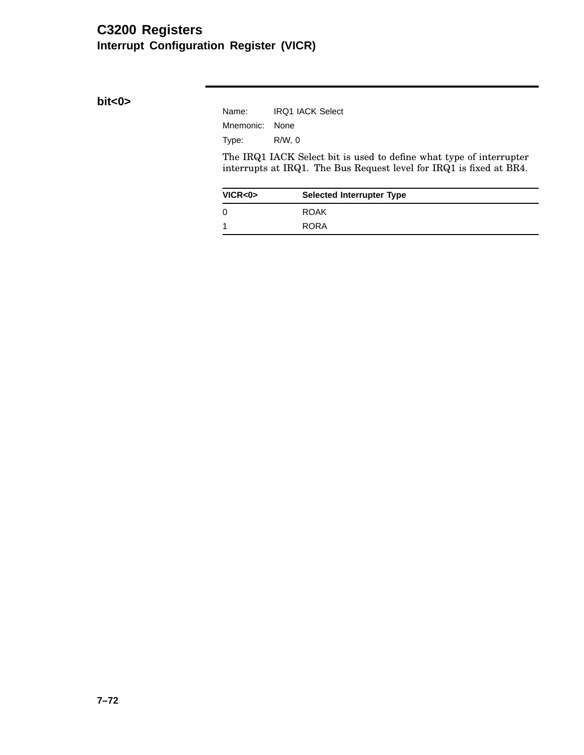# **C3200 Registers Interrupt Configuration Register (VICR)**

**bit<0>**

| Name:          | <b>IRQ1 IACK Select</b> |
|----------------|-------------------------|
| Mnemonic: None |                         |
| Type:          | R/W.0                   |

The IRQ1 IACK Select bit is used to define what type of interrupter interrupts at IRQ1. The Bus Request level for IRQ1 is fixed at BR4.

| VICR < 0 | <b>Selected Interrupter Type</b> |
|----------|----------------------------------|
| 0        | <b>ROAK</b>                      |
|          | <b>RORA</b>                      |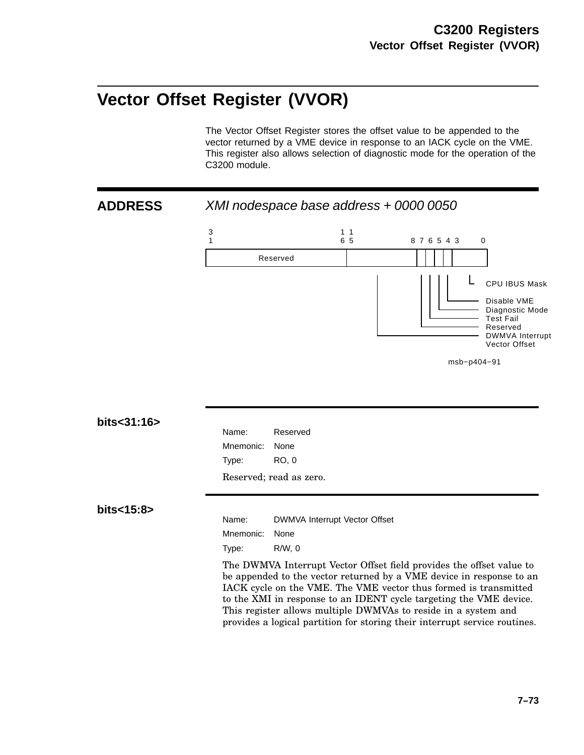# **Vector Offset Register (VVOR)**

The Vector Offset Register stores the offset value to be appended to the vector returned by a VME device in response to an IACK cycle on the VME. This register also allows selection of diagnostic mode for the operation of the C3200 module.



The DWMVA Interrupt Vector Offset field provides the offset value to be appended to the vector returned by a VME device in response to an IACK cycle on the VME. The VME vector thus formed is transmitted to the XMI in response to an IDENT cycle targeting the VME device. This register allows multiple DWMVAs to reside in a system and provides a logical partition for storing their interrupt service routines.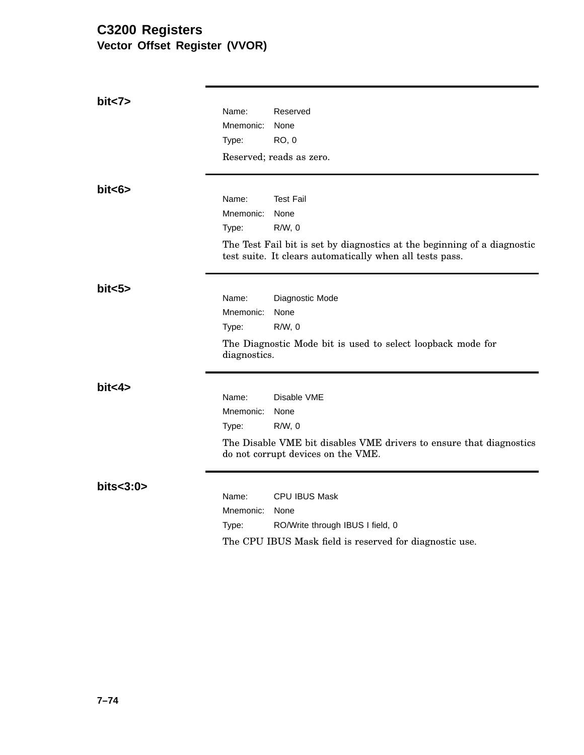# **C3200 Registers Vector Offset Register (VVOR)**

| bit < 7     |                    |                                                                                                                                      |
|-------------|--------------------|--------------------------------------------------------------------------------------------------------------------------------------|
|             | Name:              | Reserved                                                                                                                             |
|             | Mnemonic:          | None                                                                                                                                 |
|             | Type:              | <b>RO, 0</b>                                                                                                                         |
|             |                    | Reserved; reads as zero.                                                                                                             |
| bits >      |                    |                                                                                                                                      |
|             | Name:              | <b>Test Fail</b>                                                                                                                     |
|             | Mnemonic:<br>Type: | None<br>$R/W$ , 0                                                                                                                    |
|             |                    | The Test Fail bit is set by diagnostics at the beginning of a diagnostic<br>test suite. It clears automatically when all tests pass. |
| bits5       |                    |                                                                                                                                      |
|             | Name:              | Diagnostic Mode                                                                                                                      |
|             | Mnemonic:<br>Type: | None<br>$R/W$ , 0                                                                                                                    |
|             |                    |                                                                                                                                      |
|             | diagnostics.       | The Diagnostic Mode bit is used to select loopback mode for                                                                          |
| bits4>      |                    |                                                                                                                                      |
|             | Name:              | Disable VME                                                                                                                          |
|             | Mnemonic:          | None                                                                                                                                 |
|             | Type:              | $R/W$ , 0                                                                                                                            |
|             |                    | The Disable VME bit disables VME drivers to ensure that diagnostics<br>do not corrupt devices on the VME.                            |
| bits < 3:0> | Name:              | <b>CPU IBUS Mask</b>                                                                                                                 |
|             | Mnemonic:          | None                                                                                                                                 |
|             | Type:              | RO/Write through IBUS I field, 0                                                                                                     |
|             |                    | The CPU IBUS Mask field is reserved for diagnostic use.                                                                              |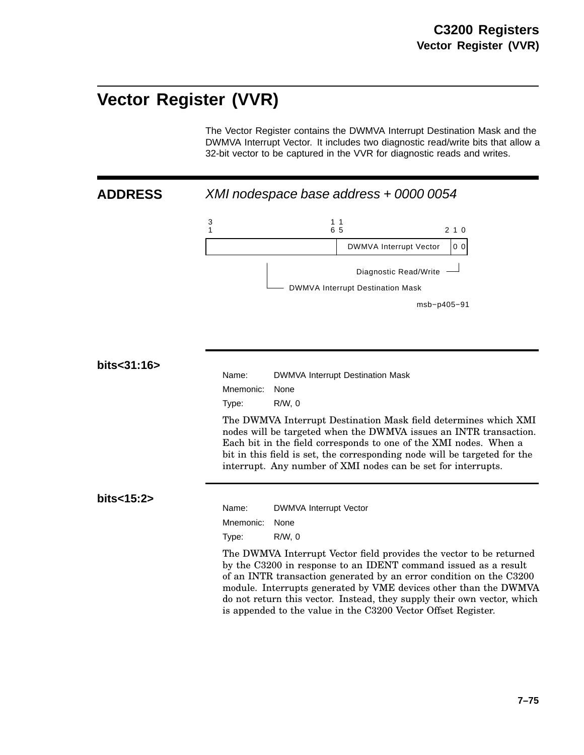# **Vector Register (VVR)**

The Vector Register contains the DWMVA Interrupt Destination Mask and the DWMVA Interrupt Vector. It includes two diagnostic read/write bits that allow a 32-bit vector to be captured in the VVR for diagnostic reads and writes.

**ADDRESS** XMI nodespace base address + 0000 0054



#### **bits<31:16>**

Name: DWMVA Interrupt Destination Mask Mnemonic: None Type: R/W, 0

The DWMVA Interrupt Destination Mask field determines which XMI nodes will be targeted when the DWMVA issues an INTR transaction. Each bit in the field corresponds to one of the XMI nodes. When a bit in this field is set, the corresponding node will be targeted for the interrupt. Any number of XMI nodes can be set for interrupts.

#### **bits<15:2>**

Name: DWMVA Interrupt Vector Mnemonic: None

Type: R/W, 0

The DWMVA Interrupt Vector field provides the vector to be returned by the C3200 in response to an IDENT command issued as a result of an INTR transaction generated by an error condition on the C3200 module. Interrupts generated by VME devices other than the DWMVA do not return this vector. Instead, they supply their own vector, which is appended to the value in the C3200 Vector Offset Register.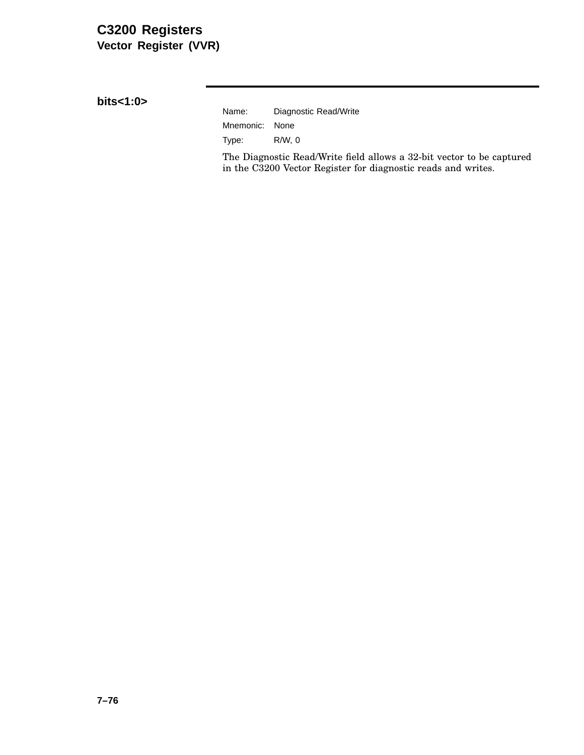# **C3200 Registers Vector Register (VVR)**

**bits<1:0>**

| Name:          | Diagnostic Read/Write |
|----------------|-----------------------|
| Mnemonic: None |                       |
| Type:          | R/W.0                 |

The Diagnostic Read/Write field allows a 32-bit vector to be captured in the C3200 Vector Register for diagnostic reads and writes.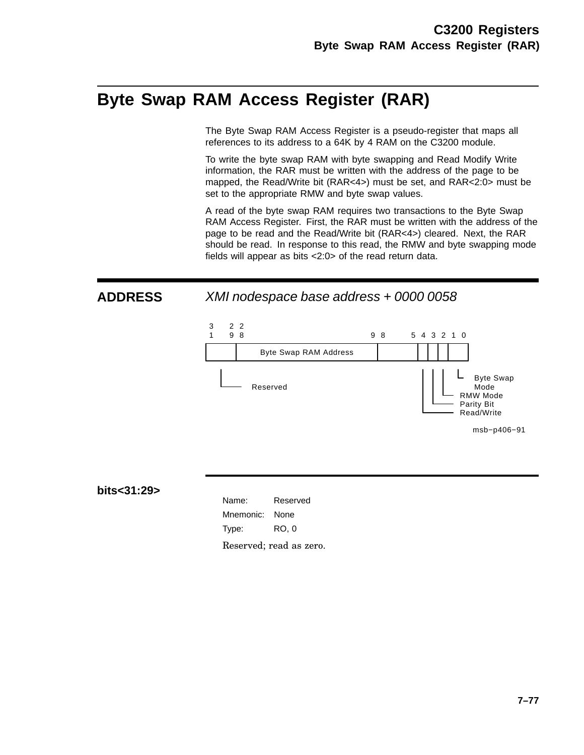# **Byte Swap RAM Access Register (RAR)**

The Byte Swap RAM Access Register is a pseudo-register that maps all references to its address to a 64K by 4 RAM on the C3200 module.

To write the byte swap RAM with byte swapping and Read Modify Write information, the RAR must be written with the address of the page to be mapped, the Read/Write bit (RAR<4>) must be set, and RAR<2:0> must be set to the appropriate RMW and byte swap values.

A read of the byte swap RAM requires two transactions to the Byte Swap RAM Access Register. First, the RAR must be written with the address of the page to be read and the Read/Write bit (RAR<4>) cleared. Next, the RAR should be read. In response to this read, the RMW and byte swapping mode fields will appear as bits <2:0> of the read return data.

**ADDRESS** XMI nodespace base address + 0000 0058



**bits<31:29>**

Name: Reserved Mnemonic: None Type: RO, 0 Reserved; read as zero.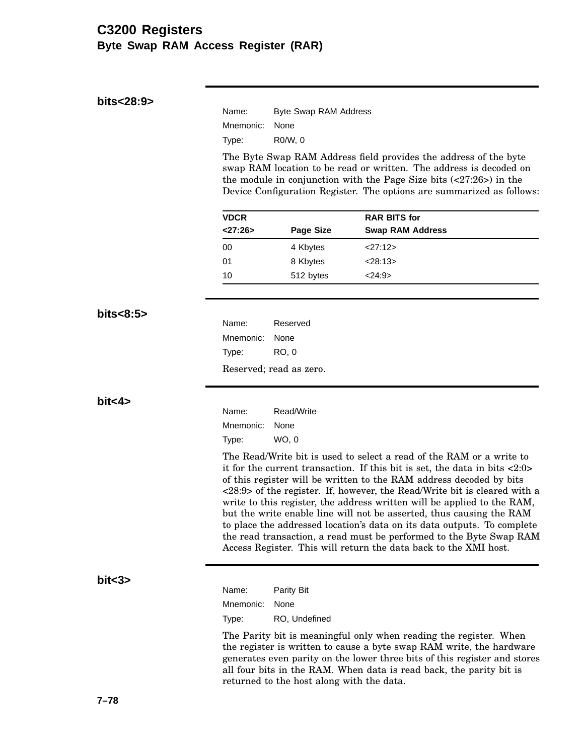# **C3200 Registers Byte Swap RAM Access Register (RAR)**

| bits<28:9> | Name:                                                                                                                                                                                                                                                                                                                                                                                                                                                                                                                                                                                                                                                                                           | Byte Swap RAM Address   |                                                                   |  |
|------------|-------------------------------------------------------------------------------------------------------------------------------------------------------------------------------------------------------------------------------------------------------------------------------------------------------------------------------------------------------------------------------------------------------------------------------------------------------------------------------------------------------------------------------------------------------------------------------------------------------------------------------------------------------------------------------------------------|-------------------------|-------------------------------------------------------------------|--|
|            | Mnemonic:                                                                                                                                                                                                                                                                                                                                                                                                                                                                                                                                                                                                                                                                                       | None                    |                                                                   |  |
|            | Type:                                                                                                                                                                                                                                                                                                                                                                                                                                                                                                                                                                                                                                                                                           | R0/W, 0                 |                                                                   |  |
|            | The Byte Swap RAM Address field provides the address of the byte<br>swap RAM location to be read or written. The address is decoded on<br>the module in conjunction with the Page Size bits $(27:26)$ in the<br>Device Configuration Register. The options are summarized as follows:                                                                                                                                                                                                                                                                                                                                                                                                           |                         |                                                                   |  |
|            | <b>VDCR</b><br>< 27:26>                                                                                                                                                                                                                                                                                                                                                                                                                                                                                                                                                                                                                                                                         | <b>Page Size</b>        | <b>RAR BITS for</b><br><b>Swap RAM Address</b>                    |  |
|            | 00                                                                                                                                                                                                                                                                                                                                                                                                                                                                                                                                                                                                                                                                                              | 4 Kbytes                | <27:12>                                                           |  |
|            | 01                                                                                                                                                                                                                                                                                                                                                                                                                                                                                                                                                                                                                                                                                              | 8 Kbytes                | < 28:13>                                                          |  |
|            | 10                                                                                                                                                                                                                                                                                                                                                                                                                                                                                                                                                                                                                                                                                              | 512 bytes               | <24:9>                                                            |  |
| bits < 8:5 |                                                                                                                                                                                                                                                                                                                                                                                                                                                                                                                                                                                                                                                                                                 |                         |                                                                   |  |
|            | Name:                                                                                                                                                                                                                                                                                                                                                                                                                                                                                                                                                                                                                                                                                           | Reserved                |                                                                   |  |
|            | Mnemonic:                                                                                                                                                                                                                                                                                                                                                                                                                                                                                                                                                                                                                                                                                       | None                    |                                                                   |  |
|            | Type:                                                                                                                                                                                                                                                                                                                                                                                                                                                                                                                                                                                                                                                                                           | <b>RO, 0</b>            |                                                                   |  |
|            |                                                                                                                                                                                                                                                                                                                                                                                                                                                                                                                                                                                                                                                                                                 | Reserved; read as zero. |                                                                   |  |
| bit < 4    | Name:                                                                                                                                                                                                                                                                                                                                                                                                                                                                                                                                                                                                                                                                                           | Read/Write              |                                                                   |  |
|            | Mnemonic:                                                                                                                                                                                                                                                                                                                                                                                                                                                                                                                                                                                                                                                                                       | None                    |                                                                   |  |
|            | Type:                                                                                                                                                                                                                                                                                                                                                                                                                                                                                                                                                                                                                                                                                           | WO, 0                   |                                                                   |  |
|            | The Read/Write bit is used to select a read of the RAM or a write to<br>it for the current transaction. If this bit is set, the data in bits $\langle 2:0 \rangle$<br>of this register will be written to the RAM address decoded by bits<br><28:9> of the register. If, however, the Read/Write bit is cleared with a<br>write to this register, the address written will be applied to the RAM,<br>but the write enable line will not be asserted, thus causing the RAM<br>to place the addressed location's data on its data outputs. To complete<br>the read transaction, a read must be performed to the Byte Swap RAM<br>Access Register. This will return the data back to the XMI host. |                         |                                                                   |  |
| bit<3>     | Name:                                                                                                                                                                                                                                                                                                                                                                                                                                                                                                                                                                                                                                                                                           | Parity Bit              |                                                                   |  |
|            | Mnemonic:                                                                                                                                                                                                                                                                                                                                                                                                                                                                                                                                                                                                                                                                                       | None                    |                                                                   |  |
|            | Type:                                                                                                                                                                                                                                                                                                                                                                                                                                                                                                                                                                                                                                                                                           | RO, Undefined           |                                                                   |  |
|            |                                                                                                                                                                                                                                                                                                                                                                                                                                                                                                                                                                                                                                                                                                 |                         | The Parity bit is meaningful only when reading the register. When |  |

the register is written to cause a byte swap RAM write, the hardware generates even parity on the lower three bits of this register and stores all four bits in the RAM. When data is read back, the parity bit is returned to the host along with the data.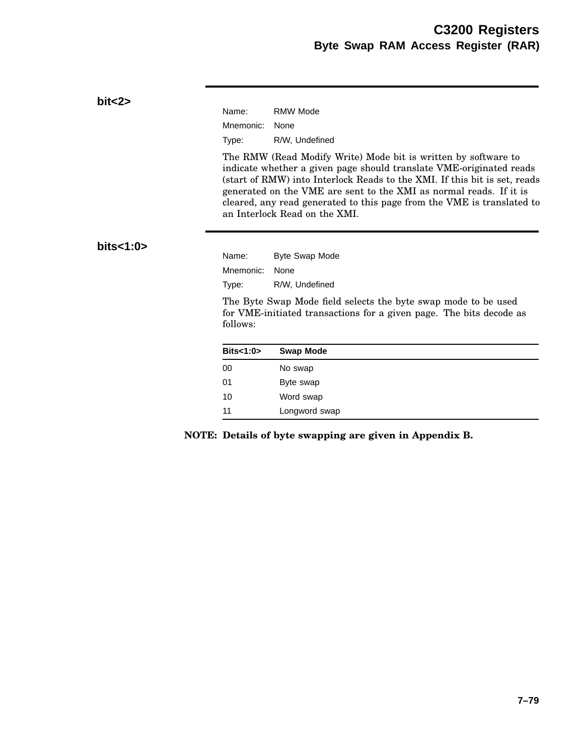#### **bit<2>**

| Name:          | <b>RMW Mode</b> |
|----------------|-----------------|
| Mnemonic: None |                 |
| Type:          | R/W, Undefined  |

The RMW (Read Modify Write) Mode bit is written by software to indicate whether a given page should translate VME-originated reads (start of RMW) into Interlock Reads to the XMI. If this bit is set, reads generated on the VME are sent to the XMI as normal reads. If it is cleared, any read generated to this page from the VME is translated to an Interlock Read on the XMI.

### **bits<1:0>**

Name: Byte Swap Mode Mnemonic: None Type: R/W, Undefined

The Byte Swap Mode field selects the byte swap mode to be used for VME-initiated transactions for a given page. The bits decode as follows:

| Bits < 1:0> | <b>Swap Mode</b> |
|-------------|------------------|
| 00          | No swap          |
| 01          | Byte swap        |
| 10          | Word swap        |
| 11          | Longword swap    |

**NOTE: Details of byte swapping are given in Appendix B.**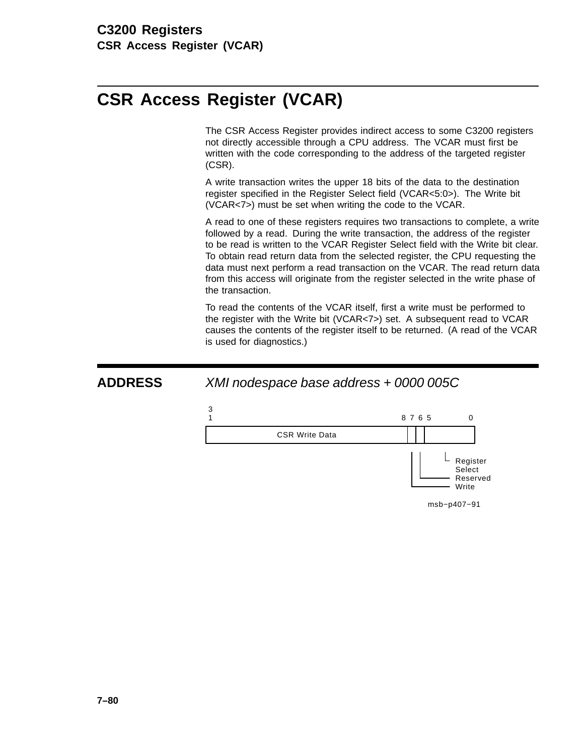# **CSR Access Register (VCAR)**

The CSR Access Register provides indirect access to some C3200 registers not directly accessible through a CPU address. The VCAR must first be written with the code corresponding to the address of the targeted register (CSR).

A write transaction writes the upper 18 bits of the data to the destination register specified in the Register Select field (VCAR<5:0>). The Write bit (VCAR<7>) must be set when writing the code to the VCAR.

A read to one of these registers requires two transactions to complete, a write followed by a read. During the write transaction, the address of the register to be read is written to the VCAR Register Select field with the Write bit clear. To obtain read return data from the selected register, the CPU requesting the data must next perform a read transaction on the VCAR. The read return data from this access will originate from the register selected in the write phase of the transaction.

To read the contents of the VCAR itself, first a write must be performed to the register with the Write bit (VCAR<7>) set. A subsequent read to VCAR causes the contents of the register itself to be returned. (A read of the VCAR is used for diagnostics.)

> Select Reserved **Write**

msb−p407−91

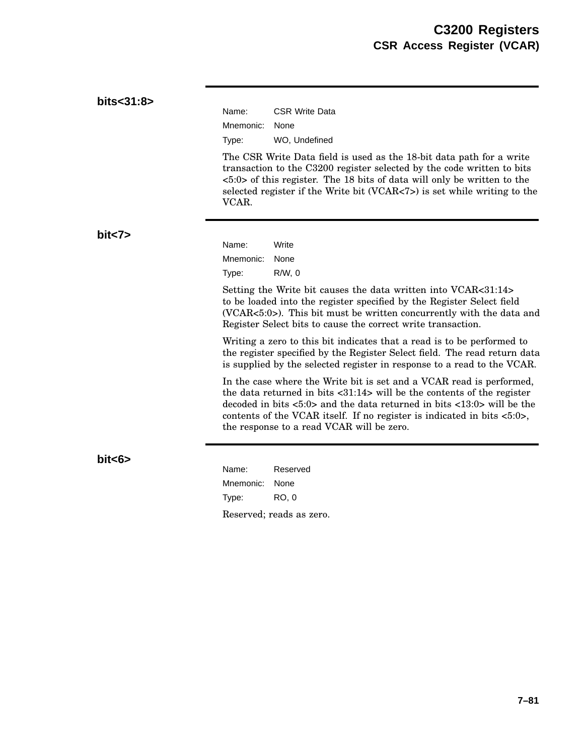| bits<31:8> | Name:<br><b>CSR Write Data</b>                                                                                                                                                                                                                                                                                                                                                                   |
|------------|--------------------------------------------------------------------------------------------------------------------------------------------------------------------------------------------------------------------------------------------------------------------------------------------------------------------------------------------------------------------------------------------------|
|            | Mnemonic:<br>None                                                                                                                                                                                                                                                                                                                                                                                |
|            | WO, Undefined<br>Type:                                                                                                                                                                                                                                                                                                                                                                           |
|            | The CSR Write Data field is used as the 18-bit data path for a write<br>transaction to the C3200 register selected by the code written to bits<br>$\langle 5:0 \rangle$ of this register. The 18 bits of data will only be written to the<br>selected register if the Write bit (VCAR<7>) is set while writing to the<br>VCAR.                                                                   |
| bits       | Name:<br>Write                                                                                                                                                                                                                                                                                                                                                                                   |
|            | Mnemonic:<br>None                                                                                                                                                                                                                                                                                                                                                                                |
|            | $R/W$ , 0<br>Type:                                                                                                                                                                                                                                                                                                                                                                               |
|            | Setting the Write bit causes the data written into VCAR<31:14><br>to be loaded into the register specified by the Register Select field<br>(VCAR<5:0>). This bit must be written concurrently with the data and<br>Register Select bits to cause the correct write transaction.                                                                                                                  |
|            | Writing a zero to this bit indicates that a read is to be performed to<br>the register specified by the Register Select field. The read return data<br>is supplied by the selected register in response to a read to the VCAR.                                                                                                                                                                   |
|            | In the case where the Write bit is set and a VCAR read is performed,<br>the data returned in bits $\langle 31:14 \rangle$ will be the contents of the register<br>decoded in bits $\langle 5:0 \rangle$ and the data returned in bits $\langle 13:0 \rangle$ will be the<br>contents of the VCAR itself. If no register is indicated in bits <5:0>,<br>the response to a read VCAR will be zero. |
| bits >     | Name:<br>Reserved                                                                                                                                                                                                                                                                                                                                                                                |
|            | Mnemonic:<br>None                                                                                                                                                                                                                                                                                                                                                                                |
|            | <b>RO, 0</b><br>Type:                                                                                                                                                                                                                                                                                                                                                                            |
|            | Reserved; reads as zero.                                                                                                                                                                                                                                                                                                                                                                         |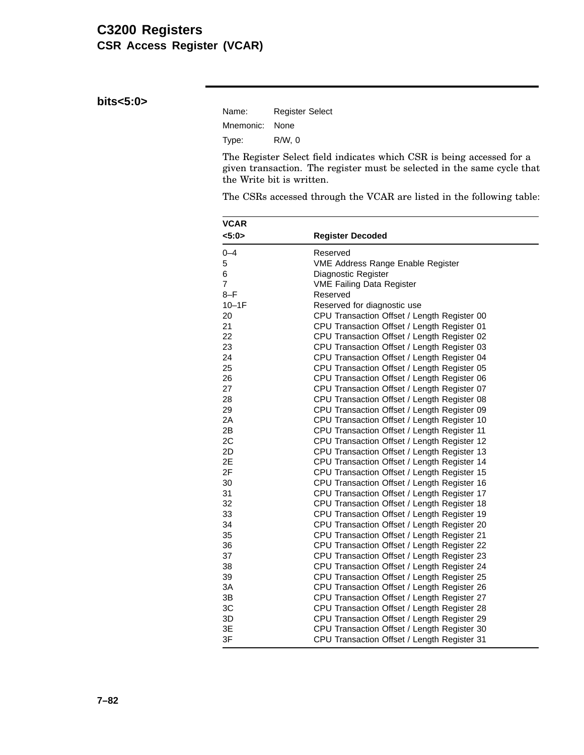# **C3200 Registers CSR Access Register (VCAR)**

**bits<5:0>**

| Name:          | <b>Register Select</b> |
|----------------|------------------------|
| Mnemonic: None |                        |
| Type:          | R/W.0                  |

The Register Select field indicates which CSR is being accessed for a given transaction. The register must be selected in the same cycle that the Write bit is written.

The CSRs accessed through the VCAR are listed in the following table:

| <b>VCAR</b>    |                                             |  |  |  |  |
|----------------|---------------------------------------------|--|--|--|--|
| 5:0>           | <b>Register Decoded</b>                     |  |  |  |  |
| $0 - 4$        | Reserved                                    |  |  |  |  |
| 5              | VME Address Range Enable Register           |  |  |  |  |
| 6              | Diagnostic Register                         |  |  |  |  |
| $\overline{7}$ | <b>VME Failing Data Register</b>            |  |  |  |  |
| $8-F$          | Reserved                                    |  |  |  |  |
| $10-1F$        | Reserved for diagnostic use                 |  |  |  |  |
| 20             | CPU Transaction Offset / Length Register 00 |  |  |  |  |
| 21             | CPU Transaction Offset / Length Register 01 |  |  |  |  |
| 22             | CPU Transaction Offset / Length Register 02 |  |  |  |  |
| 23             | CPU Transaction Offset / Length Register 03 |  |  |  |  |
| 24             | CPU Transaction Offset / Length Register 04 |  |  |  |  |
| 25             | CPU Transaction Offset / Length Register 05 |  |  |  |  |
| 26             | CPU Transaction Offset / Length Register 06 |  |  |  |  |
| 27             | CPU Transaction Offset / Length Register 07 |  |  |  |  |
| 28             | CPU Transaction Offset / Length Register 08 |  |  |  |  |
| 29             | CPU Transaction Offset / Length Register 09 |  |  |  |  |
| 2A             | CPU Transaction Offset / Length Register 10 |  |  |  |  |
| 2B             | CPU Transaction Offset / Length Register 11 |  |  |  |  |
| 2C             | CPU Transaction Offset / Length Register 12 |  |  |  |  |
| 2D             | CPU Transaction Offset / Length Register 13 |  |  |  |  |
| 2E             | CPU Transaction Offset / Length Register 14 |  |  |  |  |
| 2F             | CPU Transaction Offset / Length Register 15 |  |  |  |  |
| 30             | CPU Transaction Offset / Length Register 16 |  |  |  |  |
| 31             | CPU Transaction Offset / Length Register 17 |  |  |  |  |
| 32             | CPU Transaction Offset / Length Register 18 |  |  |  |  |
| 33             | CPU Transaction Offset / Length Register 19 |  |  |  |  |
| 34             | CPU Transaction Offset / Length Register 20 |  |  |  |  |
| 35             | CPU Transaction Offset / Length Register 21 |  |  |  |  |
| 36             | CPU Transaction Offset / Length Register 22 |  |  |  |  |
| 37             | CPU Transaction Offset / Length Register 23 |  |  |  |  |
| 38             | CPU Transaction Offset / Length Register 24 |  |  |  |  |
| 39             | CPU Transaction Offset / Length Register 25 |  |  |  |  |
| 3A             | CPU Transaction Offset / Length Register 26 |  |  |  |  |
| 3B             | CPU Transaction Offset / Length Register 27 |  |  |  |  |
| 3C             | CPU Transaction Offset / Length Register 28 |  |  |  |  |
| 3D             | CPU Transaction Offset / Length Register 29 |  |  |  |  |
| 3E             | CPU Transaction Offset / Length Register 30 |  |  |  |  |
| 3F             | CPU Transaction Offset / Length Register 31 |  |  |  |  |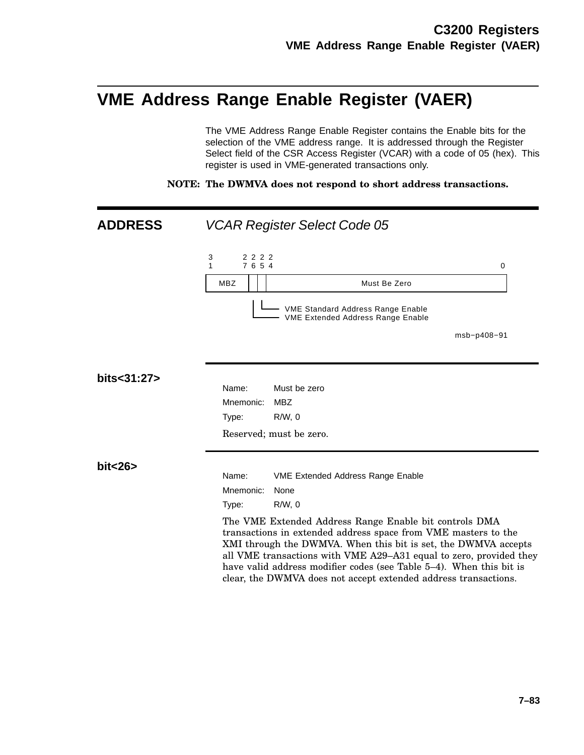# **VME Address Range Enable Register (VAER)**

The VME Address Range Enable Register contains the Enable bits for the selection of the VME address range. It is addressed through the Register Select field of the CSR Access Register (VCAR) with a code of 05 (hex). This register is used in VME-generated transactions only.

**NOTE: The DWMVA does not respond to short address transactions.**

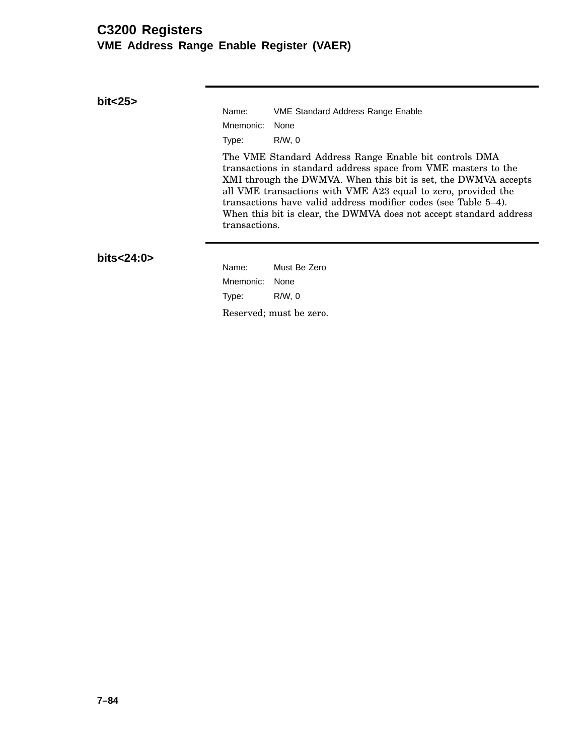## **C3200 Registers VME Address Range Enable Register (VAER)**

**bit<25>**

Name: VME Standard Address Range Enable Mnemonic: None Type: R/W, 0

The VME Standard Address Range Enable bit controls DMA transactions in standard address space from VME masters to the XMI through the DWMVA. When this bit is set, the DWMVA accepts all VME transactions with VME A23 equal to zero, provided the transactions have valid address modifier codes (see Table 5–4). When this bit is clear, the DWMVA does not accept standard address transactions.

**bits<24:0>**

Name: Must Be Zero Mnemonic: None Type: R/W, 0 Reserved; must be zero.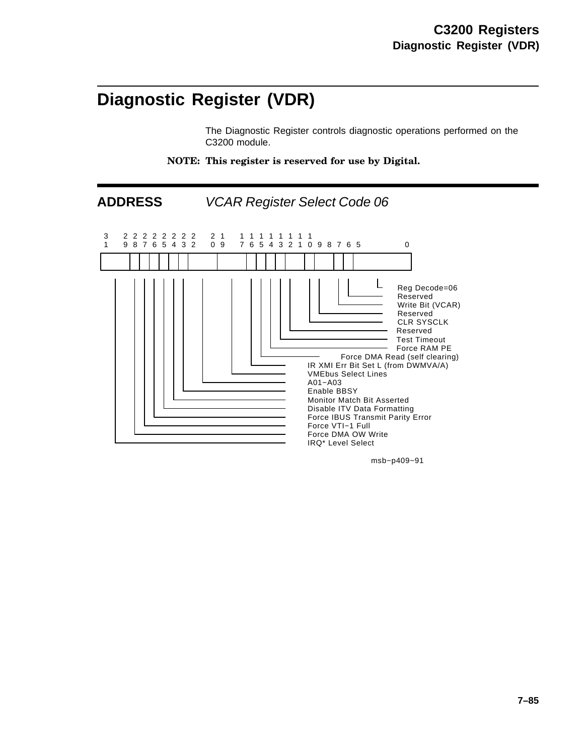# **Diagnostic Register (VDR)**

The Diagnostic Register controls diagnostic operations performed on the C3200 module.

**NOTE: This register is reserved for use by Digital.**



msb−p409−91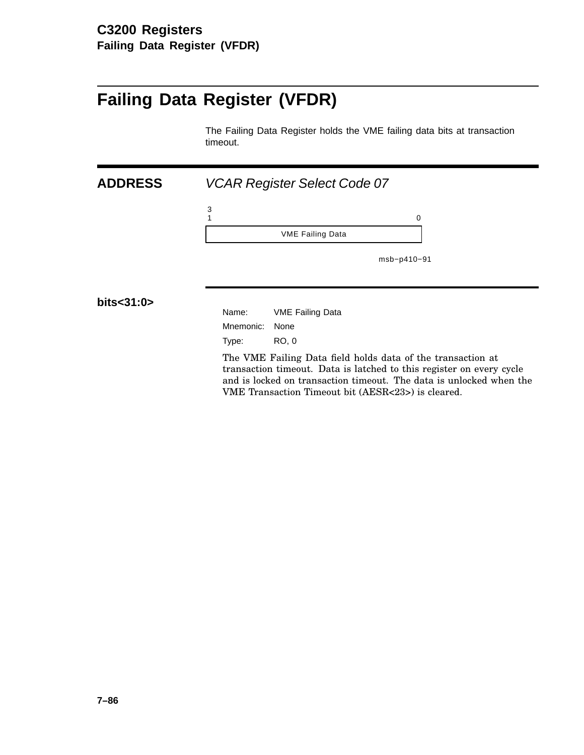# **Failing Data Register (VFDR)**

The Failing Data Register holds the VME failing data bits at transaction timeout.

| <b>ADDRESS</b> | <b>VCAR Register Select Code 07</b>                                                                                                                                                                        |  |  |
|----------------|------------------------------------------------------------------------------------------------------------------------------------------------------------------------------------------------------------|--|--|
|                | $\frac{3}{1}$<br>0                                                                                                                                                                                         |  |  |
|                | <b>VME Failing Data</b>                                                                                                                                                                                    |  |  |
|                | msb-p410-91                                                                                                                                                                                                |  |  |
| bits<31:0>     |                                                                                                                                                                                                            |  |  |
|                | Name:<br><b>VME Failing Data</b>                                                                                                                                                                           |  |  |
|                | Mnemonic:<br>None                                                                                                                                                                                          |  |  |
|                | RO, 0<br>Type:                                                                                                                                                                                             |  |  |
|                | The VME Failing Data field holds data of the transaction at<br>transaction timeout. Data is latched to this register on every cycle<br>and is locked on transaction timeout. The data is unlocked when the |  |  |

VME Transaction Timeout bit (AESR<23>) is cleared.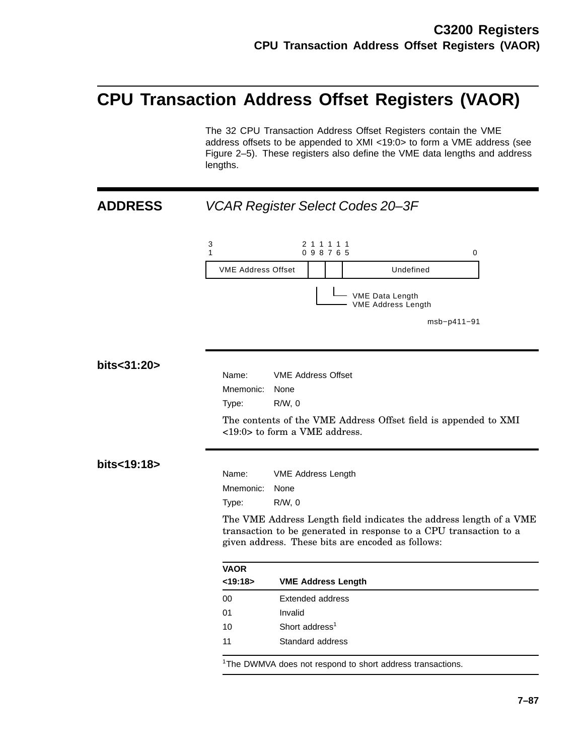# **CPU Transaction Address Offset Registers (VAOR)**

The 32 CPU Transaction Address Offset Registers contain the VME address offsets to be appended to XMI <19:0> to form a VME address (see Figure 2–5). These registers also define the VME data lengths and address lengths.

# **ADDRESS** VCAR Register Select Codes 20–3F 3 1 2 1 1 1 1 1 0 9 8 7 6  $5$  0 VME Address Offset Undefined - VME Data Length VME Address Length msb−p411−91 **bits<31:20>** Name: VME Address Offset Mnemonic: None Type: R/W, 0 The contents of the VME Address Offset field is appended to XMI <19:0> to form a VME address. **bits<19:18>** Name: VME Address Length Mnemonic: None Type: R/W, 0 The VME Address Length field indicates the address length of a VME transaction to be generated in response to a CPU transaction to a given address. These bits are encoded as follows: **VAOR <19:18> VME Address Length** 00 Extended address 01 Invalid 10 Short address<sup>1</sup> 11 Standard address

<sup>1</sup>The DWMVA does not respond to short address transactions.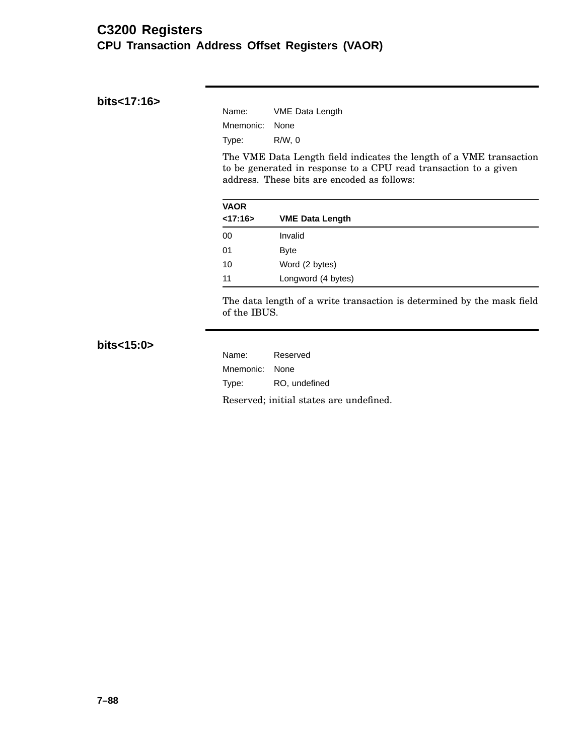## **C3200 Registers CPU Transaction Address Offset Registers (VAOR)**

#### **bits<17:16>**

| Name:          | <b>VME Data Length</b> |
|----------------|------------------------|
| Mnemonic: None |                        |
| Type:          | R/W.0                  |

The VME Data Length field indicates the length of a VME transaction to be generated in response to a CPU read transaction to a given address. These bits are encoded as follows:

| <b>VAOR</b> |                        |  |
|-------------|------------------------|--|
| < 17:16>    | <b>VME Data Length</b> |  |
| 00          | Invalid                |  |
| 01          | <b>Byte</b>            |  |
| 10          | Word (2 bytes)         |  |
| 11          | Longword (4 bytes)     |  |

The data length of a write transaction is determined by the mask field of the IBUS.

## **bits<15:0>**

| Name:          | Reserved                                |
|----------------|-----------------------------------------|
| Mnemonic: None |                                         |
| Type:          | RO, undefined                           |
|                | Reserved; initial states are undefined. |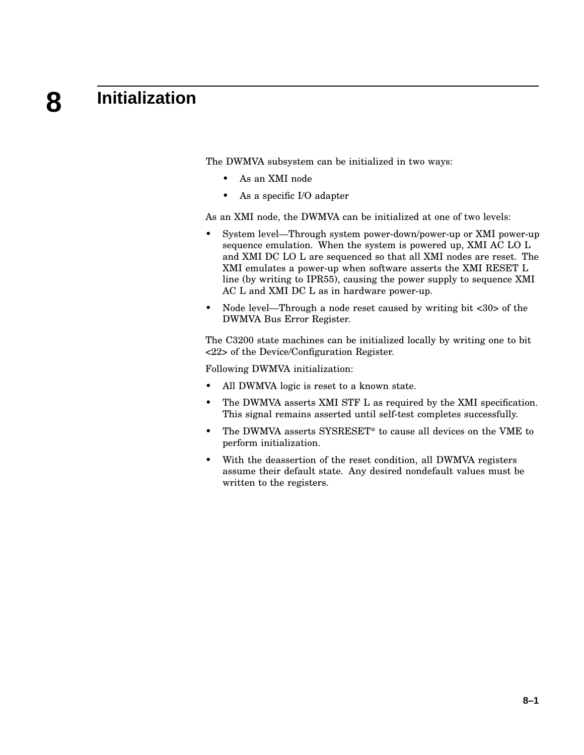#### **8 Initialization**

The DWMVA subsystem can be initialized in two ways:

- As an XMI node
- As a specific I/O adapter

As an XMI node, the DWMVA can be initialized at one of two levels:

- System level—Through system power-down/power-up or XMI power-up sequence emulation. When the system is powered up, XMI AC LO L and XMI DC LO L are sequenced so that all XMI nodes are reset. The XMI emulates a power-up when software asserts the XMI RESET L line (by writing to IPR55), causing the power supply to sequence XMI AC L and XMI DC L as in hardware power-up.
- Node level—Through a node reset caused by writing bit <30> of the DWMVA Bus Error Register.

The C3200 state machines can be initialized locally by writing one to bit <22> of the Device/Configuration Register.

Following DWMVA initialization:

- All DWMVA logic is reset to a known state.
- The DWMVA asserts XMI STF L as required by the XMI specification. This signal remains asserted until self-test completes successfully.
- The DWMVA asserts SYSRESET\* to cause all devices on the VME to perform initialization.
- With the deassertion of the reset condition, all DWMVA registers assume their default state. Any desired nondefault values must be written to the registers.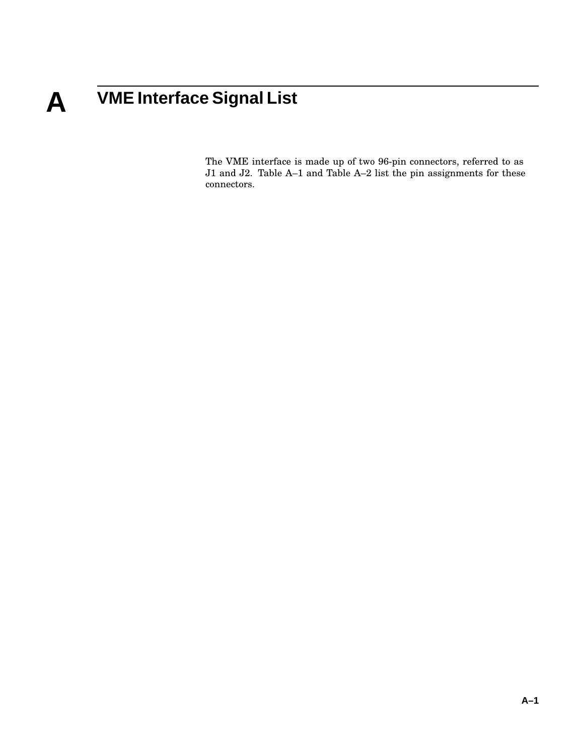# **A VME Interface Signal List**

The VME interface is made up of two 96-pin connectors, referred to as J1 and J2. Table A–1 and Table A–2 list the pin assignments for these connectors.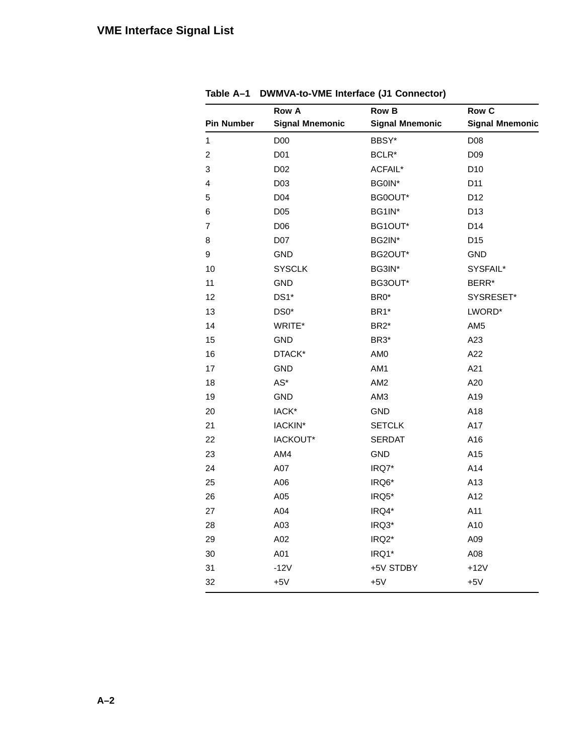|                   |                        | <b>Row B</b>           | Row C                  |
|-------------------|------------------------|------------------------|------------------------|
| <b>Pin Number</b> | <b>Signal Mnemonic</b> | <b>Signal Mnemonic</b> | <b>Signal Mnemonic</b> |
| $\mathbf{1}$      | D <sub>0</sub>         | BBSY*                  | D <sub>0</sub> 8       |
| 2                 | D01                    | BCLR*                  | D <sub>09</sub>        |
| 3                 | D <sub>02</sub>        | ACFAIL*                | D <sub>10</sub>        |
| 4                 | D03                    | BG0IN*                 | D11                    |
| 5                 | D04                    | BG0OUT*                | D12                    |
| 6                 | D05                    | BG1IN*                 | D <sub>13</sub>        |
| 7                 | D06                    | BG1OUT*                | D14                    |
| 8                 | D07                    | BG2IN*                 | D <sub>15</sub>        |
| 9                 | <b>GND</b>             | BG2OUT*                | <b>GND</b>             |
| 10                | <b>SYSCLK</b>          | BG3IN*                 | SYSFAIL*               |
| 11                | <b>GND</b>             | BG3OUT*                | BERR*                  |
| 12                | DS1*                   | BR0*                   | SYSRESET*              |
| 13                | DS0*                   | BR1*                   | LWORD*                 |
| 14                | WRITE*                 | BR <sub>2</sub> *      | AM5                    |
| 15                | <b>GND</b>             | BR3*                   | A23                    |
| 16                | DTACK*                 | AM <sub>0</sub>        | A22                    |
| 17                | <b>GND</b>             | AM1                    | A21                    |
| 18                | $AS^*$                 | AM <sub>2</sub>        | A20                    |
| 19                | <b>GND</b>             | AM3                    | A19                    |
| 20                | IACK*                  | <b>GND</b>             | A18                    |
| 21                | IACKIN*                | <b>SETCLK</b>          | A17                    |
| 22                | IACKOUT*               | <b>SERDAT</b>          | A16                    |
| 23                | AM4                    | <b>GND</b>             | A15                    |
| 24                | A07                    | IRQ7*                  | A14                    |
| 25                | A06                    | IRQ6*                  | A13                    |
| 26                | A05                    | IRQ5*                  | A12                    |
| 27                | A04                    | IRQ4*                  | A11                    |
| 28                | A03                    | IRQ3*                  | A10                    |
| 29                | A02                    | IRQ2*                  | A09                    |
| 30                | A01                    | IRQ1*                  | A08                    |
| 31                | $-12V$                 | +5V STDBY              | $+12V$                 |
| 32                | $+5V$                  | $+5V$                  | $+5V$                  |

**Table A–1 DWMVA-to-VME Interface (J1 Connector)**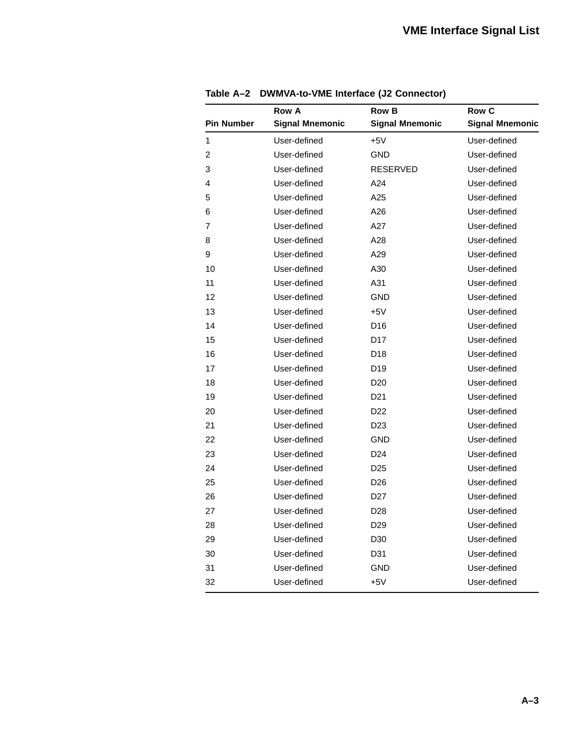|                   | <b>Row A</b>           | <b>Row B</b>           | <b>Row C</b>           |
|-------------------|------------------------|------------------------|------------------------|
| <b>Pin Number</b> | <b>Signal Mnemonic</b> | <b>Signal Mnemonic</b> | <b>Signal Mnemonic</b> |
| 1                 | User-defined           | $+5V$                  | User-defined           |
| 2                 | User-defined           | GND                    | User-defined           |
| 3                 | User-defined           | <b>RESERVED</b>        | User-defined           |
| 4                 | User-defined           | A24                    | User-defined           |
| 5                 | User-defined           | A25                    | User-defined           |
| 6                 | User-defined           | A26                    | User-defined           |
| 7                 | User-defined           | A27                    | User-defined           |
| 8                 | User-defined           | A28                    | User-defined           |
| 9                 | User-defined           | A29                    | User-defined           |
| 10                | User-defined           | A30                    | User-defined           |
| 11                | User-defined           | A31                    | User-defined           |
| 12                | User-defined           | GND                    | User-defined           |
| 13                | User-defined           | $+5V$                  | User-defined           |
| 14                | User-defined           | D <sub>16</sub>        | User-defined           |
| 15                | User-defined           | D <sub>17</sub>        | User-defined           |
| 16                | User-defined           | D <sub>18</sub>        | User-defined           |
| 17                | User-defined           | D <sub>19</sub>        | User-defined           |
| 18                | User-defined           | D <sub>20</sub>        | User-defined           |
| 19                | User-defined           | D <sub>21</sub>        | User-defined           |
| 20                | User-defined           | D <sub>22</sub>        | User-defined           |
| 21                | User-defined           | D <sub>23</sub>        | User-defined           |
| 22                | User-defined           | GND                    | User-defined           |
| 23                | User-defined           | D <sub>24</sub>        | User-defined           |
| 24                | User-defined           | D <sub>25</sub>        | User-defined           |
| 25                | User-defined           | D <sub>26</sub>        | User-defined           |
| 26                | User-defined           | D <sub>27</sub>        | User-defined           |
| 27                | User-defined           | D <sub>28</sub>        | User-defined           |
| 28                | User-defined           | D <sub>29</sub>        | User-defined           |
| 29                | User-defined           | D <sub>30</sub>        | User-defined           |
| 30                | User-defined           | D31                    | User-defined           |
| 31                | User-defined           | GND                    | User-defined           |
| 32                | User-defined           | $+5V$                  | User-defined           |

**Table A–2 DWMVA-to-VME Interface (J2 Connector)**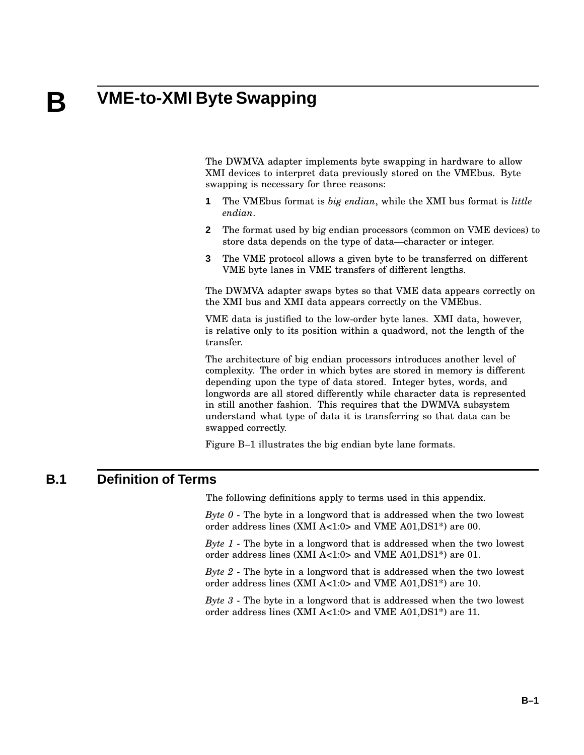# **B VME-to-XMI Byte Swapping**

The DWMVA adapter implements byte swapping in hardware to allow XMI devices to interpret data previously stored on the VMEbus. Byte swapping is necessary for three reasons:

- **1** The VMEbus format is *big endian*, while the XMI bus format is *little endian*.
- **2** The format used by big endian processors (common on VME devices) to store data depends on the type of data—character or integer.
- **3** The VME protocol allows a given byte to be transferred on different VME byte lanes in VME transfers of different lengths.

The DWMVA adapter swaps bytes so that VME data appears correctly on the XMI bus and XMI data appears correctly on the VMEbus.

VME data is justified to the low-order byte lanes. XMI data, however, is relative only to its position within a quadword, not the length of the transfer.

The architecture of big endian processors introduces another level of complexity. The order in which bytes are stored in memory is different depending upon the type of data stored. Integer bytes, words, and longwords are all stored differently while character data is represented in still another fashion. This requires that the DWMVA subsystem understand what type of data it is transferring so that data can be swapped correctly.

Figure B–1 illustrates the big endian byte lane formats.

## **B.1 Definition of Terms**

The following definitions apply to terms used in this appendix.

*Byte 0* - The byte in a longword that is addressed when the two lowest order address lines (XMI A<1:0> and VME A01,DS1\*) are 00.

*Byte 1* - The byte in a longword that is addressed when the two lowest order address lines (XMI A<1:0> and VME A01,DS1\*) are 01.

*Byte 2* - The byte in a longword that is addressed when the two lowest order address lines (XMI A<1:0> and VME A01,DS1\*) are 10.

*Byte 3* - The byte in a longword that is addressed when the two lowest order address lines (XMI A<1:0> and VME A01,DS1\*) are 11.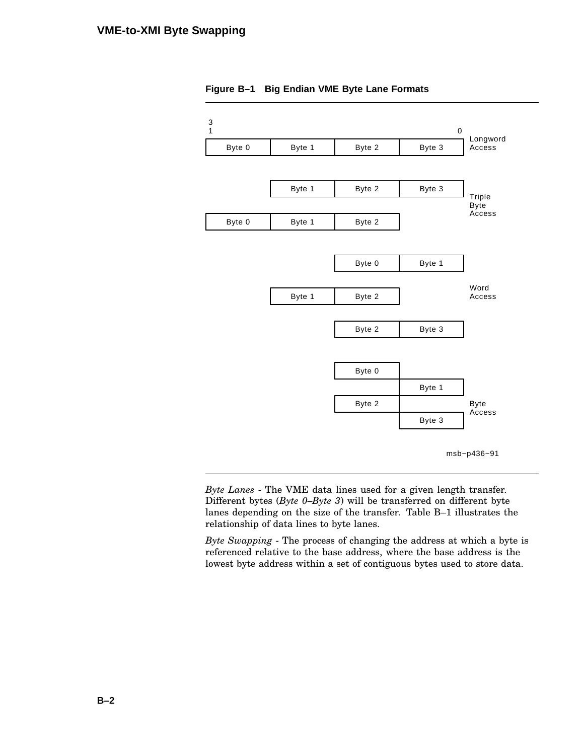

**Figure B–1 Big Endian VME Byte Lane Formats**

*Byte Lanes* - The VME data lines used for a given length transfer. Different bytes (*Byte 0–Byte 3*) will be transferred on different byte lanes depending on the size of the transfer. Table B–1 illustrates the relationship of data lines to byte lanes.

*Byte Swapping* - The process of changing the address at which a byte is referenced relative to the base address, where the base address is the lowest byte address within a set of contiguous bytes used to store data.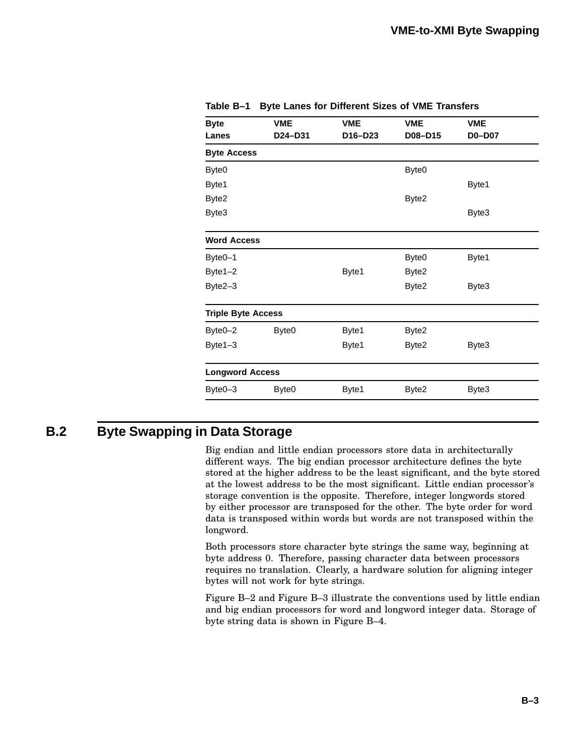| <b>Byte</b>               | <b>VME</b>        | <b>VME</b> | <b>VME</b>        | <b>VME</b>    |
|---------------------------|-------------------|------------|-------------------|---------------|
| Lanes                     | D24-D31           | D16-D23    | D08-D15           | <b>D0-D07</b> |
| <b>Byte Access</b>        |                   |            |                   |               |
| Byte0                     |                   |            | Byte <sub>0</sub> |               |
| Byte1                     |                   |            |                   | Byte1         |
| Byte2                     |                   |            | Byte2             |               |
| Byte3                     |                   |            |                   | Byte3         |
| <b>Word Access</b>        |                   |            |                   |               |
| Byte <sub>0-1</sub>       |                   |            | Byte0             | Byte1         |
| Byte1-2                   |                   | Byte1      | Byte2             |               |
| Byte2-3                   |                   |            | Byte2             | Byte3         |
| <b>Triple Byte Access</b> |                   |            |                   |               |
| Byte0-2                   | Byte <sub>0</sub> | Byte1      | Byte2             |               |
| Byte1-3                   |                   | Byte1      | Byte2             | Byte3         |
| <b>Longword Access</b>    |                   |            |                   |               |
| Byte0-3                   | Byte0             | Byte1      | Byte2             | Byte3         |

**Table B–1 Byte Lanes for Different Sizes of VME Transfers**

## **B.2 Byte Swapping in Data Storage**

Big endian and little endian processors store data in architecturally different ways. The big endian processor architecture defines the byte stored at the higher address to be the least significant, and the byte stored at the lowest address to be the most significant. Little endian processor's storage convention is the opposite. Therefore, integer longwords stored by either processor are transposed for the other. The byte order for word data is transposed within words but words are not transposed within the longword.

Both processors store character byte strings the same way, beginning at byte address 0. Therefore, passing character data between processors requires no translation. Clearly, a hardware solution for aligning integer bytes will not work for byte strings.

Figure B–2 and Figure B–3 illustrate the conventions used by little endian and big endian processors for word and longword integer data. Storage of byte string data is shown in Figure B–4.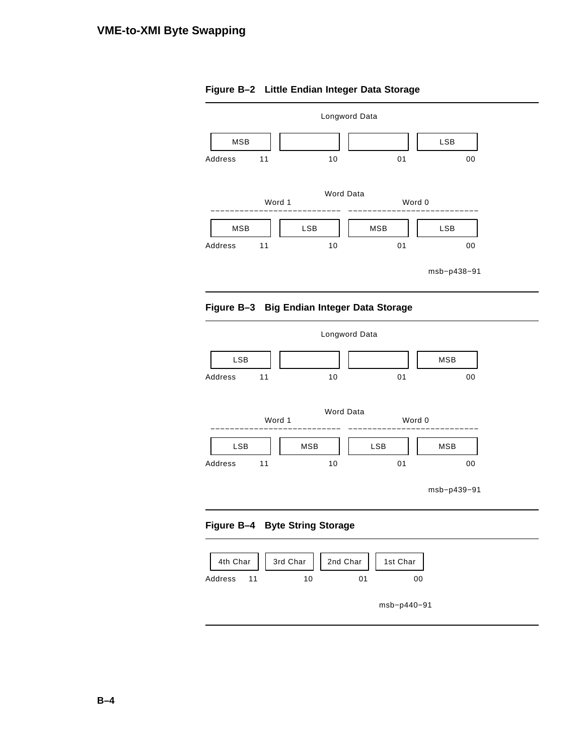

### **Figure B–2 Little Endian Integer Data Storage**







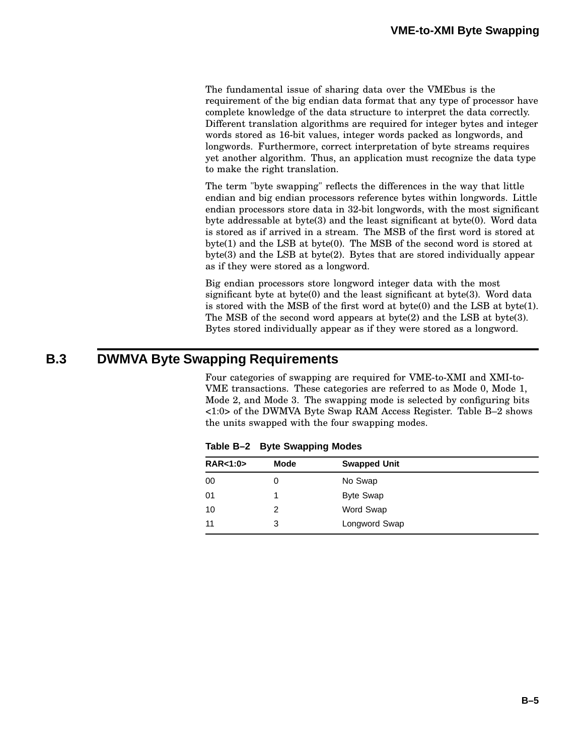The fundamental issue of sharing data over the VMEbus is the requirement of the big endian data format that any type of processor have complete knowledge of the data structure to interpret the data correctly. Different translation algorithms are required for integer bytes and integer words stored as 16-bit values, integer words packed as longwords, and longwords. Furthermore, correct interpretation of byte streams requires yet another algorithm. Thus, an application must recognize the data type to make the right translation.

The term "byte swapping" reflects the differences in the way that little endian and big endian processors reference bytes within longwords. Little endian processors store data in 32-bit longwords, with the most significant byte addressable at byte(3) and the least significant at byte(0). Word data is stored as if arrived in a stream. The MSB of the first word is stored at byte(1) and the LSB at byte(0). The MSB of the second word is stored at byte(3) and the LSB at byte(2). Bytes that are stored individually appear as if they were stored as a longword.

Big endian processors store longword integer data with the most significant byte at byte(0) and the least significant at byte(3). Word data is stored with the MSB of the first word at byte $(0)$  and the LSB at byte $(1)$ . The MSB of the second word appears at byte(2) and the LSB at byte(3). Bytes stored individually appear as if they were stored as a longword.

# **B.3 DWMVA Byte Swapping Requirements**

Four categories of swapping are required for VME-to-XMI and XMI-to-VME transactions. These categories are referred to as Mode 0, Mode 1, Mode 2, and Mode 3. The swapping mode is selected by configuring bits <1:0> of the DWMVA Byte Swap RAM Access Register. Table B–2 shows the units swapped with the four swapping modes.

| <b>RAR&lt;1:0&gt;</b> | <b>Mode</b> | <b>Swapped Unit</b> |  |
|-----------------------|-------------|---------------------|--|
| 00                    | 0           | No Swap             |  |
| 01                    |             | <b>Byte Swap</b>    |  |
| 10                    | 2           | Word Swap           |  |
| 11                    | 3           | Longword Swap       |  |

**Table B–2 Byte Swapping Modes**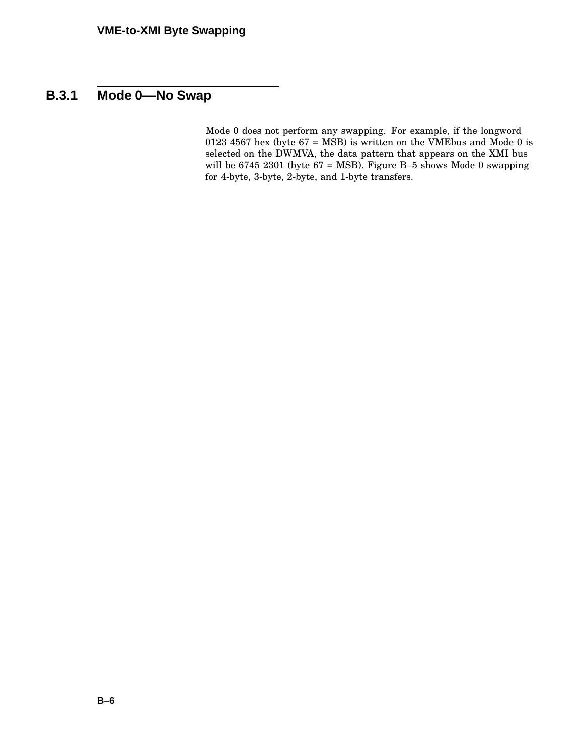# **B.3.1 Mode 0—No Swap**

Mode 0 does not perform any swapping. For example, if the longword 0123 4567 hex (byte  $67 = \text{MSB}$ ) is written on the VMEbus and Mode 0 is selected on the DWMVA, the data pattern that appears on the XMI bus will be 6745 2301 (byte 67 = MSB). Figure B–5 shows Mode 0 swapping for 4-byte, 3-byte, 2-byte, and 1-byte transfers.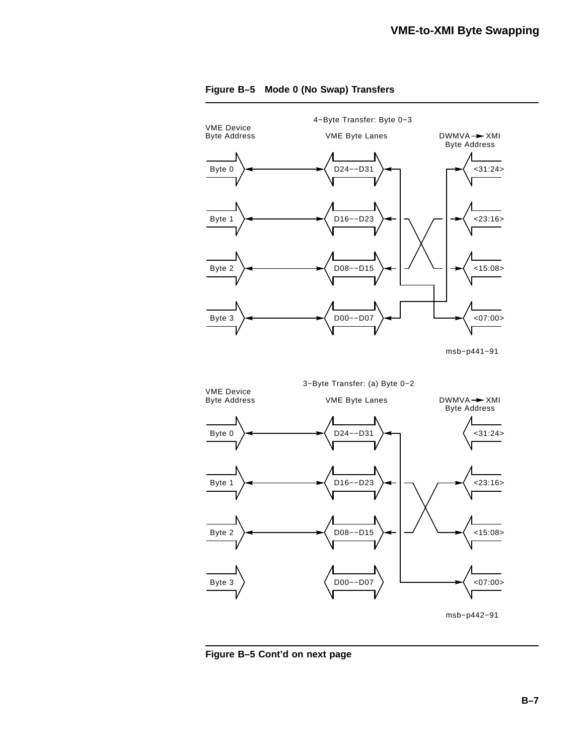

#### **Figure B–5 Mode 0 (No Swap) Transfers**

**Figure B–5 Cont'd on next page**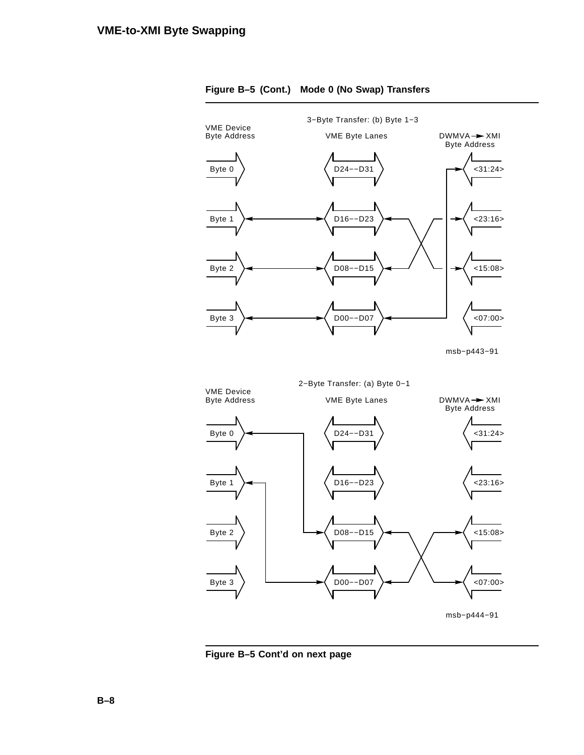

**Figure B–5 Cont'd on next page**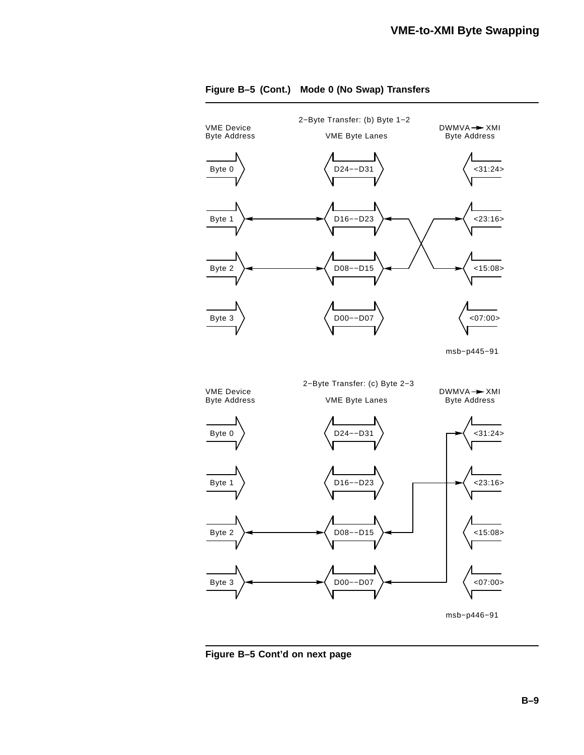

**Figure B–5 Cont'd on next page**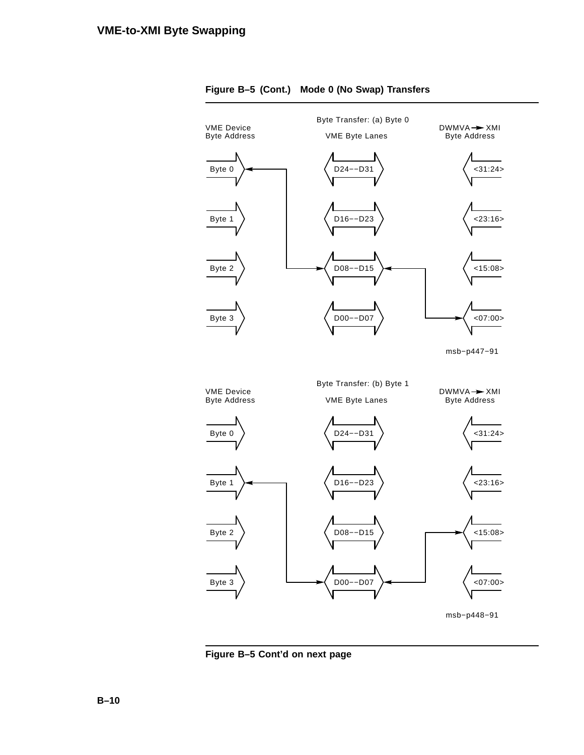



**Figure B–5 Cont'd on next page**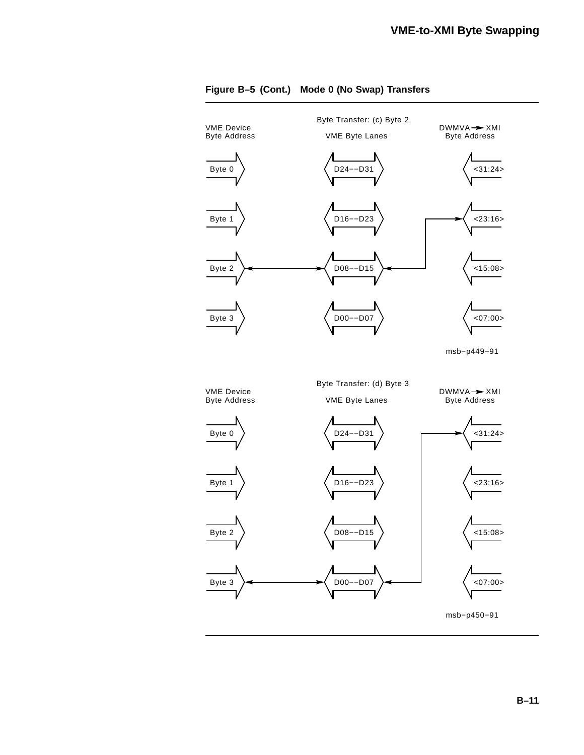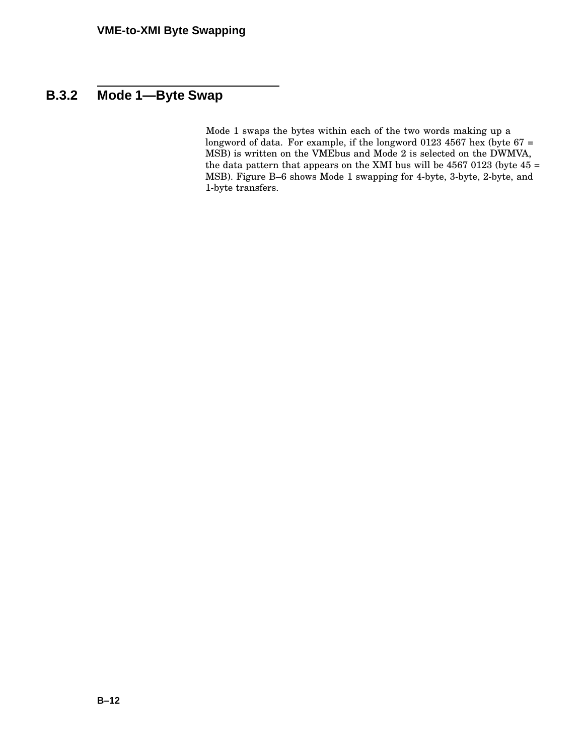# **B.3.2 Mode 1—Byte Swap**

Mode 1 swaps the bytes within each of the two words making up a longword of data. For example, if the longword 0123 4567 hex (byte 67 = MSB) is written on the VMEbus and Mode 2 is selected on the DWMVA, the data pattern that appears on the XMI bus will be  $4567 0123$  (byte  $45 =$ MSB). Figure B–6 shows Mode 1 swapping for 4-byte, 3-byte, 2-byte, and 1-byte transfers.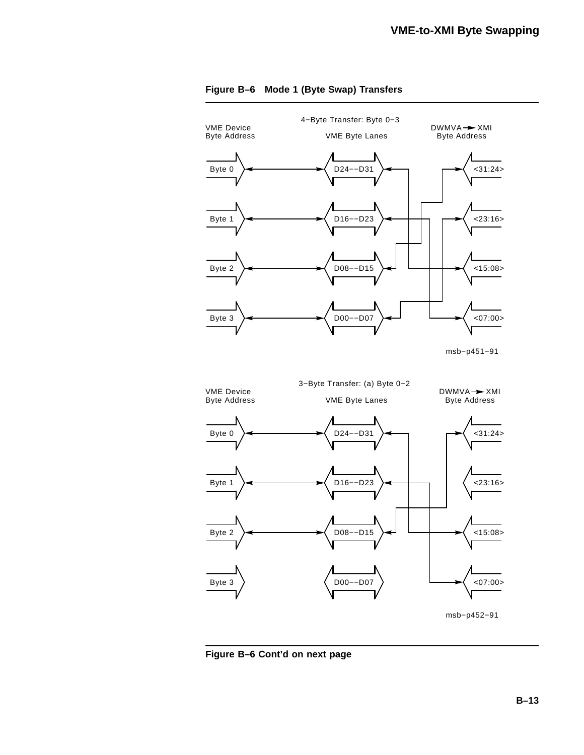

#### **Figure B–6 Mode 1 (Byte Swap) Transfers**

**Figure B–6 Cont'd on next page**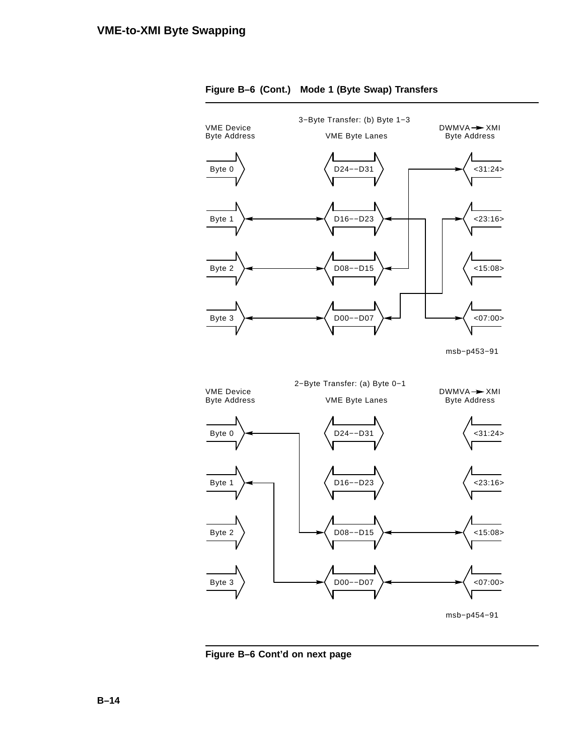

#### **Figure B–6 (Cont.) Mode 1 (Byte Swap) Transfers**

**Figure B–6 Cont'd on next page**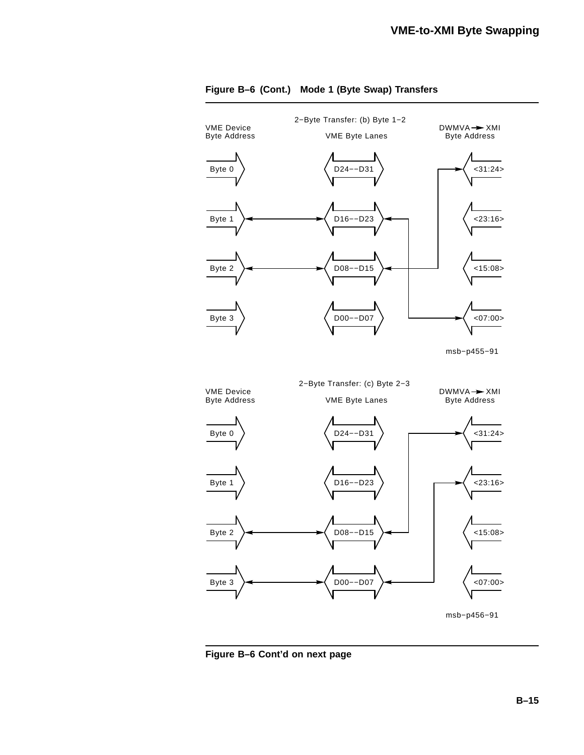

#### **Figure B–6 (Cont.) Mode 1 (Byte Swap) Transfers**

**Figure B–6 Cont'd on next page**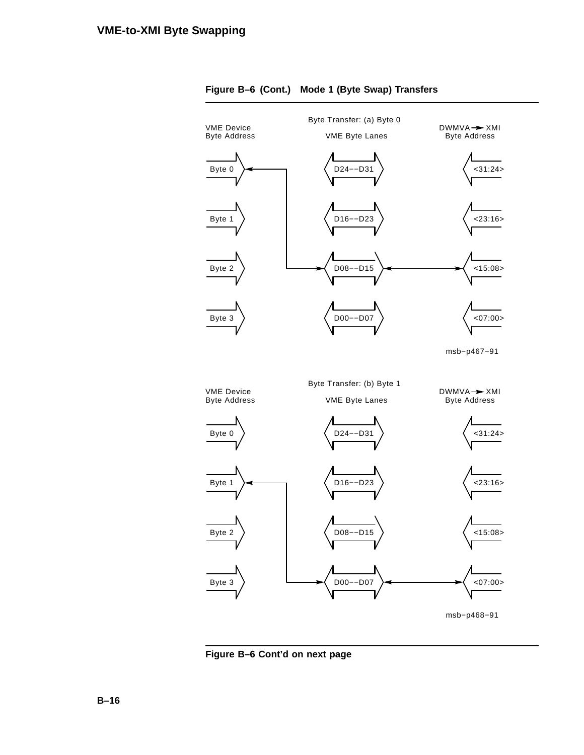



**Figure B–6 Cont'd on next page**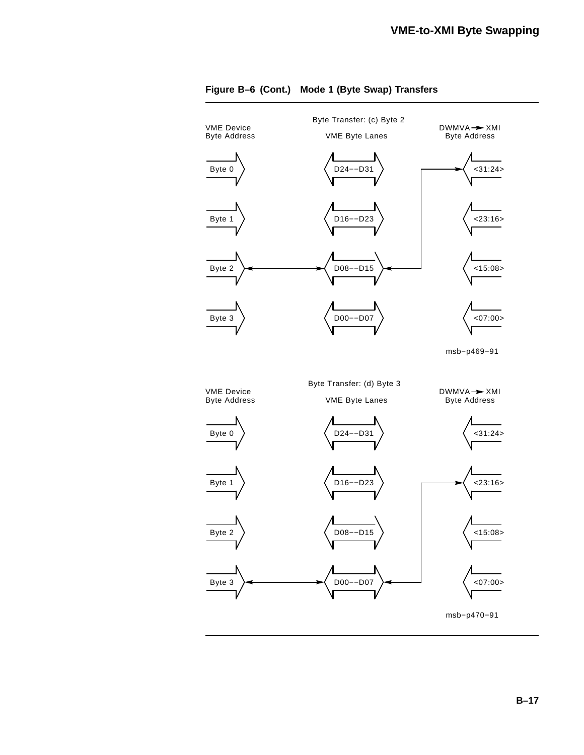

#### **Figure B–6 (Cont.) Mode 1 (Byte Swap) Transfers**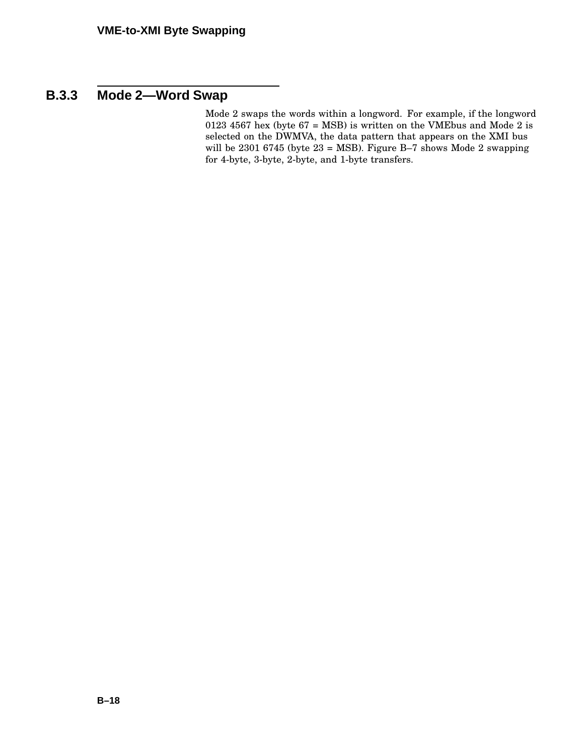# **B.3.3 Mode 2—Word Swap**

Mode 2 swaps the words within a longword. For example, if the longword 0123 4567 hex (byte  $67 = MSB$ ) is written on the VMEbus and Mode 2 is selected on the DWMVA, the data pattern that appears on the XMI bus will be 2301 6745 (byte 23 = MSB). Figure B–7 shows Mode 2 swapping for 4-byte, 3-byte, 2-byte, and 1-byte transfers.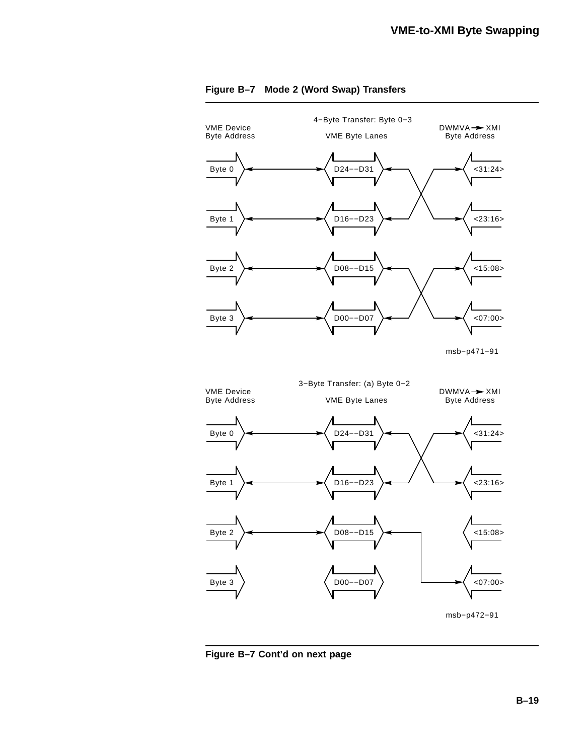

**Figure B–7 Cont'd on next page**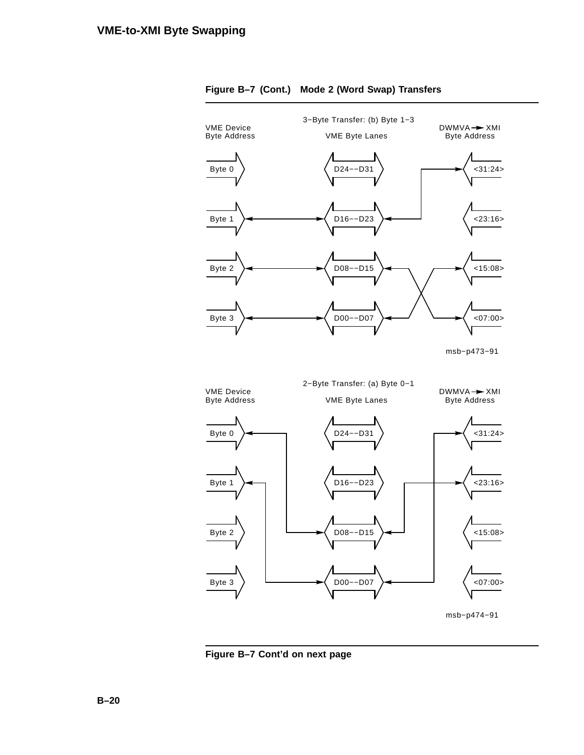

**Figure B–7 Cont'd on next page**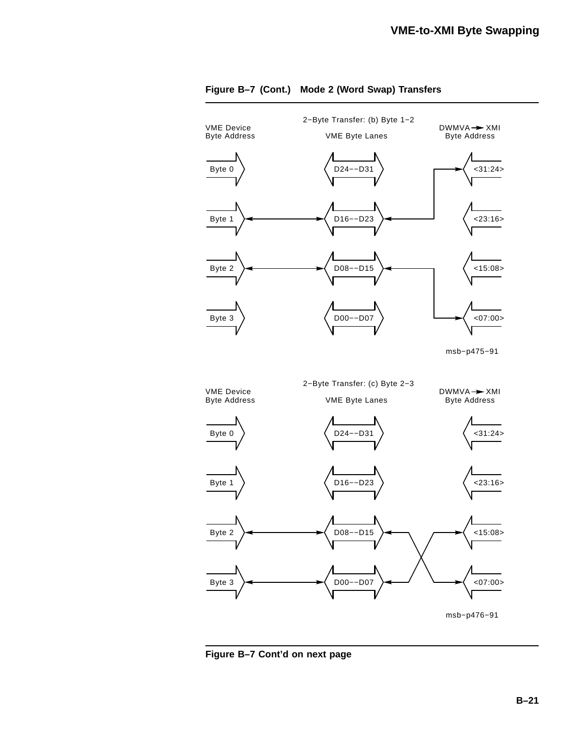

**Figure B–7 Cont'd on next page**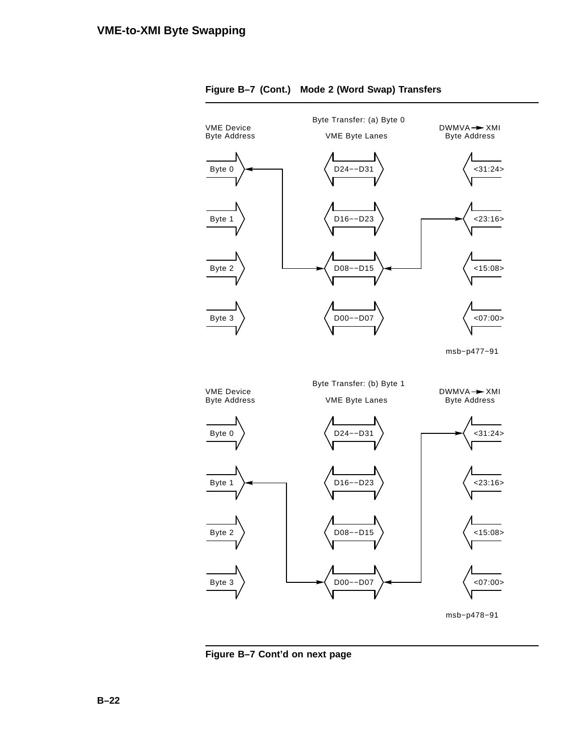

**Figure B–7 Cont'd on next page**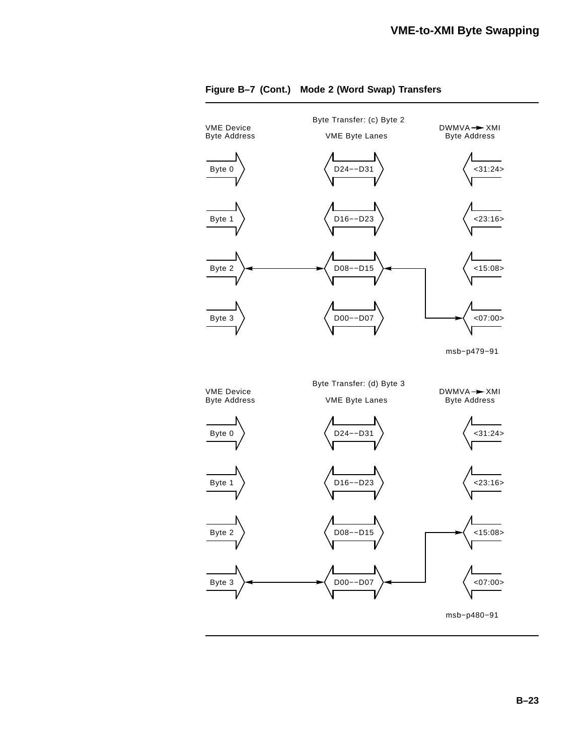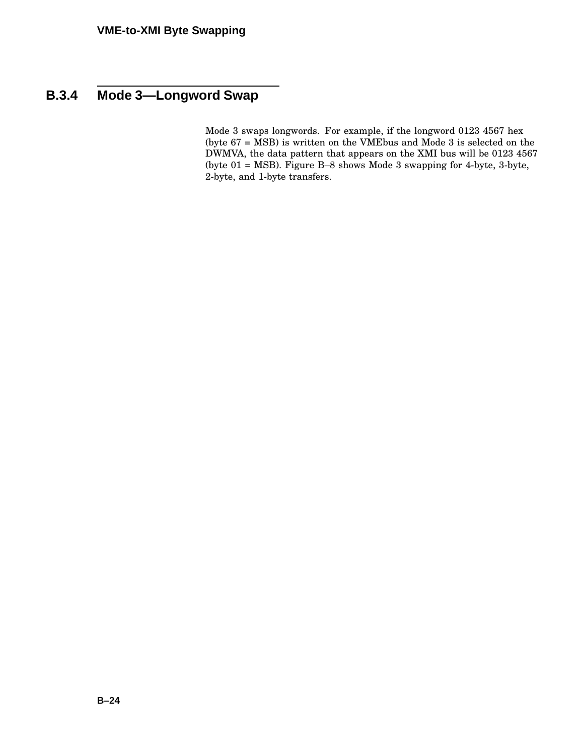# **B.3.4 Mode 3—Longword Swap**

Mode 3 swaps longwords. For example, if the longword 0123 4567 hex (byte 67 = MSB) is written on the VMEbus and Mode 3 is selected on the DWMVA, the data pattern that appears on the XMI bus will be 0123 4567 (byte 01 = MSB). Figure B–8 shows Mode 3 swapping for 4-byte, 3-byte, 2-byte, and 1-byte transfers.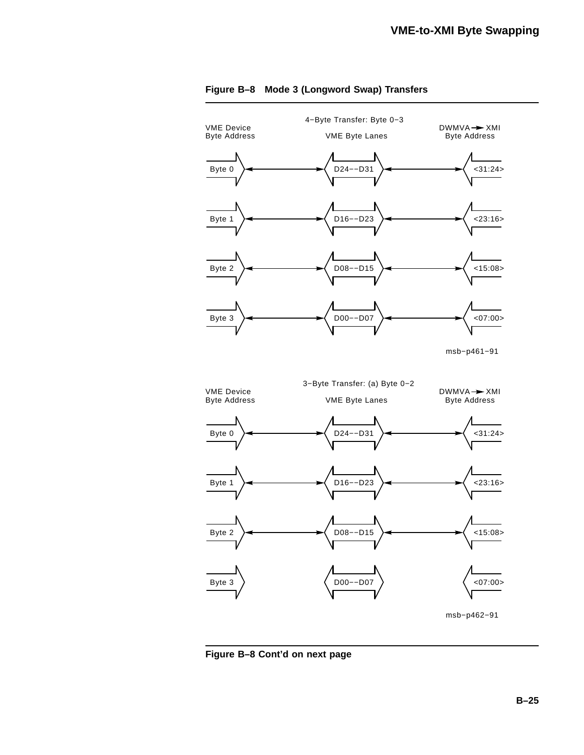

**Figure B–8 Cont'd on next page**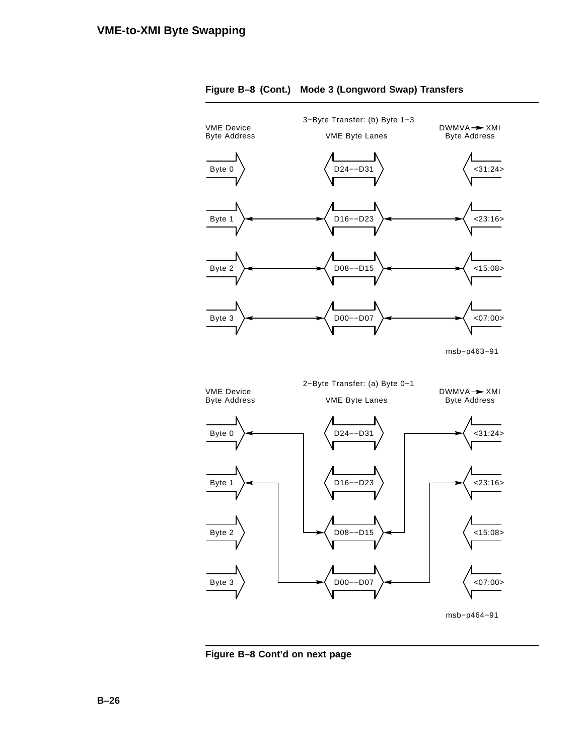

**Figure B–8 Cont'd on next page**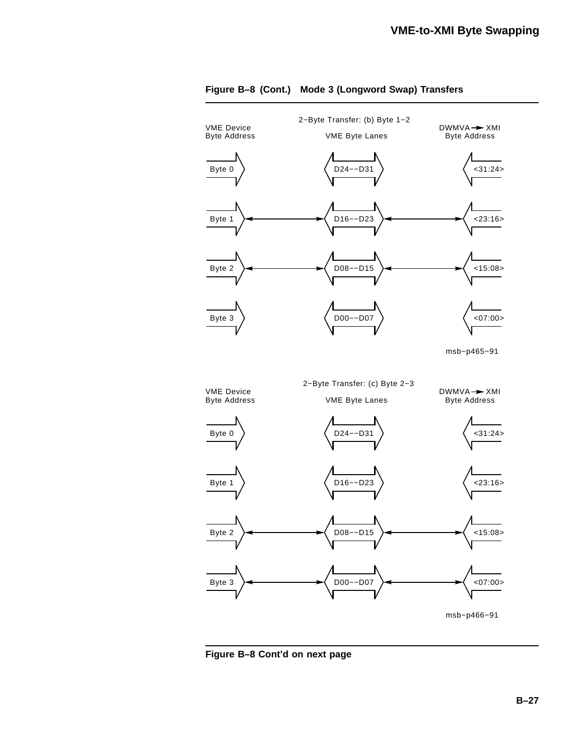

**Figure B–8 Cont'd on next page**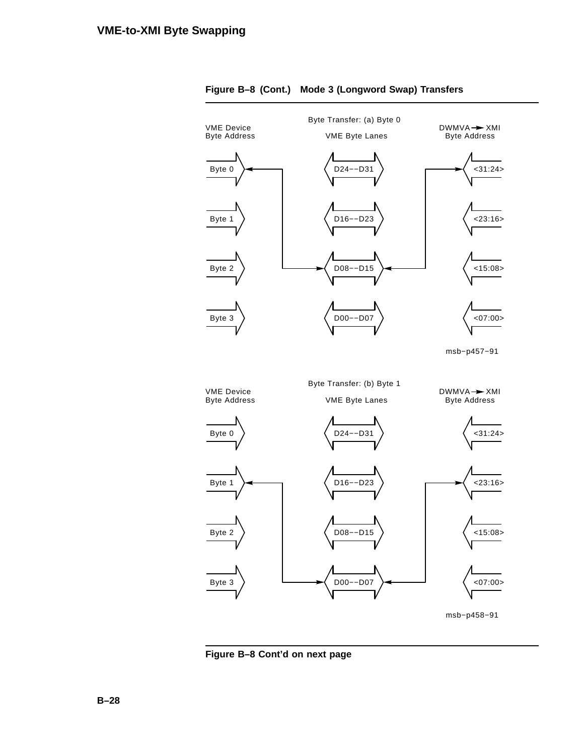

**Figure B–8 Cont'd on next page**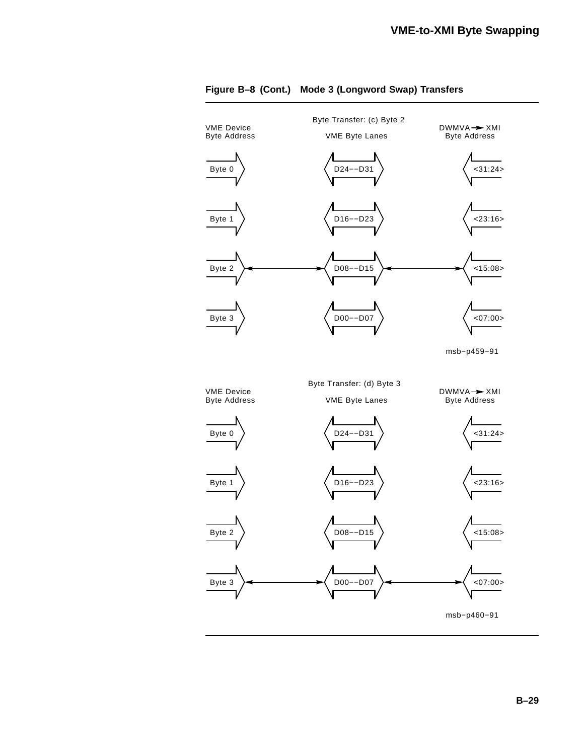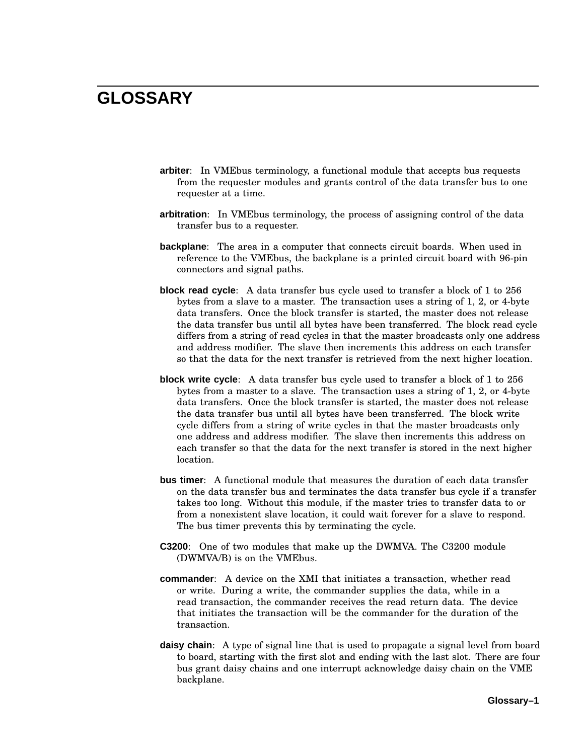### **GLOSSARY**

- **arbiter**: In VMEbus terminology, a functional module that accepts bus requests from the requester modules and grants control of the data transfer bus to one requester at a time.
- **arbitration**: In VMEbus terminology, the process of assigning control of the data transfer bus to a requester.
- **backplane**: The area in a computer that connects circuit boards. When used in reference to the VMEbus, the backplane is a printed circuit board with 96-pin connectors and signal paths.
- **block read cycle**: A data transfer bus cycle used to transfer a block of 1 to 256 bytes from a slave to a master. The transaction uses a string of 1, 2, or 4-byte data transfers. Once the block transfer is started, the master does not release the data transfer bus until all bytes have been transferred. The block read cycle differs from a string of read cycles in that the master broadcasts only one address and address modifier. The slave then increments this address on each transfer so that the data for the next transfer is retrieved from the next higher location.
- **block write cycle**: A data transfer bus cycle used to transfer a block of 1 to 256 bytes from a master to a slave. The transaction uses a string of 1, 2, or 4-byte data transfers. Once the block transfer is started, the master does not release the data transfer bus until all bytes have been transferred. The block write cycle differs from a string of write cycles in that the master broadcasts only one address and address modifier. The slave then increments this address on each transfer so that the data for the next transfer is stored in the next higher location.
- **bus timer**: A functional module that measures the duration of each data transfer on the data transfer bus and terminates the data transfer bus cycle if a transfer takes too long. Without this module, if the master tries to transfer data to or from a nonexistent slave location, it could wait forever for a slave to respond. The bus timer prevents this by terminating the cycle.
- **C3200**: One of two modules that make up the DWMVA. The C3200 module (DWMVA/B) is on the VMEbus.
- **commander**: A device on the XMI that initiates a transaction, whether read or write. During a write, the commander supplies the data, while in a read transaction, the commander receives the read return data. The device that initiates the transaction will be the commander for the duration of the transaction.
- **daisy chain**: A type of signal line that is used to propagate a signal level from board to board, starting with the first slot and ending with the last slot. There are four bus grant daisy chains and one interrupt acknowledge daisy chain on the VME backplane.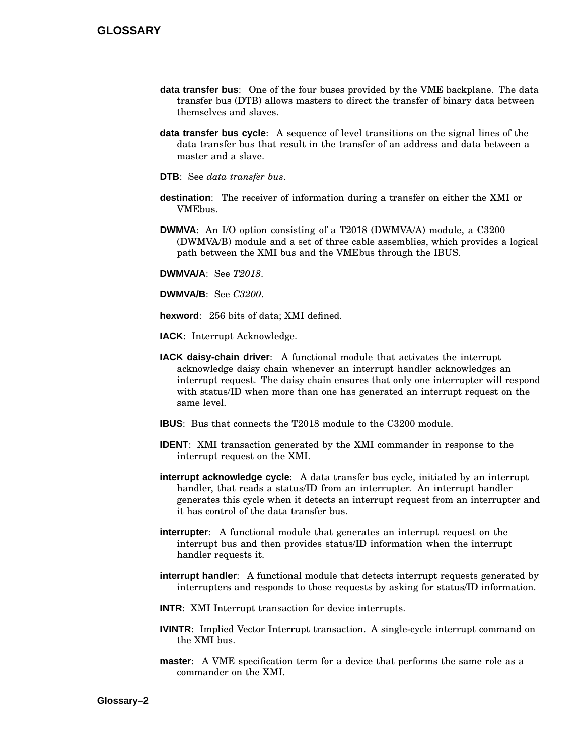- **data transfer bus**: One of the four buses provided by the VME backplane. The data transfer bus (DTB) allows masters to direct the transfer of binary data between themselves and slaves.
- **data transfer bus cycle**: A sequence of level transitions on the signal lines of the data transfer bus that result in the transfer of an address and data between a master and a slave.
- **DTB**: See *data transfer bus*.
- **destination**: The receiver of information during a transfer on either the XMI or VMEbus.
- **DWMVA**: An I/O option consisting of a T2018 (DWMVA/A) module, a C3200 (DWMVA/B) module and a set of three cable assemblies, which provides a logical path between the XMI bus and the VMEbus through the IBUS.

**DWMVA/A**: See *T2018*.

**DWMVA/B**: See *C3200*.

**hexword**: 256 bits of data; XMI defined.

**IACK**: Interrupt Acknowledge.

- **IACK daisy-chain driver**: A functional module that activates the interrupt acknowledge daisy chain whenever an interrupt handler acknowledges an interrupt request. The daisy chain ensures that only one interrupter will respond with status/ID when more than one has generated an interrupt request on the same level.
- **IBUS**: Bus that connects the T2018 module to the C3200 module.
- **IDENT**: XMI transaction generated by the XMI commander in response to the interrupt request on the XMI.
- **interrupt acknowledge cycle**: A data transfer bus cycle, initiated by an interrupt handler, that reads a status/ID from an interrupter. An interrupt handler generates this cycle when it detects an interrupt request from an interrupter and it has control of the data transfer bus.
- **interrupter**: A functional module that generates an interrupt request on the interrupt bus and then provides status/ID information when the interrupt handler requests it.
- **interrupt handler**: A functional module that detects interrupt requests generated by interrupters and responds to those requests by asking for status/ID information.
- **INTR**: XMI Interrupt transaction for device interrupts.
- **IVINTR**: Implied Vector Interrupt transaction. A single-cycle interrupt command on the XMI bus.
- **master**: A VME specification term for a device that performs the same role as a commander on the XMI.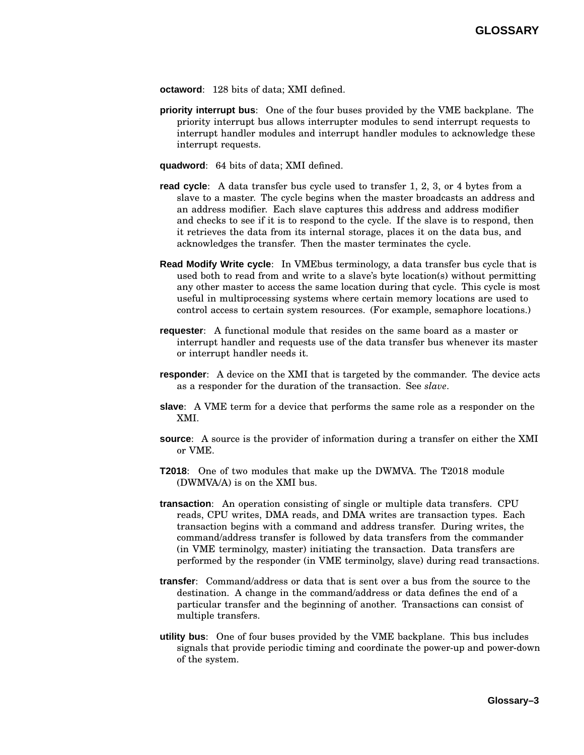- **octaword**: 128 bits of data; XMI defined.
- **priority interrupt bus**: One of the four buses provided by the VME backplane. The priority interrupt bus allows interrupter modules to send interrupt requests to interrupt handler modules and interrupt handler modules to acknowledge these interrupt requests.
- **quadword**: 64 bits of data; XMI defined.
- **read cycle**: A data transfer bus cycle used to transfer 1, 2, 3, or 4 bytes from a slave to a master. The cycle begins when the master broadcasts an address and an address modifier. Each slave captures this address and address modifier and checks to see if it is to respond to the cycle. If the slave is to respond, then it retrieves the data from its internal storage, places it on the data bus, and acknowledges the transfer. Then the master terminates the cycle.
- **Read Modify Write cycle**: In VMEbus terminology, a data transfer bus cycle that is used both to read from and write to a slave's byte location(s) without permitting any other master to access the same location during that cycle. This cycle is most useful in multiprocessing systems where certain memory locations are used to control access to certain system resources. (For example, semaphore locations.)
- **requester**: A functional module that resides on the same board as a master or interrupt handler and requests use of the data transfer bus whenever its master or interrupt handler needs it.
- **responder**: A device on the XMI that is targeted by the commander. The device acts as a responder for the duration of the transaction. See *slave*.
- **slave**: A VME term for a device that performs the same role as a responder on the XMI.
- **source**: A source is the provider of information during a transfer on either the XMI or VME.
- **T2018**: One of two modules that make up the DWMVA. The T2018 module (DWMVA/A) is on the XMI bus.
- **transaction**: An operation consisting of single or multiple data transfers. CPU reads, CPU writes, DMA reads, and DMA writes are transaction types. Each transaction begins with a command and address transfer. During writes, the command/address transfer is followed by data transfers from the commander (in VME terminolgy, master) initiating the transaction. Data transfers are performed by the responder (in VME terminolgy, slave) during read transactions.
- **transfer**: Command/address or data that is sent over a bus from the source to the destination. A change in the command/address or data defines the end of a particular transfer and the beginning of another. Transactions can consist of multiple transfers.
- **utility bus**: One of four buses provided by the VME backplane. This bus includes signals that provide periodic timing and coordinate the power-up and power-down of the system.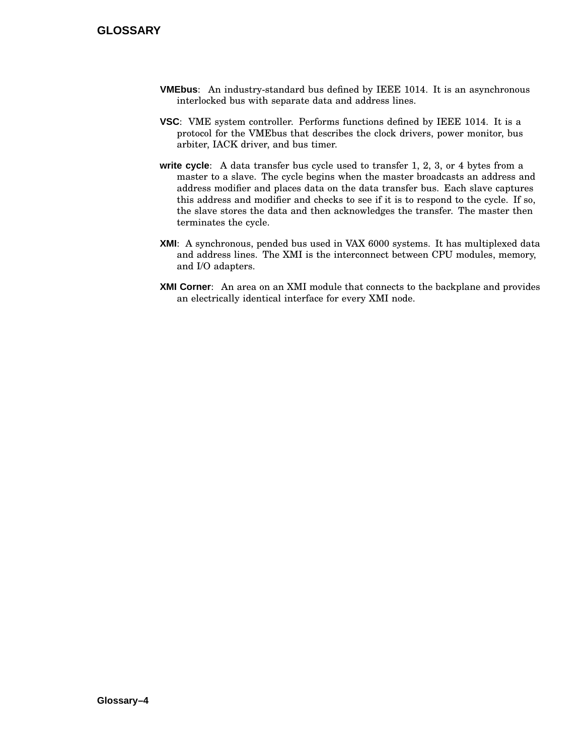- **VMEbus**: An industry-standard bus defined by IEEE 1014. It is an asynchronous interlocked bus with separate data and address lines.
- **VSC**: VME system controller. Performs functions defined by IEEE 1014. It is a protocol for the VMEbus that describes the clock drivers, power monitor, bus arbiter, IACK driver, and bus timer.
- **write cycle**: A data transfer bus cycle used to transfer 1, 2, 3, or 4 bytes from a master to a slave. The cycle begins when the master broadcasts an address and address modifier and places data on the data transfer bus. Each slave captures this address and modifier and checks to see if it is to respond to the cycle. If so, the slave stores the data and then acknowledges the transfer. The master then terminates the cycle.
- **XMI**: A synchronous, pended bus used in VAX 6000 systems. It has multiplexed data and address lines. The XMI is the interconnect between CPU modules, memory, and I/O adapters.
- **XMI Corner**: An area on an XMI module that connects to the backplane and provides an electrically identical interface for every XMI node.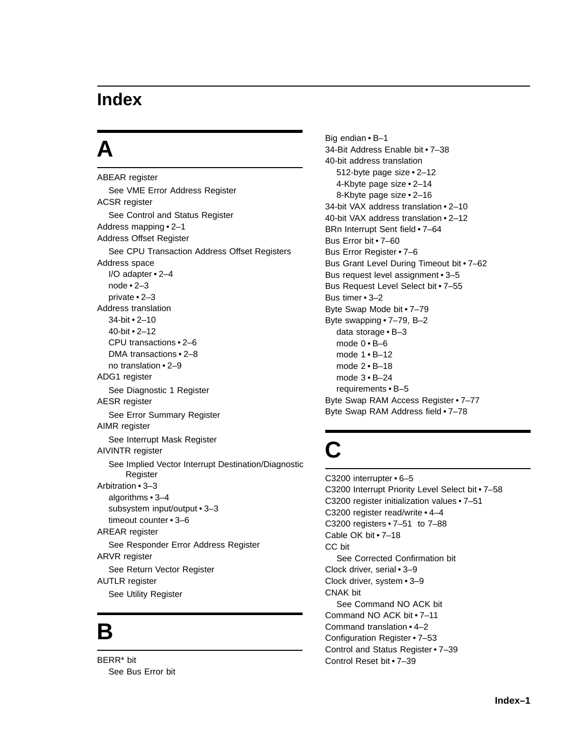### **A**

ABEAR register See VME Error Address Register ACSR register See Control and Status Register Address mapping • 2–1 Address Offset Register See CPU Transaction Address Offset Registers Address space I/O adapter • 2–4 node • 2–3 private • 2–3 Address translation 34-bit • 2–10 40-bit • 2–12 CPU transactions • 2–6 DMA transactions • 2–8 no translation • 2–9 ADG1 register See Diagnostic 1 Register AESR register See Error Summary Register AIMR register See Interrupt Mask Register AIVINTR register See Implied Vector Interrupt Destination/Diagnostic Register Arbitration • 3–3 algorithms • 3–4 subsystem input/output • 3–3 timeout counter • 3–6 AREAR register See Responder Error Address Register ARVR register See Return Vector Register AUTLR register See Utility Register

### **B**

BERR\* bit See Bus Error bit Big endian • B–1 34-Bit Address Enable bit • 7–38 40-bit address translation 512-byte page size • 2–12 4-Kbyte page size • 2–14 8-Kbyte page size • 2–16 34-bit VAX address translation • 2–10 40-bit VAX address translation • 2–12 BRn Interrupt Sent field • 7–64 Bus Error bit • 7–60 Bus Error Register • 7–6 Bus Grant Level During Timeout bit • 7–62 Bus request level assignment • 3–5 Bus Request Level Select bit • 7–55 Bus timer • 3–2 Byte Swap Mode bit • 7–79 Byte swapping • 7–79, B–2 data storage • B–3 mode  $0 \cdot B - 6$ mode 1 • B–12 mode 2 • B–18 mode 3 • B–24 requirements • B–5 Byte Swap RAM Access Register • 7–77 Byte Swap RAM Address field • 7–78

## **C**

C3200 interrupter • 6–5 C3200 Interrupt Priority Level Select bit • 7–58 C3200 register initialization values • 7–51 C3200 register read/write • 4–4 C3200 registers • 7–51 to 7–88 Cable OK bit • 7–18 CC bit See Corrected Confirmation bit Clock driver, serial • 3–9 Clock driver, system • 3–9 CNAK bit See Command NO ACK bit Command NO ACK bit • 7–11 Command translation • 4–2 Configuration Register • 7–53 Control and Status Register • 7–39 Control Reset bit • 7–39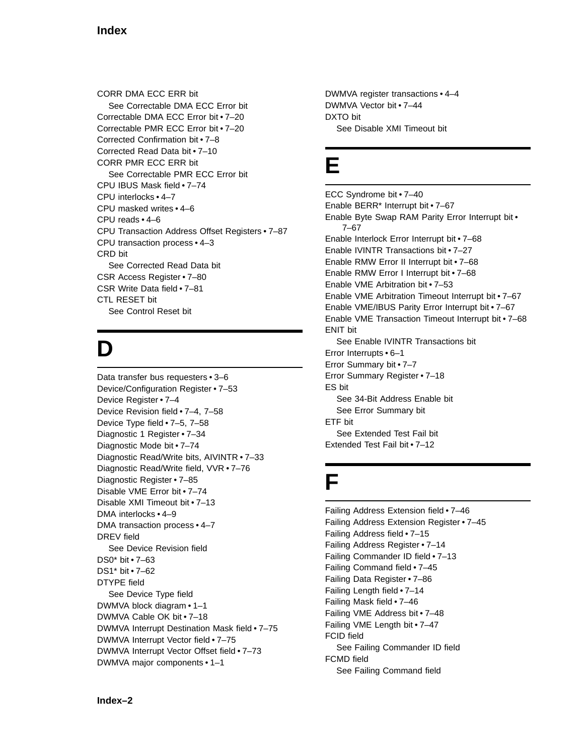CORR DMA ECC ERR bit See Correctable DMA ECC Error bit Correctable DMA ECC Error bit • 7–20 Correctable PMR ECC Error bit • 7–20 Corrected Confirmation bit • 7–8 Corrected Read Data bit • 7–10 CORR PMR ECC ERR bit See Correctable PMR ECC Error bit CPU IBUS Mask field • 7–74 CPU interlocks • 4–7 CPU masked writes • 4–6 CPU reads • 4–6 CPU Transaction Address Offset Registers • 7–87 CPU transaction process • 4–3 CRD bit See Corrected Read Data bit CSR Access Register • 7–80 CSR Write Data field • 7–81 CTL RESET bit See Control Reset bit

# **D**

Data transfer bus requesters • 3–6 Device/Configuration Register • 7–53 Device Register • 7–4 Device Revision field • 7–4, 7–58 Device Type field • 7–5, 7–58 Diagnostic 1 Register • 7–34 Diagnostic Mode bit • 7–74 Diagnostic Read/Write bits, AIVINTR • 7–33 Diagnostic Read/Write field, VVR • 7–76 Diagnostic Register • 7–85 Disable VME Error bit • 7–74 Disable XMI Timeout bit • 7–13 DMA interlocks • 4–9 DMA transaction process • 4–7 DREV field See Device Revision field DS0\* bit • 7–63 DS1\* bit • 7–62 DTYPE field See Device Type field DWMVA block diagram • 1–1 DWMVA Cable OK bit • 7–18 DWMVA Interrupt Destination Mask field • 7–75 DWMVA Interrupt Vector field • 7–75 DWMVA Interrupt Vector Offset field • 7–73 DWMVA major components • 1–1

DWMVA register transactions • 4–4 DWMVA Vector bit • 7–44 DXTO bit See Disable XMI Timeout bit

### **E**

ECC Syndrome bit • 7–40 Enable BERR\* Interrupt bit • 7–67 Enable Byte Swap RAM Parity Error Interrupt bit • 7–67 Enable Interlock Error Interrupt bit • 7–68 Enable IVINTR Transactions bit • 7–27 Enable RMW Error II Interrupt bit • 7–68 Enable RMW Error I Interrupt bit • 7–68 Enable VME Arbitration bit • 7–53 Enable VME Arbitration Timeout Interrupt bit • 7–67 Enable VME/IBUS Parity Error Interrupt bit • 7–67 Enable VME Transaction Timeout Interrupt bit • 7–68 ENIT bit See Enable IVINTR Transactions bit Error Interrupts • 6–1 Error Summary bit • 7–7 Error Summary Register • 7–18 ES bit See 34-Bit Address Enable bit See Error Summary bit ETF bit See Extended Test Fail bit Extended Test Fail bit • 7–12

## **F**

Failing Address Extension field • 7–46 Failing Address Extension Register • 7–45 Failing Address field • 7–15 Failing Address Register • 7–14 Failing Commander ID field • 7–13 Failing Command field • 7–45 Failing Data Register • 7–86 Failing Length field • 7–14 Failing Mask field • 7–46 Failing VME Address bit • 7–48 Failing VME Length bit • 7–47 FCID field See Failing Commander ID field FCMD field See Failing Command field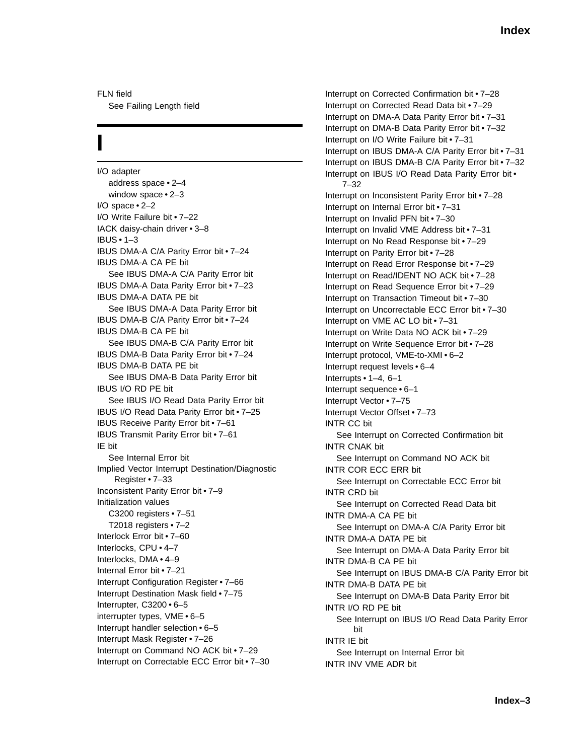FLN field See Failing Length field

## **I**

I/O adapter address space • 2–4 window space • 2–3 I/O space • 2–2 I/O Write Failure bit • 7–22 IACK daisy-chain driver • 3–8 IBUS • 1–3 IBUS DMA-A C/A Parity Error bit • 7–24 IBUS DMA-A CA PE bit See IBUS DMA-A C/A Parity Error bit IBUS DMA-A Data Parity Error bit • 7–23 IBUS DMA-A DATA PE bit See IBUS DMA-A Data Parity Error bit IBUS DMA-B C/A Parity Error bit • 7–24 IBUS DMA-B CA PE bit See IBUS DMA-B C/A Parity Error bit IBUS DMA-B Data Parity Error bit • 7–24 IBUS DMA-B DATA PE bit See IBUS DMA-B Data Parity Error bit IBUS I/O RD PE bit See IBUS I/O Read Data Parity Error bit IBUS I/O Read Data Parity Error bit • 7–25 IBUS Receive Parity Error bit • 7–61 IBUS Transmit Parity Error bit • 7–61 IE bit See Internal Error bit Implied Vector Interrupt Destination/Diagnostic Register • 7–33 Inconsistent Parity Error bit • 7–9 Initialization values C3200 registers • 7–51 T2018 registers • 7–2 Interlock Error bit • 7–60 Interlocks, CPU • 4–7 Interlocks, DMA • 4–9 Internal Error bit • 7–21 Interrupt Configuration Register • 7–66 Interrupt Destination Mask field • 7–75 Interrupter, C3200 • 6–5 interrupter types, VME • 6–5 Interrupt handler selection • 6–5 Interrupt Mask Register • 7–26 Interrupt on Command NO ACK bit • 7–29 Interrupt on Correctable ECC Error bit • 7–30

Interrupt on Corrected Confirmation bit • 7–28 Interrupt on Corrected Read Data bit • 7–29 Interrupt on DMA-A Data Parity Error bit • 7–31 Interrupt on DMA-B Data Parity Error bit • 7–32 Interrupt on I/O Write Failure bit • 7–31 Interrupt on IBUS DMA-A C/A Parity Error bit • 7–31 Interrupt on IBUS DMA-B C/A Parity Error bit • 7–32 Interrupt on IBUS I/O Read Data Parity Error bit • 7–32 Interrupt on Inconsistent Parity Error bit • 7–28 Interrupt on Internal Error bit • 7–31 Interrupt on Invalid PFN bit • 7–30 Interrupt on Invalid VME Address bit • 7–31 Interrupt on No Read Response bit • 7–29 Interrupt on Parity Error bit • 7–28 Interrupt on Read Error Response bit • 7–29 Interrupt on Read/IDENT NO ACK bit • 7–28 Interrupt on Read Sequence Error bit • 7–29 Interrupt on Transaction Timeout bit • 7–30 Interrupt on Uncorrectable ECC Error bit • 7–30 Interrupt on VME AC LO bit • 7–31 Interrupt on Write Data NO ACK bit • 7–29 Interrupt on Write Sequence Error bit • 7–28 Interrupt protocol, VME-to-XMI • 6–2 Interrupt request levels • 6–4 Interrupts • 1–4, 6–1 Interrupt sequence • 6–1 Interrupt Vector • 7–75 Interrupt Vector Offset • 7–73 INTR CC bit See Interrupt on Corrected Confirmation bit INTR CNAK bit See Interrupt on Command NO ACK bit INTR COR ECC ERR bit See Interrupt on Correctable ECC Error bit INTR CRD bit See Interrupt on Corrected Read Data bit INTR DMA-A CA PE bit See Interrupt on DMA-A C/A Parity Error bit INTR DMA-A DATA PE bit See Interrupt on DMA-A Data Parity Error bit INTR DMA-B CA PE bit See Interrupt on IBUS DMA-B C/A Parity Error bit INTR DMA-B DATA PE bit See Interrupt on DMA-B Data Parity Error bit INTR I/O RD PE bit See Interrupt on IBUS I/O Read Data Parity Error bit INTR IE bit See Interrupt on Internal Error bit INTR INV VME ADR bit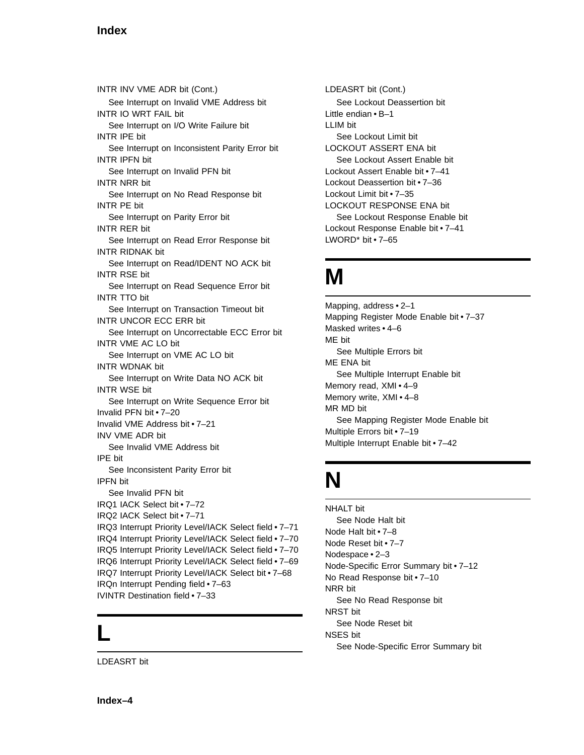INTR INV VME ADR bit (Cont.) See Interrupt on Invalid VME Address bit INTR IO WRT FAIL bit See Interrupt on I/O Write Failure bit INTR IPE bit See Interrupt on Inconsistent Parity Error bit INTR IPFN bit See Interrupt on Invalid PFN bit INTR NRR bit See Interrupt on No Read Response bit INTR PE bit See Interrupt on Parity Error bit INTR RER bit See Interrupt on Read Error Response bit INTR RIDNAK bit See Interrupt on Read/IDENT NO ACK bit INTR RSE bit See Interrupt on Read Sequence Error bit INTR TTO bit See Interrupt on Transaction Timeout bit INTR UNCOR ECC ERR bit See Interrupt on Uncorrectable ECC Error bit INTR VME AC LO bit See Interrupt on VME AC LO bit INTR WDNAK bit See Interrupt on Write Data NO ACK bit INTR WSE bit See Interrupt on Write Sequence Error bit Invalid PFN bit • 7–20 Invalid VME Address bit • 7–21 INV VME ADR bit See Invalid VME Address bit IPE bit See Inconsistent Parity Error bit IPFN bit See Invalid PFN bit IRQ1 IACK Select bit • 7–72 IRQ2 IACK Select bit • 7–71 IRQ3 Interrupt Priority Level/IACK Select field • 7–71 IRQ4 Interrupt Priority Level/IACK Select field • 7–70 IRQ5 Interrupt Priority Level/IACK Select field • 7–70 IRQ6 Interrupt Priority Level/IACK Select field • 7–69 IRQ7 Interrupt Priority Level/IACK Select bit • 7–68 IRQn Interrupt Pending field • 7–63 IVINTR Destination field • 7–33

### **L**

LDEASRT bit

LDEASRT bit (Cont.) See Lockout Deassertion bit Little endian • B–1 LLIM bit See Lockout Limit bit LOCKOUT ASSERT ENA bit See Lockout Assert Enable bit Lockout Assert Enable bit • 7–41 Lockout Deassertion bit • 7–36 Lockout Limit bit • 7–35 LOCKOUT RESPONSE ENA bit See Lockout Response Enable bit Lockout Response Enable bit • 7–41 LWORD\* bit • 7–65

## **M**

Mapping, address • 2–1 Mapping Register Mode Enable bit • 7–37 Masked writes • 4–6 ME bit See Multiple Errors bit ME ENA bit See Multiple Interrupt Enable bit Memory read, XMI • 4–9 Memory write, XMI • 4–8 MR MD bit See Mapping Register Mode Enable bit Multiple Errors bit • 7–19 Multiple Interrupt Enable bit • 7–42

## **N**

NHALT bit See Node Halt bit Node Halt bit • 7–8 Node Reset bit • 7–7 Nodespace • 2–3 Node-Specific Error Summary bit • 7–12 No Read Response bit • 7–10 NRR bit See No Read Response bit NRST bit See Node Reset bit NSES bit See Node-Specific Error Summary bit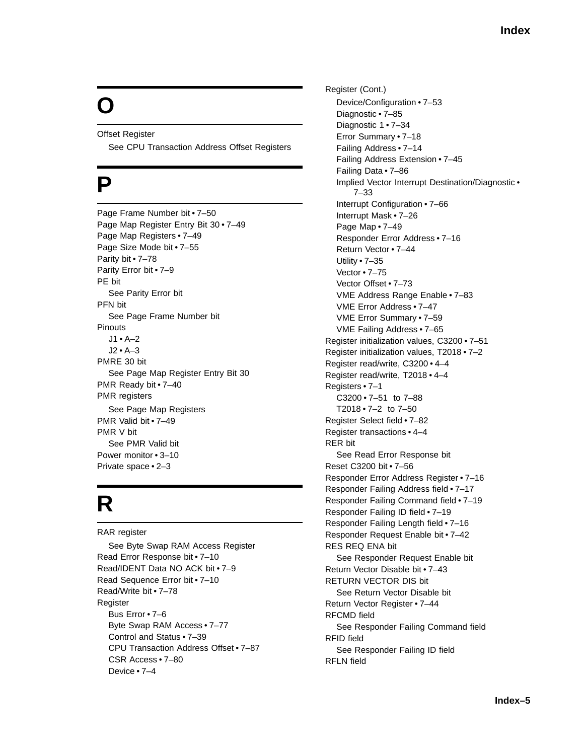# **O**

Offset Register See CPU Transaction Address Offset Registers

### **P**

Page Frame Number bit • 7–50 Page Map Register Entry Bit 30 • 7–49 Page Map Registers • 7–49 Page Size Mode bit • 7–55 Parity bit • 7–78 Parity Error bit • 7–9 PE bit See Parity Error bit PFN bit See Page Frame Number bit Pinouts  $11 \cdot A - 2$ J2 • A–3 PMRE 30 bit See Page Map Register Entry Bit 30 PMR Ready bit • 7–40 PMR registers See Page Map Registers PMR Valid bit • 7–49 PMR V bit See PMR Valid bit Power monitor • 3–10 Private space • 2–3

## **R**

RAR register See Byte Swap RAM Access Register Read Error Response bit • 7–10 Read/IDENT Data NO ACK bit • 7–9 Read Sequence Error bit • 7–10 Read/Write bit • 7–78 Register Bus Error • 7–6 Byte Swap RAM Access • 7–77 Control and Status • 7–39 CPU Transaction Address Offset • 7–87 CSR Access • 7–80 Device • 7–4

Register (Cont.) Device/Configuration • 7–53 Diagnostic • 7–85 Diagnostic 1 • 7–34 Error Summary • 7–18 Failing Address • 7–14 Failing Address Extension • 7–45 Failing Data • 7–86 Implied Vector Interrupt Destination/Diagnostic • 7–33 Interrupt Configuration • 7–66 Interrupt Mask • 7–26 Page Map • 7–49 Responder Error Address • 7–16 Return Vector • 7–44 Utility • 7–35 Vector • 7–75 Vector Offset • 7–73 VME Address Range Enable • 7–83 VME Error Address • 7–47 VME Error Summary • 7–59 VME Failing Address • 7–65 Register initialization values, C3200 • 7–51 Register initialization values, T2018 • 7–2 Register read/write, C3200 • 4–4 Register read/write, T2018 • 4–4 Registers • 7–1 C3200 • 7–51 to 7–88 T2018 $\cdot$ 7-2 to 7-50 Register Select field • 7–82 Register transactions • 4–4 RER bit See Read Error Response bit Reset C3200 bit • 7–56 Responder Error Address Register • 7–16 Responder Failing Address field • 7–17 Responder Failing Command field • 7–19 Responder Failing ID field • 7–19 Responder Failing Length field • 7–16 Responder Request Enable bit • 7–42 RES REQ ENA bit See Responder Request Enable bit Return Vector Disable bit • 7–43 RETURN VECTOR DIS bit See Return Vector Disable bit Return Vector Register • 7–44 RFCMD field See Responder Failing Command field RFID field See Responder Failing ID field RFLN field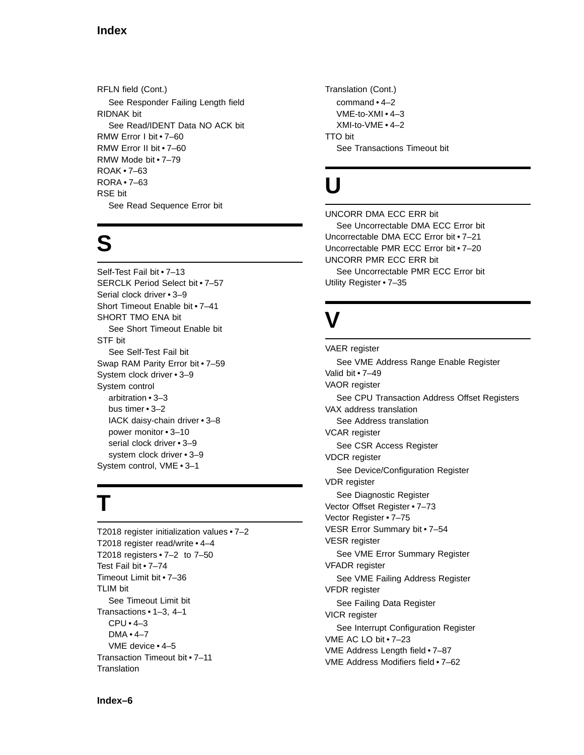RFLN field (Cont.) See Responder Failing Length field RIDNAK bit See Read/IDENT Data NO ACK bit RMW Error I bit • 7–60 RMW Error II bit • 7–60 RMW Mode bit • 7–79 ROAK • 7–63 RORA • 7–63 RSE bit See Read Sequence Error bit

### **S**

Self-Test Fail bit • 7–13 SERCLK Period Select bit • 7–57 Serial clock driver • 3–9 Short Timeout Enable bit • 7–41 SHORT TMO ENA bit See Short Timeout Enable bit STF bit See Self-Test Fail bit Swap RAM Parity Error bit • 7–59 System clock driver • 3–9 System control arbitration • 3–3 bus timer • 3–2 IACK daisy-chain driver • 3–8 power monitor • 3–10 serial clock driver • 3-9 system clock driver • 3–9 System control, VME • 3–1

## **T**

T2018 register initialization values • 7–2 T2018 register read/write • 4–4 T2018 registers • 7–2 to 7–50 Test Fail bit • 7–74 Timeout Limit bit • 7–36 TLIM bit See Timeout Limit bit Transactions • 1–3, 4–1 CPU • 4–3 DMA • 4–7 VME device • 4–5 Transaction Timeout bit • 7–11 **Translation** 

Translation (Cont.) command • 4–2 VME-to-XMI • 4–3 XMI-to-VME • 4–2 TTO bit See Transactions Timeout bit

### **U**

UNCORR DMA ECC ERR bit See Uncorrectable DMA ECC Error bit Uncorrectable DMA ECC Error bit • 7–21 Uncorrectable PMR ECC Error bit • 7–20 UNCORR PMR ECC ERR bit See Uncorrectable PMR ECC Error bit Utility Register • 7–35

## **V**

VAER register See VME Address Range Enable Register Valid bit • 7–49 VAOR register See CPU Transaction Address Offset Registers VAX address translation See Address translation VCAR register See CSR Access Register VDCR register See Device/Configuration Register VDR register See Diagnostic Register Vector Offset Register • 7–73 Vector Register • 7–75 VESR Error Summary bit • 7–54 VESR register See VME Error Summary Register VFADR register See VME Failing Address Register VFDR register See Failing Data Register VICR register See Interrupt Configuration Register VME AC LO bit • 7–23 VME Address Length field • 7–87 VME Address Modifiers field • 7–62